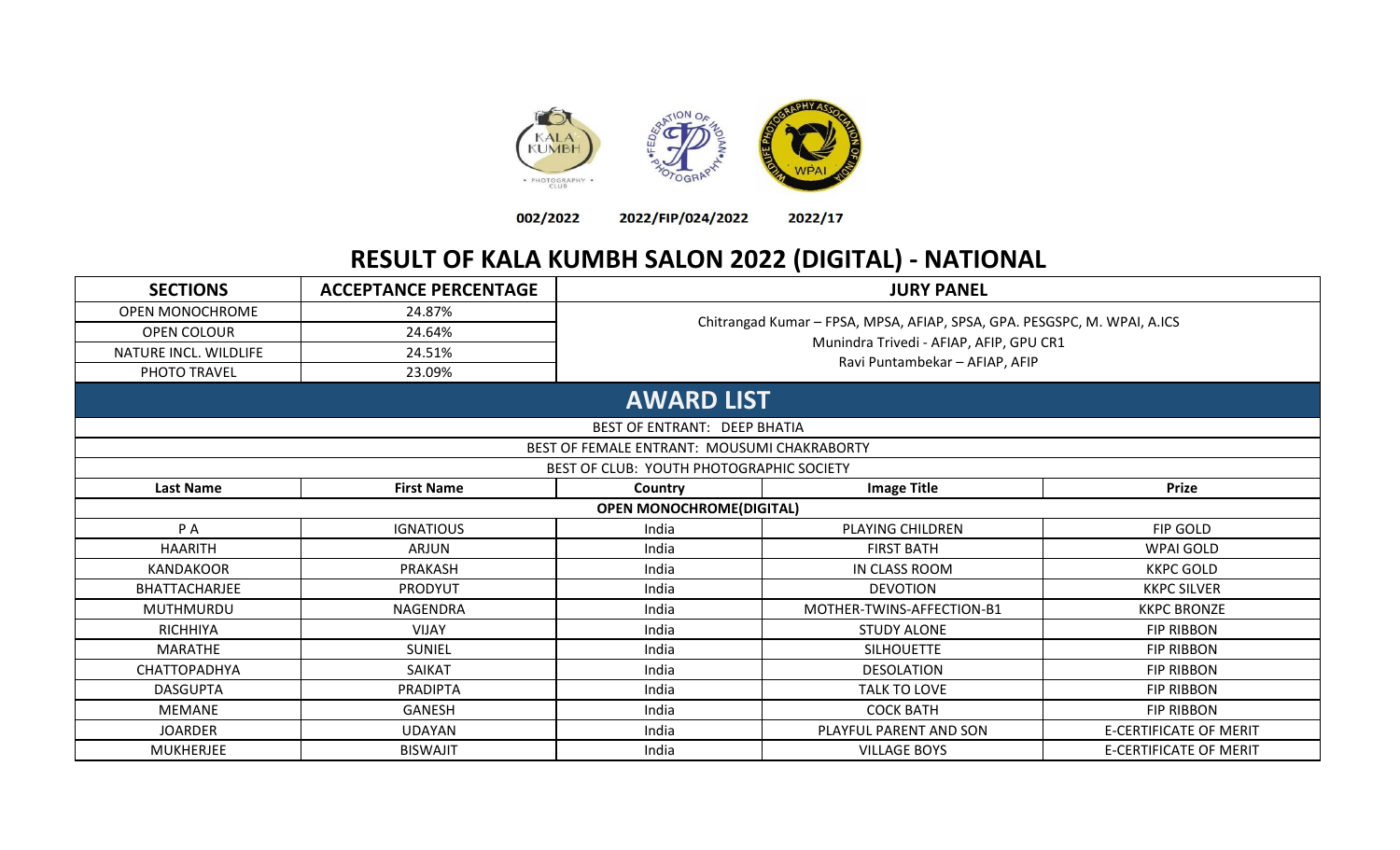



2022/17

## **RESULT OF KALA KUMBH SALON 2022 (DIGITAL) - NATIONAL**

| <b>SECTIONS</b>        | <b>ACCEPTANCE PERCENTAGE</b> |                                             | <b>JURY PANEL</b>                                                        |                               |  |
|------------------------|------------------------------|---------------------------------------------|--------------------------------------------------------------------------|-------------------------------|--|
| <b>OPEN MONOCHROME</b> | 24.87%                       |                                             |                                                                          |                               |  |
| OPEN COLOUR            | 24.64%                       |                                             | Chitrangad Kumar - FPSA, MPSA, AFIAP, SPSA, GPA. PESGSPC, M. WPAI, A.ICS |                               |  |
| NATURE INCL. WILDLIFE  | 24.51%                       |                                             | Munindra Trivedi - AFIAP, AFIP, GPU CR1                                  |                               |  |
| PHOTO TRAVEL           | 23.09%                       |                                             | Ravi Puntambekar - AFIAP, AFIP                                           |                               |  |
|                        |                              | <b>AWARD LIST</b>                           |                                                                          |                               |  |
|                        |                              | <b>BEST OF ENTRANT: DEEP BHATIA</b>         |                                                                          |                               |  |
|                        |                              | BEST OF FEMALE ENTRANT: MOUSUMI CHAKRABORTY |                                                                          |                               |  |
|                        |                              | BEST OF CLUB: YOUTH PHOTOGRAPHIC SOCIETY    |                                                                          |                               |  |
| <b>Last Name</b>       | <b>First Name</b>            | Country                                     | <b>Image Title</b>                                                       | <b>Prize</b>                  |  |
|                        |                              | <b>OPEN MONOCHROME(DIGITAL)</b>             |                                                                          |                               |  |
| P A                    | <b>IGNATIOUS</b>             | India                                       | PLAYING CHILDREN                                                         | FIP GOLD                      |  |
| <b>HAARITH</b>         | <b>ARJUN</b>                 | India                                       | <b>FIRST BATH</b>                                                        | <b>WPAI GOLD</b>              |  |
| <b>KANDAKOOR</b>       | PRAKASH                      | India                                       | IN CLASS ROOM                                                            | <b>KKPC GOLD</b>              |  |
| BHATTACHARJEE          | <b>PRODYUT</b>               | India                                       | <b>DEVOTION</b>                                                          | <b>KKPC SILVER</b>            |  |
| MUTHMURDU              | NAGENDRA                     | India                                       | MOTHER-TWINS-AFFECTION-B1                                                | <b>KKPC BRONZE</b>            |  |
| <b>RICHHIYA</b>        | <b>VIJAY</b>                 | India                                       | <b>STUDY ALONE</b>                                                       | <b>FIP RIBBON</b>             |  |
| <b>MARATHE</b>         | <b>SUNIEL</b>                | India                                       | <b>SILHOUETTE</b>                                                        | <b>FIP RIBBON</b>             |  |
| <b>CHATTOPADHYA</b>    | <b>SAIKAT</b>                | India                                       | <b>DESOLATION</b>                                                        | <b>FIP RIBBON</b>             |  |
| <b>DASGUPTA</b>        | <b>PRADIPTA</b>              | India                                       | TALK TO LOVE                                                             | <b>FIP RIBBON</b>             |  |
| <b>MEMANE</b>          | GANESH                       | India                                       | <b>COCK BATH</b>                                                         | <b>FIP RIBBON</b>             |  |
| <b>JOARDER</b>         | <b>UDAYAN</b>                | India                                       | PLAYFUL PARENT AND SON                                                   | <b>E-CERTIFICATE OF MERIT</b> |  |
| <b>MUKHERJEE</b>       | <b>BISWAJIT</b>              | India                                       | <b>VILLAGE BOYS</b>                                                      | <b>E-CERTIFICATE OF MERIT</b> |  |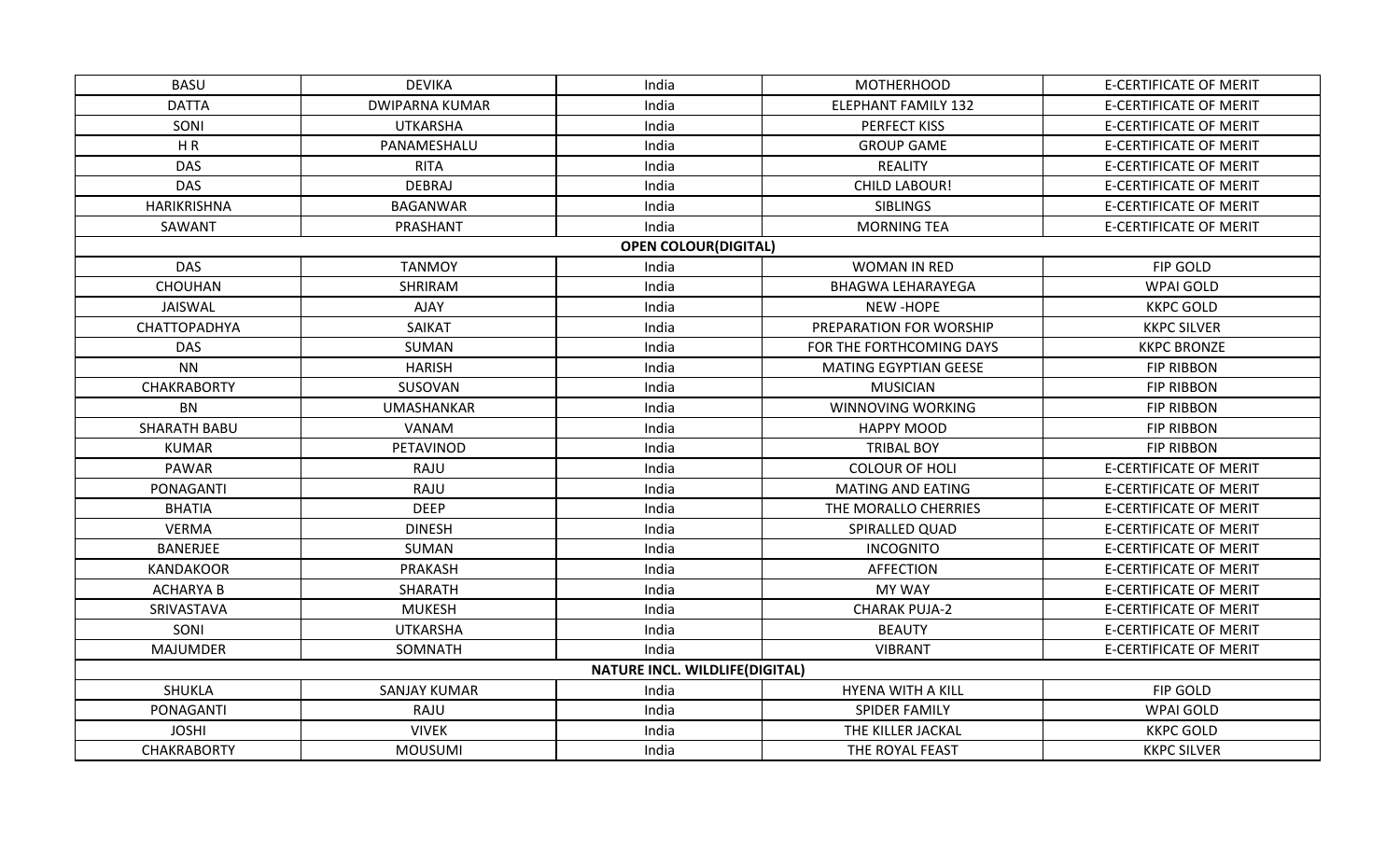| <b>BASU</b>         | <b>DEVIKA</b>         | India                                 | <b>MOTHERHOOD</b>            | <b>E-CERTIFICATE OF MERIT</b> |
|---------------------|-----------------------|---------------------------------------|------------------------------|-------------------------------|
| <b>DATTA</b>        | <b>DWIPARNA KUMAR</b> | India                                 | <b>ELEPHANT FAMILY 132</b>   | <b>E-CERTIFICATE OF MERIT</b> |
| SONI                | <b>UTKARSHA</b>       | India                                 | PERFECT KISS                 | <b>E-CERTIFICATE OF MERIT</b> |
| H R                 | PANAMESHALU           | India                                 | <b>GROUP GAME</b>            | <b>E-CERTIFICATE OF MERIT</b> |
| <b>DAS</b>          | <b>RITA</b>           | India                                 | <b>REALITY</b>               | <b>E-CERTIFICATE OF MERIT</b> |
| <b>DAS</b>          | DEBRAJ                | India                                 | <b>CHILD LABOUR!</b>         | <b>E-CERTIFICATE OF MERIT</b> |
| HARIKRISHNA         | <b>BAGANWAR</b>       | India                                 | <b>SIBLINGS</b>              | <b>E-CERTIFICATE OF MERIT</b> |
| SAWANT              | PRASHANT              | India                                 | <b>MORNING TEA</b>           | <b>E-CERTIFICATE OF MERIT</b> |
|                     |                       | <b>OPEN COLOUR(DIGITAL)</b>           |                              |                               |
| <b>DAS</b>          | <b>TANMOY</b>         | India                                 | <b>WOMAN IN RED</b>          | FIP GOLD                      |
| CHOUHAN             | SHRIRAM               | India                                 | <b>BHAGWA LEHARAYEGA</b>     | <b>WPAI GOLD</b>              |
| JAISWAL             | AJAY                  | India                                 | <b>NEW-HOPE</b>              | <b>KKPC GOLD</b>              |
| CHATTOPADHYA        | <b>SAIKAT</b>         | India                                 | PREPARATION FOR WORSHIP      | <b>KKPC SILVER</b>            |
| <b>DAS</b>          | SUMAN                 | India                                 | FOR THE FORTHCOMING DAYS     | <b>KKPC BRONZE</b>            |
| <b>NN</b>           | <b>HARISH</b>         | India                                 | <b>MATING EGYPTIAN GEESE</b> | <b>FIP RIBBON</b>             |
| <b>CHAKRABORTY</b>  | SUSOVAN               | India                                 | <b>MUSICIAN</b>              | <b>FIP RIBBON</b>             |
| <b>BN</b>           | <b>UMASHANKAR</b>     | India                                 | WINNOVING WORKING            | <b>FIP RIBBON</b>             |
| <b>SHARATH BABU</b> | VANAM                 | India                                 | <b>HAPPY MOOD</b>            | <b>FIP RIBBON</b>             |
| <b>KUMAR</b>        | PETAVINOD             | India                                 | <b>TRIBAL BOY</b>            | <b>FIP RIBBON</b>             |
| <b>PAWAR</b>        | <b>RAJU</b>           | India                                 | <b>COLOUR OF HOLI</b>        | <b>E-CERTIFICATE OF MERIT</b> |
| PONAGANTI           | RAJU                  | India                                 | <b>MATING AND EATING</b>     | <b>E-CERTIFICATE OF MERIT</b> |
| <b>BHATIA</b>       | <b>DEEP</b>           | India                                 | THE MORALLO CHERRIES         | <b>E-CERTIFICATE OF MERIT</b> |
| <b>VERMA</b>        | <b>DINESH</b>         | India                                 | SPIRALLED QUAD               | <b>E-CERTIFICATE OF MERIT</b> |
| BANERJEE            | SUMAN                 | India                                 | <b>INCOGNITO</b>             | <b>E-CERTIFICATE OF MERIT</b> |
| <b>KANDAKOOR</b>    | PRAKASH               | India                                 | <b>AFFECTION</b>             | <b>E-CERTIFICATE OF MERIT</b> |
| <b>ACHARYA B</b>    | <b>SHARATH</b>        | India                                 | MY WAY                       | <b>E-CERTIFICATE OF MERIT</b> |
| SRIVASTAVA          | <b>MUKESH</b>         | India                                 | <b>CHARAK PUJA-2</b>         | <b>E-CERTIFICATE OF MERIT</b> |
| SONI                | <b>UTKARSHA</b>       | India                                 | <b>BEAUTY</b>                | <b>E-CERTIFICATE OF MERIT</b> |
| <b>MAJUMDER</b>     | SOMNATH               | India                                 | <b>VIBRANT</b>               | <b>E-CERTIFICATE OF MERIT</b> |
|                     |                       | <b>NATURE INCL. WILDLIFE(DIGITAL)</b> |                              |                               |
| <b>SHUKLA</b>       | <b>SANJAY KUMAR</b>   | India                                 | <b>HYENA WITH A KILL</b>     | FIP GOLD                      |
| PONAGANTI           | RAJU                  | India                                 | <b>SPIDER FAMILY</b>         | WPAI GOLD                     |
| <b>JOSHI</b>        | <b>VIVEK</b>          | India                                 | THE KILLER JACKAL            | <b>KKPC GOLD</b>              |
| CHAKRABORTY         | <b>MOUSUMI</b>        | India                                 | THE ROYAL FEAST              | <b>KKPC SILVER</b>            |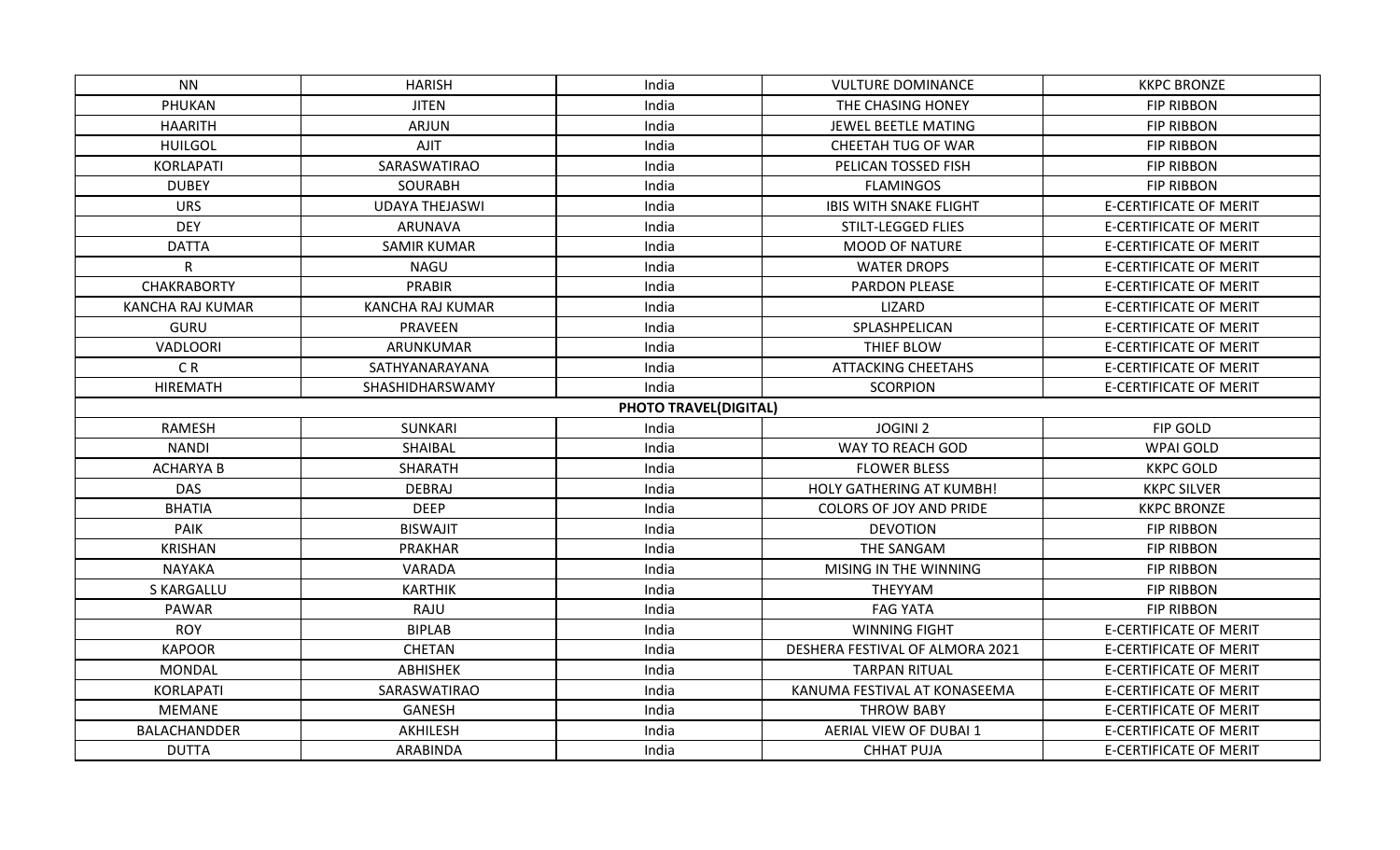| NN.                     | <b>HARISH</b>           | India                        | <b>VULTURE DOMINANCE</b>        | <b>KKPC BRONZE</b>            |
|-------------------------|-------------------------|------------------------------|---------------------------------|-------------------------------|
| PHUKAN                  | <b>JITEN</b>            | India                        | THE CHASING HONEY               | <b>FIP RIBBON</b>             |
| <b>HAARITH</b>          | ARJUN                   | India                        | JEWEL BEETLE MATING             | <b>FIP RIBBON</b>             |
| <b>HUILGOL</b>          | <b>AJIT</b>             | India                        | CHEETAH TUG OF WAR              | <b>FIP RIBBON</b>             |
| KORLAPATI               | SARASWATIRAO            | India                        | PELICAN TOSSED FISH             | <b>FIP RIBBON</b>             |
| <b>DUBEY</b>            |                         | India                        |                                 |                               |
|                         | <b>SOURABH</b>          |                              | <b>FLAMINGOS</b>                | <b>FIP RIBBON</b>             |
| <b>URS</b>              | <b>UDAYA THEJASWI</b>   | India                        | <b>IBIS WITH SNAKE FLIGHT</b>   | <b>E-CERTIFICATE OF MERIT</b> |
| <b>DEY</b>              | <b>ARUNAVA</b>          | India                        | STILT-LEGGED FLIES              | <b>E-CERTIFICATE OF MERIT</b> |
| <b>DATTA</b>            | <b>SAMIR KUMAR</b>      | India                        | <b>MOOD OF NATURE</b>           | <b>E-CERTIFICATE OF MERIT</b> |
| R                       | <b>NAGU</b>             | India                        | <b>WATER DROPS</b>              | <b>E-CERTIFICATE OF MERIT</b> |
| CHAKRABORTY             | <b>PRABIR</b>           | India                        | PARDON PLEASE                   | <b>E-CERTIFICATE OF MERIT</b> |
| <b>KANCHA RAJ KUMAR</b> | <b>KANCHA RAJ KUMAR</b> | India                        | LIZARD                          | <b>E-CERTIFICATE OF MERIT</b> |
| <b>GURU</b>             | <b>PRAVEEN</b>          | India                        | SPLASHPELICAN                   | <b>E-CERTIFICATE OF MERIT</b> |
| VADLOORI                | ARUNKUMAR               | India                        | THIEF BLOW                      | <b>E-CERTIFICATE OF MERIT</b> |
| CR                      | SATHYANARAYANA          | India                        | <b>ATTACKING CHEETAHS</b>       | <b>E-CERTIFICATE OF MERIT</b> |
| HIREMATH                | SHASHIDHARSWAMY         | India                        | <b>SCORPION</b>                 | <b>E-CERTIFICATE OF MERIT</b> |
|                         |                         | <b>PHOTO TRAVEL(DIGITAL)</b> |                                 |                               |
| <b>RAMESH</b>           | <b>SUNKARI</b>          | India                        | <b>JOGINI 2</b>                 | <b>FIP GOLD</b>               |
| <b>NANDI</b>            | SHAIBAL                 | India                        | WAY TO REACH GOD                | <b>WPAI GOLD</b>              |
| <b>ACHARYA B</b>        | <b>SHARATH</b>          | India                        | <b>FLOWER BLESS</b>             | <b>KKPC GOLD</b>              |
| <b>DAS</b>              | <b>DEBRAJ</b>           | India                        | HOLY GATHERING AT KUMBH!        | <b>KKPC SILVER</b>            |
| <b>BHATIA</b>           | <b>DEEP</b>             | India                        | <b>COLORS OF JOY AND PRIDE</b>  | <b>KKPC BRONZE</b>            |
| <b>PAIK</b>             | <b>BISWAJIT</b>         | India                        | <b>DEVOTION</b>                 | <b>FIP RIBBON</b>             |
| <b>KRISHAN</b>          | <b>PRAKHAR</b>          | India                        | THE SANGAM                      | <b>FIP RIBBON</b>             |
| <b>NAYAKA</b>           | VARADA                  | India                        | MISING IN THE WINNING           | <b>FIP RIBBON</b>             |
| <b>S KARGALLU</b>       | <b>KARTHIK</b>          | India                        | THEYYAM                         | <b>FIP RIBBON</b>             |
| PAWAR                   | RAJU                    | India                        | <b>FAG YATA</b>                 | <b>FIP RIBBON</b>             |
| <b>ROY</b>              | <b>BIPLAB</b>           | India                        | <b>WINNING FIGHT</b>            | <b>E-CERTIFICATE OF MERIT</b> |
| <b>KAPOOR</b>           | CHETAN                  | India                        | DESHERA FESTIVAL OF ALMORA 2021 | <b>E-CERTIFICATE OF MERIT</b> |
| <b>MONDAL</b>           | <b>ABHISHEK</b>         | India                        | <b>TARPAN RITUAL</b>            | <b>E-CERTIFICATE OF MERIT</b> |
| KORLAPATI               | SARASWATIRAO            | India                        | KANUMA FESTIVAL AT KONASEEMA    | <b>E-CERTIFICATE OF MERIT</b> |
| MEMANE                  | <b>GANESH</b>           | India                        | <b>THROW BABY</b>               | <b>E-CERTIFICATE OF MERIT</b> |
| BALACHANDDER            | AKHILESH                | India                        | AERIAL VIEW OF DUBAI 1          | <b>E-CERTIFICATE OF MERIT</b> |
| <b>DUTTA</b>            | ARABINDA                | India                        | <b>CHHAT PUJA</b>               | <b>E-CERTIFICATE OF MERIT</b> |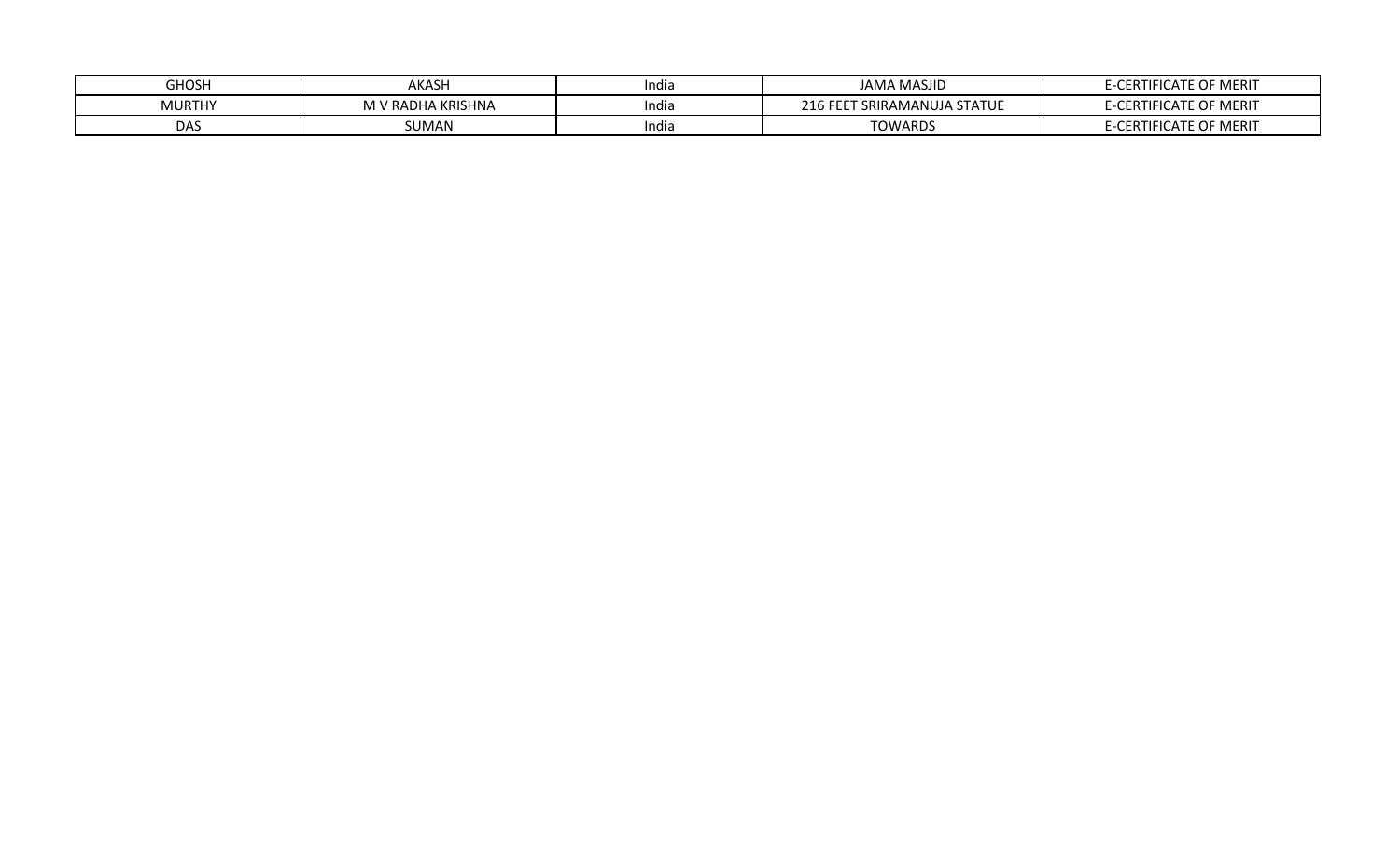| <b>GHOSH</b>  | AKASH                             | India | <b>JAMA MASJID</b>              | E-CERTIFICATE OF MERIT |
|---------------|-----------------------------------|-------|---------------------------------|------------------------|
| <b>MURTHY</b> | <b>M V RADHA KRISHNA</b><br>IVI V | India | FEET SRIRAMANUJA STATUE<br>210F | E-CERTIFICATE OF MERIT |
| <b>DAS</b>    | SUMAN                             | India | <b>TOWARDS</b>                  | E-CERTIFICATE OF MERIT |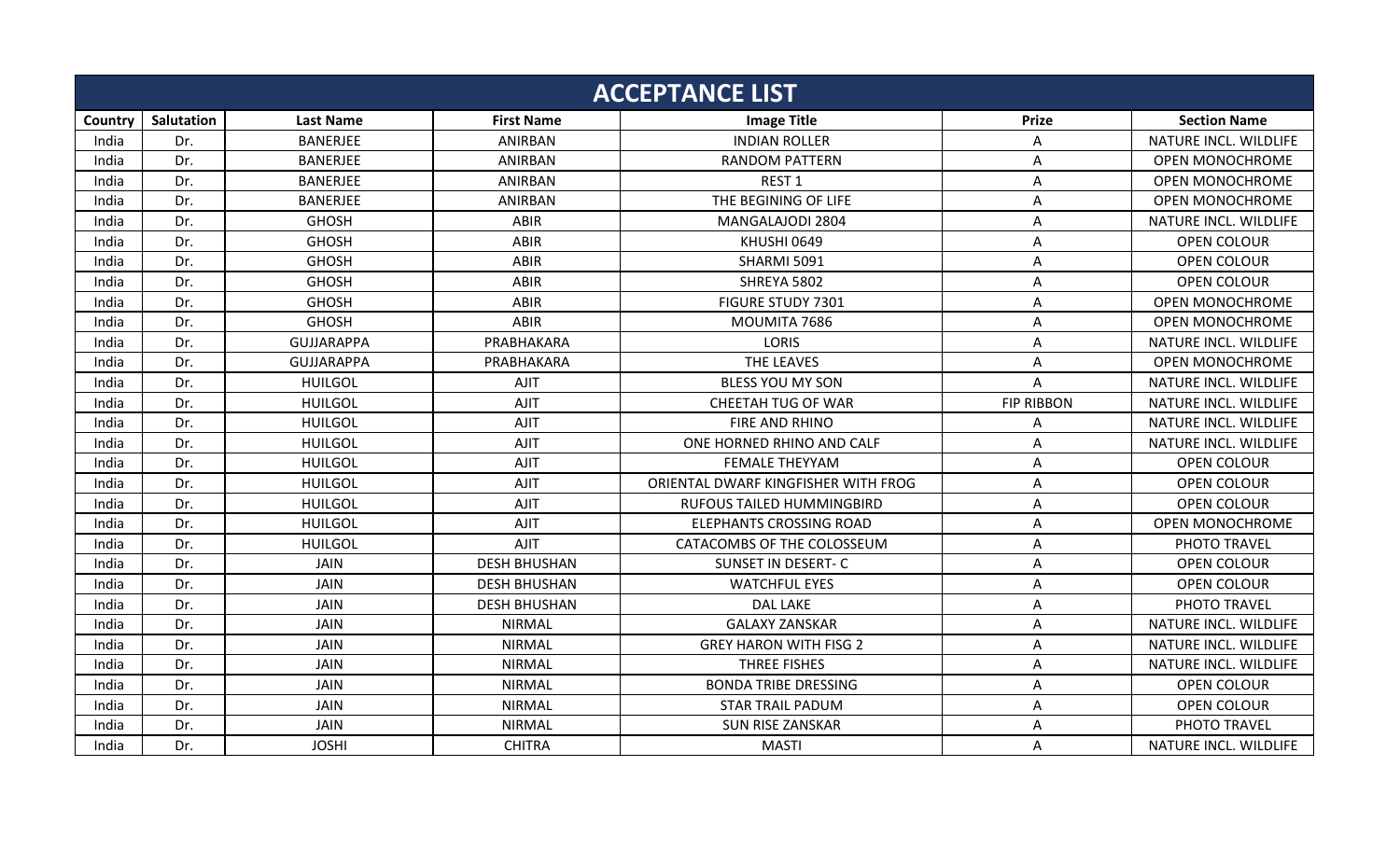|         |            |                   |                     | <b>ACCEPTANCE LIST</b>              |                   |                        |
|---------|------------|-------------------|---------------------|-------------------------------------|-------------------|------------------------|
| Country | Salutation | <b>Last Name</b>  | <b>First Name</b>   | <b>Image Title</b>                  | <b>Prize</b>      | <b>Section Name</b>    |
| India   | Dr.        | <b>BANERJEE</b>   | ANIRBAN             | <b>INDIAN ROLLER</b>                | A                 | NATURE INCL. WILDLIFE  |
| India   | Dr.        | <b>BANERJEE</b>   | ANIRBAN             | <b>RANDOM PATTERN</b>               | Α                 | <b>OPEN MONOCHROME</b> |
| India   | Dr.        | <b>BANERJEE</b>   | ANIRBAN             | REST <sub>1</sub>                   | Α                 | <b>OPEN MONOCHROME</b> |
| India   | Dr.        | <b>BANERJEE</b>   | ANIRBAN             | THE BEGINING OF LIFE                | Α                 | <b>OPEN MONOCHROME</b> |
| India   | Dr.        | <b>GHOSH</b>      | ABIR                | MANGALAJODI 2804                    | Α                 | NATURE INCL. WILDLIFE  |
| India   | Dr.        | <b>GHOSH</b>      | ABIR                | KHUSHI 0649                         | Α                 | OPEN COLOUR            |
| India   | Dr.        | <b>GHOSH</b>      | ABIR                | SHARMI 5091                         | A                 | <b>OPEN COLOUR</b>     |
| India   | Dr.        | <b>GHOSH</b>      | ABIR                | SHREYA 5802                         | A                 | <b>OPEN COLOUR</b>     |
| India   | Dr.        | <b>GHOSH</b>      | ABIR                | FIGURE STUDY 7301                   | A                 | <b>OPEN MONOCHROME</b> |
| India   | Dr.        | <b>GHOSH</b>      | ABIR                | MOUMITA 7686                        | A                 | <b>OPEN MONOCHROME</b> |
| India   | Dr.        | <b>GUJJARAPPA</b> | PRABHAKARA          | <b>LORIS</b>                        | Α                 | NATURE INCL. WILDLIFE  |
| India   | Dr.        | GUJJARAPPA        | PRABHAKARA          | THE LEAVES                          | A                 | <b>OPEN MONOCHROME</b> |
| India   | Dr.        | <b>HUILGOL</b>    | <b>AJIT</b>         | <b>BLESS YOU MY SON</b>             | A                 | NATURE INCL. WILDLIFE  |
| India   | Dr.        | <b>HUILGOL</b>    | <b>AJIT</b>         | CHEETAH TUG OF WAR                  | <b>FIP RIBBON</b> | NATURE INCL. WILDLIFE  |
| India   | Dr.        | <b>HUILGOL</b>    | <b>AJIT</b>         | FIRE AND RHINO                      | Α                 | NATURE INCL. WILDLIFE  |
| India   | Dr.        | <b>HUILGOL</b>    | <b>AJIT</b>         | ONE HORNED RHINO AND CALF           | Α                 | NATURE INCL. WILDLIFE  |
| India   | Dr.        | <b>HUILGOL</b>    | <b>AJIT</b>         | <b>FEMALE THEYYAM</b>               | A                 | <b>OPEN COLOUR</b>     |
| India   | Dr.        | <b>HUILGOL</b>    | <b>AJIT</b>         | ORIENTAL DWARF KINGFISHER WITH FROG | A                 | OPEN COLOUR            |
| India   | Dr.        | <b>HUILGOL</b>    | <b>AJIT</b>         | RUFOUS TAILED HUMMINGBIRD           | Α                 | OPEN COLOUR            |
| India   | Dr.        | <b>HUILGOL</b>    | <b>AJIT</b>         | <b>ELEPHANTS CROSSING ROAD</b>      | Α                 | <b>OPEN MONOCHROME</b> |
| India   | Dr.        | <b>HUILGOL</b>    | <b>AJIT</b>         | CATACOMBS OF THE COLOSSEUM          | Α                 | PHOTO TRAVEL           |
| India   | Dr.        | <b>JAIN</b>       | <b>DESH BHUSHAN</b> | SUNSET IN DESERT- C                 | Α                 | <b>OPEN COLOUR</b>     |
| India   | Dr.        | <b>JAIN</b>       | <b>DESH BHUSHAN</b> | <b>WATCHFUL EYES</b>                | Α                 | OPEN COLOUR            |
| India   | Dr.        | JAIN              | <b>DESH BHUSHAN</b> | <b>DAL LAKE</b>                     | A                 | PHOTO TRAVEL           |
| India   | Dr.        | <b>JAIN</b>       | <b>NIRMAL</b>       | <b>GALAXY ZANSKAR</b>               | A                 | NATURE INCL. WILDLIFE  |
| India   | Dr.        | <b>JAIN</b>       | <b>NIRMAL</b>       | <b>GREY HARON WITH FISG 2</b>       | A                 | NATURE INCL. WILDLIFE  |
| India   | Dr.        | <b>JAIN</b>       | <b>NIRMAL</b>       | THREE FISHES                        | Α                 | NATURE INCL. WILDLIFE  |
| India   | Dr.        | <b>JAIN</b>       | <b>NIRMAL</b>       | <b>BONDA TRIBE DRESSING</b>         | Α                 | <b>OPEN COLOUR</b>     |
| India   | Dr.        | <b>JAIN</b>       | <b>NIRMAL</b>       | <b>STAR TRAIL PADUM</b>             | Α                 | OPEN COLOUR            |
| India   | Dr.        | <b>JAIN</b>       | <b>NIRMAL</b>       | <b>SUN RISE ZANSKAR</b>             | Α                 | PHOTO TRAVEL           |
| India   | Dr.        | <b>JOSHI</b>      | <b>CHITRA</b>       | <b>MASTI</b>                        | A                 | NATURE INCL. WILDLIFE  |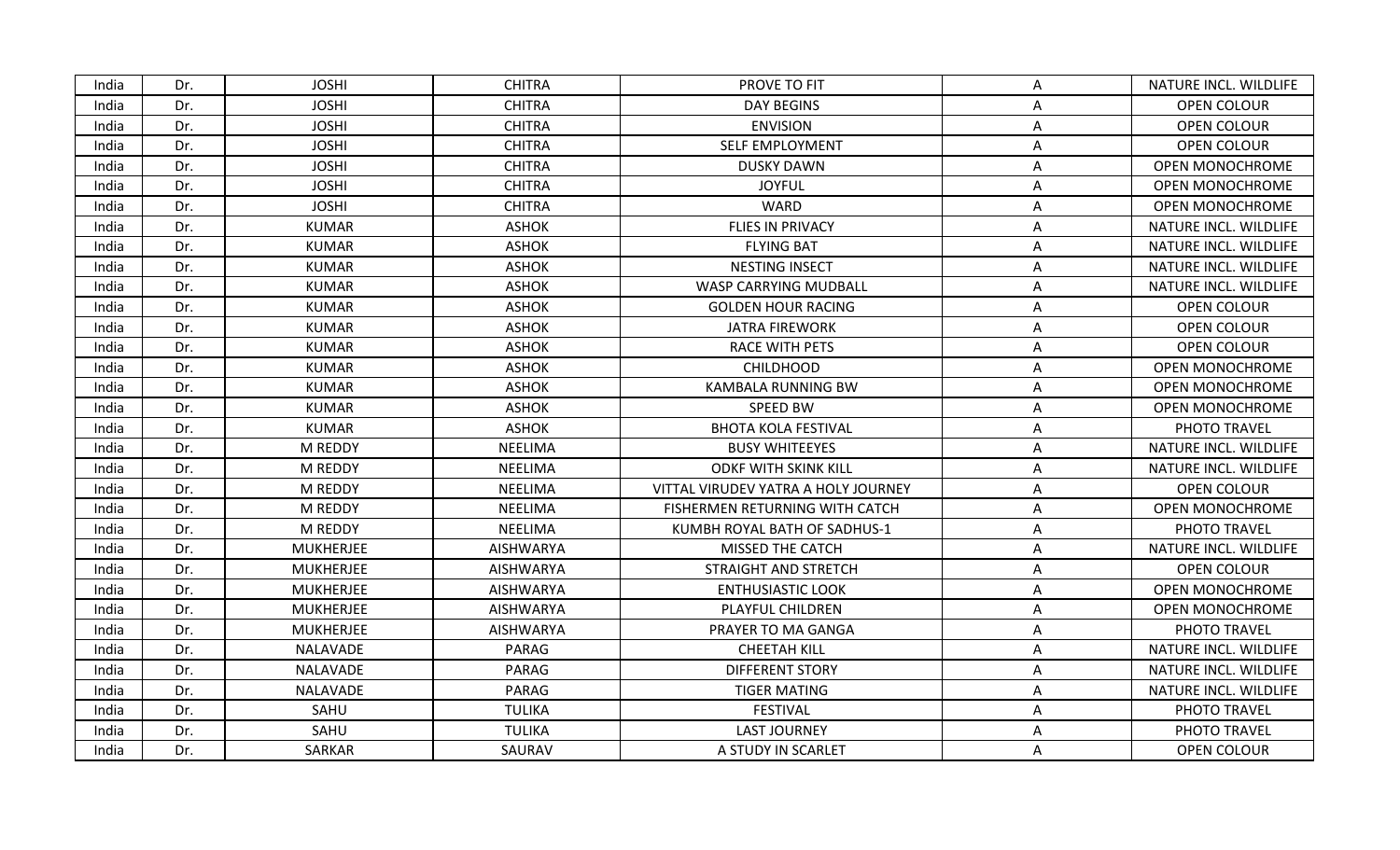| India | Dr. | <b>JOSHI</b>     | <b>CHITRA</b>    | PROVE TO FIT                        | A | NATURE INCL. WILDLIFE  |
|-------|-----|------------------|------------------|-------------------------------------|---|------------------------|
| India | Dr. | <b>JOSHI</b>     | <b>CHITRA</b>    | <b>DAY BEGINS</b>                   | А | <b>OPEN COLOUR</b>     |
| India | Dr. | <b>JOSHI</b>     | <b>CHITRA</b>    | <b>ENVISION</b>                     | Α | OPEN COLOUR            |
| India | Dr. | <b>JOSHI</b>     | <b>CHITRA</b>    | SELF EMPLOYMENT                     | Α | <b>OPEN COLOUR</b>     |
| India | Dr. | <b>JOSHI</b>     | <b>CHITRA</b>    | <b>DUSKY DAWN</b>                   | A | <b>OPEN MONOCHROME</b> |
| India | Dr. | <b>JOSHI</b>     | <b>CHITRA</b>    | <b>JOYFUL</b>                       | A | <b>OPEN MONOCHROME</b> |
| India | Dr. | <b>JOSHI</b>     | <b>CHITRA</b>    | <b>WARD</b>                         | A | <b>OPEN MONOCHROME</b> |
| India | Dr. | <b>KUMAR</b>     | <b>ASHOK</b>     | FLIES IN PRIVACY                    | A | NATURE INCL. WILDLIFE  |
| India | Dr. | <b>KUMAR</b>     | ASHOK            | <b>FLYING BAT</b>                   | A | NATURE INCL. WILDLIFE  |
| India | Dr. | <b>KUMAR</b>     | <b>ASHOK</b>     | <b>NESTING INSECT</b>               | A | NATURE INCL. WILDLIFE  |
| India | Dr. | <b>KUMAR</b>     | <b>ASHOK</b>     | WASP CARRYING MUDBALL               | A | NATURE INCL. WILDLIFE  |
| India | Dr. | <b>KUMAR</b>     | <b>ASHOK</b>     | <b>GOLDEN HOUR RACING</b>           | A | <b>OPEN COLOUR</b>     |
| India | Dr. | <b>KUMAR</b>     | <b>ASHOK</b>     | <b>JATRA FIREWORK</b>               | A | OPEN COLOUR            |
| India | Dr. | <b>KUMAR</b>     | <b>ASHOK</b>     | RACE WITH PETS                      | A | OPEN COLOUR            |
| India | Dr. | <b>KUMAR</b>     | <b>ASHOK</b>     | <b>CHILDHOOD</b>                    | A | <b>OPEN MONOCHROME</b> |
| India | Dr. | <b>KUMAR</b>     | <b>ASHOK</b>     | <b>KAMBALA RUNNING BW</b>           | Α | <b>OPEN MONOCHROME</b> |
| India | Dr. | <b>KUMAR</b>     | <b>ASHOK</b>     | SPEED BW                            | A | <b>OPEN MONOCHROME</b> |
| India | Dr. | <b>KUMAR</b>     | <b>ASHOK</b>     | <b>BHOTA KOLA FESTIVAL</b>          | A | PHOTO TRAVEL           |
| India | Dr. | M REDDY          | <b>NEELIMA</b>   | <b>BUSY WHITEEYES</b>               | A | NATURE INCL. WILDLIFE  |
| India | Dr. | M REDDY          | <b>NEELIMA</b>   | <b>ODKF WITH SKINK KILL</b>         | A | NATURE INCL. WILDLIFE  |
| India | Dr. | M REDDY          | <b>NEELIMA</b>   | VITTAL VIRUDEV YATRA A HOLY JOURNEY | A | OPEN COLOUR            |
| India | Dr. | M REDDY          | <b>NEELIMA</b>   | FISHERMEN RETURNING WITH CATCH      | A | <b>OPEN MONOCHROME</b> |
| India | Dr. | M REDDY          | NEELIMA          | KUMBH ROYAL BATH OF SADHUS-1        | Α | PHOTO TRAVEL           |
| India | Dr. | <b>MUKHERJEE</b> | <b>AISHWARYA</b> | MISSED THE CATCH                    | A | NATURE INCL. WILDLIFE  |
| India | Dr. | <b>MUKHERJEE</b> | <b>AISHWARYA</b> | STRAIGHT AND STRETCH                | Α | <b>OPEN COLOUR</b>     |
| India | Dr. | <b>MUKHERJEE</b> | <b>AISHWARYA</b> | <b>ENTHUSIASTIC LOOK</b>            | Α | <b>OPEN MONOCHROME</b> |
| India | Dr. | <b>MUKHERJEE</b> | <b>AISHWARYA</b> | PLAYFUL CHILDREN                    | A | <b>OPEN MONOCHROME</b> |
| India | Dr. | <b>MUKHERJEE</b> | <b>AISHWARYA</b> | PRAYER TO MA GANGA                  | Α | PHOTO TRAVEL           |
| India | Dr. | NALAVADE         | PARAG            | <b>CHEETAH KILL</b>                 | Α | NATURE INCL. WILDLIFE  |
| India | Dr. | NALAVADE         | PARAG            | <b>DIFFERENT STORY</b>              | Α | NATURE INCL. WILDLIFE  |
| India | Dr. | NALAVADE         | PARAG            | <b>TIGER MATING</b>                 | A | NATURE INCL. WILDLIFE  |
| India | Dr. | SAHU             | <b>TULIKA</b>    | FESTIVAL                            | A | PHOTO TRAVEL           |
| India | Dr. | SAHU             | <b>TULIKA</b>    | <b>LAST JOURNEY</b>                 | Α | PHOTO TRAVEL           |
| India | Dr. | <b>SARKAR</b>    | SAURAV           | A STUDY IN SCARLET                  | A | OPEN COLOUR            |
|       |     |                  |                  |                                     |   |                        |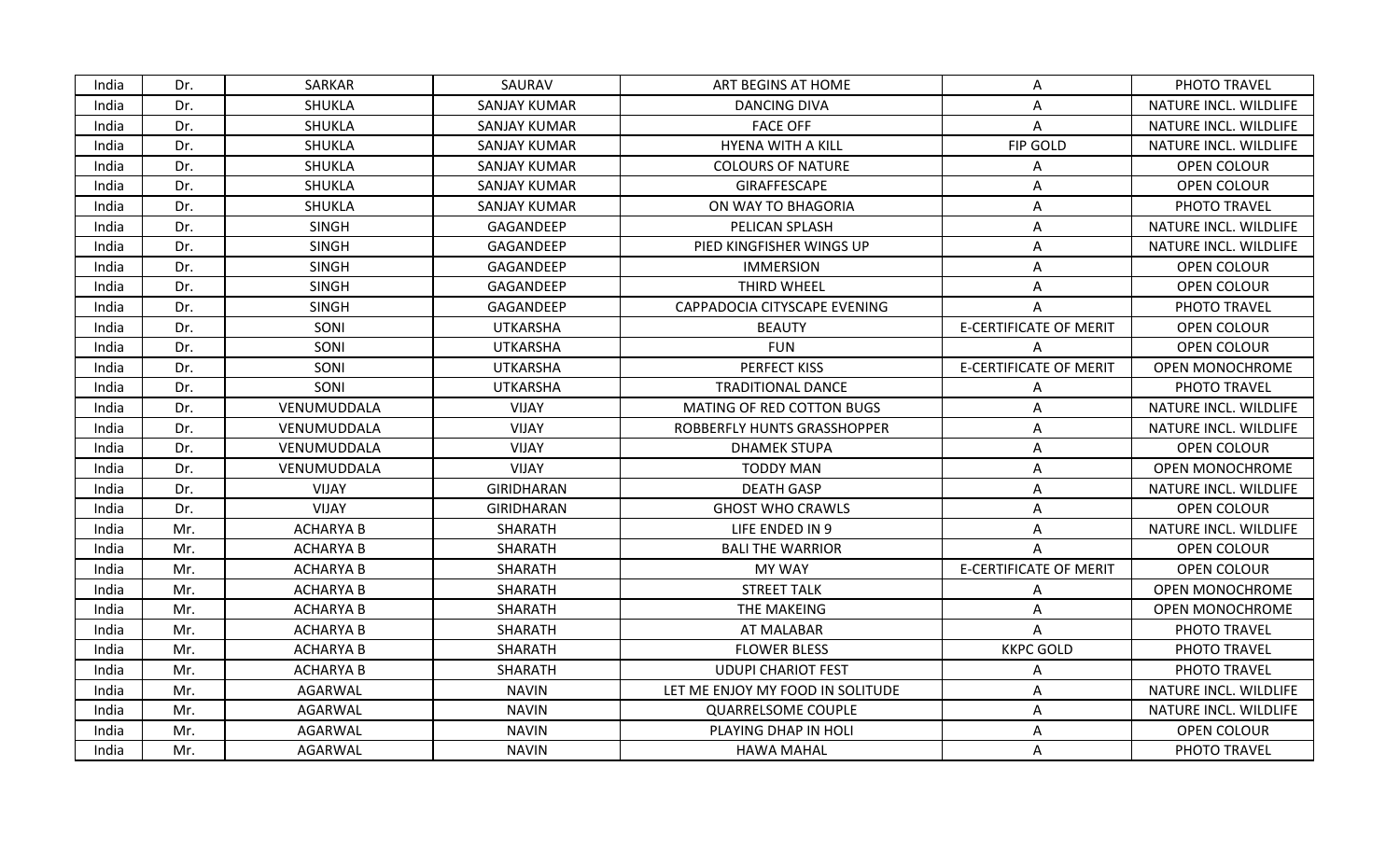| India | Dr. | SARKAR           | SAURAV              | ART BEGINS AT HOME               | A                             | PHOTO TRAVEL           |
|-------|-----|------------------|---------------------|----------------------------------|-------------------------------|------------------------|
| India | Dr. | SHUKLA           | <b>SANJAY KUMAR</b> | <b>DANCING DIVA</b>              | Α                             | NATURE INCL. WILDLIFE  |
| India | Dr. | <b>SHUKLA</b>    | <b>SANJAY KUMAR</b> | <b>FACE OFF</b>                  | A                             | NATURE INCL. WILDLIFE  |
| India | Dr. | SHUKLA           | <b>SANJAY KUMAR</b> | <b>HYENA WITH A KILL</b>         | FIP GOLD                      | NATURE INCL. WILDLIFE  |
| India | Dr. | <b>SHUKLA</b>    | <b>SANJAY KUMAR</b> | <b>COLOURS OF NATURE</b>         | Α                             | OPEN COLOUR            |
| India | Dr. | SHUKLA           | <b>SANJAY KUMAR</b> | GIRAFFESCAPE                     | A                             | OPEN COLOUR            |
| India | Dr. | SHUKLA           | <b>SANJAY KUMAR</b> | ON WAY TO BHAGORIA               | Α                             | PHOTO TRAVEL           |
| India | Dr. | <b>SINGH</b>     | GAGANDEEP           | PELICAN SPLASH                   | A                             | NATURE INCL. WILDLIFE  |
| India | Dr. | <b>SINGH</b>     | GAGANDEEP           | PIED KINGFISHER WINGS UP         | A                             | NATURE INCL. WILDLIFE  |
| India | Dr. | <b>SINGH</b>     | GAGANDEEP           | <b>IMMERSION</b>                 | A                             | OPEN COLOUR            |
| India | Dr. | <b>SINGH</b>     | GAGANDEEP           | THIRD WHEEL                      | A                             | <b>OPEN COLOUR</b>     |
| India | Dr. | <b>SINGH</b>     | GAGANDEEP           | CAPPADOCIA CITYSCAPE EVENING     | A                             | PHOTO TRAVEL           |
| India | Dr. | SONI             | <b>UTKARSHA</b>     | <b>BEAUTY</b>                    | <b>E-CERTIFICATE OF MERIT</b> | <b>OPEN COLOUR</b>     |
| India | Dr. | SONI             | <b>UTKARSHA</b>     | <b>FUN</b>                       |                               | <b>OPEN COLOUR</b>     |
| India | Dr. | SONI             | <b>UTKARSHA</b>     | PERFECT KISS                     | <b>E-CERTIFICATE OF MERIT</b> | OPEN MONOCHROME        |
| India | Dr. | SONI             | <b>UTKARSHA</b>     | <b>TRADITIONAL DANCE</b>         | A                             | PHOTO TRAVEL           |
| India | Dr. | VENUMUDDALA      | <b>VIJAY</b>        | MATING OF RED COTTON BUGS        | Α                             | NATURE INCL. WILDLIFE  |
| India | Dr. | VENUMUDDALA      | <b>VIJAY</b>        | ROBBERFLY HUNTS GRASSHOPPER      | $\mathsf{A}$                  | NATURE INCL. WILDLIFE  |
| India | Dr. | VENUMUDDALA      | VIJAY               | <b>DHAMEK STUPA</b>              | A                             | <b>OPEN COLOUR</b>     |
| India | Dr. | VENUMUDDALA      | <b>VIJAY</b>        | <b>TODDY MAN</b>                 | Α                             | OPEN MONOCHROME        |
| India | Dr. | <b>VIJAY</b>     | <b>GIRIDHARAN</b>   | <b>DEATH GASP</b>                | A                             | NATURE INCL. WILDLIFE  |
| India | Dr. | <b>VIJAY</b>     | <b>GIRIDHARAN</b>   | <b>GHOST WHO CRAWLS</b>          | Α                             | OPEN COLOUR            |
| India | Mr. | <b>ACHARYA B</b> | SHARATH             | LIFE ENDED IN 9                  | Α                             | NATURE INCL. WILDLIFE  |
| India | Mr. | <b>ACHARYA B</b> | SHARATH             | <b>BALI THE WARRIOR</b>          | A                             | OPEN COLOUR            |
| India | Mr. | <b>ACHARYA B</b> | <b>SHARATH</b>      | <b>MY WAY</b>                    | <b>E-CERTIFICATE OF MERIT</b> | <b>OPEN COLOUR</b>     |
| India | Mr. | <b>ACHARYA B</b> | <b>SHARATH</b>      | <b>STREET TALK</b>               | A                             | OPEN MONOCHROME        |
| India | Mr. | <b>ACHARYA B</b> | SHARATH             | THE MAKEING                      | A                             | <b>OPEN MONOCHROME</b> |
| India | Mr. | <b>ACHARYA B</b> | SHARATH             | AT MALABAR                       | A                             | PHOTO TRAVEL           |
| India | Mr. | <b>ACHARYA B</b> | SHARATH             | <b>FLOWER BLESS</b>              | <b>KKPC GOLD</b>              | PHOTO TRAVEL           |
| India | Mr. | <b>ACHARYA B</b> | SHARATH             | <b>UDUPI CHARIOT FEST</b>        | А                             | PHOTO TRAVEL           |
| India | Mr. | AGARWAL          | <b>NAVIN</b>        | LET ME ENJOY MY FOOD IN SOLITUDE | A                             | NATURE INCL. WILDLIFE  |
| India | Mr. | AGARWAL          | <b>NAVIN</b>        | <b>QUARRELSOME COUPLE</b>        | A                             | NATURE INCL. WILDLIFE  |
| India | Mr. | <b>AGARWAL</b>   | <b>NAVIN</b>        | PLAYING DHAP IN HOLI             | Α                             | OPEN COLOUR            |
| India | Mr. | AGARWAL          | NAVIN               | <b>HAWA MAHAL</b>                | A                             | PHOTO TRAVEL           |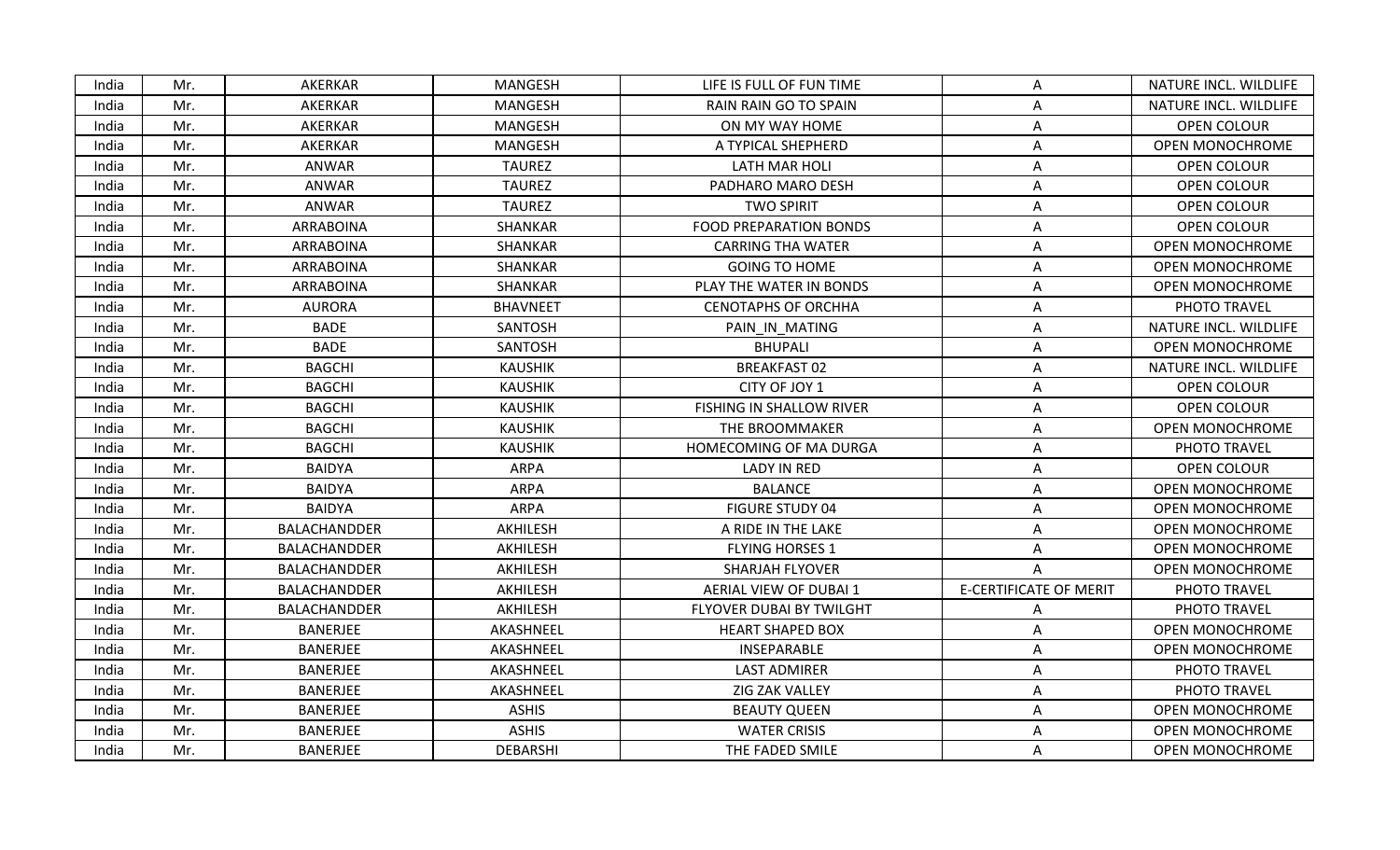| India | Mr. | AKERKAR          | <b>MANGESH</b>  | LIFE IS FULL OF FUN TIME        | A                             | NATURE INCL. WILDLIFE  |
|-------|-----|------------------|-----------------|---------------------------------|-------------------------------|------------------------|
| India | Mr. | AKERKAR          | <b>MANGESH</b>  | RAIN RAIN GO TO SPAIN           | Α                             | NATURE INCL. WILDLIFE  |
| India | Mr. | AKERKAR          | MANGESH         | ON MY WAY HOME                  | Α                             | OPEN COLOUR            |
| India | Mr. | AKERKAR          | <b>MANGESH</b>  | A TYPICAL SHEPHERD              | A                             | <b>OPEN MONOCHROME</b> |
| India | Mr. | ANWAR            | <b>TAUREZ</b>   | LATH MAR HOLI                   | A                             | OPEN COLOUR            |
| India | Mr. | ANWAR            | <b>TAUREZ</b>   | PADHARO MARO DESH               | A                             | <b>OPEN COLOUR</b>     |
| India | Mr. | ANWAR            | <b>TAUREZ</b>   | <b>TWO SPIRIT</b>               | A                             | OPEN COLOUR            |
| India | Mr. | ARRABOINA        | SHANKAR         | <b>FOOD PREPARATION BONDS</b>   | Α                             | OPEN COLOUR            |
| India | Mr. | <b>ARRABOINA</b> | SHANKAR         | <b>CARRING THA WATER</b>        | A                             | <b>OPEN MONOCHROME</b> |
| India | Mr. | ARRABOINA        | SHANKAR         | <b>GOING TO HOME</b>            | Α                             | OPEN MONOCHROME        |
| India | Mr. | <b>ARRABOINA</b> | SHANKAR         | PLAY THE WATER IN BONDS         | A                             | <b>OPEN MONOCHROME</b> |
| India | Mr. | <b>AURORA</b>    | <b>BHAVNEET</b> | <b>CENOTAPHS OF ORCHHA</b>      | Α                             | PHOTO TRAVEL           |
| India | Mr. | <b>BADE</b>      | SANTOSH         | PAIN IN MATING                  | Α                             | NATURE INCL. WILDLIFE  |
| India | Mr. | <b>BADE</b>      | SANTOSH         | <b>BHUPALI</b>                  | Α                             | <b>OPEN MONOCHROME</b> |
| India | Mr. | <b>BAGCHI</b>    | <b>KAUSHIK</b>  | <b>BREAKFAST 02</b>             | Α                             | NATURE INCL. WILDLIFE  |
| India | Mr. | <b>BAGCHI</b>    | <b>KAUSHIK</b>  | CITY OF JOY 1                   | A                             | OPEN COLOUR            |
| India | Mr. | <b>BAGCHI</b>    | <b>KAUSHIK</b>  | <b>FISHING IN SHALLOW RIVER</b> | Α                             | <b>OPEN COLOUR</b>     |
| India | Mr. | <b>BAGCHI</b>    | <b>KAUSHIK</b>  | THE BROOMMAKER                  | Α                             | <b>OPEN MONOCHROME</b> |
| India | Mr. | <b>BAGCHI</b>    | <b>KAUSHIK</b>  | HOMECOMING OF MA DURGA          | A                             | PHOTO TRAVEL           |
| India | Mr. | <b>BAIDYA</b>    | ARPA            | <b>LADY IN RED</b>              | Α                             | OPEN COLOUR            |
| India | Mr. | <b>BAIDYA</b>    | <b>ARPA</b>     | <b>BALANCE</b>                  | A                             | OPEN MONOCHROME        |
| India | Mr. | <b>BAIDYA</b>    | ARPA            | <b>FIGURE STUDY 04</b>          | Α                             | <b>OPEN MONOCHROME</b> |
| India | Mr. | BALACHANDDER     | AKHILESH        | A RIDE IN THE LAKE              | Α                             | <b>OPEN MONOCHROME</b> |
| India | Mr. | BALACHANDDER     | AKHILESH        | <b>FLYING HORSES 1</b>          | A                             | <b>OPEN MONOCHROME</b> |
| India | Mr. | BALACHANDDER     | AKHILESH        | <b>SHARJAH FLYOVER</b>          | A                             | <b>OPEN MONOCHROME</b> |
| India | Mr. | BALACHANDDER     | AKHILESH        | AERIAL VIEW OF DUBAI 1          | <b>E-CERTIFICATE OF MERIT</b> | PHOTO TRAVEL           |
| India | Mr. | BALACHANDDER     | AKHILESH        | FLYOVER DUBAI BY TWILGHT        | Α                             | PHOTO TRAVEL           |
| India | Mr. | <b>BANERJEE</b>  | AKASHNEEL       | <b>HEART SHAPED BOX</b>         | A                             | <b>OPEN MONOCHROME</b> |
| India | Mr. | <b>BANERJEE</b>  | AKASHNEEL       | INSEPARABLE                     | A                             | <b>OPEN MONOCHROME</b> |
| India | Mr. | <b>BANERJEE</b>  | AKASHNEEL       | <b>LAST ADMIRER</b>             | A                             | PHOTO TRAVEL           |
| India | Mr. | <b>BANERJEE</b>  | AKASHNEEL       | ZIG ZAK VALLEY                  | A                             | PHOTO TRAVEL           |
| India | Mr. | <b>BANERJEE</b>  | <b>ASHIS</b>    | <b>BEAUTY QUEEN</b>             | Α                             | <b>OPEN MONOCHROME</b> |
| India | Mr. | <b>BANERJEE</b>  | <b>ASHIS</b>    | <b>WATER CRISIS</b>             | Α                             | <b>OPEN MONOCHROME</b> |
| India | Mr. | <b>BANERJEE</b>  | DEBARSHI        | THE FADED SMILE                 | A                             | <b>OPEN MONOCHROME</b> |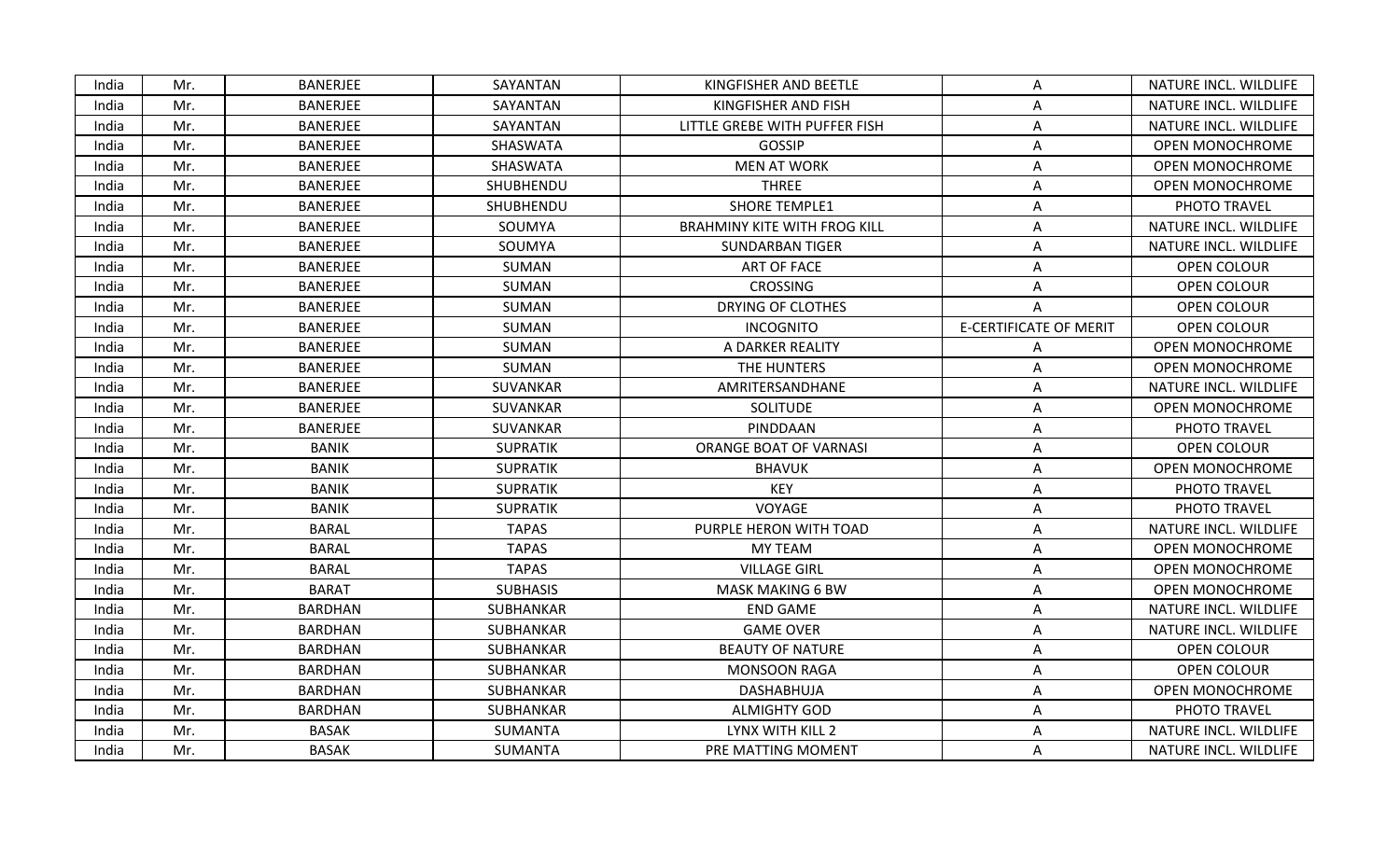| India | Mr. | <b>BANERJEE</b> | SAYANTAN        | KINGFISHER AND BEETLE               | A                             | NATURE INCL. WILDLIFE  |
|-------|-----|-----------------|-----------------|-------------------------------------|-------------------------------|------------------------|
| India | Mr. | <b>BANERJEE</b> | SAYANTAN        | KINGFISHER AND FISH                 | Α                             | NATURE INCL. WILDLIFE  |
| India | Mr. | <b>BANERJEE</b> | SAYANTAN        | LITTLE GREBE WITH PUFFER FISH       | Α                             | NATURE INCL. WILDLIFE  |
| India | Mr. | <b>BANERJEE</b> | SHASWATA        | GOSSIP                              | A                             | <b>OPEN MONOCHROME</b> |
| India | Mr. | <b>BANERJEE</b> | SHASWATA        | <b>MEN AT WORK</b>                  | Α                             | <b>OPEN MONOCHROME</b> |
| India | Mr. | <b>BANERJEE</b> | SHUBHENDU       | <b>THREE</b>                        | A                             | <b>OPEN MONOCHROME</b> |
| India | Mr. | <b>BANERJEE</b> | SHUBHENDU       | <b>SHORE TEMPLE1</b>                | Α                             | PHOTO TRAVEL           |
| India | Mr. | <b>BANERJEE</b> | SOUMYA          | <b>BRAHMINY KITE WITH FROG KILL</b> | Α                             | NATURE INCL. WILDLIFE  |
| India | Mr. | <b>BANERJEE</b> | SOUMYA          | <b>SUNDARBAN TIGER</b>              | A                             | NATURE INCL. WILDLIFE  |
| India | Mr. | <b>BANERJEE</b> | SUMAN           | <b>ART OF FACE</b>                  | Α                             | OPEN COLOUR            |
| India | Mr. | <b>BANERJEE</b> | SUMAN           | <b>CROSSING</b>                     | A                             | <b>OPEN COLOUR</b>     |
| India | Mr. | <b>BANERJEE</b> | SUMAN           | DRYING OF CLOTHES                   | Α                             | OPEN COLOUR            |
| India | Mr. | <b>BANERJEE</b> | SUMAN           | <b>INCOGNITO</b>                    | <b>E-CERTIFICATE OF MERIT</b> | OPEN COLOUR            |
| India | Mr. | <b>BANERJEE</b> | SUMAN           | A DARKER REALITY                    | Α                             | <b>OPEN MONOCHROME</b> |
| India | Mr. | <b>BANERJEE</b> | SUMAN           | THE HUNTERS                         | Α                             | <b>OPEN MONOCHROME</b> |
| India | Mr. | <b>BANERJEE</b> | <b>SUVANKAR</b> | AMRITERSANDHANE                     | A                             | NATURE INCL. WILDLIFE  |
| India | Mr. | <b>BANERJEE</b> | SUVANKAR        | SOLITUDE                            | Α                             | <b>OPEN MONOCHROME</b> |
| India | Mr. | <b>BANERJEE</b> | SUVANKAR        | PINDDAAN                            | Α                             | PHOTO TRAVEL           |
| India | Mr. | <b>BANIK</b>    | <b>SUPRATIK</b> | ORANGE BOAT OF VARNASI              | A                             | OPEN COLOUR            |
| India | Mr. | <b>BANIK</b>    | <b>SUPRATIK</b> | <b>BHAVUK</b>                       | Α                             | <b>OPEN MONOCHROME</b> |
| India | Mr. | BANIK           | <b>SUPRATIK</b> | <b>KEY</b>                          | A                             | PHOTO TRAVEL           |
| India | Mr. | <b>BANIK</b>    | <b>SUPRATIK</b> | VOYAGE                              | Α                             | PHOTO TRAVEL           |
| India | Mr. | <b>BARAL</b>    | <b>TAPAS</b>    | PURPLE HERON WITH TOAD              | A                             | NATURE INCL. WILDLIFE  |
| India | Mr. | <b>BARAL</b>    | <b>TAPAS</b>    | <b>MY TEAM</b>                      | Α                             | <b>OPEN MONOCHROME</b> |
| India | Mr. | <b>BARAL</b>    | <b>TAPAS</b>    | <b>VILLAGE GIRL</b>                 | Α                             | <b>OPEN MONOCHROME</b> |
| India | Mr. | <b>BARAT</b>    | <b>SUBHASIS</b> | <b>MASK MAKING 6 BW</b>             | A                             | <b>OPEN MONOCHROME</b> |
| India | Mr. | <b>BARDHAN</b>  | SUBHANKAR       | <b>END GAME</b>                     | Α                             | NATURE INCL. WILDLIFE  |
| India | Mr. | <b>BARDHAN</b>  | SUBHANKAR       | <b>GAME OVER</b>                    | Α                             | NATURE INCL. WILDLIFE  |
| India | Mr. | <b>BARDHAN</b>  | SUBHANKAR       | <b>BEAUTY OF NATURE</b>             | A                             | <b>OPEN COLOUR</b>     |
| India | Mr. | <b>BARDHAN</b>  | SUBHANKAR       | <b>MONSOON RAGA</b>                 | A                             | OPEN COLOUR            |
| India | Mr. | <b>BARDHAN</b>  | SUBHANKAR       | DASHABHUJA                          | A                             | <b>OPEN MONOCHROME</b> |
| India | Mr. | <b>BARDHAN</b>  | SUBHANKAR       | <b>ALMIGHTY GOD</b>                 | Α                             | PHOTO TRAVEL           |
| India | Mr. | <b>BASAK</b>    | SUMANTA         | LYNX WITH KILL 2                    | Α                             | NATURE INCL. WILDLIFE  |
| India | Mr. | <b>BASAK</b>    | SUMANTA         | PRE MATTING MOMENT                  | A                             | NATURE INCL. WILDLIFE  |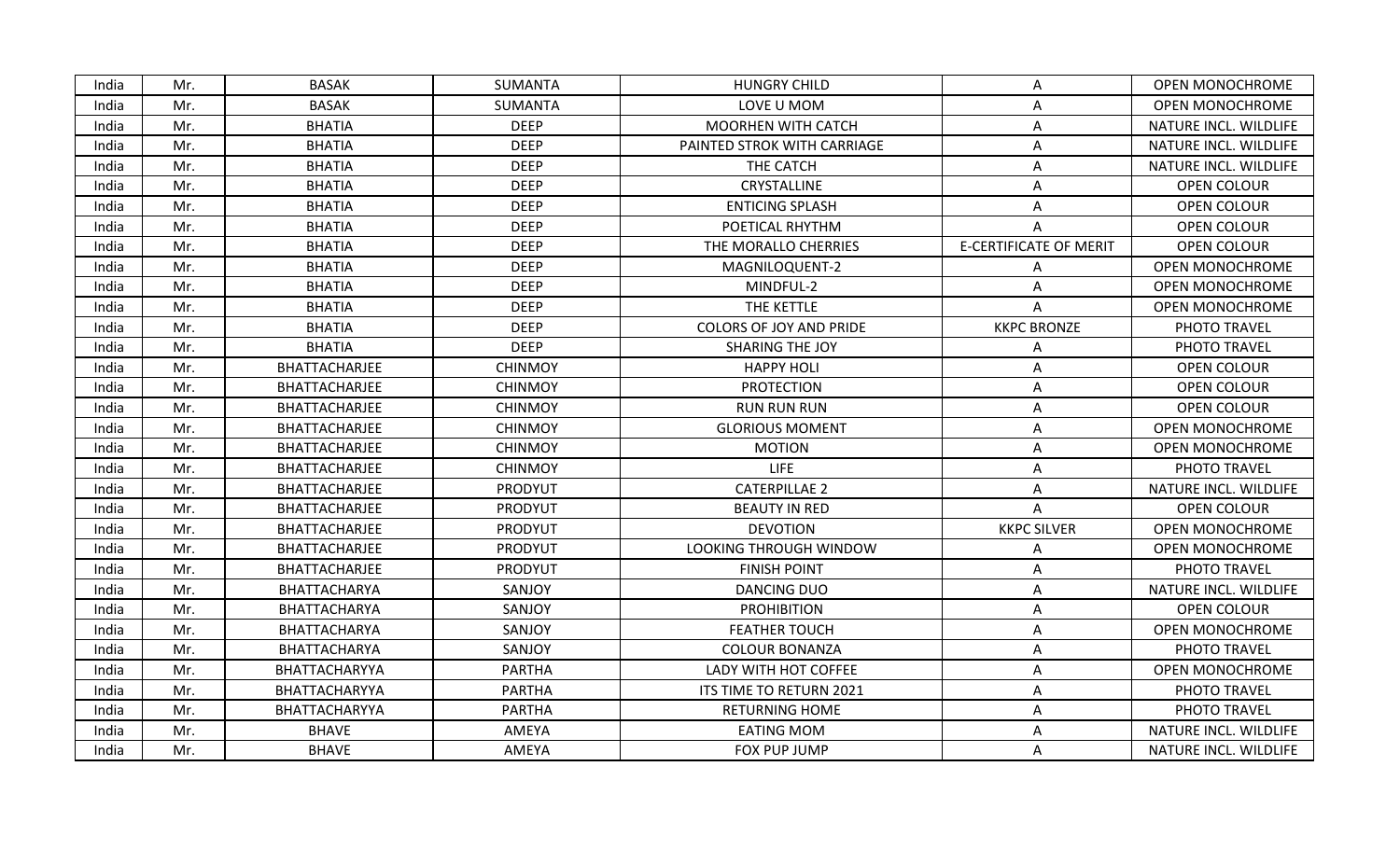| India | Mr. | <b>BASAK</b>  | <b>SUMANTA</b> | <b>HUNGRY CHILD</b>            | Α                             | <b>OPEN MONOCHROME</b> |
|-------|-----|---------------|----------------|--------------------------------|-------------------------------|------------------------|
| India | Mr. | <b>BASAK</b>  | <b>SUMANTA</b> | LOVE U MOM                     | Α                             | <b>OPEN MONOCHROME</b> |
| India | Mr. | <b>BHATIA</b> | <b>DEEP</b>    | <b>MOORHEN WITH CATCH</b>      | Α                             | NATURE INCL. WILDLIFE  |
| India | Mr. | <b>BHATIA</b> | <b>DEEP</b>    | PAINTED STROK WITH CARRIAGE    | Α                             | NATURE INCL. WILDLIFE  |
| India | Mr. | <b>BHATIA</b> | <b>DEEP</b>    | THE CATCH                      | Α                             | NATURE INCL. WILDLIFE  |
| India | Mr. | <b>BHATIA</b> | <b>DEEP</b>    | CRYSTALLINE                    | A                             | OPEN COLOUR            |
| India | Mr. | <b>BHATIA</b> | <b>DEEP</b>    | <b>ENTICING SPLASH</b>         | Α                             | <b>OPEN COLOUR</b>     |
| India | Mr. | <b>BHATIA</b> | <b>DEEP</b>    | POETICAL RHYTHM                |                               | OPEN COLOUR            |
| India | Mr. | <b>BHATIA</b> | <b>DEEP</b>    | THE MORALLO CHERRIES           | <b>E-CERTIFICATE OF MERIT</b> | <b>OPEN COLOUR</b>     |
| India | Mr. | <b>BHATIA</b> | <b>DEEP</b>    | MAGNILOQUENT-2                 | Α                             | OPEN MONOCHROME        |
| India | Mr. | <b>BHATIA</b> | <b>DEEP</b>    | MINDFUL-2                      | A                             | OPEN MONOCHROME        |
| India | Mr. | <b>BHATIA</b> | <b>DEEP</b>    | THE KETTLE                     | A                             | OPEN MONOCHROME        |
| India | Mr. | <b>BHATIA</b> | <b>DEEP</b>    | <b>COLORS OF JOY AND PRIDE</b> | <b>KKPC BRONZE</b>            | PHOTO TRAVEL           |
| India | Mr. | <b>BHATIA</b> | <b>DEEP</b>    | SHARING THE JOY                | Α                             | PHOTO TRAVEL           |
| India | Mr. | BHATTACHARJEE | <b>CHINMOY</b> | <b>HAPPY HOLI</b>              | A                             | <b>OPEN COLOUR</b>     |
| India | Mr. | BHATTACHARJEE | <b>CHINMOY</b> | <b>PROTECTION</b>              | A                             | OPEN COLOUR            |
| India | Mr. | BHATTACHARJEE | <b>CHINMOY</b> | <b>RUN RUN RUN</b>             | Α                             | <b>OPEN COLOUR</b>     |
| India | Mr. | BHATTACHARJEE | <b>CHINMOY</b> | <b>GLORIOUS MOMENT</b>         | A                             | OPEN MONOCHROME        |
| India | Mr. | BHATTACHARJEE | <b>CHINMOY</b> | <b>MOTION</b>                  | A                             | OPEN MONOCHROME        |
| India | Mr. | BHATTACHARJEE | <b>CHINMOY</b> | <b>LIFE</b>                    | Α                             | PHOTO TRAVEL           |
| India | Mr. | BHATTACHARJEE | PRODYUT        | <b>CATERPILLAE 2</b>           | A                             | NATURE INCL. WILDLIFE  |
| India | Mr. | BHATTACHARJEE | PRODYUT        | <b>BEAUTY IN RED</b>           | A                             | OPEN COLOUR            |
| India | Mr. | BHATTACHARJEE | PRODYUT        | <b>DEVOTION</b>                | <b>KKPC SILVER</b>            | <b>OPEN MONOCHROME</b> |
| India | Mr. | BHATTACHARJEE | PRODYUT        | LOOKING THROUGH WINDOW         | A                             | <b>OPEN MONOCHROME</b> |
| India | Mr. | BHATTACHARJEE | PRODYUT        | <b>FINISH POINT</b>            | Α                             | PHOTO TRAVEL           |
| India | Mr. | BHATTACHARYA  | SANJOY         | <b>DANCING DUO</b>             | A                             | NATURE INCL. WILDLIFE  |
| India | Mr. | BHATTACHARYA  | SANJOY         | <b>PROHIBITION</b>             | Α                             | OPEN COLOUR            |
| India | Mr. | BHATTACHARYA  | SANJOY         | <b>FEATHER TOUCH</b>           | A                             | OPEN MONOCHROME        |
| India | Mr. | BHATTACHARYA  | SANJOY         | <b>COLOUR BONANZA</b>          | Α                             | PHOTO TRAVEL           |
| India | Mr. | BHATTACHARYYA | <b>PARTHA</b>  | LADY WITH HOT COFFEE           | Α                             | <b>OPEN MONOCHROME</b> |
| India | Mr. | BHATTACHARYYA | <b>PARTHA</b>  | ITS TIME TO RETURN 2021        | A                             | PHOTO TRAVEL           |
| India | Mr. | BHATTACHARYYA | <b>PARTHA</b>  | <b>RETURNING HOME</b>          | A                             | PHOTO TRAVEL           |
| India | Mr. | <b>BHAVE</b>  | AMEYA          | <b>EATING MOM</b>              | Α                             | NATURE INCL. WILDLIFE  |
| India | Mr. | <b>BHAVE</b>  | AMEYA          | FOX PUP JUMP                   | A                             | NATURE INCL. WILDLIFE  |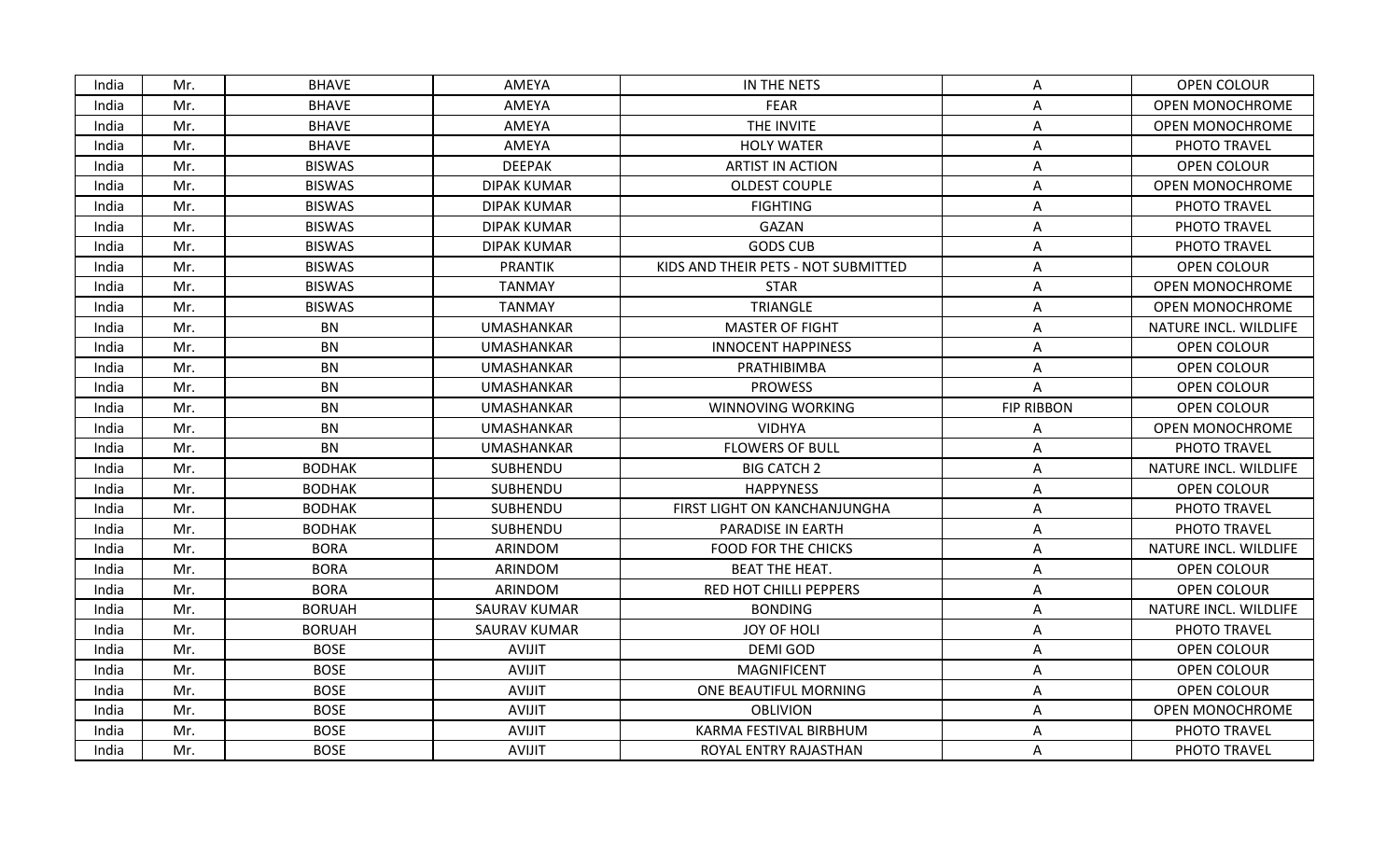| India | Mr. | <b>BHAVE</b>  | AMEYA               | IN THE NETS                         | Α                 | OPEN COLOUR            |
|-------|-----|---------------|---------------------|-------------------------------------|-------------------|------------------------|
| India | Mr. | <b>BHAVE</b>  | AMEYA               | <b>FEAR</b>                         | Α                 | <b>OPEN MONOCHROME</b> |
| India | Mr. | <b>BHAVE</b>  | AMEYA               | THE INVITE                          | Α                 | OPEN MONOCHROME        |
| India | Mr. | <b>BHAVE</b>  | AMEYA               | <b>HOLY WATER</b>                   | Α                 | PHOTO TRAVEL           |
| India | Mr. | <b>BISWAS</b> | <b>DEEPAK</b>       | <b>ARTIST IN ACTION</b>             | Α                 | OPEN COLOUR            |
| India | Mr. | <b>BISWAS</b> | <b>DIPAK KUMAR</b>  | <b>OLDEST COUPLE</b>                | A                 | OPEN MONOCHROME        |
| India | Mr. | <b>BISWAS</b> | <b>DIPAK KUMAR</b>  | <b>FIGHTING</b>                     | A                 | PHOTO TRAVEL           |
| India | Mr. | <b>BISWAS</b> | <b>DIPAK KUMAR</b>  | GAZAN                               | A                 | PHOTO TRAVEL           |
| India | Mr. | <b>BISWAS</b> | DIPAK KUMAR         | <b>GODS CUB</b>                     | A                 | PHOTO TRAVEL           |
| India | Mr. | <b>BISWAS</b> | <b>PRANTIK</b>      | KIDS AND THEIR PETS - NOT SUBMITTED | A                 | <b>OPEN COLOUR</b>     |
| India | Mr. | <b>BISWAS</b> | <b>TANMAY</b>       | <b>STAR</b>                         | A                 | OPEN MONOCHROME        |
| India | Mr. | <b>BISWAS</b> | <b>TANMAY</b>       | TRIANGLE                            | Α                 | <b>OPEN MONOCHROME</b> |
| India | Mr. | <b>BN</b>     | <b>UMASHANKAR</b>   | <b>MASTER OF FIGHT</b>              | Α                 | NATURE INCL. WILDLIFE  |
| India | Mr. | BN            | <b>UMASHANKAR</b>   | <b>INNOCENT HAPPINESS</b>           | A                 | OPEN COLOUR            |
| India | Mr. | BN            | <b>UMASHANKAR</b>   | PRATHIBIMBA                         | Α                 | OPEN COLOUR            |
| India | Mr. | <b>BN</b>     | <b>UMASHANKAR</b>   | <b>PROWESS</b>                      | A                 | OPEN COLOUR            |
| India | Mr. | <b>BN</b>     | UMASHANKAR          | WINNOVING WORKING                   | <b>FIP RIBBON</b> | <b>OPEN COLOUR</b>     |
| India | Mr. | <b>BN</b>     | <b>UMASHANKAR</b>   | <b>VIDHYA</b>                       | Α                 | OPEN MONOCHROME        |
| India | Mr. | <b>BN</b>     | <b>UMASHANKAR</b>   | <b>FLOWERS OF BULL</b>              | Α                 | PHOTO TRAVEL           |
| India | Mr. | <b>BODHAK</b> | SUBHENDU            | <b>BIG CATCH 2</b>                  | A                 | NATURE INCL. WILDLIFE  |
| India | Mr. | <b>BODHAK</b> | SUBHENDU            | <b>HAPPYNESS</b>                    | Α                 | OPEN COLOUR            |
| India | Mr. | <b>BODHAK</b> | SUBHENDU            | FIRST LIGHT ON KANCHANJUNGHA        | Α                 | PHOTO TRAVEL           |
| India | Mr. | <b>BODHAK</b> | SUBHENDU            | PARADISE IN EARTH                   | Α                 | PHOTO TRAVEL           |
| India | Mr. | <b>BORA</b>   | ARINDOM             | <b>FOOD FOR THE CHICKS</b>          | A                 | NATURE INCL. WILDLIFE  |
| India | Mr. | <b>BORA</b>   | ARINDOM             | <b>BEAT THE HEAT.</b>               | Α                 | OPEN COLOUR            |
| India | Mr. | <b>BORA</b>   | ARINDOM             | RED HOT CHILLI PEPPERS              | Α                 | OPEN COLOUR            |
| India | Mr. | <b>BORUAH</b> | <b>SAURAV KUMAR</b> | <b>BONDING</b>                      | Α                 | NATURE INCL. WILDLIFE  |
| India | Mr. | <b>BORUAH</b> | <b>SAURAV KUMAR</b> | JOY OF HOLI                         | Α                 | PHOTO TRAVEL           |
| India | Mr. | <b>BOSE</b>   | <b>AVIJIT</b>       | DEMI GOD                            | A                 | OPEN COLOUR            |
| India | Mr. | <b>BOSE</b>   | <b>AVIJIT</b>       | <b>MAGNIFICENT</b>                  | A                 | OPEN COLOUR            |
| India | Mr. | <b>BOSE</b>   | <b>AVIJIT</b>       | ONE BEAUTIFUL MORNING               | Α                 | OPEN COLOUR            |
| India | Mr. | <b>BOSE</b>   | <b>AVIJIT</b>       | <b>OBLIVION</b>                     | Α                 | <b>OPEN MONOCHROME</b> |
| India | Mr. | <b>BOSE</b>   | <b>AVIJIT</b>       | KARMA FESTIVAL BIRBHUM              | Α                 | PHOTO TRAVEL           |
| India | Mr. | <b>BOSE</b>   | <b>AVIJIT</b>       | ROYAL ENTRY RAJASTHAN               | Α                 | PHOTO TRAVEL           |
|       |     |               |                     |                                     |                   |                        |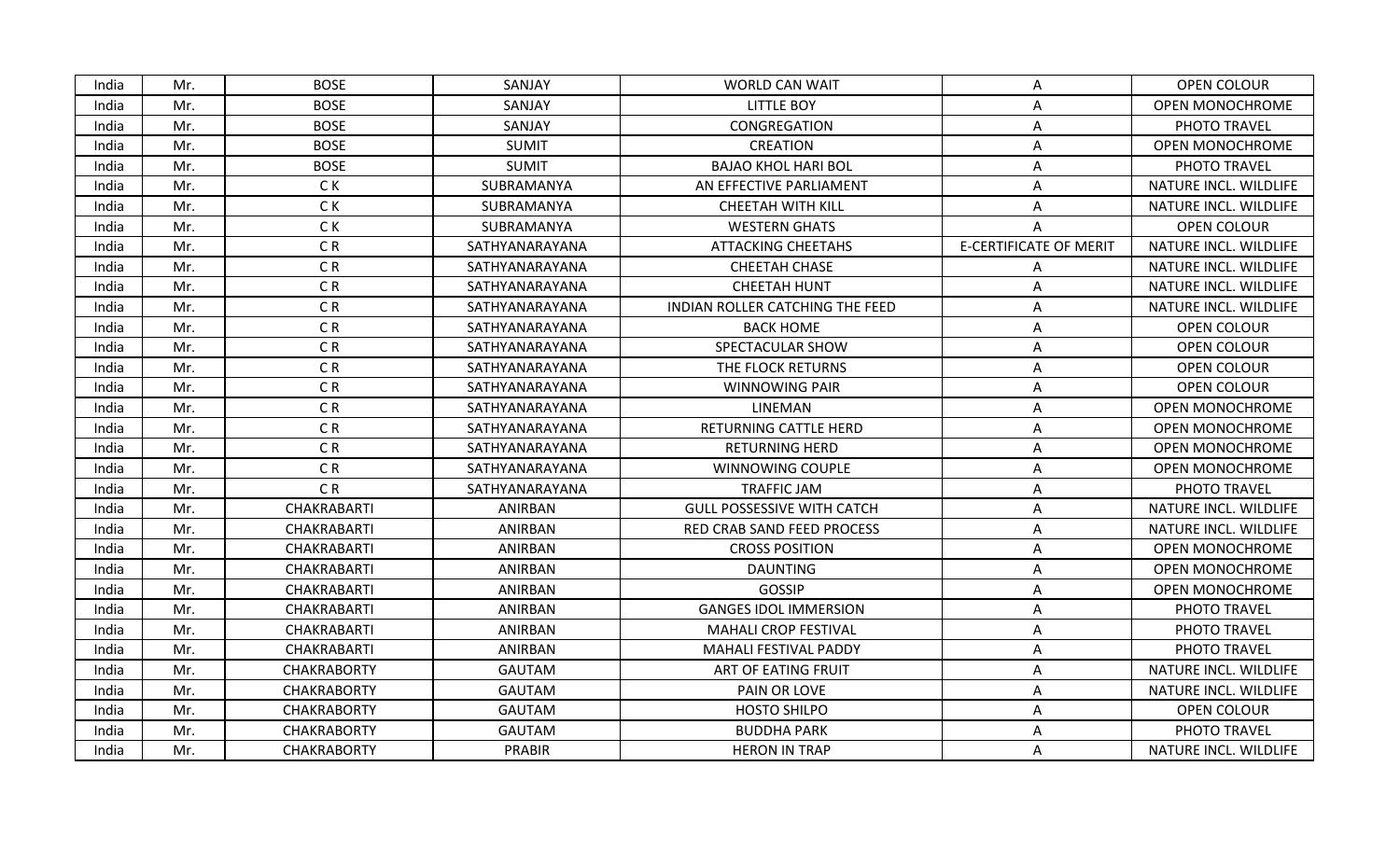| India | Mr. | BOSE               | SANJAY         | <b>WORLD CAN WAIT</b>             | A                             | OPEN COLOUR            |
|-------|-----|--------------------|----------------|-----------------------------------|-------------------------------|------------------------|
| India | Mr. | <b>BOSE</b>        | SANJAY         | <b>LITTLE BOY</b>                 | А                             | <b>OPEN MONOCHROME</b> |
| India | Mr. | <b>BOSE</b>        | SANJAY         | CONGREGATION                      | Α                             | PHOTO TRAVEL           |
| India | Mr. | <b>BOSE</b>        | <b>SUMIT</b>   | <b>CREATION</b>                   | A                             | <b>OPEN MONOCHROME</b> |
| India | Mr. | <b>BOSE</b>        | <b>SUMIT</b>   | <b>BAJAO KHOL HARI BOL</b>        | Α                             | PHOTO TRAVEL           |
| India | Mr. | C K                | SUBRAMANYA     | AN EFFECTIVE PARLIAMENT           | A                             | NATURE INCL. WILDLIFE  |
| India | Mr. | C K                | SUBRAMANYA     | <b>CHEETAH WITH KILL</b>          | Α                             | NATURE INCL. WILDLIFE  |
| India | Mr. | C K                | SUBRAMANYA     | <b>WESTERN GHATS</b>              | Α                             | OPEN COLOUR            |
| India | Mr. | CR                 | SATHYANARAYANA | <b>ATTACKING CHEETAHS</b>         | <b>E-CERTIFICATE OF MERIT</b> | NATURE INCL. WILDLIFE  |
| India | Mr. | CR                 | SATHYANARAYANA | CHEETAH CHASE                     | Α                             | NATURE INCL. WILDLIFE  |
| India | Mr. | C <sub>R</sub>     | SATHYANARAYANA | <b>CHEETAH HUNT</b>               | A                             | NATURE INCL. WILDLIFE  |
| India | Mr. | CR                 | SATHYANARAYANA | INDIAN ROLLER CATCHING THE FEED   | Α                             | NATURE INCL. WILDLIFE  |
| India | Mr. | CR                 | SATHYANARAYANA | <b>BACK HOME</b>                  | Α                             | OPEN COLOUR            |
| India | Mr. | CR                 | SATHYANARAYANA | SPECTACULAR SHOW                  | A                             | OPEN COLOUR            |
| India | Mr. | CR                 | SATHYANARAYANA | THE FLOCK RETURNS                 | Α                             | OPEN COLOUR            |
| India | Mr. | CR                 | SATHYANARAYANA | <b>WINNOWING PAIR</b>             | A                             | OPEN COLOUR            |
| India | Mr. | CR                 | SATHYANARAYANA | LINEMAN                           | Α                             | <b>OPEN MONOCHROME</b> |
| India | Mr. | CR                 | SATHYANARAYANA | RETURNING CATTLE HERD             | Α                             | <b>OPEN MONOCHROME</b> |
| India | Mr. | CR                 | SATHYANARAYANA | <b>RETURNING HERD</b>             | A                             | OPEN MONOCHROME        |
| India | Mr. | CR                 | SATHYANARAYANA | WINNOWING COUPLE                  | Α                             | <b>OPEN MONOCHROME</b> |
| India | Mr. | CR                 | SATHYANARAYANA | <b>TRAFFIC JAM</b>                | A                             | PHOTO TRAVEL           |
| India | Mr. | CHAKRABARTI        | ANIRBAN        | <b>GULL POSSESSIVE WITH CATCH</b> | Α                             | NATURE INCL. WILDLIFE  |
| India | Mr. | CHAKRABARTI        | ANIRBAN        | RED CRAB SAND FEED PROCESS        | A                             | NATURE INCL. WILDLIFE  |
| India | Mr. | CHAKRABARTI        | ANIRBAN        | <b>CROSS POSITION</b>             | Α                             | <b>OPEN MONOCHROME</b> |
| India | Mr. | CHAKRABARTI        | ANIRBAN        | <b>DAUNTING</b>                   | Α                             | <b>OPEN MONOCHROME</b> |
| India | Mr. | CHAKRABARTI        | ANIRBAN        | GOSSIP                            | A                             | <b>OPEN MONOCHROME</b> |
| India | Mr. | CHAKRABARTI        | ANIRBAN        | <b>GANGES IDOL IMMERSION</b>      | Α                             | PHOTO TRAVEL           |
| India | Mr. | CHAKRABARTI        | ANIRBAN        | <b>MAHALI CROP FESTIVAL</b>       | Α                             | PHOTO TRAVEL           |
| India | Mr. | CHAKRABARTI        | ANIRBAN        | MAHALI FESTIVAL PADDY             | A                             | PHOTO TRAVEL           |
| India | Mr. | <b>CHAKRABORTY</b> | <b>GAUTAM</b>  | ART OF EATING FRUIT               | Α                             | NATURE INCL. WILDLIFE  |
| India | Mr. | <b>CHAKRABORTY</b> | <b>GAUTAM</b>  | PAIN OR LOVE                      | A                             | NATURE INCL. WILDLIFE  |
| India | Mr. | <b>CHAKRABORTY</b> | <b>GAUTAM</b>  | <b>HOSTO SHILPO</b>               | Α                             | OPEN COLOUR            |
| India | Mr. | <b>CHAKRABORTY</b> | <b>GAUTAM</b>  | <b>BUDDHA PARK</b>                | Α                             | PHOTO TRAVEL           |
| India | Mr. | <b>CHAKRABORTY</b> | PRABIR         | <b>HERON IN TRAP</b>              | A                             | NATURE INCL. WILDLIFE  |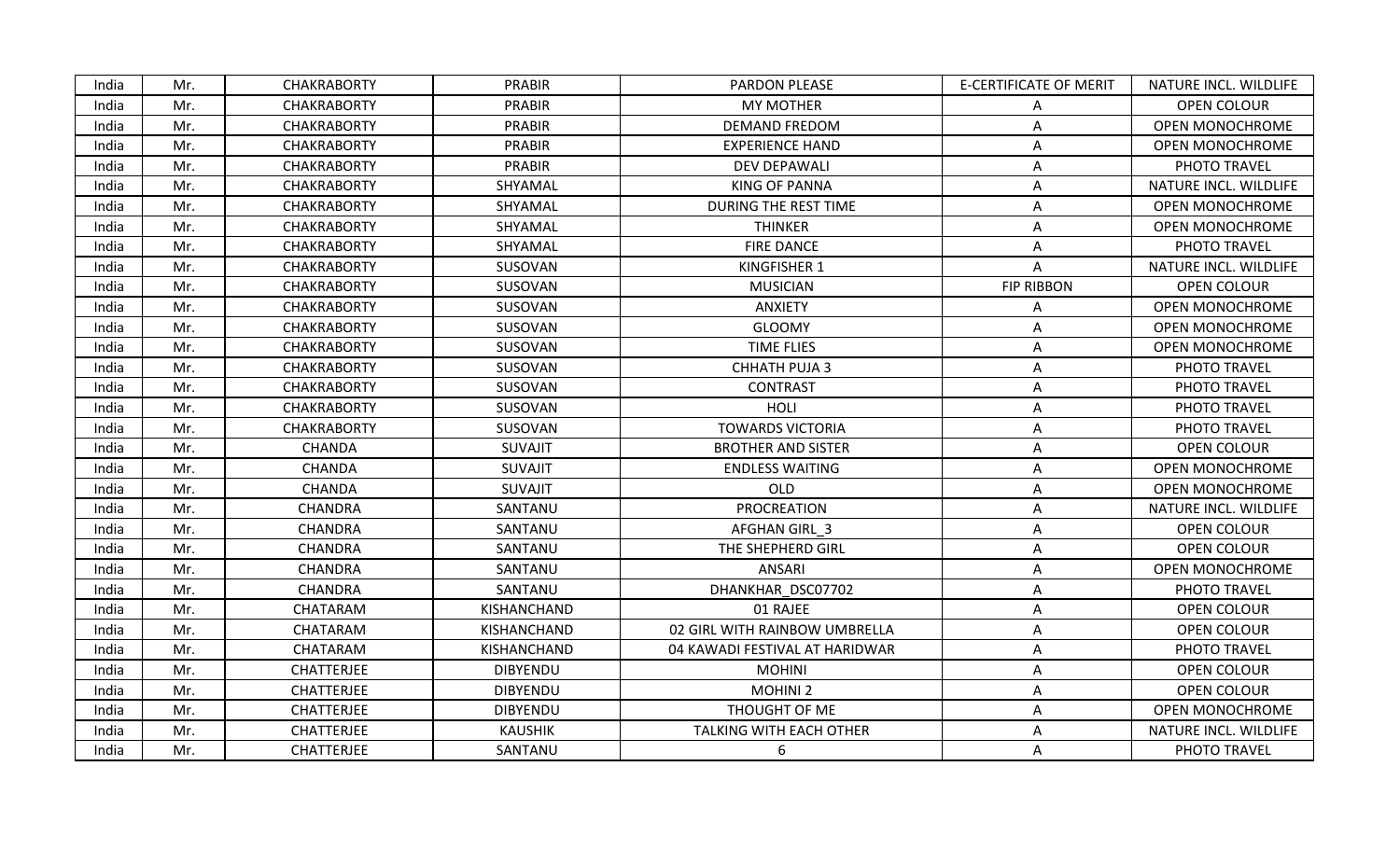| India | Mr. | <b>CHAKRABORTY</b> | <b>PRABIR</b>   | PARDON PLEASE                  | <b>E-CERTIFICATE OF MERIT</b> | NATURE INCL. WILDLIFE  |
|-------|-----|--------------------|-----------------|--------------------------------|-------------------------------|------------------------|
| India | Mr. | <b>CHAKRABORTY</b> | PRABIR          | <b>MY MOTHER</b>               | A                             | OPEN COLOUR            |
| India | Mr. | <b>CHAKRABORTY</b> | <b>PRABIR</b>   | <b>DEMAND FREDOM</b>           | Α                             | <b>OPEN MONOCHROME</b> |
| India | Mr. | <b>CHAKRABORTY</b> | PRABIR          | <b>EXPERIENCE HAND</b>         | Α                             | <b>OPEN MONOCHROME</b> |
| India | Mr. | <b>CHAKRABORTY</b> | PRABIR          | <b>DEV DEPAWALI</b>            | Α                             | PHOTO TRAVEL           |
| India | Mr. | <b>CHAKRABORTY</b> | SHYAMAL         | <b>KING OF PANNA</b>           | A                             | NATURE INCL. WILDLIFE  |
| India | Mr. | <b>CHAKRABORTY</b> | SHYAMAL         | DURING THE REST TIME           | Α                             | <b>OPEN MONOCHROME</b> |
| India | Mr. | <b>CHAKRABORTY</b> | SHYAMAL         | <b>THINKER</b>                 | Α                             | <b>OPEN MONOCHROME</b> |
| India | Mr. | <b>CHAKRABORTY</b> | SHYAMAL         | <b>FIRE DANCE</b>              | Α                             | PHOTO TRAVEL           |
| India | Mr. | <b>CHAKRABORTY</b> | SUSOVAN         | <b>KINGFISHER 1</b>            | A                             | NATURE INCL. WILDLIFE  |
| India | Mr. | <b>CHAKRABORTY</b> | SUSOVAN         | <b>MUSICIAN</b>                | <b>FIP RIBBON</b>             | OPEN COLOUR            |
| India | Mr. | <b>CHAKRABORTY</b> | SUSOVAN         | <b>ANXIETY</b>                 | Α                             | <b>OPEN MONOCHROME</b> |
| India | Mr. | <b>CHAKRABORTY</b> | SUSOVAN         | <b>GLOOMY</b>                  | Α                             | OPEN MONOCHROME        |
| India | Mr. | <b>CHAKRABORTY</b> | SUSOVAN         | <b>TIME FLIES</b>              | Α                             | <b>OPEN MONOCHROME</b> |
| India | Mr. | <b>CHAKRABORTY</b> | SUSOVAN         | CHHATH PUJA 3                  | Α                             | PHOTO TRAVEL           |
| India | Mr. | <b>CHAKRABORTY</b> | SUSOVAN         | <b>CONTRAST</b>                | Α                             | PHOTO TRAVEL           |
| India | Mr. | <b>CHAKRABORTY</b> | SUSOVAN         | HOLI                           | Α                             | PHOTO TRAVEL           |
| India | Mr. | <b>CHAKRABORTY</b> | SUSOVAN         | <b>TOWARDS VICTORIA</b>        | Α                             | PHOTO TRAVEL           |
| India | Mr. | CHANDA             | <b>SUVAJIT</b>  | <b>BROTHER AND SISTER</b>      | A                             | <b>OPEN COLOUR</b>     |
| India | Mr. | CHANDA             | <b>SUVAJIT</b>  | <b>ENDLESS WAITING</b>         | А                             | <b>OPEN MONOCHROME</b> |
| India | Mr. | CHANDA             | <b>SUVAJIT</b>  | OLD                            | А                             | OPEN MONOCHROME        |
| India | Mr. | CHANDRA            | SANTANU         | <b>PROCREATION</b>             | А                             | NATURE INCL. WILDLIFE  |
| India | Mr. | CHANDRA            | SANTANU         | AFGHAN GIRL 3                  | Α                             | OPEN COLOUR            |
| India | Mr. | CHANDRA            | SANTANU         | THE SHEPHERD GIRL              | А                             | OPEN COLOUR            |
| India | Mr. | CHANDRA            | SANTANU         | <b>ANSARI</b>                  | Α                             | <b>OPEN MONOCHROME</b> |
| India | Mr. | CHANDRA            | SANTANU         | DHANKHAR DSC07702              | A                             | PHOTO TRAVEL           |
| India | Mr. | CHATARAM           | KISHANCHAND     | 01 RAJEE                       | Α                             | OPEN COLOUR            |
| India | Mr. | CHATARAM           | KISHANCHAND     | 02 GIRL WITH RAINBOW UMBRELLA  | Α                             | OPEN COLOUR            |
| India | Mr. | CHATARAM           | KISHANCHAND     | 04 KAWADI FESTIVAL AT HARIDWAR | Α                             | PHOTO TRAVEL           |
| India | Mr. | <b>CHATTERJEE</b>  | <b>DIBYENDU</b> | <b>MOHINI</b>                  | Α                             | OPEN COLOUR            |
| India | Mr. | CHATTERJEE         | <b>DIBYENDU</b> | <b>MOHINI 2</b>                | A                             | OPEN COLOUR            |
| India | Mr. | <b>CHATTERJEE</b>  | <b>DIBYENDU</b> | THOUGHT OF ME                  | Α                             | <b>OPEN MONOCHROME</b> |
| India | Mr. | CHATTERJEE         | <b>KAUSHIK</b>  | TALKING WITH EACH OTHER        | Α                             | NATURE INCL. WILDLIFE  |
| India | Mr. | <b>CHATTERJEE</b>  | SANTANU         | 6                              | A                             | PHOTO TRAVEL           |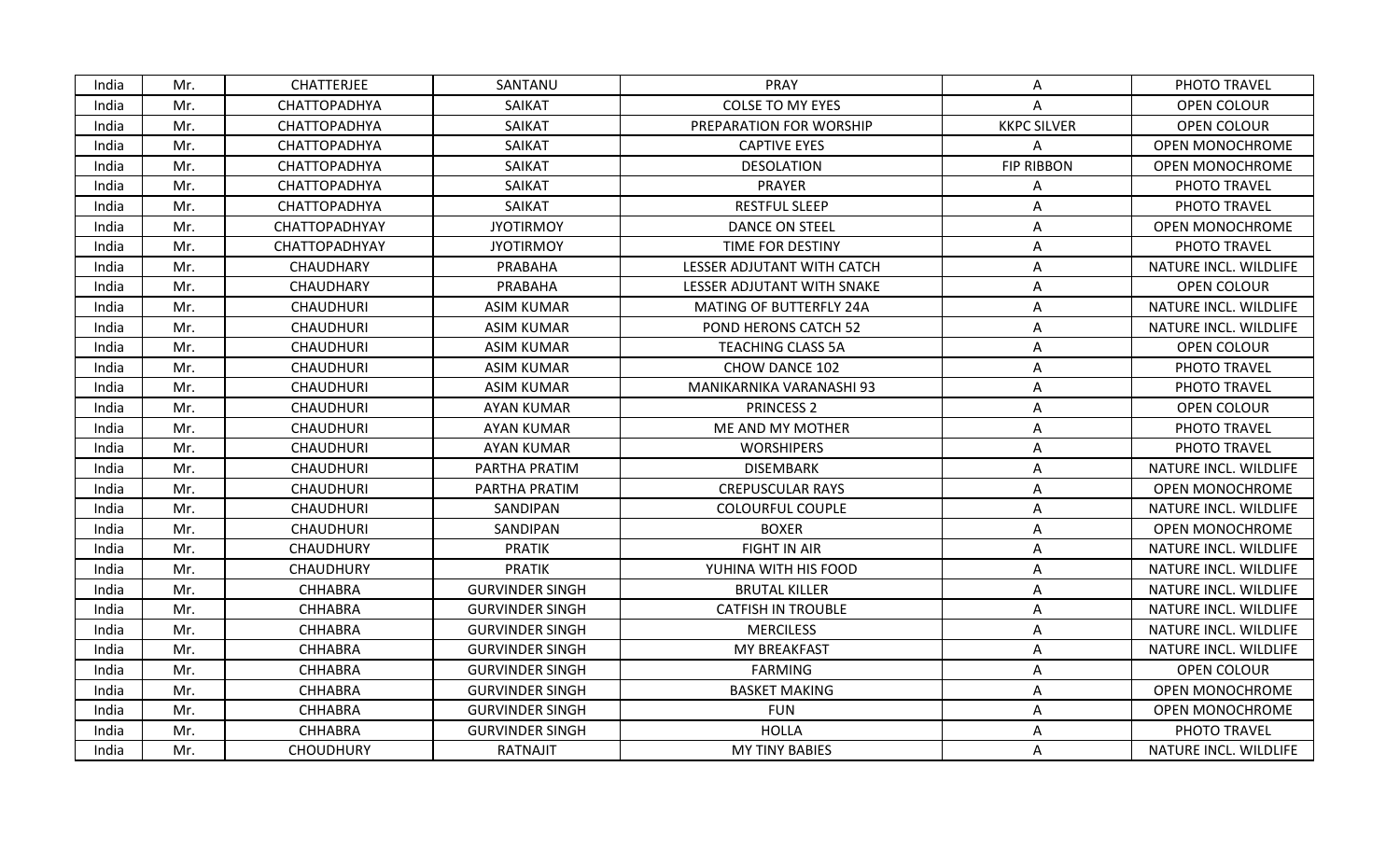| India | Mr. | <b>CHATTERJEE</b>    | SANTANU                | <b>PRAY</b>                    | A                  | PHOTO TRAVEL           |
|-------|-----|----------------------|------------------------|--------------------------------|--------------------|------------------------|
| India | Mr. | CHATTOPADHYA         | SAIKAT                 | <b>COLSE TO MY EYES</b>        | Α                  | <b>OPEN COLOUR</b>     |
| India | Mr. | CHATTOPADHYA         | SAIKAT                 | PREPARATION FOR WORSHIP        | <b>KKPC SILVER</b> | OPEN COLOUR            |
| India | Mr. | CHATTOPADHYA         | SAIKAT                 | <b>CAPTIVE EYES</b>            | A                  | <b>OPEN MONOCHROME</b> |
| India | Mr. | CHATTOPADHYA         | SAIKAT                 | <b>DESOLATION</b>              | <b>FIP RIBBON</b>  | OPEN MONOCHROME        |
| India | Mr. | CHATTOPADHYA         | <b>SAIKAT</b>          | <b>PRAYER</b>                  | A                  | PHOTO TRAVEL           |
| India | Mr. | CHATTOPADHYA         | SAIKAT                 | <b>RESTFUL SLEEP</b>           | Α                  | PHOTO TRAVEL           |
| India | Mr. | CHATTOPADHYAY        | <b>JYOTIRMOY</b>       | DANCE ON STEEL                 | Α                  | <b>OPEN MONOCHROME</b> |
| India | Mr. | <b>CHATTOPADHYAY</b> | <b>JYOTIRMOY</b>       | TIME FOR DESTINY               | A                  | PHOTO TRAVEL           |
| India | Mr. | CHAUDHARY            | PRABAHA                | LESSER ADJUTANT WITH CATCH     | Α                  | NATURE INCL. WILDLIFE  |
| India | Mr. | CHAUDHARY            | PRABAHA                | LESSER ADJUTANT WITH SNAKE     | A                  | OPEN COLOUR            |
| India | Mr. | <b>CHAUDHURI</b>     | <b>ASIM KUMAR</b>      | <b>MATING OF BUTTERFLY 24A</b> | Α                  | NATURE INCL. WILDLIFE  |
| India | Mr. | <b>CHAUDHURI</b>     | <b>ASIM KUMAR</b>      | POND HERONS CATCH 52           | Α                  | NATURE INCL. WILDLIFE  |
| India | Mr. | <b>CHAUDHURI</b>     | <b>ASIM KUMAR</b>      | <b>TEACHING CLASS 5A</b>       | Α                  | OPEN COLOUR            |
| India | Mr. | <b>CHAUDHURI</b>     | <b>ASIM KUMAR</b>      | CHOW DANCE 102                 | Α                  | PHOTO TRAVEL           |
| India | Mr. | <b>CHAUDHURI</b>     | <b>ASIM KUMAR</b>      | MANIKARNIKA VARANASHI 93       | A                  | PHOTO TRAVEL           |
| India | Mr. | <b>CHAUDHURI</b>     | <b>AYAN KUMAR</b>      | <b>PRINCESS 2</b>              | Α                  | <b>OPEN COLOUR</b>     |
| India | Mr. | <b>CHAUDHURI</b>     | <b>AYAN KUMAR</b>      | ME AND MY MOTHER               | Α                  | PHOTO TRAVEL           |
| India | Mr. | <b>CHAUDHURI</b>     | <b>AYAN KUMAR</b>      | <b>WORSHIPERS</b>              | A                  | PHOTO TRAVEL           |
| India | Mr. | <b>CHAUDHURI</b>     | PARTHA PRATIM          | <b>DISEMBARK</b>               | Α                  | NATURE INCL. WILDLIFE  |
| India | Mr. | <b>CHAUDHURI</b>     | PARTHA PRATIM          | <b>CREPUSCULAR RAYS</b>        | A                  | OPEN MONOCHROME        |
| India | Mr. | <b>CHAUDHURI</b>     | SANDIPAN               | <b>COLOURFUL COUPLE</b>        | Α                  | NATURE INCL. WILDLIFE  |
| India | Mr. | <b>CHAUDHURI</b>     | SANDIPAN               | <b>BOXER</b>                   | A                  | <b>OPEN MONOCHROME</b> |
| India | Mr. | <b>CHAUDHURY</b>     | <b>PRATIK</b>          | <b>FIGHT IN AIR</b>            | Α                  | NATURE INCL. WILDLIFE  |
| India | Mr. | CHAUDHURY            | <b>PRATIK</b>          | YUHINA WITH HIS FOOD           | Α                  | NATURE INCL. WILDLIFE  |
| India | Mr. | <b>CHHABRA</b>       | <b>GURVINDER SINGH</b> | <b>BRUTAL KILLER</b>           | A                  | NATURE INCL. WILDLIFE  |
| India | Mr. | CHHABRA              | <b>GURVINDER SINGH</b> | <b>CATFISH IN TROUBLE</b>      | Α                  | NATURE INCL. WILDLIFE  |
| India | Mr. | <b>CHHABRA</b>       | <b>GURVINDER SINGH</b> | <b>MERCILESS</b>               | A                  | NATURE INCL. WILDLIFE  |
| India | Mr. | <b>CHHABRA</b>       | <b>GURVINDER SINGH</b> | <b>MY BREAKFAST</b>            | A                  | NATURE INCL. WILDLIFE  |
| India | Mr. | <b>CHHABRA</b>       | <b>GURVINDER SINGH</b> | <b>FARMING</b>                 | A                  | <b>OPEN COLOUR</b>     |
| India | Mr. | <b>CHHABRA</b>       | <b>GURVINDER SINGH</b> | <b>BASKET MAKING</b>           | А                  | OPEN MONOCHROME        |
| India | Mr. | CHHABRA              | <b>GURVINDER SINGH</b> | <b>FUN</b>                     | Α                  | <b>OPEN MONOCHROME</b> |
| India | Mr. | <b>CHHABRA</b>       | <b>GURVINDER SINGH</b> | <b>HOLLA</b>                   | Α                  | PHOTO TRAVEL           |
| India | Mr. | <b>CHOUDHURY</b>     | RATNAJIT               | <b>MY TINY BABIES</b>          | A                  | NATURE INCL. WILDLIFE  |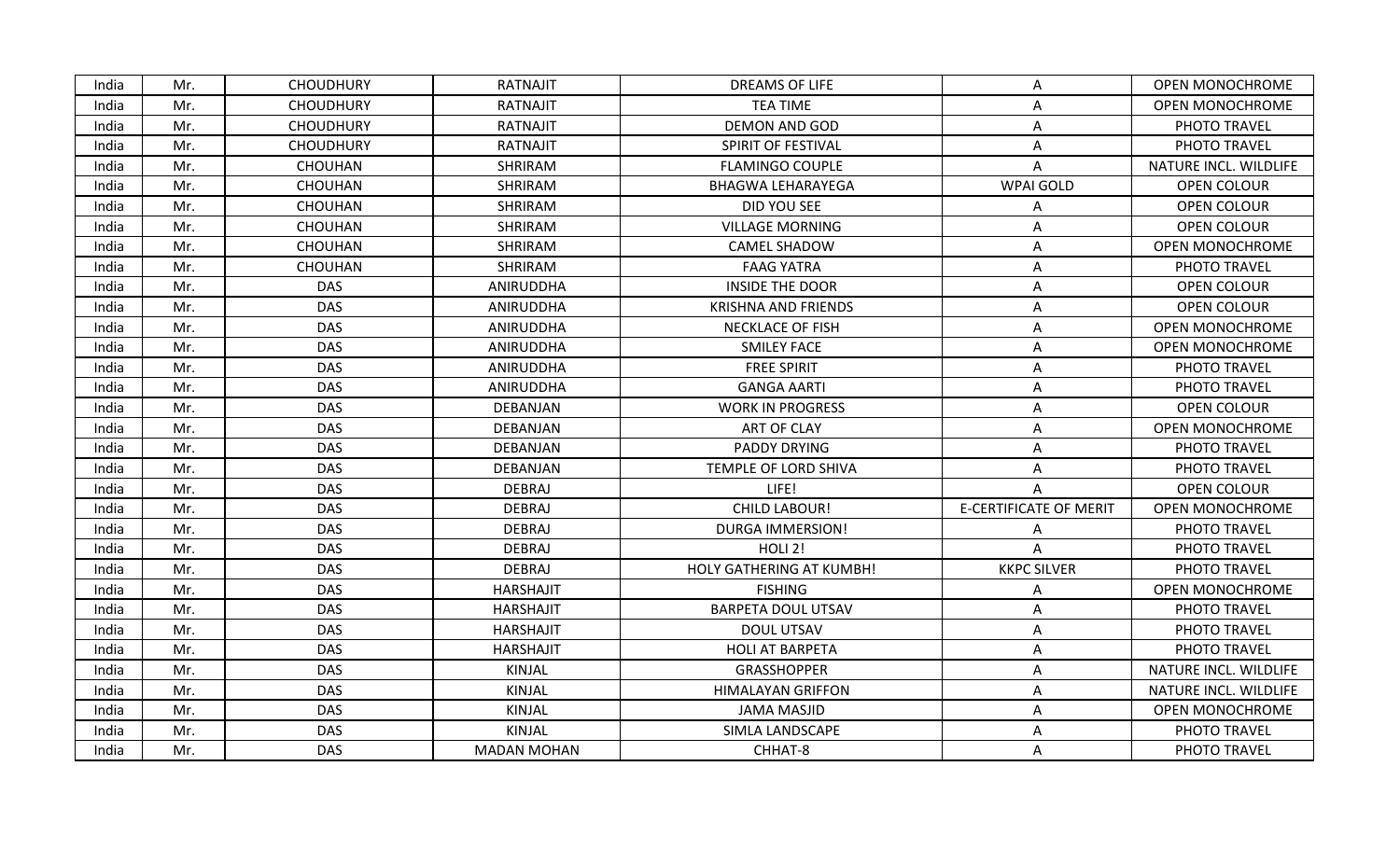| India | Mr. | <b>CHOUDHURY</b> | RATNAJIT           | <b>DREAMS OF LIFE</b>           | A                             | <b>OPEN MONOCHROME</b> |
|-------|-----|------------------|--------------------|---------------------------------|-------------------------------|------------------------|
| India | Mr. | <b>CHOUDHURY</b> | <b>RATNAJIT</b>    | <b>TEA TIME</b>                 | Α                             | <b>OPEN MONOCHROME</b> |
| India | Mr. | <b>CHOUDHURY</b> | RATNAJIT           | DEMON AND GOD                   | Α                             | PHOTO TRAVEL           |
| India | Mr. | <b>CHOUDHURY</b> | RATNAJIT           | SPIRIT OF FESTIVAL              | A                             | PHOTO TRAVEL           |
| India | Mr. | CHOUHAN          | SHRIRAM            | <b>FLAMINGO COUPLE</b>          | A                             | NATURE INCL. WILDLIFE  |
| India | Mr. | <b>CHOUHAN</b>   | SHRIRAM            | <b>BHAGWA LEHARAYEGA</b>        | WPAI GOLD                     | OPEN COLOUR            |
| India | Mr. | <b>CHOUHAN</b>   | SHRIRAM            | DID YOU SEE                     | Α                             | OPEN COLOUR            |
| India | Mr. | <b>CHOUHAN</b>   | SHRIRAM            | <b>VILLAGE MORNING</b>          | A                             | OPEN COLOUR            |
| India | Mr. | <b>CHOUHAN</b>   | SHRIRAM            | <b>CAMEL SHADOW</b>             | A                             | <b>OPEN MONOCHROME</b> |
| India | Mr. | <b>CHOUHAN</b>   | <b>SHRIRAM</b>     | <b>FAAG YATRA</b>               | Α                             | PHOTO TRAVEL           |
| India | Mr. | <b>DAS</b>       | ANIRUDDHA          | <b>INSIDE THE DOOR</b>          | A                             | OPEN COLOUR            |
| India | Mr. | <b>DAS</b>       | ANIRUDDHA          | <b>KRISHNA AND FRIENDS</b>      | Α                             | OPEN COLOUR            |
| India | Mr. | <b>DAS</b>       | ANIRUDDHA          | <b>NECKLACE OF FISH</b>         | A                             | OPEN MONOCHROME        |
| India | Mr. | <b>DAS</b>       | ANIRUDDHA          | <b>SMILEY FACE</b>              | Α                             | OPEN MONOCHROME        |
| India | Mr. | <b>DAS</b>       | ANIRUDDHA          | <b>FREE SPIRIT</b>              | A                             | PHOTO TRAVEL           |
| India | Mr. | <b>DAS</b>       | ANIRUDDHA          | <b>GANGA AARTI</b>              | A                             | PHOTO TRAVEL           |
| India | Mr. | <b>DAS</b>       | DEBANJAN           | <b>WORK IN PROGRESS</b>         | Α                             | <b>OPEN COLOUR</b>     |
| India | Mr. | <b>DAS</b>       | DEBANJAN           | ART OF CLAY                     | A                             | OPEN MONOCHROME        |
| India | Mr. | <b>DAS</b>       | DEBANJAN           | PADDY DRYING                    | A                             | PHOTO TRAVEL           |
| India | Mr. | <b>DAS</b>       | <b>DEBANJAN</b>    | TEMPLE OF LORD SHIVA            | Α                             | PHOTO TRAVEL           |
| India | Mr. | <b>DAS</b>       | <b>DEBRAJ</b>      | LIFE!                           | A                             | OPEN COLOUR            |
| India | Mr. | <b>DAS</b>       | <b>DEBRAJ</b>      | <b>CHILD LABOUR!</b>            | <b>E-CERTIFICATE OF MERIT</b> | OPEN MONOCHROME        |
| India | Mr. | <b>DAS</b>       | DEBRAJ             | <b>DURGA IMMERSION!</b>         | Α                             | PHOTO TRAVEL           |
| India | Mr. | <b>DAS</b>       | DEBRAJ             | HOLI 2!                         | A                             | PHOTO TRAVEL           |
| India | Mr. | DAS              | DEBRAJ             | <b>HOLY GATHERING AT KUMBH!</b> | <b>KKPC SILVER</b>            | PHOTO TRAVEL           |
| India | Mr. | <b>DAS</b>       | <b>HARSHAJIT</b>   | <b>FISHING</b>                  | A                             | <b>OPEN MONOCHROME</b> |
| India | Mr. | <b>DAS</b>       | <b>HARSHAJIT</b>   | <b>BARPETA DOUL UTSAV</b>       | Α                             | PHOTO TRAVEL           |
| India | Mr. | <b>DAS</b>       | <b>HARSHAJIT</b>   | <b>DOUL UTSAV</b>               | A                             | PHOTO TRAVEL           |
| India | Mr. | <b>DAS</b>       | <b>HARSHAJIT</b>   | <b>HOLI AT BARPETA</b>          | Α                             | PHOTO TRAVEL           |
| India | Mr. | <b>DAS</b>       | KINJAL             | <b>GRASSHOPPER</b>              | Α                             | NATURE INCL. WILDLIFE  |
| India | Mr. | <b>DAS</b>       | KINJAL             | <b>HIMALAYAN GRIFFON</b>        | A                             | NATURE INCL. WILDLIFE  |
| India | Mr. | <b>DAS</b>       | KINJAL             | <b>JAMA MASJID</b>              | A                             | <b>OPEN MONOCHROME</b> |
| India | Mr. | <b>DAS</b>       | KINJAL             | SIMLA LANDSCAPE                 | A                             | PHOTO TRAVEL           |
| India | Mr. | <b>DAS</b>       | <b>MADAN MOHAN</b> | CHHAT-8                         | A                             | PHOTO TRAVEL           |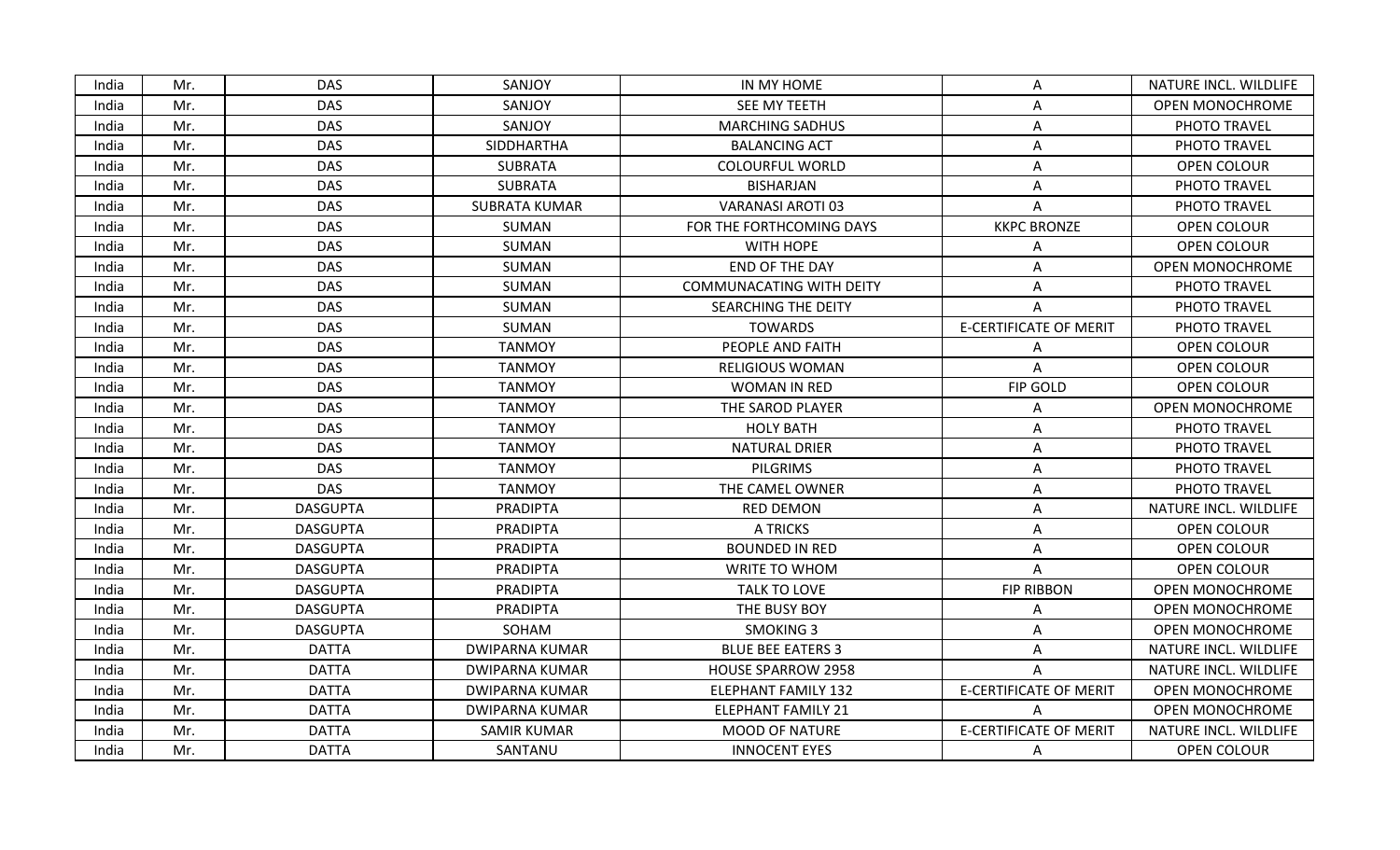| India | Mr. | DAS.            | SANJOY                | IN MY HOME                      | A                             | NATURE INCL. WILDLIFE  |
|-------|-----|-----------------|-----------------------|---------------------------------|-------------------------------|------------------------|
| India | Mr. | <b>DAS</b>      | SANJOY                | SEE MY TEETH                    | Α                             | <b>OPEN MONOCHROME</b> |
| India | Mr. | <b>DAS</b>      | SANJOY                | <b>MARCHING SADHUS</b>          | Α                             | PHOTO TRAVEL           |
| India | Mr. | <b>DAS</b>      | SIDDHARTHA            | <b>BALANCING ACT</b>            | Α                             | PHOTO TRAVEL           |
| India | Mr. | <b>DAS</b>      | <b>SUBRATA</b>        | <b>COLOURFUL WORLD</b>          | Α                             | OPEN COLOUR            |
| India | Mr. | <b>DAS</b>      | <b>SUBRATA</b>        | <b>BISHARJAN</b>                | A                             | PHOTO TRAVEL           |
| India | Mr. | <b>DAS</b>      | <b>SUBRATA KUMAR</b>  | <b>VARANASI AROTI 03</b>        | Α                             | PHOTO TRAVEL           |
| India | Mr. | <b>DAS</b>      | SUMAN                 | FOR THE FORTHCOMING DAYS        | <b>KKPC BRONZE</b>            | OPEN COLOUR            |
| India | Mr. | <b>DAS</b>      | SUMAN                 | WITH HOPE                       | Α                             | OPEN COLOUR            |
| India | Mr. | <b>DAS</b>      | SUMAN                 | END OF THE DAY                  | Α                             | OPEN MONOCHROME        |
| India | Mr. | <b>DAS</b>      | SUMAN                 | <b>COMMUNACATING WITH DEITY</b> | A                             | PHOTO TRAVEL           |
| India | Mr. | <b>DAS</b>      | SUMAN                 | SEARCHING THE DEITY             | A                             | PHOTO TRAVEL           |
| India | Mr. | <b>DAS</b>      | SUMAN                 | <b>TOWARDS</b>                  | <b>E-CERTIFICATE OF MERIT</b> | PHOTO TRAVEL           |
| India | Mr. | <b>DAS</b>      | <b>TANMOY</b>         | PEOPLE AND FAITH                | Α                             | OPEN COLOUR            |
| India | Mr. | <b>DAS</b>      | <b>TANMOY</b>         | <b>RELIGIOUS WOMAN</b>          | A                             | OPEN COLOUR            |
| India | Mr. | <b>DAS</b>      | <b>TANMOY</b>         | WOMAN IN RED                    | FIP GOLD                      | OPEN COLOUR            |
| India | Mr. | <b>DAS</b>      | <b>TANMOY</b>         | THE SAROD PLAYER                | Α                             | <b>OPEN MONOCHROME</b> |
| India | Mr. | <b>DAS</b>      | <b>TANMOY</b>         | <b>HOLY BATH</b>                | Α                             | PHOTO TRAVEL           |
| India | Mr. | <b>DAS</b>      | <b>TANMOY</b>         | <b>NATURAL DRIER</b>            | A                             | PHOTO TRAVEL           |
| India | Mr. | <b>DAS</b>      | <b>TANMOY</b>         | <b>PILGRIMS</b>                 | Α                             | PHOTO TRAVEL           |
| India | Mr. | <b>DAS</b>      | <b>TANMOY</b>         | THE CAMEL OWNER                 | A                             | PHOTO TRAVEL           |
| India | Mr. | <b>DASGUPTA</b> | <b>PRADIPTA</b>       | <b>RED DEMON</b>                | Α                             | NATURE INCL. WILDLIFE  |
| India | Mr. | <b>DASGUPTA</b> | <b>PRADIPTA</b>       | A TRICKS                        | Α                             | OPEN COLOUR            |
| India | Mr. | <b>DASGUPTA</b> | <b>PRADIPTA</b>       | <b>BOUNDED IN RED</b>           | Α                             | OPEN COLOUR            |
| India | Mr. | <b>DASGUPTA</b> | <b>PRADIPTA</b>       | WRITE TO WHOM                   | Α                             | OPEN COLOUR            |
| India | Mr. | <b>DASGUPTA</b> | <b>PRADIPTA</b>       | TALK TO LOVE                    | <b>FIP RIBBON</b>             | <b>OPEN MONOCHROME</b> |
| India | Mr. | <b>DASGUPTA</b> | <b>PRADIPTA</b>       | THE BUSY BOY                    | Α                             | OPEN MONOCHROME        |
| India | Mr. | <b>DASGUPTA</b> | SOHAM                 | <b>SMOKING 3</b>                | Λ                             | <b>OPEN MONOCHROME</b> |
| India | Mr. | <b>DATTA</b>    | <b>DWIPARNA KUMAR</b> | <b>BLUE BEE EATERS 3</b>        | A                             | NATURE INCL. WILDLIFE  |
| India | Mr. | <b>DATTA</b>    | <b>DWIPARNA KUMAR</b> | <b>HOUSE SPARROW 2958</b>       | A                             | NATURE INCL. WILDLIFE  |
| India | Mr. | <b>DATTA</b>    | <b>DWIPARNA KUMAR</b> | ELEPHANT FAMILY 132             | <b>E-CERTIFICATE OF MERIT</b> | OPEN MONOCHROME        |
| India | Mr. | <b>DATTA</b>    | <b>DWIPARNA KUMAR</b> | <b>ELEPHANT FAMILY 21</b>       | A                             | <b>OPEN MONOCHROME</b> |
| India | Mr. | <b>DATTA</b>    | <b>SAMIR KUMAR</b>    | <b>MOOD OF NATURE</b>           | <b>E-CERTIFICATE OF MERIT</b> | NATURE INCL. WILDLIFE  |
| India | Mr. | <b>DATTA</b>    | SANTANU               | <b>INNOCENT EYES</b>            | A                             | OPEN COLOUR            |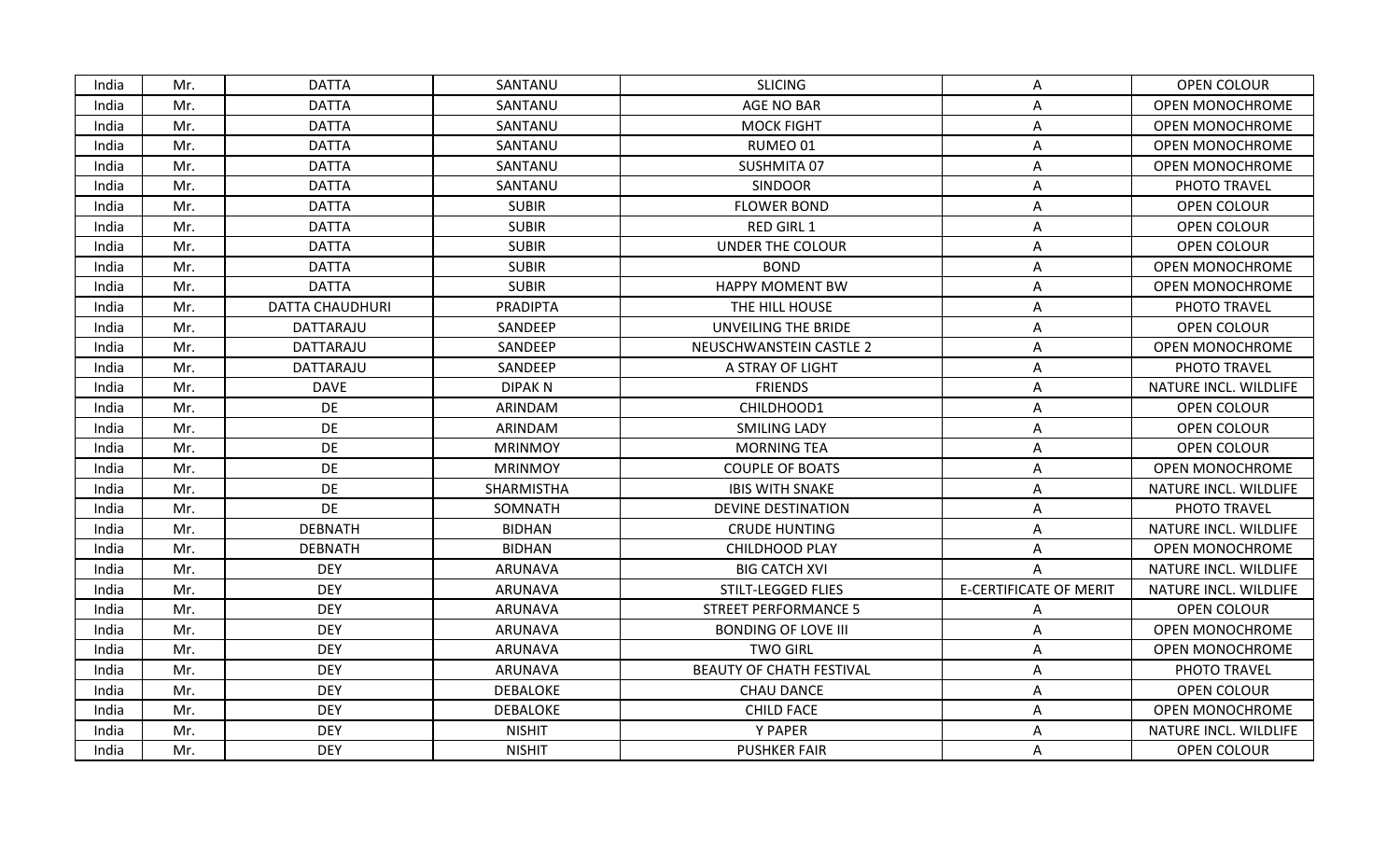| India | Mr. | <b>DATTA</b>           | SANTANU         | <b>SLICING</b>                  | Α                             | OPEN COLOUR            |
|-------|-----|------------------------|-----------------|---------------------------------|-------------------------------|------------------------|
| India | Mr. | <b>DATTA</b>           | SANTANU         | <b>AGE NO BAR</b>               | Α                             | <b>OPEN MONOCHROME</b> |
| India | Mr. | <b>DATTA</b>           | SANTANU         | <b>MOCK FIGHT</b>               | Α                             | <b>OPEN MONOCHROME</b> |
| India | Mr. | <b>DATTA</b>           | SANTANU         | RUMEO 01                        | Α                             | <b>OPEN MONOCHROME</b> |
| India | Mr. | <b>DATTA</b>           | SANTANU         | SUSHMITA 07                     | A                             | <b>OPEN MONOCHROME</b> |
| India | Mr. | <b>DATTA</b>           | SANTANU         | <b>SINDOOR</b>                  | Α                             | PHOTO TRAVEL           |
| India | Mr. | <b>DATTA</b>           | <b>SUBIR</b>    | <b>FLOWER BOND</b>              | Α                             | OPEN COLOUR            |
| India | Mr. | <b>DATTA</b>           | <b>SUBIR</b>    | RED GIRL 1                      | Α                             | <b>OPEN COLOUR</b>     |
| India | Mr. | <b>DATTA</b>           | <b>SUBIR</b>    | <b>UNDER THE COLOUR</b>         | Α                             | <b>OPEN COLOUR</b>     |
| India | Mr. | <b>DATTA</b>           | <b>SUBIR</b>    | <b>BOND</b>                     | A                             | <b>OPEN MONOCHROME</b> |
| India | Mr. | <b>DATTA</b>           | <b>SUBIR</b>    | <b>HAPPY MOMENT BW</b>          | Α                             | <b>OPEN MONOCHROME</b> |
| India | Mr. | <b>DATTA CHAUDHURI</b> | PRADIPTA        | THE HILL HOUSE                  | A                             | PHOTO TRAVEL           |
| India | Mr. | DATTARAJU              | SANDEEP         | UNVEILING THE BRIDE             | Α                             | OPEN COLOUR            |
| India | Mr. | DATTARAJU              | SANDEEP         | NEUSCHWANSTEIN CASTLE 2         | Α                             | <b>OPEN MONOCHROME</b> |
| India | Mr. | DATTARAJU              | SANDEEP         | A STRAY OF LIGHT                | Α                             | PHOTO TRAVEL           |
| India | Mr. | <b>DAVE</b>            | <b>DIPAKN</b>   | <b>FRIENDS</b>                  | Α                             | NATURE INCL. WILDLIFE  |
| India | Mr. | DE                     | ARINDAM         | CHILDHOOD1                      | Α                             | <b>OPEN COLOUR</b>     |
| India | Mr. | DE                     | ARINDAM         | <b>SMILING LADY</b>             | A                             | OPEN COLOUR            |
| India | Mr. | <b>DE</b>              | <b>MRINMOY</b>  | <b>MORNING TEA</b>              | A                             | <b>OPEN COLOUR</b>     |
| India | Mr. | DE                     | <b>MRINMOY</b>  | <b>COUPLE OF BOATS</b>          | Α                             | <b>OPEN MONOCHROME</b> |
| India | Mr. | DE                     | SHARMISTHA      | <b>IBIS WITH SNAKE</b>          | Α                             | NATURE INCL. WILDLIFE  |
| India | Mr. | <b>DE</b>              | SOMNATH         | <b>DEVINE DESTINATION</b>       | Α                             | PHOTO TRAVEL           |
| India | Mr. | <b>DEBNATH</b>         | <b>BIDHAN</b>   | <b>CRUDE HUNTING</b>            | A                             | NATURE INCL. WILDLIFE  |
| India | Mr. | <b>DEBNATH</b>         | <b>BIDHAN</b>   | CHILDHOOD PLAY                  | Α                             | <b>OPEN MONOCHROME</b> |
| India | Mr. | <b>DEY</b>             | ARUNAVA         | <b>BIG CATCH XVI</b>            | Α                             | NATURE INCL. WILDLIFE  |
| India | Mr. | <b>DEY</b>             | <b>ARUNAVA</b>  | STILT-LEGGED FLIES              | <b>E-CERTIFICATE OF MERIT</b> | NATURE INCL. WILDLIFE  |
| India | Mr. | <b>DEY</b>             | ARUNAVA         | <b>STREET PERFORMANCE 5</b>     | Α                             | <b>OPEN COLOUR</b>     |
| India | Mr. | <b>DEY</b>             | <b>ARUNAVA</b>  | <b>BONDING OF LOVE III</b>      | Α                             | <b>OPEN MONOCHROME</b> |
| India | Mr. | <b>DEY</b>             | ARUNAVA         | <b>TWO GIRL</b>                 | Α                             | OPEN MONOCHROME        |
| India | Mr. | <b>DEY</b>             | <b>ARUNAVA</b>  | <b>BEAUTY OF CHATH FESTIVAL</b> | Α                             | PHOTO TRAVEL           |
| India | Mr. | <b>DEY</b>             | <b>DEBALOKE</b> | <b>CHAU DANCE</b>               | A                             | <b>OPEN COLOUR</b>     |
| India | Mr. | <b>DEY</b>             | <b>DEBALOKE</b> | <b>CHILD FACE</b>               | Α                             | <b>OPEN MONOCHROME</b> |
| India | Mr. | <b>DEY</b>             | <b>NISHIT</b>   | Y PAPER                         | Α                             | NATURE INCL. WILDLIFE  |
| India | Mr. | <b>DEY</b>             | <b>NISHIT</b>   | <b>PUSHKER FAIR</b>             | A                             | OPEN COLOUR            |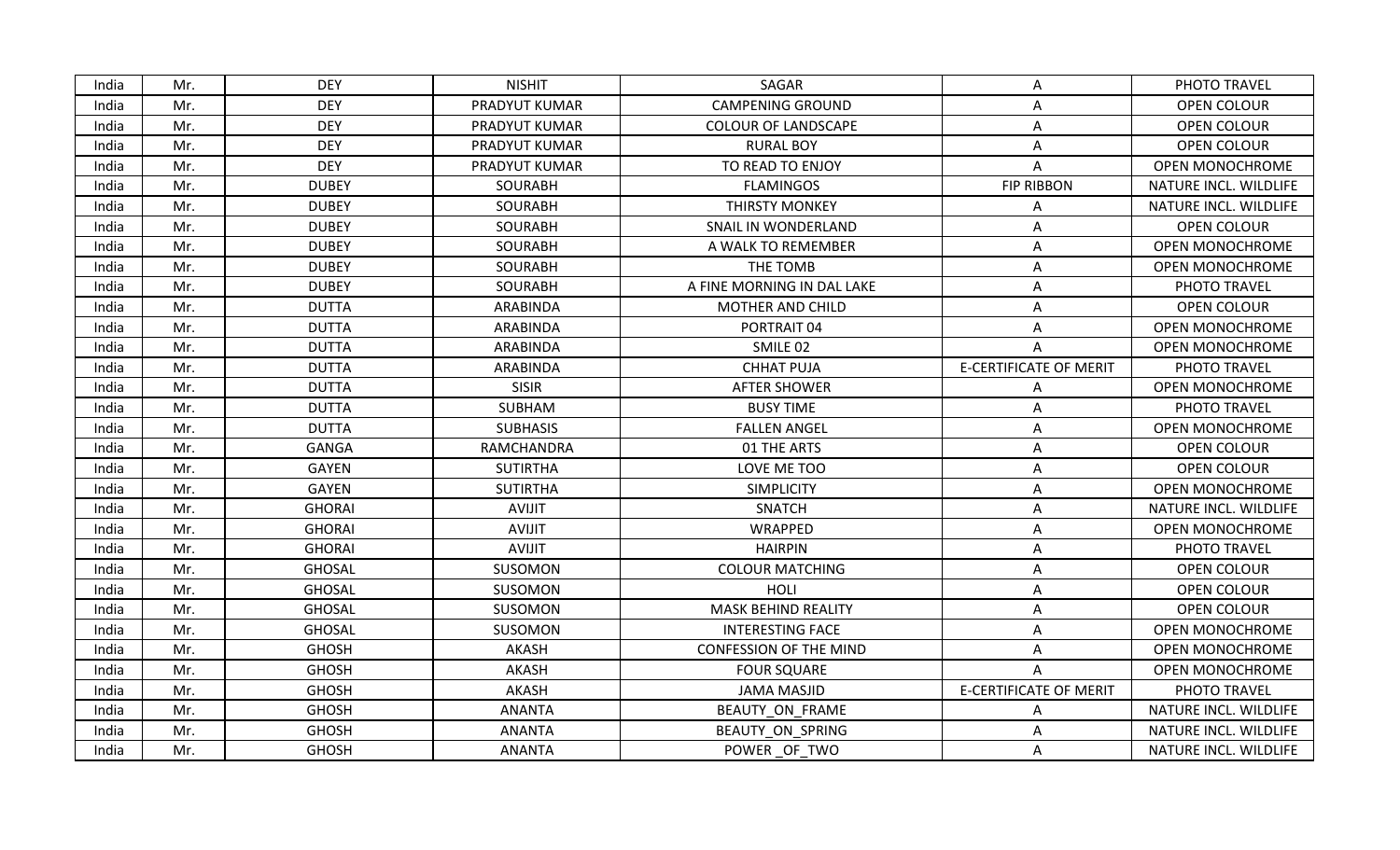| India | Mr. | <b>DEY</b>    | <b>NISHIT</b>   | SAGAR                         | A                             | PHOTO TRAVEL           |
|-------|-----|---------------|-----------------|-------------------------------|-------------------------------|------------------------|
| India | Mr. | <b>DEY</b>    | PRADYUT KUMAR   | <b>CAMPENING GROUND</b>       | Α                             | OPEN COLOUR            |
| India | Mr. | <b>DEY</b>    | PRADYUT KUMAR   | <b>COLOUR OF LANDSCAPE</b>    | Α                             | OPEN COLOUR            |
| India | Mr. | <b>DEY</b>    | PRADYUT KUMAR   | <b>RURAL BOY</b>              | Α                             | <b>OPEN COLOUR</b>     |
| India | Mr. | <b>DEY</b>    | PRADYUT KUMAR   | TO READ TO ENJOY              | Α                             | <b>OPEN MONOCHROME</b> |
| India | Mr. | <b>DUBEY</b>  | <b>SOURABH</b>  | <b>FLAMINGOS</b>              | <b>FIP RIBBON</b>             | NATURE INCL. WILDLIFE  |
| India | Mr. | <b>DUBEY</b>  | SOURABH         | <b>THIRSTY MONKEY</b>         | Α                             | NATURE INCL. WILDLIFE  |
| India | Mr. | <b>DUBEY</b>  | <b>SOURABH</b>  | SNAIL IN WONDERLAND           | Α                             | OPEN COLOUR            |
| India | Mr. | <b>DUBEY</b>  | SOURABH         | A WALK TO REMEMBER            | Α                             | <b>OPEN MONOCHROME</b> |
| India | Mr. | <b>DUBEY</b>  | <b>SOURABH</b>  | THE TOMB                      | Α                             | <b>OPEN MONOCHROME</b> |
| India | Mr. | <b>DUBEY</b>  | <b>SOURABH</b>  | A FINE MORNING IN DAL LAKE    | A                             | PHOTO TRAVEL           |
| India | Mr. | <b>DUTTA</b>  | ARABINDA        | <b>MOTHER AND CHILD</b>       | A                             | <b>OPEN COLOUR</b>     |
| India | Mr. | <b>DUTTA</b>  | ARABINDA        | PORTRAIT 04                   | Α                             | <b>OPEN MONOCHROME</b> |
| India | Mr. | <b>DUTTA</b>  | ARABINDA        | SMILE 02                      | A                             | <b>OPEN MONOCHROME</b> |
| India | Mr. | <b>DUTTA</b>  | ARABINDA        | <b>CHHAT PUJA</b>             | <b>E-CERTIFICATE OF MERIT</b> | PHOTO TRAVEL           |
| India | Mr. | <b>DUTTA</b>  | <b>SISIR</b>    | <b>AFTER SHOWER</b>           | Α                             | <b>OPEN MONOCHROME</b> |
| India | Mr. | <b>DUTTA</b>  | SUBHAM          | <b>BUSY TIME</b>              | Α                             | PHOTO TRAVEL           |
| India | Mr. | <b>DUTTA</b>  | <b>SUBHASIS</b> | <b>FALLEN ANGEL</b>           | Α                             | <b>OPEN MONOCHROME</b> |
| India | Mr. | <b>GANGA</b>  | RAMCHANDRA      | 01 THE ARTS                   | A                             | OPEN COLOUR            |
| India | Mr. | <b>GAYEN</b>  | <b>SUTIRTHA</b> | LOVE ME TOO                   | A                             | <b>OPEN COLOUR</b>     |
| India | Mr. | GAYEN         | <b>SUTIRTHA</b> | <b>SIMPLICITY</b>             | A                             | <b>OPEN MONOCHROME</b> |
| India | Mr. | <b>GHORAI</b> | AVIJIT          | <b>SNATCH</b>                 | Α                             | NATURE INCL. WILDLIFE  |
| India | Mr. | <b>GHORAI</b> | <b>AVIJIT</b>   | WRAPPED                       | Α                             | OPEN MONOCHROME        |
| India | Mr. | <b>GHORAI</b> | AVIJIT          | <b>HAIRPIN</b>                | A                             | PHOTO TRAVEL           |
| India | Mr. | <b>GHOSAL</b> | SUSOMON         | <b>COLOUR MATCHING</b>        | Α                             | <b>OPEN COLOUR</b>     |
| India | Mr. | <b>GHOSAL</b> | SUSOMON         | HOLI                          | A                             | OPEN COLOUR            |
| India | Mr. | <b>GHOSAL</b> | SUSOMON         | <b>MASK BEHIND REALITY</b>    | A                             | OPEN COLOUR            |
| India | Mr. | <b>GHOSAL</b> | SUSOMON         | <b>INTERESTING FACE</b>       | Α                             | <b>OPEN MONOCHROME</b> |
| India | Mr. | <b>GHOSH</b>  | AKASH           | <b>CONFESSION OF THE MIND</b> | A                             | <b>OPEN MONOCHROME</b> |
| India | Mr. | <b>GHOSH</b>  | AKASH           | <b>FOUR SQUARE</b>            | A                             | <b>OPEN MONOCHROME</b> |
| India | Mr. | <b>GHOSH</b>  | AKASH           | JAMA MASJID                   | <b>E-CERTIFICATE OF MERIT</b> | PHOTO TRAVEL           |
| India | Mr. | <b>GHOSH</b>  | <b>ANANTA</b>   | BEAUTY ON_FRAME               | А                             | NATURE INCL. WILDLIFE  |
| India | Mr. | <b>GHOSH</b>  | <b>ANANTA</b>   | BEAUTY ON SPRING              | Α                             | NATURE INCL. WILDLIFE  |
| India | Mr. | <b>GHOSH</b>  | <b>ANANTA</b>   | POWER OF TWO                  | A                             | NATURE INCL. WILDLIFE  |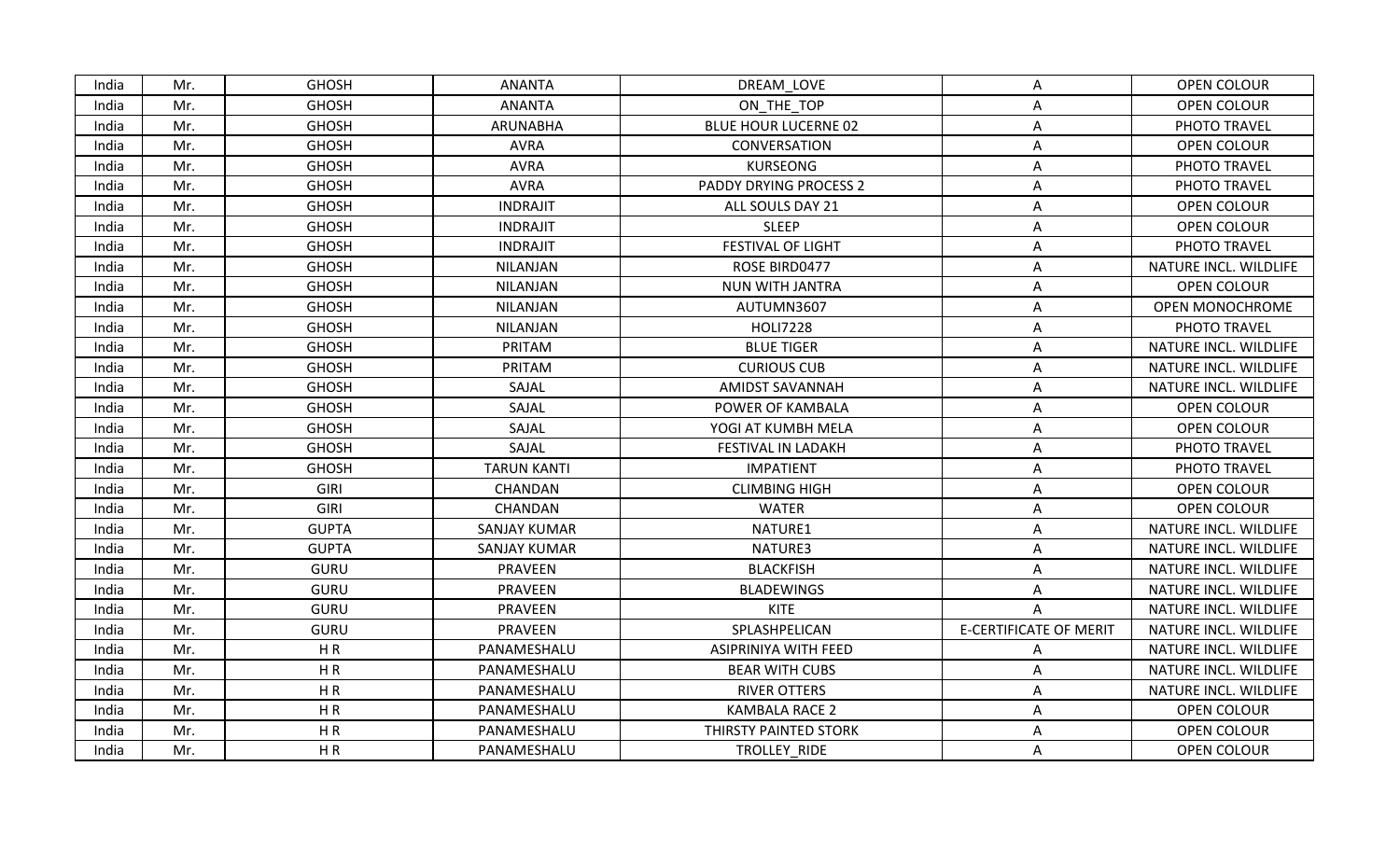| India | Mr. | <b>GHOSH</b> | <b>ANANTA</b>       | DREAM LOVE                    | Α                             | OPEN COLOUR            |
|-------|-----|--------------|---------------------|-------------------------------|-------------------------------|------------------------|
| India | Mr. | <b>GHOSH</b> | <b>ANANTA</b>       | ON THE TOP                    | Α                             | <b>OPEN COLOUR</b>     |
| India | Mr. | <b>GHOSH</b> | ARUNABHA            | <b>BLUE HOUR LUCERNE 02</b>   | Α                             | PHOTO TRAVEL           |
| India | Mr. | <b>GHOSH</b> | <b>AVRA</b>         | CONVERSATION                  | A                             | OPEN COLOUR            |
| India | Mr. | <b>GHOSH</b> | <b>AVRA</b>         | <b>KURSEONG</b>               | Α                             | PHOTO TRAVEL           |
| India | Mr. | <b>GHOSH</b> | <b>AVRA</b>         | <b>PADDY DRYING PROCESS 2</b> | A                             | PHOTO TRAVEL           |
| India | Mr. | <b>GHOSH</b> | <b>INDRAJIT</b>     | ALL SOULS DAY 21              | A                             | <b>OPEN COLOUR</b>     |
| India | Mr. | <b>GHOSH</b> | <b>INDRAJIT</b>     | <b>SLEEP</b>                  | Α                             | OPEN COLOUR            |
| India | Mr. | <b>GHOSH</b> | <b>INDRAJIT</b>     | <b>FESTIVAL OF LIGHT</b>      | A                             | PHOTO TRAVEL           |
| India | Mr. | <b>GHOSH</b> | <b>NILANJAN</b>     | ROSE BIRD0477                 | Α                             | NATURE INCL. WILDLIFE  |
| India | Mr. | <b>GHOSH</b> | NILANJAN            | NUN WITH JANTRA               | A                             | OPEN COLOUR            |
| India | Mr. | <b>GHOSH</b> | NILANJAN            | AUTUMN3607                    | Α                             | <b>OPEN MONOCHROME</b> |
| India | Mr. | <b>GHOSH</b> | <b>NILANJAN</b>     | <b>HOLI7228</b>               | A                             | PHOTO TRAVEL           |
| India | Mr. | <b>GHOSH</b> | PRITAM              | <b>BLUE TIGER</b>             | Α                             | NATURE INCL. WILDLIFE  |
| India | Mr. | <b>GHOSH</b> | PRITAM              | <b>CURIOUS CUB</b>            | A                             | NATURE INCL. WILDLIFE  |
| India | Mr. | <b>GHOSH</b> | SAJAL               | <b>AMIDST SAVANNAH</b>        | A                             | NATURE INCL. WILDLIFE  |
| India | Mr. | <b>GHOSH</b> | SAJAL               | POWER OF KAMBALA              | Α                             | <b>OPEN COLOUR</b>     |
| India | Mr. | <b>GHOSH</b> | SAJAL               | YOGI AT KUMBH MELA            | A                             | OPEN COLOUR            |
| India | Mr. | <b>GHOSH</b> | SAJAL               | FESTIVAL IN LADAKH            | A                             | PHOTO TRAVEL           |
| India | Mr. | <b>GHOSH</b> | <b>TARUN KANTI</b>  | <b>IMPATIENT</b>              | Α                             | PHOTO TRAVEL           |
| India | Mr. | GIRI         | CHANDAN             | <b>CLIMBING HIGH</b>          | A                             | OPEN COLOUR            |
| India | Mr. | GIRI         | CHANDAN             | <b>WATER</b>                  | Α                             | OPEN COLOUR            |
| India | Mr. | <b>GUPTA</b> | <b>SANJAY KUMAR</b> | NATURE1                       | Α                             | NATURE INCL. WILDLIFE  |
| India | Mr. | <b>GUPTA</b> | <b>SANJAY KUMAR</b> | NATURE3                       | Α                             | NATURE INCL. WILDLIFE  |
| India | Mr. | <b>GURU</b>  | PRAVEEN             | <b>BLACKFISH</b>              | Α                             | NATURE INCL. WILDLIFE  |
| India | Mr. | <b>GURU</b>  | PRAVEEN             | <b>BLADEWINGS</b>             | A                             | NATURE INCL. WILDLIFE  |
| India | Mr. | <b>GURU</b>  | PRAVEEN             | <b>KITE</b>                   | A                             | NATURE INCL. WILDLIFE  |
| India | Mr. | <b>GURU</b>  | PRAVEEN             | SPLASHPELICAN                 | <b>E-CERTIFICATE OF MERIT</b> | NATURE INCL. WILDLIFE  |
| India | Mr. | HR           | PANAMESHALU         | ASIPRINIYA WITH FEED          | Α                             | NATURE INCL. WILDLIFE  |
| India | Mr. | HR           | PANAMESHALU         | <b>BEAR WITH CUBS</b>         | Α                             | NATURE INCL. WILDLIFE  |
| India | Mr. | HR           | PANAMESHALU         | <b>RIVER OTTERS</b>           | A                             | NATURE INCL. WILDLIFE  |
| India | Mr. | HR           | PANAMESHALU         | <b>KAMBALA RACE 2</b>         | A                             | OPEN COLOUR            |
| India | Mr. | HR           | PANAMESHALU         | THIRSTY PAINTED STORK         | A                             | OPEN COLOUR            |
| India | Mr. | HR           | PANAMESHALU         | TROLLEY RIDE                  | A                             | OPEN COLOUR            |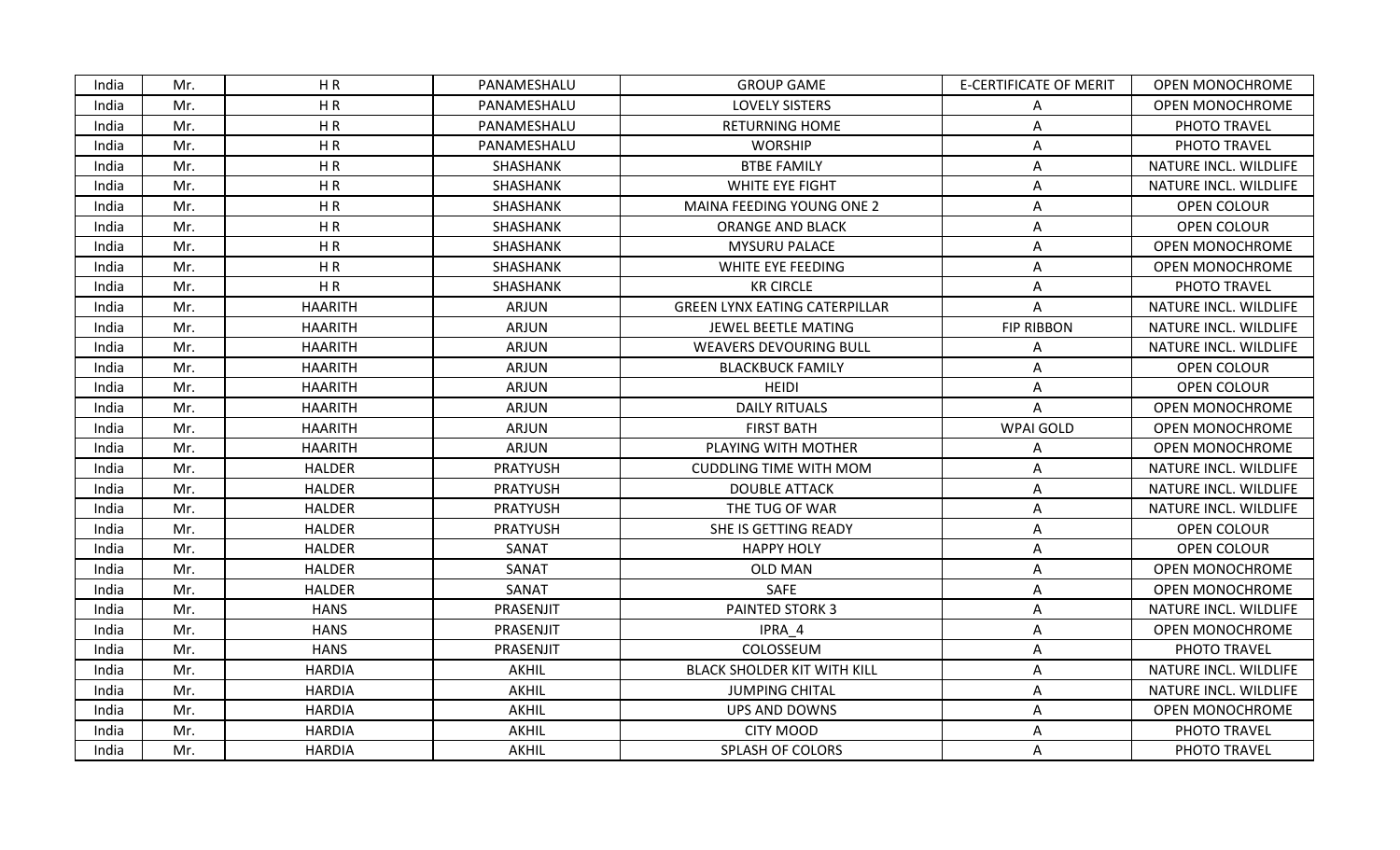| India | Mr. | HR             | PANAMESHALU     | <b>GROUP GAME</b>                    | <b>E-CERTIFICATE OF MERIT</b> | <b>OPEN MONOCHROME</b> |
|-------|-----|----------------|-----------------|--------------------------------------|-------------------------------|------------------------|
| India | Mr. | HR             | PANAMESHALU     | <b>LOVELY SISTERS</b>                | A                             | <b>OPEN MONOCHROME</b> |
| India | Mr. | HR             | PANAMESHALU     | <b>RETURNING HOME</b>                | Α                             | PHOTO TRAVEL           |
| India | Mr. | HR             | PANAMESHALU     | <b>WORSHIP</b>                       | Α                             | PHOTO TRAVEL           |
| India | Mr. | HR             | SHASHANK        | <b>BTBE FAMILY</b>                   | A                             | NATURE INCL. WILDLIFE  |
| India | Mr. | HR             | SHASHANK        | <b>WHITE EYE FIGHT</b>               | Α                             | NATURE INCL. WILDLIFE  |
| India | Mr. | HR             | SHASHANK        | MAINA FEEDING YOUNG ONE 2            | A                             | OPEN COLOUR            |
| India | Mr. | HR             | SHASHANK        | <b>ORANGE AND BLACK</b>              | A                             | OPEN COLOUR            |
| India | Mr. | HR             | SHASHANK        | <b>MYSURU PALACE</b>                 | A                             | <b>OPEN MONOCHROME</b> |
| India | Mr. | HR             | SHASHANK        | WHITE EYE FEEDING                    | A                             | <b>OPEN MONOCHROME</b> |
| India | Mr. | HR             | SHASHANK        | <b>KR CIRCLE</b>                     | A                             | PHOTO TRAVEL           |
| India | Mr. | <b>HAARITH</b> | ARJUN           | <b>GREEN LYNX EATING CATERPILLAR</b> | A                             | NATURE INCL. WILDLIFE  |
| India | Mr. | <b>HAARITH</b> | <b>ARJUN</b>    | JEWEL BEETLE MATING                  | <b>FIP RIBBON</b>             | NATURE INCL. WILDLIFE  |
| India | Mr. | <b>HAARITH</b> | ARJUN           | <b>WEAVERS DEVOURING BULL</b>        | A                             | NATURE INCL. WILDLIFE  |
| India | Mr. | <b>HAARITH</b> | ARJUN           | <b>BLACKBUCK FAMILY</b>              | Α                             | OPEN COLOUR            |
| India | Mr. | <b>HAARITH</b> | <b>ARJUN</b>    | <b>HEIDI</b>                         | A                             | OPEN COLOUR            |
| India | Mr. | <b>HAARITH</b> | ARJUN           | <b>DAILY RITUALS</b>                 | A                             | <b>OPEN MONOCHROME</b> |
| India | Mr. | <b>HAARITH</b> | <b>ARJUN</b>    | <b>FIRST BATH</b>                    | <b>WPAI GOLD</b>              | <b>OPEN MONOCHROME</b> |
| India | Mr. | <b>HAARITH</b> | ARJUN           | PLAYING WITH MOTHER                  | Α                             | OPEN MONOCHROME        |
| India | Mr. | <b>HALDER</b>  | PRATYUSH        | <b>CUDDLING TIME WITH MOM</b>        | A                             | NATURE INCL. WILDLIFE  |
| India | Mr. | <b>HALDER</b>  | <b>PRATYUSH</b> | <b>DOUBLE ATTACK</b>                 | A                             | NATURE INCL. WILDLIFE  |
| India | Mr. | <b>HALDER</b>  | <b>PRATYUSH</b> | THE TUG OF WAR                       | Α                             | NATURE INCL. WILDLIFE  |
| India | Mr. | <b>HALDER</b>  | <b>PRATYUSH</b> | SHE IS GETTING READY                 | Α                             | OPEN COLOUR            |
| India | Mr. | <b>HALDER</b>  | SANAT           | <b>HAPPY HOLY</b>                    | A                             | OPEN COLOUR            |
| India | Mr. | <b>HALDER</b>  | SANAT           | <b>OLD MAN</b>                       | Α                             | <b>OPEN MONOCHROME</b> |
| India | Mr. | <b>HALDER</b>  | SANAT           | SAFE                                 | A                             | OPEN MONOCHROME        |
| India | Mr. | <b>HANS</b>    | PRASENJIT       | PAINTED STORK 3                      | A                             | NATURE INCL. WILDLIFE  |
| India | Mr. | <b>HANS</b>    | PRASENJIT       | IPRA 4                               | Α                             | <b>OPEN MONOCHROME</b> |
| India | Mr. | <b>HANS</b>    | PRASENJIT       | COLOSSEUM                            | Α                             | PHOTO TRAVEL           |
| India | Mr. | <b>HARDIA</b>  | AKHIL           | <b>BLACK SHOLDER KIT WITH KILL</b>   | A                             | NATURE INCL. WILDLIFE  |
| India | Mr. | <b>HARDIA</b>  | AKHIL           | <b>JUMPING CHITAL</b>                | Α                             | NATURE INCL. WILDLIFE  |
| India | Mr. | <b>HARDIA</b>  | AKHIL           | <b>UPS AND DOWNS</b>                 | A                             | <b>OPEN MONOCHROME</b> |
| India | Mr. | <b>HARDIA</b>  | AKHIL           | <b>CITY MOOD</b>                     | A                             | PHOTO TRAVEL           |
| India | Mr. | <b>HARDIA</b>  | AKHIL           | <b>SPLASH OF COLORS</b>              | A                             | PHOTO TRAVEL           |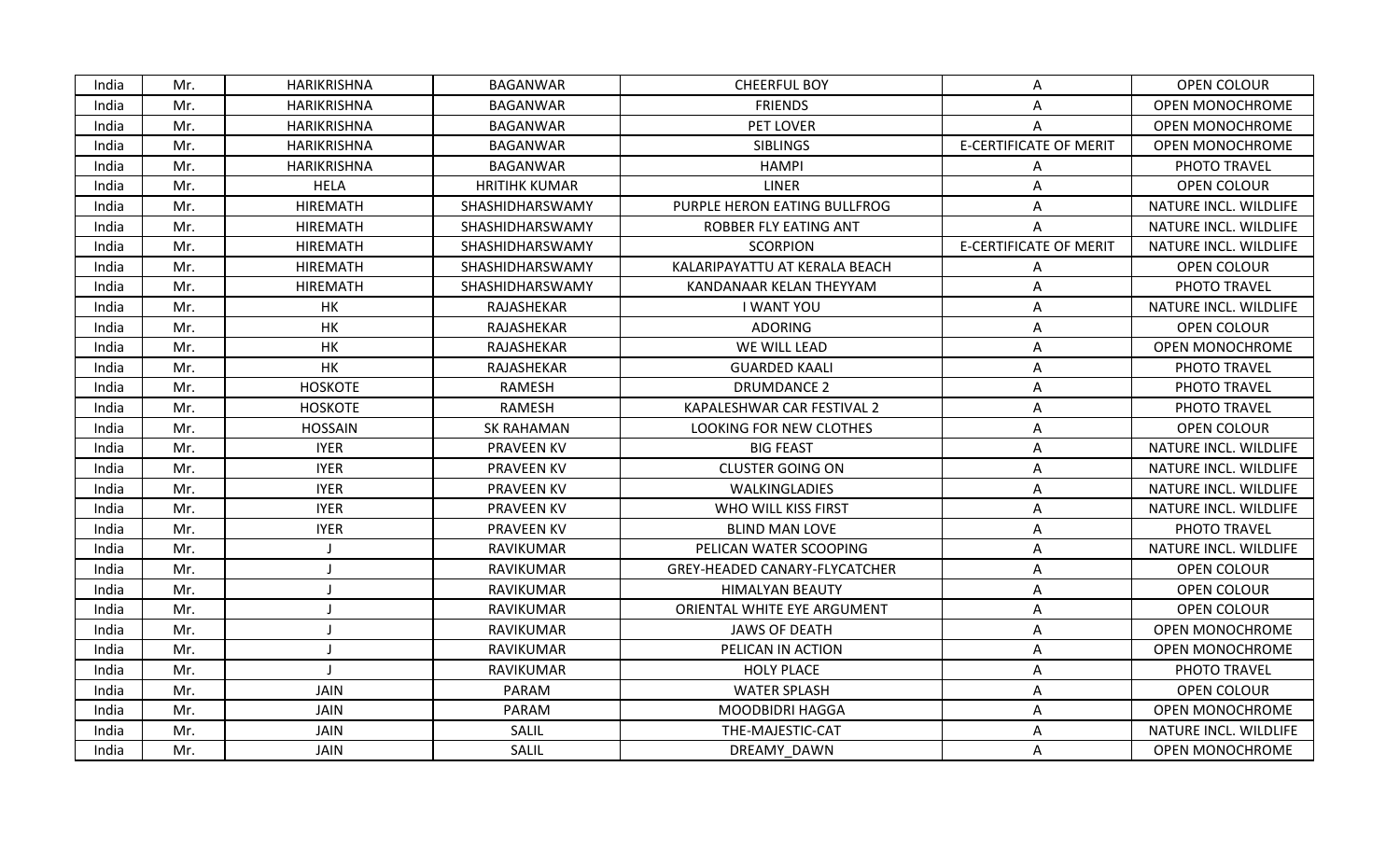| India | Mr. | HARIKRISHNA     | <b>BAGANWAR</b>      | <b>CHEERFUL BOY</b>           | A                             | OPEN COLOUR            |
|-------|-----|-----------------|----------------------|-------------------------------|-------------------------------|------------------------|
| India | Mr. | HARIKRISHNA     | <b>BAGANWAR</b>      | <b>FRIENDS</b>                | Α                             | OPEN MONOCHROME        |
| India | Mr. | HARIKRISHNA     | <b>BAGANWAR</b>      | PET LOVER                     | A                             | OPEN MONOCHROME        |
| India | Mr. | HARIKRISHNA     | <b>BAGANWAR</b>      | <b>SIBLINGS</b>               | <b>E-CERTIFICATE OF MERIT</b> | <b>OPEN MONOCHROME</b> |
| India | Mr. | HARIKRISHNA     | <b>BAGANWAR</b>      | <b>HAMPI</b>                  | A                             | PHOTO TRAVEL           |
| India | Mr. | <b>HELA</b>     | <b>HRITIHK KUMAR</b> | <b>LINER</b>                  | A                             | <b>OPEN COLOUR</b>     |
| India | Mr. | <b>HIREMATH</b> | SHASHIDHARSWAMY      | PURPLE HERON EATING BULLFROG  | Α                             | NATURE INCL. WILDLIFE  |
| India | Mr. | <b>HIREMATH</b> | SHASHIDHARSWAMY      | ROBBER FLY EATING ANT         | Α                             | NATURE INCL. WILDLIFE  |
| India | Mr. | <b>HIREMATH</b> | SHASHIDHARSWAMY      | <b>SCORPION</b>               | <b>E-CERTIFICATE OF MERIT</b> | NATURE INCL. WILDLIFE  |
| India | Mr. | <b>HIREMATH</b> | SHASHIDHARSWAMY      | KALARIPAYATTU AT KERALA BEACH | Α                             | <b>OPEN COLOUR</b>     |
| India | Mr. | <b>HIREMATH</b> | SHASHIDHARSWAMY      | KANDANAAR KELAN THEYYAM       | A                             | PHOTO TRAVEL           |
| India | Mr. | HK              | RAJASHEKAR           | <b>I WANT YOU</b>             | Α                             | NATURE INCL. WILDLIFE  |
| India | Mr. | HK              | RAJASHEKAR           | <b>ADORING</b>                | Α                             | OPEN COLOUR            |
| India | Mr. | HK              | RAJASHEKAR           | WE WILL LEAD                  | A                             | <b>OPEN MONOCHROME</b> |
| India | Mr. | HK              | RAJASHEKAR           | <b>GUARDED KAALI</b>          | Α                             | PHOTO TRAVEL           |
| India | Mr. | <b>HOSKOTE</b>  | RAMESH               | <b>DRUMDANCE 2</b>            | Α                             | PHOTO TRAVEL           |
| India | Mr. | <b>HOSKOTE</b>  | RAMESH               | KAPALESHWAR CAR FESTIVAL 2    | Α                             | PHOTO TRAVEL           |
| India | Mr. | <b>HOSSAIN</b>  | <b>SK RAHAMAN</b>    | LOOKING FOR NEW CLOTHES       | Α                             | OPEN COLOUR            |
| India | Mr. | <b>IYER</b>     | <b>PRAVEEN KV</b>    | <b>BIG FEAST</b>              | Α                             | NATURE INCL. WILDLIFE  |
| India | Mr. | <b>IYER</b>     | <b>PRAVEEN KV</b>    | <b>CLUSTER GOING ON</b>       | A                             | NATURE INCL. WILDLIFE  |
| India | Mr. | <b>IYER</b>     | <b>PRAVEEN KV</b>    | WALKINGLADIES                 | A                             | NATURE INCL. WILDLIFE  |
| India | Mr. | <b>IYER</b>     | <b>PRAVEEN KV</b>    | WHO WILL KISS FIRST           | Α                             | NATURE INCL. WILDLIFE  |
| India | Mr. | <b>IYER</b>     | <b>PRAVEEN KV</b>    | <b>BLIND MAN LOVE</b>         | Α                             | PHOTO TRAVEL           |
| India | Mr. |                 | RAVIKUMAR            | PELICAN WATER SCOOPING        | A                             | NATURE INCL. WILDLIFE  |
| India | Mr. |                 | RAVIKUMAR            | GREY-HEADED CANARY-FLYCATCHER | Α                             | <b>OPEN COLOUR</b>     |
| India | Mr. |                 | RAVIKUMAR            | <b>HIMALYAN BEAUTY</b>        | A                             | OPEN COLOUR            |
| India | Mr. |                 | RAVIKUMAR            | ORIENTAL WHITE EYE ARGUMENT   | Α                             | <b>OPEN COLOUR</b>     |
| India | Mr. |                 | RAVIKUMAR            | <b>JAWS OF DEATH</b>          | Α                             | <b>OPEN MONOCHROME</b> |
| India | Mr. |                 | RAVIKUMAR            | PELICAN IN ACTION             | Α                             | <b>OPEN MONOCHROME</b> |
| India | Mr. |                 | RAVIKUMAR            | <b>HOLY PLACE</b>             | Α                             | PHOTO TRAVEL           |
| India | Mr. | <b>JAIN</b>     | PARAM                | <b>WATER SPLASH</b>           | A                             | OPEN COLOUR            |
| India | Mr. | JAIN            | PARAM                | <b>MOODBIDRI HAGGA</b>        | Α                             | <b>OPEN MONOCHROME</b> |
| India | Mr. | <b>JAIN</b>     | SALIL                | THE-MAJESTIC-CAT              | Α                             | NATURE INCL. WILDLIFE  |
| India | Mr. | JAIN            | SALIL                | DREAMY DAWN                   | A                             | OPEN MONOCHROME        |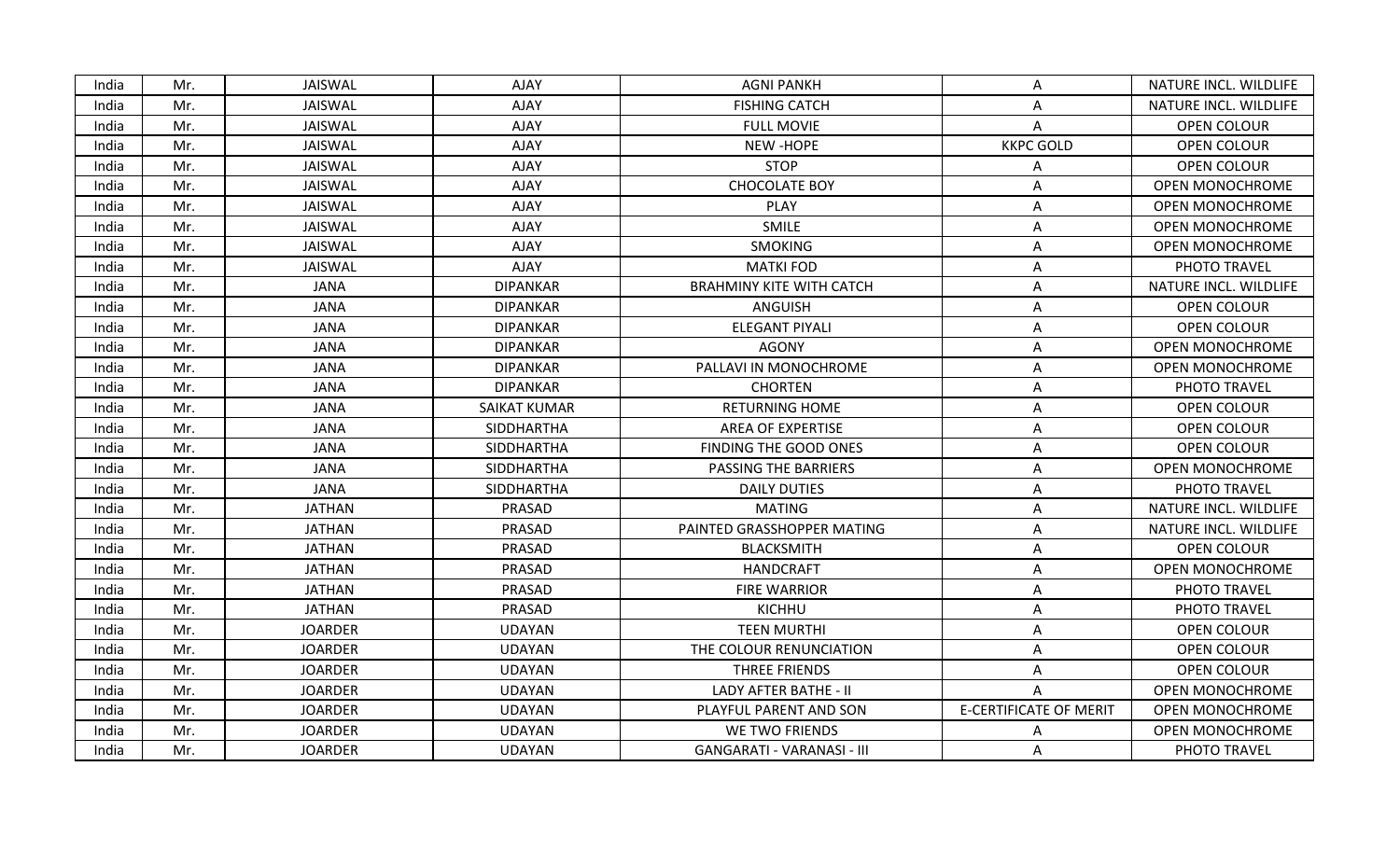| India | Mr. | JAISWAL        | <b>AJAY</b>         | <b>AGNI PANKH</b>                 | A                             | NATURE INCL. WILDLIFE  |
|-------|-----|----------------|---------------------|-----------------------------------|-------------------------------|------------------------|
| India | Mr. | JAISWAL        | AJAY                | <b>FISHING CATCH</b>              | A                             | NATURE INCL. WILDLIFE  |
| India | Mr. | JAISWAL        | <b>AJAY</b>         | <b>FULL MOVIE</b>                 | A                             | OPEN COLOUR            |
| India | Mr. | JAISWAL        | AJAY                | NEW-HOPE                          | <b>KKPC GOLD</b>              | OPEN COLOUR            |
| India | Mr. | JAISWAL        | AJAY                | <b>STOP</b>                       | Α                             | OPEN COLOUR            |
| India | Mr. | JAISWAL        | AJAY                | <b>CHOCOLATE BOY</b>              | Α                             | OPEN MONOCHROME        |
| India | Mr. | JAISWAL        | AJAY                | <b>PLAY</b>                       | A                             | <b>OPEN MONOCHROME</b> |
| India | Mr. | JAISWAL        | AJAY                | SMILE                             | A                             | <b>OPEN MONOCHROME</b> |
| India | Mr. | JAISWAL        | AJAY                | <b>SMOKING</b>                    | A                             | <b>OPEN MONOCHROME</b> |
| India | Mr. | JAISWAL        | AJAY                | <b>MATKI FOD</b>                  | Α                             | PHOTO TRAVEL           |
| India | Mr. | <b>JANA</b>    | <b>DIPANKAR</b>     | <b>BRAHMINY KITE WITH CATCH</b>   | Α                             | NATURE INCL. WILDLIFE  |
| India | Mr. | <b>JANA</b>    | <b>DIPANKAR</b>     | <b>ANGUISH</b>                    | Α                             | OPEN COLOUR            |
| India | Mr. | <b>JANA</b>    | <b>DIPANKAR</b>     | <b>ELEGANT PIYALI</b>             | Α                             | OPEN COLOUR            |
| India | Mr. | <b>JANA</b>    | <b>DIPANKAR</b>     | <b>AGONY</b>                      | Α                             | <b>OPEN MONOCHROME</b> |
| India | Mr. | <b>JANA</b>    | <b>DIPANKAR</b>     | PALLAVI IN MONOCHROME             | Α                             | OPEN MONOCHROME        |
| India | Mr. | <b>JANA</b>    | <b>DIPANKAR</b>     | <b>CHORTEN</b>                    | A                             | PHOTO TRAVEL           |
| India | Mr. | <b>JANA</b>    | <b>SAIKAT KUMAR</b> | <b>RETURNING HOME</b>             | A                             | OPEN COLOUR            |
| India | Mr. | <b>JANA</b>    | SIDDHARTHA          | AREA OF EXPERTISE                 | Α                             | OPEN COLOUR            |
| India | Mr. | <b>JANA</b>    | SIDDHARTHA          | FINDING THE GOOD ONES             | A                             | OPEN COLOUR            |
| India | Mr. | <b>JANA</b>    | SIDDHARTHA          | PASSING THE BARRIERS              | Α                             | OPEN MONOCHROME        |
| India | Mr. | <b>JANA</b>    | SIDDHARTHA          | <b>DAILY DUTIES</b>               | A                             | PHOTO TRAVEL           |
| India | Mr. | <b>JATHAN</b>  | PRASAD              | <b>MATING</b>                     | Α                             | NATURE INCL. WILDLIFE  |
| India | Mr. | <b>JATHAN</b>  | PRASAD              | PAINTED GRASSHOPPER MATING        | Α                             | NATURE INCL. WILDLIFE  |
| India | Mr. | <b>JATHAN</b>  | PRASAD              | <b>BLACKSMITH</b>                 | Α                             | <b>OPEN COLOUR</b>     |
| India | Mr. | <b>JATHAN</b>  | PRASAD              | <b>HANDCRAFT</b>                  | Α                             | <b>OPEN MONOCHROME</b> |
| India | Mr. | <b>JATHAN</b>  | PRASAD              | <b>FIRE WARRIOR</b>               | Α                             | PHOTO TRAVEL           |
| India | Mr. | <b>JATHAN</b>  | PRASAD              | <b>KICHHU</b>                     | Α                             | PHOTO TRAVEL           |
| India | Mr. | <b>JOARDER</b> | <b>UDAYAN</b>       | <b>TEEN MURTHI</b>                | A                             | OPEN COLOUR            |
| India | Mr. | <b>JOARDER</b> | <b>UDAYAN</b>       | THE COLOUR RENUNCIATION           | Α                             | <b>OPEN COLOUR</b>     |
| India | Mr. | <b>JOARDER</b> | <b>UDAYAN</b>       | THREE FRIENDS                     | Α                             | <b>OPEN COLOUR</b>     |
| India | Mr. | <b>JOARDER</b> | <b>UDAYAN</b>       | LADY AFTER BATHE - II             | A                             | OPEN MONOCHROME        |
| India | Mr. | <b>JOARDER</b> | <b>UDAYAN</b>       | PLAYFUL PARENT AND SON            | <b>E-CERTIFICATE OF MERIT</b> | OPEN MONOCHROME        |
| India | Mr. | <b>JOARDER</b> | <b>UDAYAN</b>       | WE TWO FRIENDS                    | A                             | <b>OPEN MONOCHROME</b> |
| India | Mr. | <b>JOARDER</b> | UDAYAN              | <b>GANGARATI - VARANASI - III</b> | A                             | PHOTO TRAVEL           |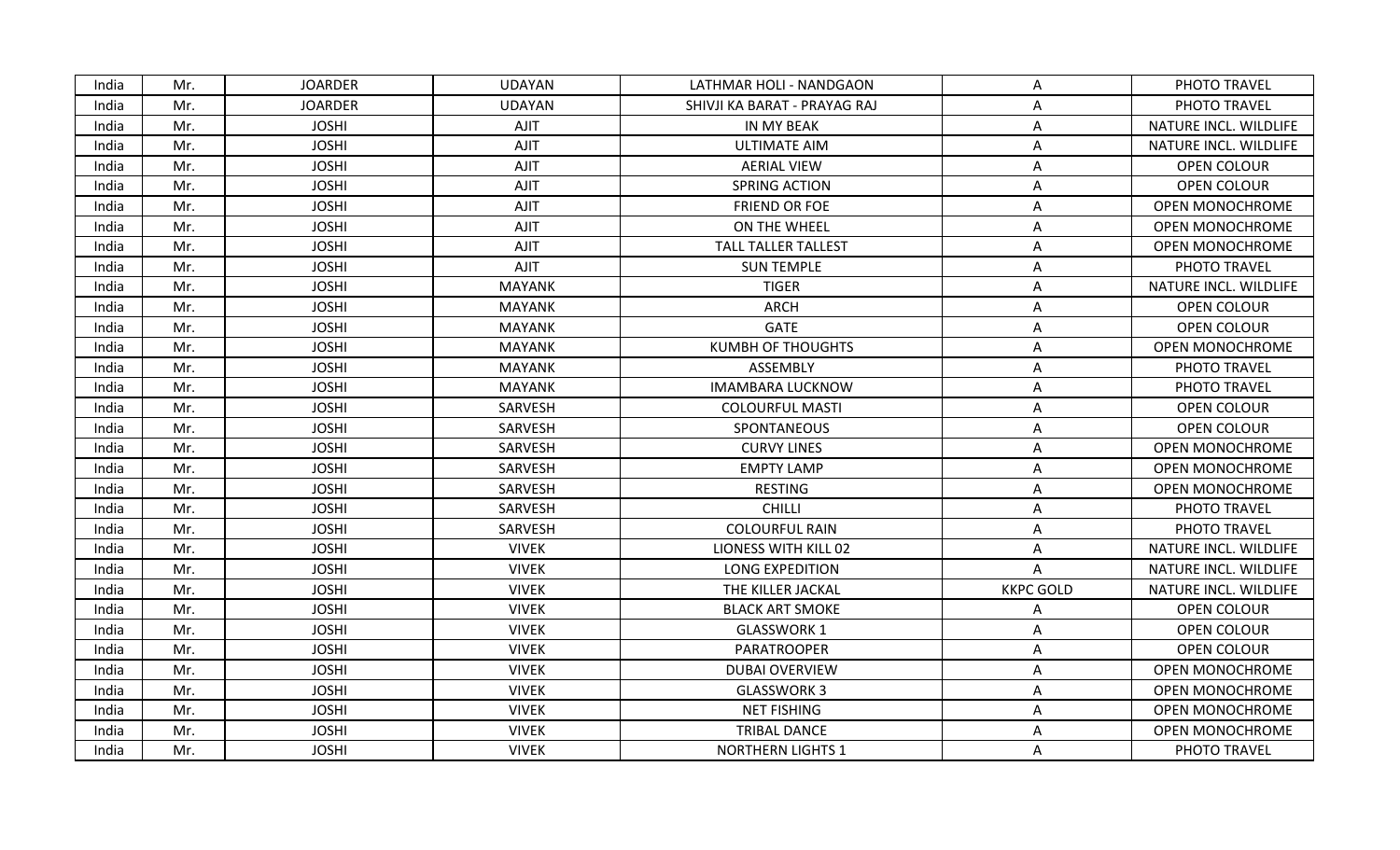| India | Mr. | <b>JOARDER</b> | <b>UDAYAN</b> | LATHMAR HOLI - NANDGAON      | A                | PHOTO TRAVEL           |
|-------|-----|----------------|---------------|------------------------------|------------------|------------------------|
| India | Mr. | <b>JOARDER</b> | <b>UDAYAN</b> | SHIVJI KA BARAT - PRAYAG RAJ | Α                | PHOTO TRAVEL           |
| India | Mr. | <b>JOSHI</b>   | AJIT          | IN MY BEAK                   | Α                | NATURE INCL. WILDLIFE  |
| India | Mr. | <b>JOSHI</b>   | AJIT          | <b>ULTIMATE AIM</b>          | Α                | NATURE INCL. WILDLIFE  |
| India | Mr. | <b>JOSHI</b>   | AJIT          | <b>AERIAL VIEW</b>           | Α                | OPEN COLOUR            |
| India | Mr. | <b>JOSHI</b>   | AJIT          | SPRING ACTION                | Α                | OPEN COLOUR            |
| India | Mr. | <b>JOSHI</b>   | AJIT          | <b>FRIEND OR FOE</b>         | Α                | <b>OPEN MONOCHROME</b> |
| India | Mr. | <b>JOSHI</b>   | AJIT          | ON THE WHEEL                 | Α                | <b>OPEN MONOCHROME</b> |
| India | Mr. | <b>JOSHI</b>   | AJIT          | <b>TALL TALLER TALLEST</b>   | Α                | <b>OPEN MONOCHROME</b> |
| India | Mr. | <b>JOSHI</b>   | AJIT          | <b>SUN TEMPLE</b>            | A                | PHOTO TRAVEL           |
| India | Mr. | <b>JOSHI</b>   | <b>MAYANK</b> | <b>TIGER</b>                 | A                | NATURE INCL. WILDLIFE  |
| India | Mr. | <b>JOSHI</b>   | <b>MAYANK</b> | <b>ARCH</b>                  | A                | OPEN COLOUR            |
| India | Mr. | <b>JOSHI</b>   | <b>MAYANK</b> | <b>GATE</b>                  | A                | OPEN COLOUR            |
| India | Mr. | <b>JOSHI</b>   | <b>MAYANK</b> | <b>KUMBH OF THOUGHTS</b>     | Α                | <b>OPEN MONOCHROME</b> |
| India | Mr. | <b>JOSHI</b>   | <b>MAYANK</b> | ASSEMBLY                     | Α                | PHOTO TRAVEL           |
| India | Mr. | <b>JOSHI</b>   | <b>MAYANK</b> | <b>IMAMBARA LUCKNOW</b>      | Α                | PHOTO TRAVEL           |
| India | Mr. | <b>JOSHI</b>   | SARVESH       | <b>COLOURFUL MASTI</b>       | Α                | OPEN COLOUR            |
| India | Mr. | <b>JOSHI</b>   | SARVESH       | SPONTANEOUS                  | Α                | OPEN COLOUR            |
| India | Mr. | <b>JOSHI</b>   | SARVESH       | <b>CURVY LINES</b>           | A                | <b>OPEN MONOCHROME</b> |
| India | Mr. | <b>JOSHI</b>   | SARVESH       | <b>EMPTY LAMP</b>            | A                | <b>OPEN MONOCHROME</b> |
| India | Mr. | <b>JOSHI</b>   | SARVESH       | <b>RESTING</b>               | A                | <b>OPEN MONOCHROME</b> |
| India | Mr. | <b>JOSHI</b>   | SARVESH       | <b>CHILLI</b>                | A                | PHOTO TRAVEL           |
| India | Mr. | <b>JOSHI</b>   | SARVESH       | <b>COLOURFUL RAIN</b>        | Α                | PHOTO TRAVEL           |
| India | Mr. | <b>JOSHI</b>   | <b>VIVEK</b>  | LIONESS WITH KILL 02         | А                | NATURE INCL. WILDLIFE  |
| India | Mr. | <b>JOSHI</b>   | <b>VIVEK</b>  | <b>LONG EXPEDITION</b>       | A                | NATURE INCL. WILDLIFE  |
| India | Mr. | <b>JOSHI</b>   | <b>VIVEK</b>  | THE KILLER JACKAL            | <b>KKPC GOLD</b> | NATURE INCL. WILDLIFE  |
| India | Mr. | <b>JOSHI</b>   | <b>VIVEK</b>  | <b>BLACK ART SMOKE</b>       | Α                | OPEN COLOUR            |
| India | Mr. | <b>JOSHI</b>   | <b>VIVEK</b>  | <b>GLASSWORK 1</b>           | Α                | OPEN COLOUR            |
| India | Mr. | <b>JOSHI</b>   | <b>VIVEK</b>  | PARATROOPER                  | A                | <b>OPEN COLOUR</b>     |
| India | Mr. | <b>JOSHI</b>   | <b>VIVEK</b>  | <b>DUBAI OVERVIEW</b>        | Α                | <b>OPEN MONOCHROME</b> |
| India | Mr. | <b>JOSHI</b>   | <b>VIVEK</b>  | <b>GLASSWORK 3</b>           | Α                | <b>OPEN MONOCHROME</b> |
| India | Mr. | <b>JOSHI</b>   | <b>VIVEK</b>  | <b>NET FISHING</b>           | Α                | <b>OPEN MONOCHROME</b> |
| India | Mr. | <b>JOSHI</b>   | <b>VIVEK</b>  | <b>TRIBAL DANCE</b>          | Α                | <b>OPEN MONOCHROME</b> |
| India | Mr. | <b>JOSHI</b>   | <b>VIVEK</b>  | <b>NORTHERN LIGHTS 1</b>     | A                | PHOTO TRAVEL           |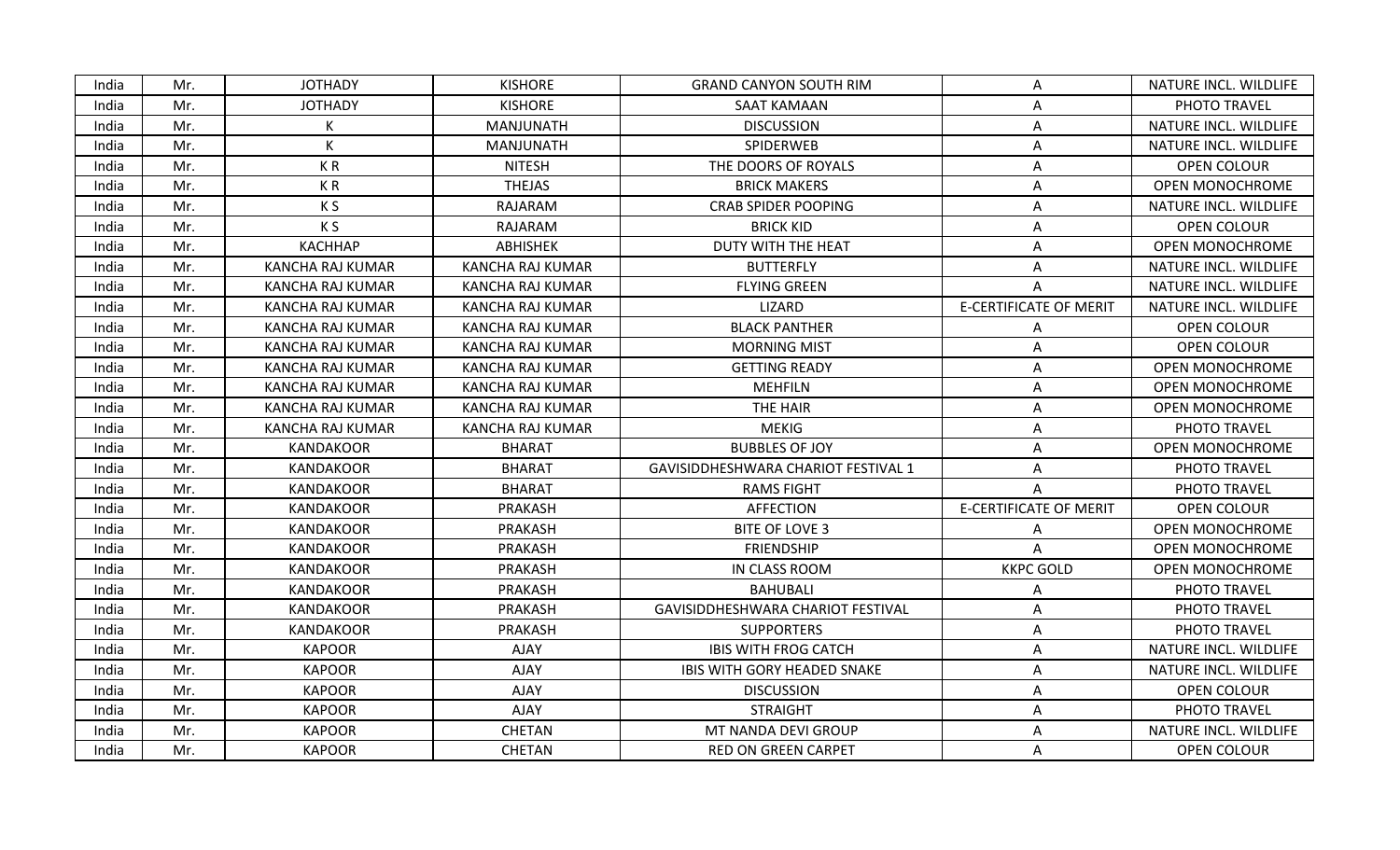| <b>JOTHADY</b><br><b>KISHORE</b><br><b>GRAND CANYON SOUTH RIM</b><br>India<br>Mr.<br>Α<br><b>JOTHADY</b><br><b>KISHORE</b><br>India<br>Mr.<br>SAAT KAMAAN<br>A<br><b>DISCUSSION</b><br>Mr.<br>K<br>MANJUNATH<br>India<br>Α<br>K<br>SPIDERWEB<br>India<br>Mr.<br>MANJUNATH<br>Α<br>Mr.<br>KR<br><b>NITESH</b><br>THE DOORS OF ROYALS<br>India<br>Α<br><b>THEJAS</b><br>India<br>Mr.<br>KR<br><b>BRICK MAKERS</b><br>A<br>K S<br>RAJARAM<br><b>CRAB SPIDER POOPING</b><br>India<br>Mr.<br>A | NATURE INCL. WILDLIFE<br>PHOTO TRAVEL<br>NATURE INCL. WILDLIFE<br>NATURE INCL. WILDLIFE<br>OPEN COLOUR<br>OPEN MONOCHROME |
|-------------------------------------------------------------------------------------------------------------------------------------------------------------------------------------------------------------------------------------------------------------------------------------------------------------------------------------------------------------------------------------------------------------------------------------------------------------------------------------------|---------------------------------------------------------------------------------------------------------------------------|
|                                                                                                                                                                                                                                                                                                                                                                                                                                                                                           |                                                                                                                           |
|                                                                                                                                                                                                                                                                                                                                                                                                                                                                                           |                                                                                                                           |
|                                                                                                                                                                                                                                                                                                                                                                                                                                                                                           |                                                                                                                           |
|                                                                                                                                                                                                                                                                                                                                                                                                                                                                                           |                                                                                                                           |
|                                                                                                                                                                                                                                                                                                                                                                                                                                                                                           |                                                                                                                           |
|                                                                                                                                                                                                                                                                                                                                                                                                                                                                                           |                                                                                                                           |
|                                                                                                                                                                                                                                                                                                                                                                                                                                                                                           | NATURE INCL. WILDLIFE                                                                                                     |
| Mr.<br>K S<br>RAJARAM<br><b>BRICK KID</b><br>India<br>A                                                                                                                                                                                                                                                                                                                                                                                                                                   | OPEN COLOUR                                                                                                               |
| <b>KACHHAP</b><br>India<br>Mr.<br><b>ABHISHEK</b><br>DUTY WITH THE HEAT<br>A                                                                                                                                                                                                                                                                                                                                                                                                              | <b>OPEN MONOCHROME</b>                                                                                                    |
| India<br>Mr.<br><b>KANCHA RAJ KUMAR</b><br><b>KANCHA RAJ KUMAR</b><br><b>BUTTERFLY</b><br>A                                                                                                                                                                                                                                                                                                                                                                                               | NATURE INCL. WILDLIFE                                                                                                     |
| India<br>Mr.<br>KANCHA RAJ KUMAR<br>KANCHA RAJ KUMAR<br><b>FLYING GREEN</b>                                                                                                                                                                                                                                                                                                                                                                                                               | NATURE INCL. WILDLIFE                                                                                                     |
| <b>E-CERTIFICATE OF MERIT</b><br>Mr.<br><b>KANCHA RAJ KUMAR</b><br>KANCHA RAJ KUMAR<br>LIZARD<br>India                                                                                                                                                                                                                                                                                                                                                                                    | NATURE INCL. WILDLIFE                                                                                                     |
| KANCHA RAJ KUMAR<br><b>BLACK PANTHER</b><br>India<br>Mr.<br>KANCHA RAJ KUMAR<br>А                                                                                                                                                                                                                                                                                                                                                                                                         | OPEN COLOUR                                                                                                               |
| India<br>Mr.<br>KANCHA RAJ KUMAR<br>KANCHA RAJ KUMAR<br><b>MORNING MIST</b><br>Α                                                                                                                                                                                                                                                                                                                                                                                                          | OPEN COLOUR                                                                                                               |
| <b>KANCHA RAJ KUMAR</b><br><b>KANCHA RAJ KUMAR</b><br><b>GETTING READY</b><br>India<br>Mr.<br>A                                                                                                                                                                                                                                                                                                                                                                                           | <b>OPEN MONOCHROME</b>                                                                                                    |
| <b>MEHFILN</b><br>India<br>Mr.<br>KANCHA RAJ KUMAR<br>KANCHA RAJ KUMAR<br>Α                                                                                                                                                                                                                                                                                                                                                                                                               | <b>OPEN MONOCHROME</b>                                                                                                    |
| <b>KANCHA RAJ KUMAR</b><br><b>KANCHA RAJ KUMAR</b><br>THE HAIR<br>India<br>Mr.<br>Α                                                                                                                                                                                                                                                                                                                                                                                                       | <b>OPEN MONOCHROME</b>                                                                                                    |
| KANCHA RAJ KUMAR<br><b>MEKIG</b><br>India<br>Mr.<br>KANCHA RAJ KUMAR<br>Α                                                                                                                                                                                                                                                                                                                                                                                                                 | PHOTO TRAVEL                                                                                                              |
| <b>BHARAT</b><br><b>BUBBLES OF JOY</b><br>India<br>Mr.<br><b>KANDAKOOR</b><br>Α                                                                                                                                                                                                                                                                                                                                                                                                           | <b>OPEN MONOCHROME</b>                                                                                                    |
| <b>BHARAT</b><br>India<br>Mr.<br><b>KANDAKOOR</b><br>GAVISIDDHESHWARA CHARIOT FESTIVAL 1<br>A                                                                                                                                                                                                                                                                                                                                                                                             | PHOTO TRAVEL                                                                                                              |
| <b>BHARAT</b><br><b>KANDAKOOR</b><br>India<br>Mr.<br><b>RAMS FIGHT</b>                                                                                                                                                                                                                                                                                                                                                                                                                    | PHOTO TRAVEL                                                                                                              |
| <b>E-CERTIFICATE OF MERIT</b><br>Mr.<br><b>KANDAKOOR</b><br>PRAKASH<br><b>AFFECTION</b><br>India                                                                                                                                                                                                                                                                                                                                                                                          | OPEN COLOUR                                                                                                               |
| PRAKASH<br>India<br>Mr.<br><b>KANDAKOOR</b><br><b>BITE OF LOVE 3</b><br>Α                                                                                                                                                                                                                                                                                                                                                                                                                 | <b>OPEN MONOCHROME</b>                                                                                                    |
| <b>KANDAKOOR</b><br>PRAKASH<br><b>FRIENDSHIP</b><br>India<br>Mr.<br>A                                                                                                                                                                                                                                                                                                                                                                                                                     | <b>OPEN MONOCHROME</b>                                                                                                    |
|                                                                                                                                                                                                                                                                                                                                                                                                                                                                                           |                                                                                                                           |
| <b>KKPC GOLD</b><br><b>KANDAKOOR</b><br>PRAKASH<br>IN CLASS ROOM<br>India<br>Mr.                                                                                                                                                                                                                                                                                                                                                                                                          | <b>OPEN MONOCHROME</b>                                                                                                    |
| Mr.<br><b>KANDAKOOR</b><br>PRAKASH<br><b>BAHUBALI</b><br>India<br>A                                                                                                                                                                                                                                                                                                                                                                                                                       | PHOTO TRAVEL                                                                                                              |
| <b>KANDAKOOR</b><br>PRAKASH<br>GAVISIDDHESHWARA CHARIOT FESTIVAL<br>India<br>Mr.<br>Α                                                                                                                                                                                                                                                                                                                                                                                                     | PHOTO TRAVEL                                                                                                              |
| India<br>Mr.<br><b>KANDAKOOR</b><br>PRAKASH<br><b>SUPPORTERS</b><br>Α                                                                                                                                                                                                                                                                                                                                                                                                                     | PHOTO TRAVEL                                                                                                              |
| Mr.<br><b>KAPOOR</b><br>AJAY<br><b>IBIS WITH FROG CATCH</b><br>India<br>A                                                                                                                                                                                                                                                                                                                                                                                                                 | NATURE INCL. WILDLIFE                                                                                                     |
| <b>KAPOOR</b><br>AJAY<br>Mr.<br><b>IBIS WITH GORY HEADED SNAKE</b><br>Α<br>India                                                                                                                                                                                                                                                                                                                                                                                                          | NATURE INCL. WILDLIFE                                                                                                     |
| AJAY<br>Mr.<br><b>KAPOOR</b><br><b>DISCUSSION</b><br>India<br>Α                                                                                                                                                                                                                                                                                                                                                                                                                           | <b>OPEN COLOUR</b>                                                                                                        |
| India<br><b>KAPOOR</b><br>AJAY<br><b>STRAIGHT</b><br>Mr.<br>A                                                                                                                                                                                                                                                                                                                                                                                                                             | PHOTO TRAVEL                                                                                                              |
| India<br>Mr.<br><b>KAPOOR</b><br>CHETAN<br>MT NANDA DEVI GROUP<br>Α                                                                                                                                                                                                                                                                                                                                                                                                                       | NATURE INCL. WILDLIFE                                                                                                     |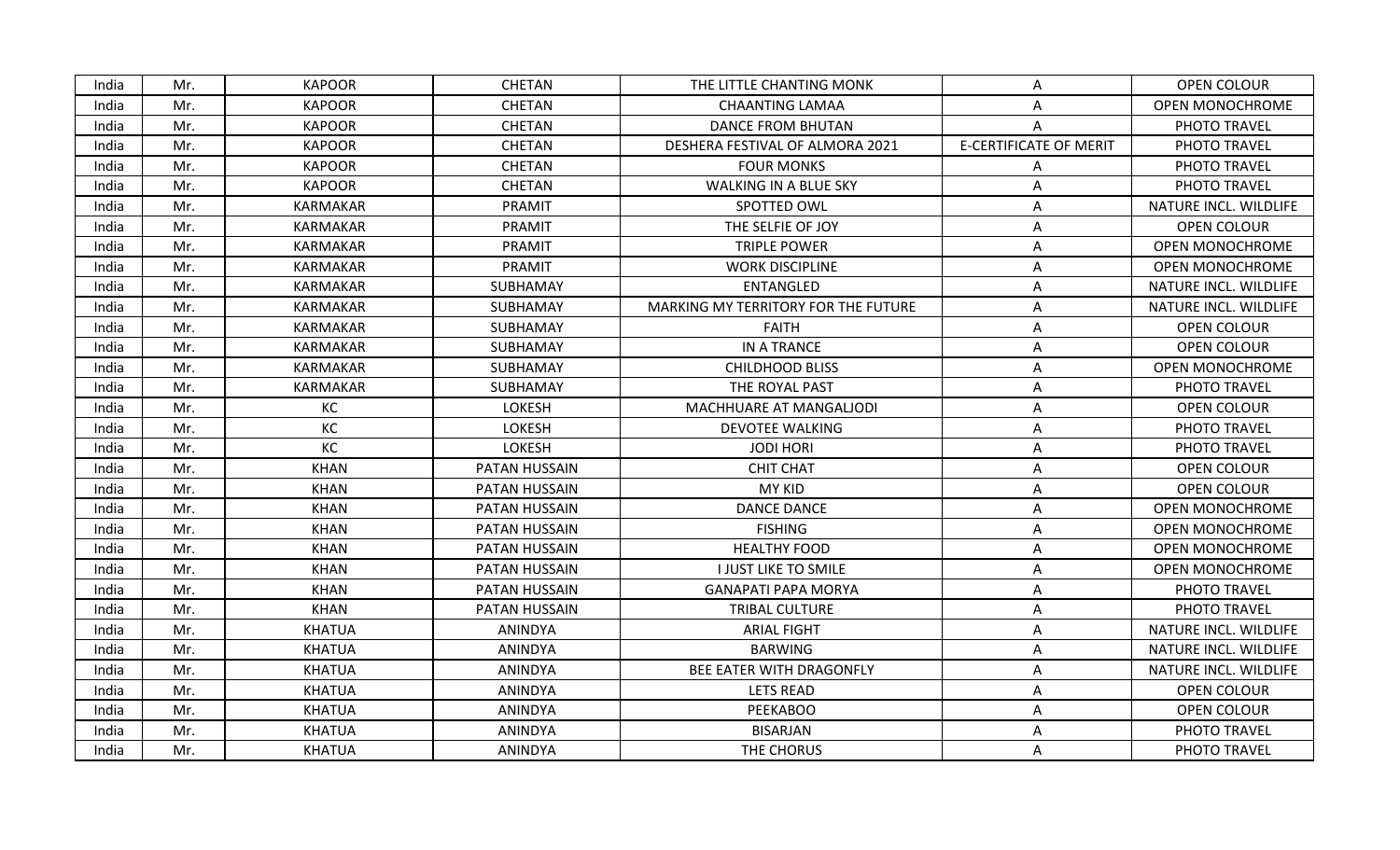| India | Mr. | <b>KAPOOR</b>   | <b>CHETAN</b>  | THE LITTLE CHANTING MONK            | Α                             | OPEN COLOUR            |
|-------|-----|-----------------|----------------|-------------------------------------|-------------------------------|------------------------|
| India | Mr. | <b>KAPOOR</b>   | <b>CHETAN</b>  | <b>CHAANTING LAMAA</b>              | Α                             | <b>OPEN MONOCHROME</b> |
| India | Mr. | <b>KAPOOR</b>   | <b>CHETAN</b>  | <b>DANCE FROM BHUTAN</b>            | A                             | PHOTO TRAVEL           |
| India | Mr. | <b>KAPOOR</b>   | <b>CHETAN</b>  | DESHERA FESTIVAL OF ALMORA 2021     | <b>E-CERTIFICATE OF MERIT</b> | PHOTO TRAVEL           |
| India | Mr. | <b>KAPOOR</b>   | <b>CHETAN</b>  | <b>FOUR MONKS</b>                   | Α                             | PHOTO TRAVEL           |
| India | Mr. | <b>KAPOOR</b>   | CHETAN         | <b>WALKING IN A BLUE SKY</b>        | Α                             | PHOTO TRAVEL           |
| India | Mr. | <b>KARMAKAR</b> | PRAMIT         | SPOTTED OWL                         | A                             | NATURE INCL. WILDLIFE  |
| India | Mr. | <b>KARMAKAR</b> | PRAMIT         | THE SELFIE OF JOY                   | Α                             | OPEN COLOUR            |
| India | Mr. | <b>KARMAKAR</b> | PRAMIT         | <b>TRIPLE POWER</b>                 | Α                             | <b>OPEN MONOCHROME</b> |
| India | Mr. | <b>KARMAKAR</b> | <b>PRAMIT</b>  | <b>WORK DISCIPLINE</b>              | Α                             | OPEN MONOCHROME        |
| India | Mr. | <b>KARMAKAR</b> | SUBHAMAY       | <b>ENTANGLED</b>                    | A                             | NATURE INCL. WILDLIFE  |
| India | Mr. | <b>KARMAKAR</b> | SUBHAMAY       | MARKING MY TERRITORY FOR THE FUTURE | Α                             | NATURE INCL. WILDLIFE  |
| India | Mr. | <b>KARMAKAR</b> | SUBHAMAY       | <b>FAITH</b>                        | A                             | OPEN COLOUR            |
| India | Mr. | <b>KARMAKAR</b> | SUBHAMAY       | IN A TRANCE                         | Α                             | <b>OPEN COLOUR</b>     |
| India | Mr. | <b>KARMAKAR</b> | SUBHAMAY       | <b>CHILDHOOD BLISS</b>              | A                             | <b>OPEN MONOCHROME</b> |
| India | Mr. | <b>KARMAKAR</b> | SUBHAMAY       | THE ROYAL PAST                      | A                             | PHOTO TRAVEL           |
| India | Mr. | KC              | LOKESH         | MACHHUARE AT MANGALJODI             | Α                             | <b>OPEN COLOUR</b>     |
| India | Mr. | KC              | <b>LOKESH</b>  | <b>DEVOTEE WALKING</b>              | A                             | PHOTO TRAVEL           |
| India | Mr. | KC              | LOKESH         | <b>JODI HORI</b>                    | Α                             | PHOTO TRAVEL           |
| India | Mr. | <b>KHAN</b>     | PATAN HUSSAIN  | <b>CHIT CHAT</b>                    | Α                             | OPEN COLOUR            |
| India | Mr. | <b>KHAN</b>     | PATAN HUSSAIN  | <b>MY KID</b>                       | A                             | OPEN COLOUR            |
| India | Mr. | <b>KHAN</b>     | PATAN HUSSAIN  | <b>DANCE DANCE</b>                  | Α                             | <b>OPEN MONOCHROME</b> |
| India | Mr. | <b>KHAN</b>     | PATAN HUSSAIN  | <b>FISHING</b>                      | Α                             | <b>OPEN MONOCHROME</b> |
| India | Mr. | <b>KHAN</b>     | PATAN HUSSAIN  | <b>HEALTHY FOOD</b>                 | Α                             | <b>OPEN MONOCHROME</b> |
| India | Mr. | <b>KHAN</b>     | PATAN HUSSAIN  | <b>I JUST LIKE TO SMILE</b>         | Α                             | <b>OPEN MONOCHROME</b> |
| India | Mr. | <b>KHAN</b>     | PATAN HUSSAIN  | <b>GANAPATI PAPA MORYA</b>          | A                             | PHOTO TRAVEL           |
| India | Mr. | <b>KHAN</b>     | PATAN HUSSAIN  | TRIBAL CULTURE                      | Α                             | PHOTO TRAVEL           |
| India | Mr. | <b>KHATUA</b>   | ANINDYA        | <b>ARIAL FIGHT</b>                  | A                             | NATURE INCL. WILDLIFE  |
| India | Mr. | <b>KHATUA</b>   | <b>ANINDYA</b> | <b>BARWING</b>                      | Α                             | NATURE INCL. WILDLIFE  |
| India | Mr. | <b>KHATUA</b>   | <b>ANINDYA</b> | BEE EATER WITH DRAGONFLY            | Α                             | NATURE INCL. WILDLIFE  |
| India | Mr. | <b>KHATUA</b>   | ANINDYA        | <b>LETS READ</b>                    | A                             | OPEN COLOUR            |
| India | Mr. | <b>KHATUA</b>   | ANINDYA        | <b>PEEKABOO</b>                     | Α                             | OPEN COLOUR            |
| India | Mr. | <b>KHATUA</b>   | ANINDYA        | <b>BISARJAN</b>                     | Α                             | PHOTO TRAVEL           |
| India | Mr. | <b>KHATUA</b>   | ANINDYA        | THE CHORUS                          | A                             | PHOTO TRAVEL           |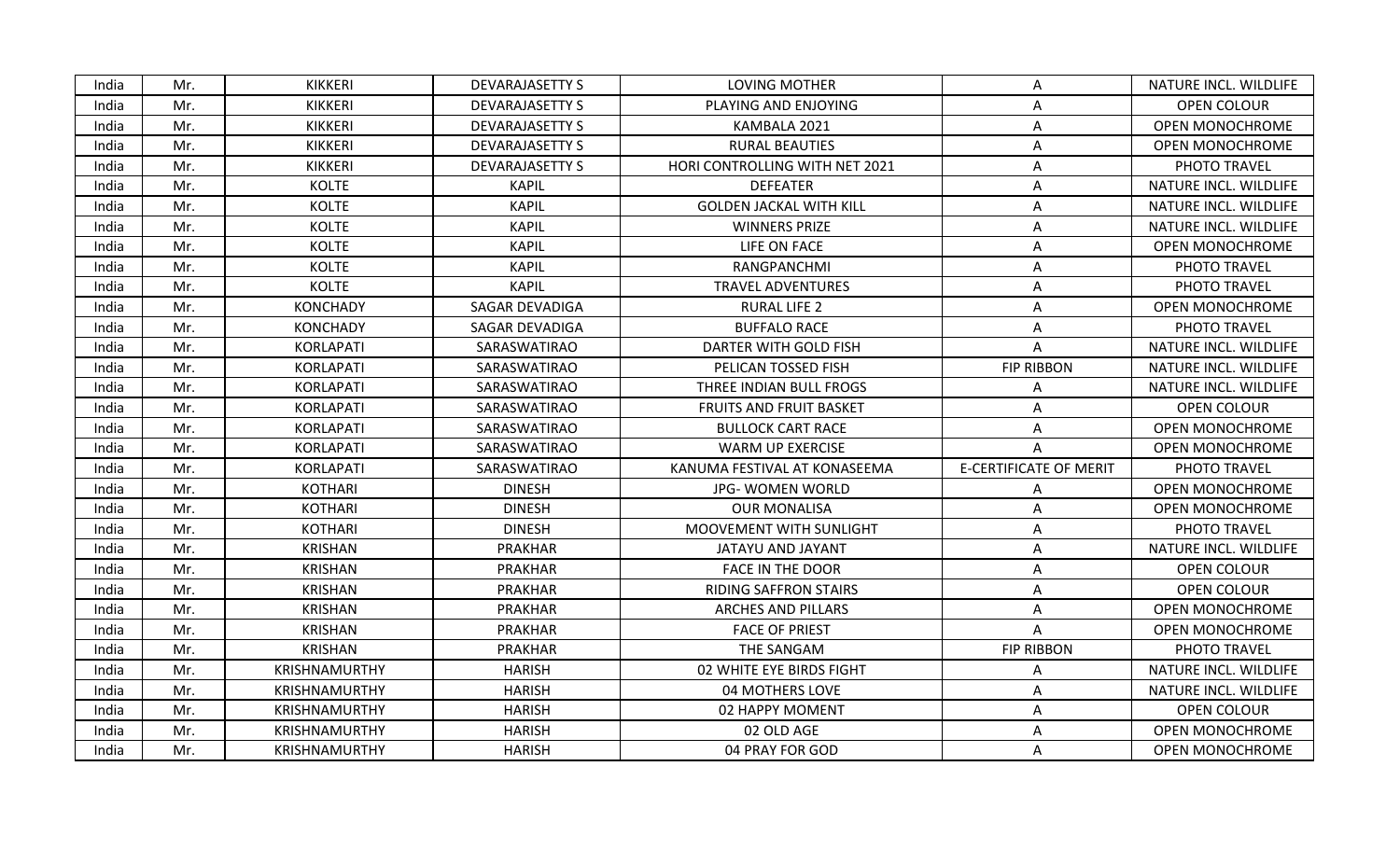| KIKKERI<br><b>DEVARAJASETTY S</b><br><b>LOVING MOTHER</b><br>India<br>Mr.<br>A<br><b>KIKKERI</b><br><b>DEVARAJASETTY S</b><br><b>OPEN COLOUR</b><br>India<br>PLAYING AND ENJOYING<br>Mr.<br>Α<br>KIKKERI<br><b>DEVARAJASETTY S</b><br>KAMBALA 2021<br>India<br>Mr.<br>Α<br>KIKKERI<br><b>RURAL BEAUTIES</b><br>India<br>Mr.<br><b>DEVARAJASETTY S</b><br>A<br>KIKKERI<br><b>DEVARAJASETTY S</b><br>HORI CONTROLLING WITH NET 2021<br>PHOTO TRAVEL<br>India<br>Mr.<br>Α<br>India<br><b>KOLTE</b><br><b>KAPIL</b><br><b>DEFEATER</b><br>Mr.<br>A<br><b>KOLTE</b><br><b>KAPIL</b><br>India<br>Mr.<br><b>GOLDEN JACKAL WITH KILL</b><br>A<br>India<br>Mr.<br><b>KOLTE</b><br><b>KAPIL</b><br><b>WINNERS PRIZE</b><br>A<br>Mr.<br><b>KOLTE</b><br><b>KAPIL</b><br>LIFE ON FACE<br>India<br>A<br><b>KOLTE</b><br><b>KAPIL</b><br>India<br>Mr.<br>RANGPANCHMI<br>PHOTO TRAVEL<br>A<br><b>KOLTE</b><br><b>KAPIL</b><br>PHOTO TRAVEL<br>India<br><b>TRAVEL ADVENTURES</b><br>Mr.<br>A<br><b>KONCHADY</b><br><b>SAGAR DEVADIGA</b><br><b>RURAL LIFE 2</b><br>India<br>Mr.<br>A<br><b>BUFFALO RACE</b><br>Mr.<br><b>KONCHADY</b><br><b>SAGAR DEVADIGA</b><br>PHOTO TRAVEL<br>India<br>Α<br>Mr.<br>KORLAPATI<br>SARASWATIRAO<br>DARTER WITH GOLD FISH<br>India<br>A<br><b>FIP RIBBON</b><br>India<br>Mr.<br>KORLAPATI<br>SARASWATIRAO<br>PELICAN TOSSED FISH<br>India<br>KORLAPATI<br>SARASWATIRAO<br>THREE INDIAN BULL FROGS<br>Mr.<br>A<br>KORLAPATI<br>OPEN COLOUR<br>India<br>Mr.<br>SARASWATIRAO<br>FRUITS AND FRUIT BASKET<br>А<br>India<br>Mr.<br><b>KORLAPATI</b><br>SARASWATIRAO<br><b>BULLOCK CART RACE</b><br>A<br>India<br>Mr.<br>KORLAPATI<br>SARASWATIRAO<br><b>WARM UP EXERCISE</b><br>A<br><b>E-CERTIFICATE OF MERIT</b><br><b>KORLAPATI</b><br>PHOTO TRAVEL<br>India<br>Mr.<br>SARASWATIRAO<br>KANUMA FESTIVAL AT KONASEEMA<br><b>KOTHARI</b><br>India<br><b>DINESH</b><br><b>JPG- WOMEN WORLD</b><br>Mr.<br>A<br><b>KOTHARI</b><br><b>DINESH</b><br><b>OUR MONALISA</b><br>India<br>Mr.<br>Α<br><b>KOTHARI</b><br><b>DINESH</b><br>MOOVEMENT WITH SUNLIGHT<br>PHOTO TRAVEL<br>India<br>Mr.<br>Α<br><b>KRISHAN</b><br><b>PRAKHAR</b><br>India<br>Mr.<br>JATAYU AND JAYANT<br>A<br><b>KRISHAN</b><br><b>PRAKHAR</b><br>India<br>Mr.<br><b>FACE IN THE DOOR</b><br>OPEN COLOUR<br>A<br><b>KRISHAN</b><br><b>PRAKHAR</b><br>OPEN COLOUR<br>India<br>Mr.<br><b>RIDING SAFFRON STAIRS</b><br>Α<br>India<br>Mr.<br>KRISHAN<br>PRAKHAR<br><b>ARCHES AND PILLARS</b><br>A<br><b>KRISHAN</b><br><b>PRAKHAR</b><br>India<br>Mr.<br><b>FACE OF PRIEST</b><br>A<br>THE SANGAM<br><b>FIP RIBBON</b><br>India<br>Mr.<br><b>KRISHAN</b><br>PRAKHAR<br>PHOTO TRAVEL<br><b>HARISH</b><br>India<br>Mr.<br>KRISHNAMURTHY<br>02 WHITE EYE BIRDS FIGHT<br>А<br>India<br>KRISHNAMURTHY<br><b>HARISH</b><br>04 MOTHERS LOVE<br>Mr.<br>A<br><b>OPEN COLOUR</b><br>India<br>Mr.<br><b>KRISHNAMURTHY</b><br>HARISH<br>02 HAPPY MOMENT<br>A<br>KRISHNAMURTHY<br><b>HARISH</b><br>02 OLD AGE<br>India<br>Mr.<br>Α<br>India<br>HARISH<br>04 PRAY FOR GOD<br>Mr.<br><b>KRISHNAMURTHY</b><br>A |  |  |  |                        |
|----------------------------------------------------------------------------------------------------------------------------------------------------------------------------------------------------------------------------------------------------------------------------------------------------------------------------------------------------------------------------------------------------------------------------------------------------------------------------------------------------------------------------------------------------------------------------------------------------------------------------------------------------------------------------------------------------------------------------------------------------------------------------------------------------------------------------------------------------------------------------------------------------------------------------------------------------------------------------------------------------------------------------------------------------------------------------------------------------------------------------------------------------------------------------------------------------------------------------------------------------------------------------------------------------------------------------------------------------------------------------------------------------------------------------------------------------------------------------------------------------------------------------------------------------------------------------------------------------------------------------------------------------------------------------------------------------------------------------------------------------------------------------------------------------------------------------------------------------------------------------------------------------------------------------------------------------------------------------------------------------------------------------------------------------------------------------------------------------------------------------------------------------------------------------------------------------------------------------------------------------------------------------------------------------------------------------------------------------------------------------------------------------------------------------------------------------------------------------------------------------------------------------------------------------------------------------------------------------------------------------------------------------------------------------------------------------------------------------------------------------------------------------------------------------------------------------------------------------------------------------------------------------------------------------------------------------------------------------------------------------------------------------------------------------------------------|--|--|--|------------------------|
|                                                                                                                                                                                                                                                                                                                                                                                                                                                                                                                                                                                                                                                                                                                                                                                                                                                                                                                                                                                                                                                                                                                                                                                                                                                                                                                                                                                                                                                                                                                                                                                                                                                                                                                                                                                                                                                                                                                                                                                                                                                                                                                                                                                                                                                                                                                                                                                                                                                                                                                                                                                                                                                                                                                                                                                                                                                                                                                                                                                                                                                                      |  |  |  | NATURE INCL. WILDLIFE  |
|                                                                                                                                                                                                                                                                                                                                                                                                                                                                                                                                                                                                                                                                                                                                                                                                                                                                                                                                                                                                                                                                                                                                                                                                                                                                                                                                                                                                                                                                                                                                                                                                                                                                                                                                                                                                                                                                                                                                                                                                                                                                                                                                                                                                                                                                                                                                                                                                                                                                                                                                                                                                                                                                                                                                                                                                                                                                                                                                                                                                                                                                      |  |  |  |                        |
|                                                                                                                                                                                                                                                                                                                                                                                                                                                                                                                                                                                                                                                                                                                                                                                                                                                                                                                                                                                                                                                                                                                                                                                                                                                                                                                                                                                                                                                                                                                                                                                                                                                                                                                                                                                                                                                                                                                                                                                                                                                                                                                                                                                                                                                                                                                                                                                                                                                                                                                                                                                                                                                                                                                                                                                                                                                                                                                                                                                                                                                                      |  |  |  | <b>OPEN MONOCHROME</b> |
|                                                                                                                                                                                                                                                                                                                                                                                                                                                                                                                                                                                                                                                                                                                                                                                                                                                                                                                                                                                                                                                                                                                                                                                                                                                                                                                                                                                                                                                                                                                                                                                                                                                                                                                                                                                                                                                                                                                                                                                                                                                                                                                                                                                                                                                                                                                                                                                                                                                                                                                                                                                                                                                                                                                                                                                                                                                                                                                                                                                                                                                                      |  |  |  | <b>OPEN MONOCHROME</b> |
|                                                                                                                                                                                                                                                                                                                                                                                                                                                                                                                                                                                                                                                                                                                                                                                                                                                                                                                                                                                                                                                                                                                                                                                                                                                                                                                                                                                                                                                                                                                                                                                                                                                                                                                                                                                                                                                                                                                                                                                                                                                                                                                                                                                                                                                                                                                                                                                                                                                                                                                                                                                                                                                                                                                                                                                                                                                                                                                                                                                                                                                                      |  |  |  |                        |
|                                                                                                                                                                                                                                                                                                                                                                                                                                                                                                                                                                                                                                                                                                                                                                                                                                                                                                                                                                                                                                                                                                                                                                                                                                                                                                                                                                                                                                                                                                                                                                                                                                                                                                                                                                                                                                                                                                                                                                                                                                                                                                                                                                                                                                                                                                                                                                                                                                                                                                                                                                                                                                                                                                                                                                                                                                                                                                                                                                                                                                                                      |  |  |  | NATURE INCL. WILDLIFE  |
|                                                                                                                                                                                                                                                                                                                                                                                                                                                                                                                                                                                                                                                                                                                                                                                                                                                                                                                                                                                                                                                                                                                                                                                                                                                                                                                                                                                                                                                                                                                                                                                                                                                                                                                                                                                                                                                                                                                                                                                                                                                                                                                                                                                                                                                                                                                                                                                                                                                                                                                                                                                                                                                                                                                                                                                                                                                                                                                                                                                                                                                                      |  |  |  | NATURE INCL. WILDLIFE  |
|                                                                                                                                                                                                                                                                                                                                                                                                                                                                                                                                                                                                                                                                                                                                                                                                                                                                                                                                                                                                                                                                                                                                                                                                                                                                                                                                                                                                                                                                                                                                                                                                                                                                                                                                                                                                                                                                                                                                                                                                                                                                                                                                                                                                                                                                                                                                                                                                                                                                                                                                                                                                                                                                                                                                                                                                                                                                                                                                                                                                                                                                      |  |  |  | NATURE INCL. WILDLIFE  |
|                                                                                                                                                                                                                                                                                                                                                                                                                                                                                                                                                                                                                                                                                                                                                                                                                                                                                                                                                                                                                                                                                                                                                                                                                                                                                                                                                                                                                                                                                                                                                                                                                                                                                                                                                                                                                                                                                                                                                                                                                                                                                                                                                                                                                                                                                                                                                                                                                                                                                                                                                                                                                                                                                                                                                                                                                                                                                                                                                                                                                                                                      |  |  |  | <b>OPEN MONOCHROME</b> |
|                                                                                                                                                                                                                                                                                                                                                                                                                                                                                                                                                                                                                                                                                                                                                                                                                                                                                                                                                                                                                                                                                                                                                                                                                                                                                                                                                                                                                                                                                                                                                                                                                                                                                                                                                                                                                                                                                                                                                                                                                                                                                                                                                                                                                                                                                                                                                                                                                                                                                                                                                                                                                                                                                                                                                                                                                                                                                                                                                                                                                                                                      |  |  |  |                        |
|                                                                                                                                                                                                                                                                                                                                                                                                                                                                                                                                                                                                                                                                                                                                                                                                                                                                                                                                                                                                                                                                                                                                                                                                                                                                                                                                                                                                                                                                                                                                                                                                                                                                                                                                                                                                                                                                                                                                                                                                                                                                                                                                                                                                                                                                                                                                                                                                                                                                                                                                                                                                                                                                                                                                                                                                                                                                                                                                                                                                                                                                      |  |  |  |                        |
|                                                                                                                                                                                                                                                                                                                                                                                                                                                                                                                                                                                                                                                                                                                                                                                                                                                                                                                                                                                                                                                                                                                                                                                                                                                                                                                                                                                                                                                                                                                                                                                                                                                                                                                                                                                                                                                                                                                                                                                                                                                                                                                                                                                                                                                                                                                                                                                                                                                                                                                                                                                                                                                                                                                                                                                                                                                                                                                                                                                                                                                                      |  |  |  | <b>OPEN MONOCHROME</b> |
|                                                                                                                                                                                                                                                                                                                                                                                                                                                                                                                                                                                                                                                                                                                                                                                                                                                                                                                                                                                                                                                                                                                                                                                                                                                                                                                                                                                                                                                                                                                                                                                                                                                                                                                                                                                                                                                                                                                                                                                                                                                                                                                                                                                                                                                                                                                                                                                                                                                                                                                                                                                                                                                                                                                                                                                                                                                                                                                                                                                                                                                                      |  |  |  |                        |
|                                                                                                                                                                                                                                                                                                                                                                                                                                                                                                                                                                                                                                                                                                                                                                                                                                                                                                                                                                                                                                                                                                                                                                                                                                                                                                                                                                                                                                                                                                                                                                                                                                                                                                                                                                                                                                                                                                                                                                                                                                                                                                                                                                                                                                                                                                                                                                                                                                                                                                                                                                                                                                                                                                                                                                                                                                                                                                                                                                                                                                                                      |  |  |  | NATURE INCL. WILDLIFE  |
|                                                                                                                                                                                                                                                                                                                                                                                                                                                                                                                                                                                                                                                                                                                                                                                                                                                                                                                                                                                                                                                                                                                                                                                                                                                                                                                                                                                                                                                                                                                                                                                                                                                                                                                                                                                                                                                                                                                                                                                                                                                                                                                                                                                                                                                                                                                                                                                                                                                                                                                                                                                                                                                                                                                                                                                                                                                                                                                                                                                                                                                                      |  |  |  | NATURE INCL. WILDLIFE  |
|                                                                                                                                                                                                                                                                                                                                                                                                                                                                                                                                                                                                                                                                                                                                                                                                                                                                                                                                                                                                                                                                                                                                                                                                                                                                                                                                                                                                                                                                                                                                                                                                                                                                                                                                                                                                                                                                                                                                                                                                                                                                                                                                                                                                                                                                                                                                                                                                                                                                                                                                                                                                                                                                                                                                                                                                                                                                                                                                                                                                                                                                      |  |  |  | NATURE INCL. WILDLIFE  |
|                                                                                                                                                                                                                                                                                                                                                                                                                                                                                                                                                                                                                                                                                                                                                                                                                                                                                                                                                                                                                                                                                                                                                                                                                                                                                                                                                                                                                                                                                                                                                                                                                                                                                                                                                                                                                                                                                                                                                                                                                                                                                                                                                                                                                                                                                                                                                                                                                                                                                                                                                                                                                                                                                                                                                                                                                                                                                                                                                                                                                                                                      |  |  |  |                        |
|                                                                                                                                                                                                                                                                                                                                                                                                                                                                                                                                                                                                                                                                                                                                                                                                                                                                                                                                                                                                                                                                                                                                                                                                                                                                                                                                                                                                                                                                                                                                                                                                                                                                                                                                                                                                                                                                                                                                                                                                                                                                                                                                                                                                                                                                                                                                                                                                                                                                                                                                                                                                                                                                                                                                                                                                                                                                                                                                                                                                                                                                      |  |  |  | <b>OPEN MONOCHROME</b> |
|                                                                                                                                                                                                                                                                                                                                                                                                                                                                                                                                                                                                                                                                                                                                                                                                                                                                                                                                                                                                                                                                                                                                                                                                                                                                                                                                                                                                                                                                                                                                                                                                                                                                                                                                                                                                                                                                                                                                                                                                                                                                                                                                                                                                                                                                                                                                                                                                                                                                                                                                                                                                                                                                                                                                                                                                                                                                                                                                                                                                                                                                      |  |  |  | <b>OPEN MONOCHROME</b> |
|                                                                                                                                                                                                                                                                                                                                                                                                                                                                                                                                                                                                                                                                                                                                                                                                                                                                                                                                                                                                                                                                                                                                                                                                                                                                                                                                                                                                                                                                                                                                                                                                                                                                                                                                                                                                                                                                                                                                                                                                                                                                                                                                                                                                                                                                                                                                                                                                                                                                                                                                                                                                                                                                                                                                                                                                                                                                                                                                                                                                                                                                      |  |  |  |                        |
|                                                                                                                                                                                                                                                                                                                                                                                                                                                                                                                                                                                                                                                                                                                                                                                                                                                                                                                                                                                                                                                                                                                                                                                                                                                                                                                                                                                                                                                                                                                                                                                                                                                                                                                                                                                                                                                                                                                                                                                                                                                                                                                                                                                                                                                                                                                                                                                                                                                                                                                                                                                                                                                                                                                                                                                                                                                                                                                                                                                                                                                                      |  |  |  | <b>OPEN MONOCHROME</b> |
|                                                                                                                                                                                                                                                                                                                                                                                                                                                                                                                                                                                                                                                                                                                                                                                                                                                                                                                                                                                                                                                                                                                                                                                                                                                                                                                                                                                                                                                                                                                                                                                                                                                                                                                                                                                                                                                                                                                                                                                                                                                                                                                                                                                                                                                                                                                                                                                                                                                                                                                                                                                                                                                                                                                                                                                                                                                                                                                                                                                                                                                                      |  |  |  | <b>OPEN MONOCHROME</b> |
|                                                                                                                                                                                                                                                                                                                                                                                                                                                                                                                                                                                                                                                                                                                                                                                                                                                                                                                                                                                                                                                                                                                                                                                                                                                                                                                                                                                                                                                                                                                                                                                                                                                                                                                                                                                                                                                                                                                                                                                                                                                                                                                                                                                                                                                                                                                                                                                                                                                                                                                                                                                                                                                                                                                                                                                                                                                                                                                                                                                                                                                                      |  |  |  |                        |
|                                                                                                                                                                                                                                                                                                                                                                                                                                                                                                                                                                                                                                                                                                                                                                                                                                                                                                                                                                                                                                                                                                                                                                                                                                                                                                                                                                                                                                                                                                                                                                                                                                                                                                                                                                                                                                                                                                                                                                                                                                                                                                                                                                                                                                                                                                                                                                                                                                                                                                                                                                                                                                                                                                                                                                                                                                                                                                                                                                                                                                                                      |  |  |  | NATURE INCL. WILDLIFE  |
|                                                                                                                                                                                                                                                                                                                                                                                                                                                                                                                                                                                                                                                                                                                                                                                                                                                                                                                                                                                                                                                                                                                                                                                                                                                                                                                                                                                                                                                                                                                                                                                                                                                                                                                                                                                                                                                                                                                                                                                                                                                                                                                                                                                                                                                                                                                                                                                                                                                                                                                                                                                                                                                                                                                                                                                                                                                                                                                                                                                                                                                                      |  |  |  |                        |
|                                                                                                                                                                                                                                                                                                                                                                                                                                                                                                                                                                                                                                                                                                                                                                                                                                                                                                                                                                                                                                                                                                                                                                                                                                                                                                                                                                                                                                                                                                                                                                                                                                                                                                                                                                                                                                                                                                                                                                                                                                                                                                                                                                                                                                                                                                                                                                                                                                                                                                                                                                                                                                                                                                                                                                                                                                                                                                                                                                                                                                                                      |  |  |  |                        |
|                                                                                                                                                                                                                                                                                                                                                                                                                                                                                                                                                                                                                                                                                                                                                                                                                                                                                                                                                                                                                                                                                                                                                                                                                                                                                                                                                                                                                                                                                                                                                                                                                                                                                                                                                                                                                                                                                                                                                                                                                                                                                                                                                                                                                                                                                                                                                                                                                                                                                                                                                                                                                                                                                                                                                                                                                                                                                                                                                                                                                                                                      |  |  |  | <b>OPEN MONOCHROME</b> |
|                                                                                                                                                                                                                                                                                                                                                                                                                                                                                                                                                                                                                                                                                                                                                                                                                                                                                                                                                                                                                                                                                                                                                                                                                                                                                                                                                                                                                                                                                                                                                                                                                                                                                                                                                                                                                                                                                                                                                                                                                                                                                                                                                                                                                                                                                                                                                                                                                                                                                                                                                                                                                                                                                                                                                                                                                                                                                                                                                                                                                                                                      |  |  |  | <b>OPEN MONOCHROME</b> |
|                                                                                                                                                                                                                                                                                                                                                                                                                                                                                                                                                                                                                                                                                                                                                                                                                                                                                                                                                                                                                                                                                                                                                                                                                                                                                                                                                                                                                                                                                                                                                                                                                                                                                                                                                                                                                                                                                                                                                                                                                                                                                                                                                                                                                                                                                                                                                                                                                                                                                                                                                                                                                                                                                                                                                                                                                                                                                                                                                                                                                                                                      |  |  |  |                        |
|                                                                                                                                                                                                                                                                                                                                                                                                                                                                                                                                                                                                                                                                                                                                                                                                                                                                                                                                                                                                                                                                                                                                                                                                                                                                                                                                                                                                                                                                                                                                                                                                                                                                                                                                                                                                                                                                                                                                                                                                                                                                                                                                                                                                                                                                                                                                                                                                                                                                                                                                                                                                                                                                                                                                                                                                                                                                                                                                                                                                                                                                      |  |  |  | NATURE INCL. WILDLIFE  |
|                                                                                                                                                                                                                                                                                                                                                                                                                                                                                                                                                                                                                                                                                                                                                                                                                                                                                                                                                                                                                                                                                                                                                                                                                                                                                                                                                                                                                                                                                                                                                                                                                                                                                                                                                                                                                                                                                                                                                                                                                                                                                                                                                                                                                                                                                                                                                                                                                                                                                                                                                                                                                                                                                                                                                                                                                                                                                                                                                                                                                                                                      |  |  |  | NATURE INCL. WILDLIFE  |
|                                                                                                                                                                                                                                                                                                                                                                                                                                                                                                                                                                                                                                                                                                                                                                                                                                                                                                                                                                                                                                                                                                                                                                                                                                                                                                                                                                                                                                                                                                                                                                                                                                                                                                                                                                                                                                                                                                                                                                                                                                                                                                                                                                                                                                                                                                                                                                                                                                                                                                                                                                                                                                                                                                                                                                                                                                                                                                                                                                                                                                                                      |  |  |  |                        |
|                                                                                                                                                                                                                                                                                                                                                                                                                                                                                                                                                                                                                                                                                                                                                                                                                                                                                                                                                                                                                                                                                                                                                                                                                                                                                                                                                                                                                                                                                                                                                                                                                                                                                                                                                                                                                                                                                                                                                                                                                                                                                                                                                                                                                                                                                                                                                                                                                                                                                                                                                                                                                                                                                                                                                                                                                                                                                                                                                                                                                                                                      |  |  |  | OPEN MONOCHROME        |
|                                                                                                                                                                                                                                                                                                                                                                                                                                                                                                                                                                                                                                                                                                                                                                                                                                                                                                                                                                                                                                                                                                                                                                                                                                                                                                                                                                                                                                                                                                                                                                                                                                                                                                                                                                                                                                                                                                                                                                                                                                                                                                                                                                                                                                                                                                                                                                                                                                                                                                                                                                                                                                                                                                                                                                                                                                                                                                                                                                                                                                                                      |  |  |  | OPEN MONOCHROME        |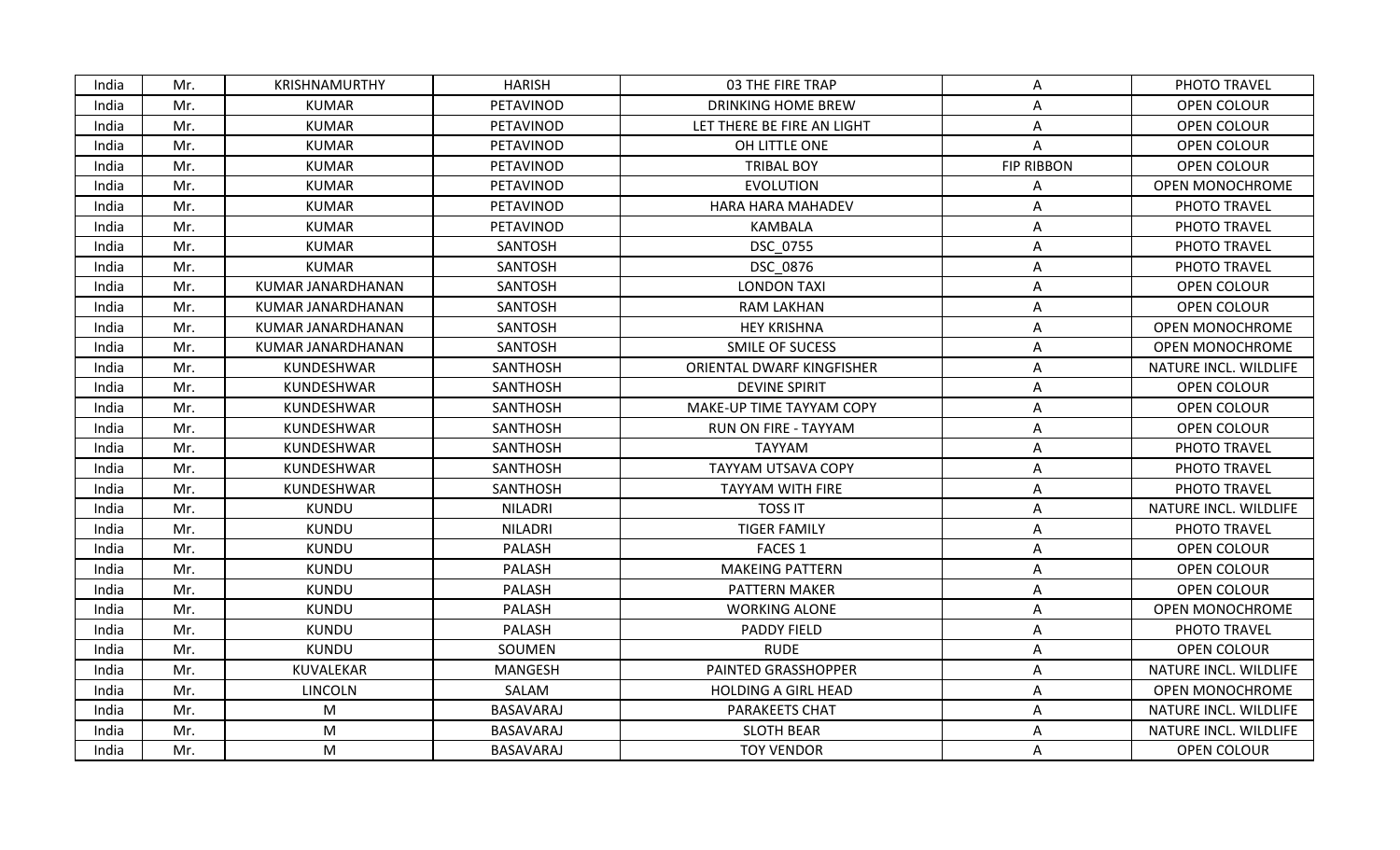| India | Mr. | <b>KRISHNAMURTHY</b> | <b>HARISH</b>    | 03 THE FIRE TRAP            | A                 | PHOTO TRAVEL           |
|-------|-----|----------------------|------------------|-----------------------------|-------------------|------------------------|
| India | Mr. | <b>KUMAR</b>         | PETAVINOD        | <b>DRINKING HOME BREW</b>   | Α                 | OPEN COLOUR            |
| India | Mr. | <b>KUMAR</b>         | PETAVINOD        | LET THERE BE FIRE AN LIGHT  | Α                 | OPEN COLOUR            |
| India | Mr. | <b>KUMAR</b>         | PETAVINOD        | OH LITTLE ONE               | A                 | <b>OPEN COLOUR</b>     |
| India | Mr. | <b>KUMAR</b>         | PETAVINOD        | <b>TRIBAL BOY</b>           | <b>FIP RIBBON</b> | OPEN COLOUR            |
| India | Mr. | <b>KUMAR</b>         | PETAVINOD        | <b>EVOLUTION</b>            | A                 | <b>OPEN MONOCHROME</b> |
| India | Mr. | <b>KUMAR</b>         | PETAVINOD        | HARA HARA MAHADEV           | A                 | PHOTO TRAVEL           |
| India | Mr. | <b>KUMAR</b>         | PETAVINOD        | <b>KAMBALA</b>              | A                 | PHOTO TRAVEL           |
| India | Mr. | <b>KUMAR</b>         | SANTOSH          | DSC 0755                    | Α                 | PHOTO TRAVEL           |
| India | Mr. | <b>KUMAR</b>         | <b>SANTOSH</b>   | DSC 0876                    | A                 | PHOTO TRAVEL           |
| India | Mr. | KUMAR JANARDHANAN    | SANTOSH          | <b>LONDON TAXI</b>          | A                 | OPEN COLOUR            |
| India | Mr. | KUMAR JANARDHANAN    | SANTOSH          | <b>RAM LAKHAN</b>           | Α                 | <b>OPEN COLOUR</b>     |
| India | Mr. | KUMAR JANARDHANAN    | SANTOSH          | <b>HEY KRISHNA</b>          | Α                 | <b>OPEN MONOCHROME</b> |
| India | Mr. | KUMAR JANARDHANAN    | SANTOSH          | <b>SMILE OF SUCESS</b>      | Α                 | <b>OPEN MONOCHROME</b> |
| India | Mr. | KUNDESHWAR           | <b>SANTHOSH</b>  | ORIENTAL DWARF KINGFISHER   | Α                 | NATURE INCL. WILDLIFE  |
| India | Mr. | KUNDESHWAR           | <b>SANTHOSH</b>  | <b>DEVINE SPIRIT</b>        | Α                 | OPEN COLOUR            |
| India | Mr. | KUNDESHWAR           | <b>SANTHOSH</b>  | MAKE-UP TIME TAYYAM COPY    | Α                 | OPEN COLOUR            |
| India | Mr. | KUNDESHWAR           | <b>SANTHOSH</b>  | <b>RUN ON FIRE - TAYYAM</b> | Α                 | OPEN COLOUR            |
| India | Mr. | KUNDESHWAR           | <b>SANTHOSH</b>  | <b>TAYYAM</b>               | Α                 | PHOTO TRAVEL           |
| India | Mr. | KUNDESHWAR           | <b>SANTHOSH</b>  | <b>TAYYAM UTSAVA COPY</b>   | A                 | PHOTO TRAVEL           |
| India | Mr. | KUNDESHWAR           | <b>SANTHOSH</b>  | <b>TAYYAM WITH FIRE</b>     | A                 | PHOTO TRAVEL           |
| India | Mr. | <b>KUNDU</b>         | <b>NILADRI</b>   | <b>TOSS IT</b>              | Α                 | NATURE INCL. WILDLIFE  |
| India | Mr. | <b>KUNDU</b>         | <b>NILADRI</b>   | <b>TIGER FAMILY</b>         | Α                 | PHOTO TRAVEL           |
| India | Mr. | <b>KUNDU</b>         | PALASH           | <b>FACES 1</b>              | A                 | OPEN COLOUR            |
| India | Mr. | <b>KUNDU</b>         | <b>PALASH</b>    | <b>MAKEING PATTERN</b>      | Α                 | <b>OPEN COLOUR</b>     |
| India | Mr. | <b>KUNDU</b>         | PALASH           | PATTERN MAKER               | A                 | OPEN COLOUR            |
| India | Mr. | <b>KUNDU</b>         | PALASH           | <b>WORKING ALONE</b>        | Α                 | <b>OPEN MONOCHROME</b> |
| India | Mr. | <b>KUNDU</b>         | <b>PALASH</b>    | PADDY FIELD                 | Α                 | PHOTO TRAVEL           |
| India | Mr. | <b>KUNDU</b>         | SOUMEN           | <b>RUDE</b>                 | Α                 | <b>OPEN COLOUR</b>     |
| India | Mr. | KUVALEKAR            | <b>MANGESH</b>   | PAINTED GRASSHOPPER         | Α                 | NATURE INCL. WILDLIFE  |
| India | Mr. | LINCOLN              | SALAM            | <b>HOLDING A GIRL HEAD</b>  | A                 | <b>OPEN MONOCHROME</b> |
| India | Mr. | M                    | <b>BASAVARAJ</b> | <b>PARAKEETS CHAT</b>       | Α                 | NATURE INCL. WILDLIFE  |
| India | Mr. | M                    | <b>BASAVARAJ</b> | <b>SLOTH BEAR</b>           | Α                 | NATURE INCL. WILDLIFE  |
| India | Mr. | M                    | BASAVARAJ        | <b>TOY VENDOR</b>           | A                 | OPEN COLOUR            |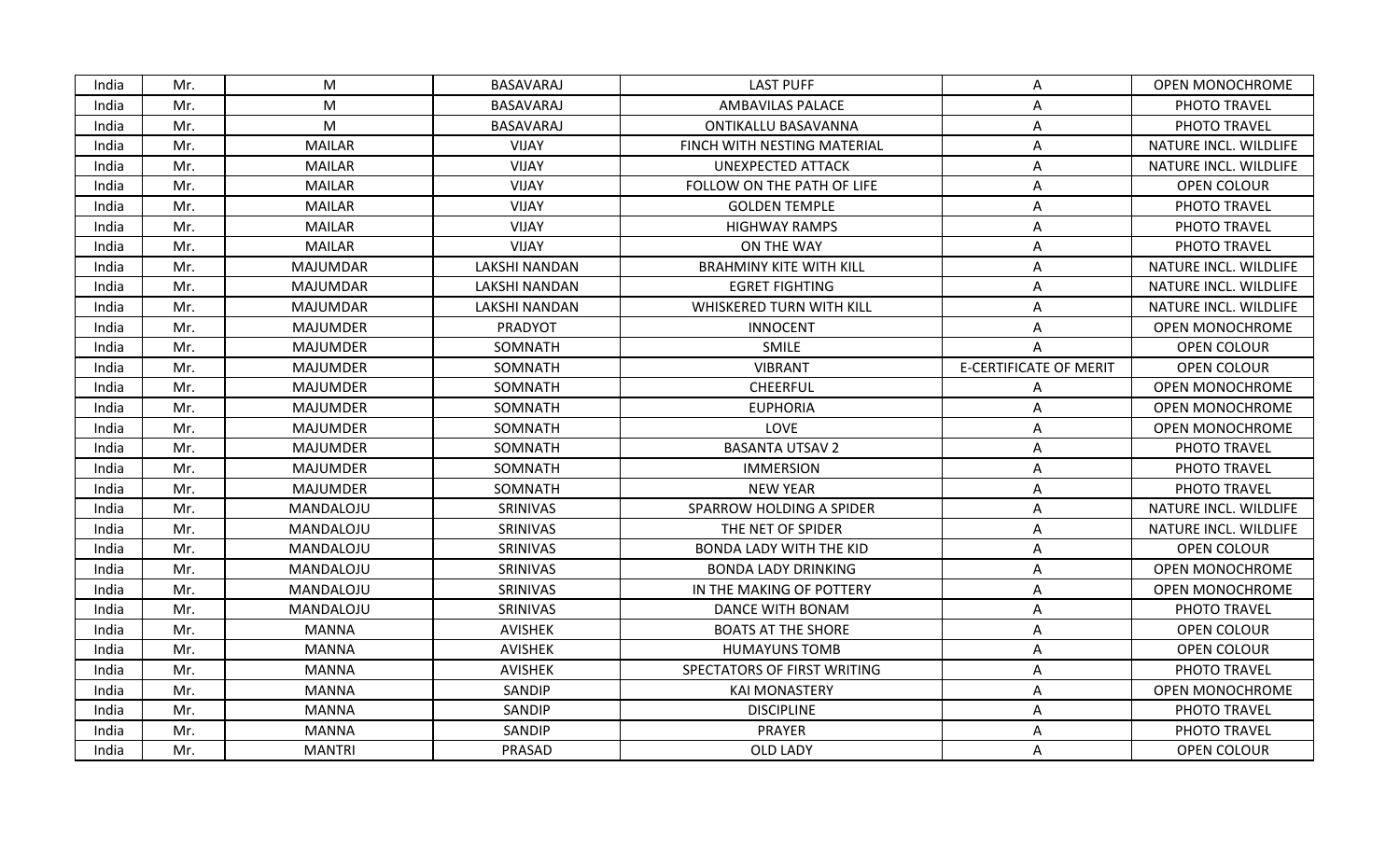| India | Mr. | M               | <b>BASAVARAJ</b>     | <b>LAST PUFF</b>               | A                             | OPEN MONOCHROME        |
|-------|-----|-----------------|----------------------|--------------------------------|-------------------------------|------------------------|
| India | Mr. | M               | <b>BASAVARAJ</b>     | <b>AMBAVILAS PALACE</b>        | A                             | PHOTO TRAVEL           |
| India | Mr. | M               | <b>BASAVARAJ</b>     | <b>ONTIKALLU BASAVANNA</b>     | Α                             | PHOTO TRAVEL           |
| India | Mr. | <b>MAILAR</b>   | <b>VIJAY</b>         | FINCH WITH NESTING MATERIAL    | Α                             | NATURE INCL. WILDLIFE  |
| India | Mr. | <b>MAILAR</b>   | <b>VIJAY</b>         | <b>UNEXPECTED ATTACK</b>       | Α                             | NATURE INCL. WILDLIFE  |
| India | Mr. | <b>MAILAR</b>   | <b>VIJAY</b>         | FOLLOW ON THE PATH OF LIFE     | Α                             | OPEN COLOUR            |
| India | Mr. | <b>MAILAR</b>   | <b>VIJAY</b>         | <b>GOLDEN TEMPLE</b>           | A                             | PHOTO TRAVEL           |
| India | Mr. | <b>MAILAR</b>   | <b>VIJAY</b>         | <b>HIGHWAY RAMPS</b>           | A                             | PHOTO TRAVEL           |
| India | Mr. | <b>MAILAR</b>   | <b>VIJAY</b>         | ON THE WAY                     | Α                             | PHOTO TRAVEL           |
| India | Mr. | <b>MAJUMDAR</b> | <b>LAKSHI NANDAN</b> | <b>BRAHMINY KITE WITH KILL</b> | Α                             | NATURE INCL. WILDLIFE  |
| India | Mr. | <b>MAJUMDAR</b> | LAKSHI NANDAN        | <b>EGRET FIGHTING</b>          | Α                             | NATURE INCL. WILDLIFE  |
| India | Mr. | <b>MAJUMDAR</b> | <b>LAKSHI NANDAN</b> | WHISKERED TURN WITH KILL       | Α                             | NATURE INCL. WILDLIFE  |
| India | Mr. | <b>MAJUMDER</b> | PRADYOT              | <b>INNOCENT</b>                | A                             | <b>OPEN MONOCHROME</b> |
| India | Mr. | <b>MAJUMDER</b> | SOMNATH              | <b>SMILE</b>                   | Α                             | <b>OPEN COLOUR</b>     |
| India | Mr. | <b>MAJUMDER</b> | SOMNATH              | <b>VIBRANT</b>                 | <b>E-CERTIFICATE OF MERIT</b> | OPEN COLOUR            |
| India | Mr. | <b>MAJUMDER</b> | SOMNATH              | <b>CHEERFUL</b>                | A                             | <b>OPEN MONOCHROME</b> |
| India | Mr. | <b>MAJUMDER</b> | SOMNATH              | <b>EUPHORIA</b>                | Α                             | OPEN MONOCHROME        |
| India | Mr. | <b>MAJUMDER</b> | SOMNATH              | LOVE                           | Α                             | <b>OPEN MONOCHROME</b> |
| India | Mr. | <b>MAJUMDER</b> | SOMNATH              | <b>BASANTA UTSAV 2</b>         | A                             | PHOTO TRAVEL           |
| India | Mr. | <b>MAJUMDER</b> | SOMNATH              | <b>IMMERSION</b>               | Α                             | PHOTO TRAVEL           |
| India | Mr. | <b>MAJUMDER</b> | SOMNATH              | <b>NEW YEAR</b>                | A                             | PHOTO TRAVEL           |
| India | Mr. | MANDALOJU       | SRINIVAS             | SPARROW HOLDING A SPIDER       | Α                             | NATURE INCL. WILDLIFE  |
| India | Mr. | MANDALOJU       | SRINIVAS             | THE NET OF SPIDER              | Α                             | NATURE INCL. WILDLIFE  |
| India | Mr. | MANDALOJU       | SRINIVAS             | <b>BONDA LADY WITH THE KID</b> | Α                             | OPEN COLOUR            |
| India | Mr. | MANDALOJU       | SRINIVAS             | <b>BONDA LADY DRINKING</b>     | Α                             | OPEN MONOCHROME        |
| India | Mr. | MANDALOJU       | SRINIVAS             | IN THE MAKING OF POTTERY       | Α                             | <b>OPEN MONOCHROME</b> |
| India | Mr. | MANDALOJU       | SRINIVAS             | DANCE WITH BONAM               | Α                             | PHOTO TRAVEL           |
| India | Mr. | <b>MANNA</b>    | <b>AVISHEK</b>       | <b>BOATS AT THE SHORE</b>      | A                             | OPEN COLOUR            |
| India | Mr. | <b>MANNA</b>    | AVISHEK              | <b>HUMAYUNS TOMB</b>           | Α                             | OPEN COLOUR            |
| India | Mr. | <b>MANNA</b>    | <b>AVISHEK</b>       | SPECTATORS OF FIRST WRITING    | Α                             | PHOTO TRAVEL           |
| India | Mr. | <b>MANNA</b>    | SANDIP               | <b>KAI MONASTERY</b>           | A                             | OPEN MONOCHROME        |
| India | Mr. | <b>MANNA</b>    | SANDIP               | <b>DISCIPLINE</b>              | A                             | PHOTO TRAVEL           |
| India | Mr. | <b>MANNA</b>    | SANDIP               | PRAYER                         | A                             | PHOTO TRAVEL           |
| India | Mr. | <b>MANTRI</b>   | PRASAD               | OLD LADY                       | A                             | OPEN COLOUR            |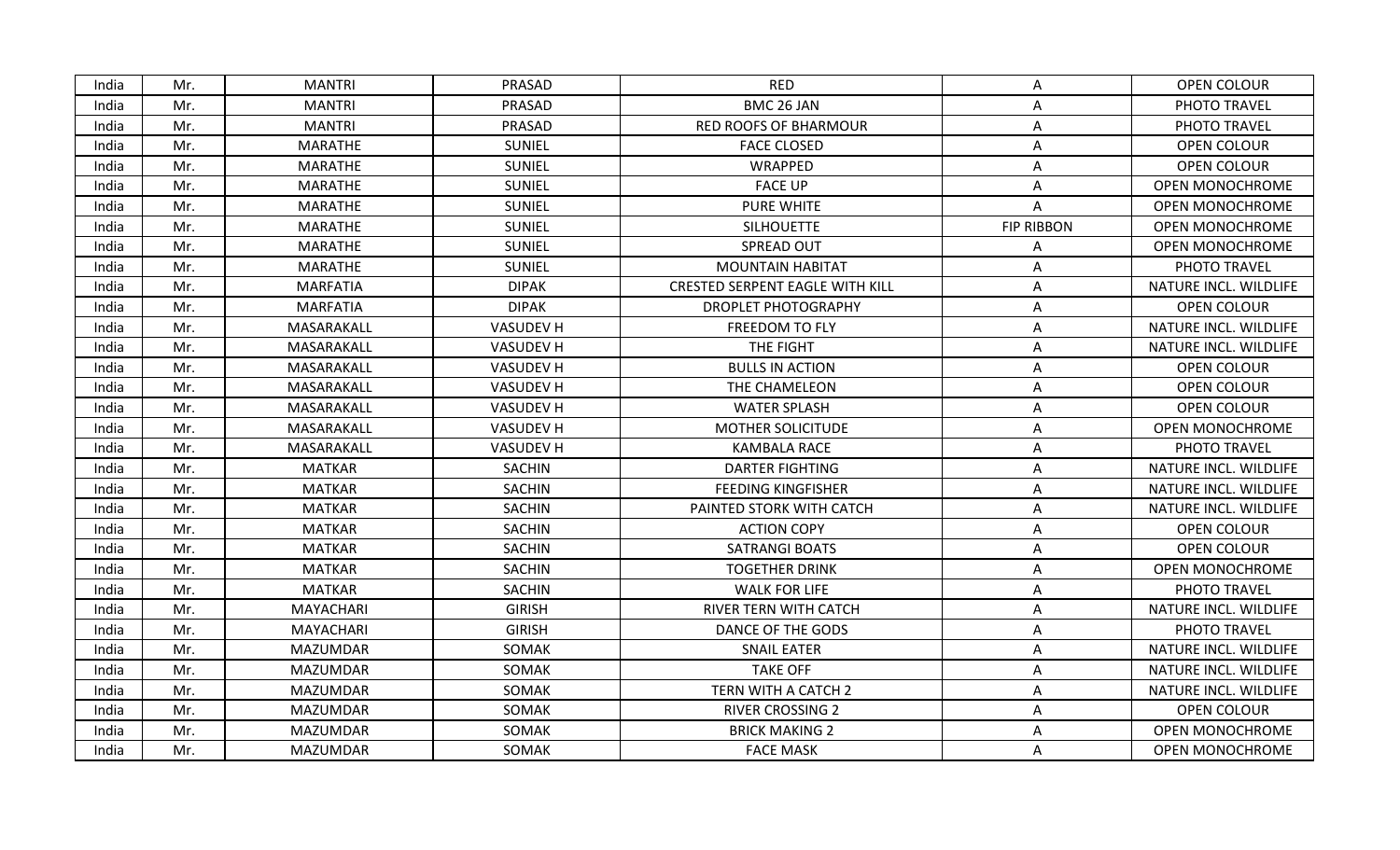| India | Mr. | <b>MANTRI</b>   | PRASAD           | <b>RED</b>                             | A                 | OPEN COLOUR            |
|-------|-----|-----------------|------------------|----------------------------------------|-------------------|------------------------|
| India | Mr. | <b>MANTRI</b>   | PRASAD           | BMC 26 JAN                             | A                 | PHOTO TRAVEL           |
| India | Mr. | <b>MANTRI</b>   | PRASAD           | <b>RED ROOFS OF BHARMOUR</b>           | Α                 | PHOTO TRAVEL           |
| India | Mr. | <b>MARATHE</b>  | SUNIEL           | <b>FACE CLOSED</b>                     | Α                 | OPEN COLOUR            |
| India | Mr. | <b>MARATHE</b>  | <b>SUNIEL</b>    | WRAPPED                                | A                 | OPEN COLOUR            |
| India | Mr. | MARATHE         | <b>SUNIEL</b>    | <b>FACE UP</b>                         | A                 | <b>OPEN MONOCHROME</b> |
| India | Mr. | MARATHE         | <b>SUNIEL</b>    | <b>PURE WHITE</b>                      | Α                 | <b>OPEN MONOCHROME</b> |
| India | Mr. | MARATHE         | <b>SUNIEL</b>    | <b>SILHOUETTE</b>                      | <b>FIP RIBBON</b> | <b>OPEN MONOCHROME</b> |
| India | Mr. | MARATHE         | SUNIEL           | <b>SPREAD OUT</b>                      | Α                 | <b>OPEN MONOCHROME</b> |
| India | Mr. | <b>MARATHE</b>  | SUNIEL           | <b>MOUNTAIN HABITAT</b>                | Α                 | PHOTO TRAVEL           |
| India | Mr. | <b>MARFATIA</b> | <b>DIPAK</b>     | <b>CRESTED SERPENT EAGLE WITH KILL</b> | A                 | NATURE INCL. WILDLIFE  |
| India | Mr. | <b>MARFATIA</b> | <b>DIPAK</b>     | <b>DROPLET PHOTOGRAPHY</b>             | Α                 | OPEN COLOUR            |
| India | Mr. | MASARAKALL      | <b>VASUDEV H</b> | FREEDOM TO FLY                         | Α                 | NATURE INCL. WILDLIFE  |
| India | Mr. | MASARAKALL      | <b>VASUDEV H</b> | THE FIGHT                              | A                 | NATURE INCL. WILDLIFE  |
| India | Mr. | MASARAKALL      | <b>VASUDEV H</b> | <b>BULLS IN ACTION</b>                 | A                 | OPEN COLOUR            |
| India | Mr. | MASARAKALL      | <b>VASUDEV H</b> | THE CHAMELEON                          | A                 | <b>OPEN COLOUR</b>     |
| India | Mr. | MASARAKALL      | <b>VASUDEV H</b> | <b>WATER SPLASH</b>                    | Α                 | OPEN COLOUR            |
| India | Mr. | MASARAKALL      | <b>VASUDEV H</b> | MOTHER SOLICITUDE                      | Α                 | <b>OPEN MONOCHROME</b> |
| India | Mr. | MASARAKALL      | <b>VASUDEV H</b> | <b>KAMBALA RACE</b>                    | Α                 | PHOTO TRAVEL           |
| India | Mr. | <b>MATKAR</b>   | <b>SACHIN</b>    | <b>DARTER FIGHTING</b>                 | Α                 | NATURE INCL. WILDLIFE  |
| India | Mr. | <b>MATKAR</b>   | <b>SACHIN</b>    | <b>FEEDING KINGFISHER</b>              | A                 | NATURE INCL. WILDLIFE  |
| India | Mr. | <b>MATKAR</b>   | SACHIN           | PAINTED STORK WITH CATCH               | Α                 | NATURE INCL. WILDLIFE  |
| India | Mr. | <b>MATKAR</b>   | SACHIN           | <b>ACTION COPY</b>                     | A                 | OPEN COLOUR            |
| India | Mr. | <b>MATKAR</b>   | SACHIN           | <b>SATRANGI BOATS</b>                  | A                 | OPEN COLOUR            |
| India | Mr. | <b>MATKAR</b>   | <b>SACHIN</b>    | <b>TOGETHER DRINK</b>                  | Α                 | <b>OPEN MONOCHROME</b> |
| India | Mr. | <b>MATKAR</b>   | SACHIN           | <b>WALK FOR LIFE</b>                   | A                 | PHOTO TRAVEL           |
| India | Mr. | MAYACHARI       | <b>GIRISH</b>    | RIVER TERN WITH CATCH                  | Α                 | NATURE INCL. WILDLIFE  |
| India | Mr. | MAYACHARI       | <b>GIRISH</b>    | DANCE OF THE GODS                      | Α                 | PHOTO TRAVEL           |
| India | Mr. | <b>MAZUMDAR</b> | SOMAK            | <b>SNAIL EATER</b>                     | A                 | NATURE INCL. WILDLIFE  |
| India | Mr. | <b>MAZUMDAR</b> | SOMAK            | <b>TAKE OFF</b>                        | A                 | NATURE INCL. WILDLIFE  |
| India | Mr. | <b>MAZUMDAR</b> | SOMAK            | TERN WITH A CATCH 2                    | A                 | NATURE INCL. WILDLIFE  |
| India | Mr. | <b>MAZUMDAR</b> | SOMAK            | <b>RIVER CROSSING 2</b>                | Α                 | OPEN COLOUR            |
| India | Mr. | MAZUMDAR        | SOMAK            | <b>BRICK MAKING 2</b>                  | Α                 | <b>OPEN MONOCHROME</b> |
| India | Mr. | <b>MAZUMDAR</b> | SOMAK            | <b>FACE MASK</b>                       | A                 | <b>OPEN MONOCHROME</b> |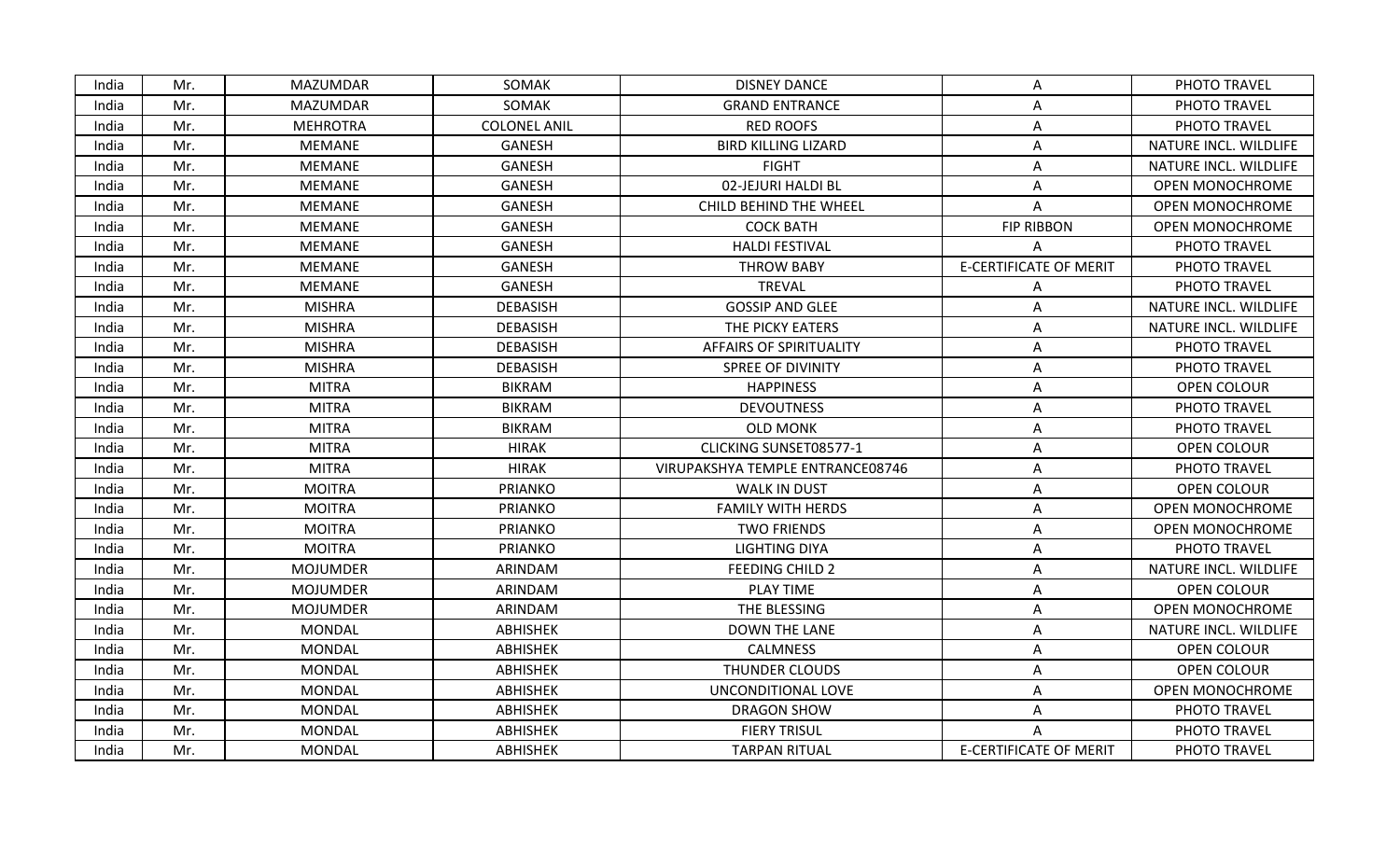| India | Mr. | MAZUMDAR        | SOMAK               | <b>DISNEY DANCE</b>              | A                             | PHOTO TRAVEL           |
|-------|-----|-----------------|---------------------|----------------------------------|-------------------------------|------------------------|
| India | Mr. | <b>MAZUMDAR</b> | SOMAK               | <b>GRAND ENTRANCE</b>            | Α                             | PHOTO TRAVEL           |
| India | Mr. | <b>MEHROTRA</b> | <b>COLONEL ANIL</b> | <b>RED ROOFS</b>                 | Α                             | PHOTO TRAVEL           |
| India | Mr. | <b>MEMANE</b>   | <b>GANESH</b>       | <b>BIRD KILLING LIZARD</b>       | A                             | NATURE INCL. WILDLIFE  |
| India | Mr. | <b>MEMANE</b>   | <b>GANESH</b>       | <b>FIGHT</b>                     | Α                             | NATURE INCL. WILDLIFE  |
| India | Mr. | <b>MEMANE</b>   | <b>GANESH</b>       | 02-JEJURI HALDI BL               | Α                             | <b>OPEN MONOCHROME</b> |
| India | Mr. | <b>MEMANE</b>   | <b>GANESH</b>       | CHILD BEHIND THE WHEEL           | Α                             | <b>OPEN MONOCHROME</b> |
| India | Mr. | <b>MEMANE</b>   | <b>GANESH</b>       | <b>COCK BATH</b>                 | <b>FIP RIBBON</b>             | <b>OPEN MONOCHROME</b> |
| India | Mr. | <b>MEMANE</b>   | <b>GANESH</b>       | <b>HALDI FESTIVAL</b>            |                               | PHOTO TRAVEL           |
| India | Mr. | <b>MEMANE</b>   | <b>GANESH</b>       | <b>THROW BABY</b>                | <b>E-CERTIFICATE OF MERIT</b> | PHOTO TRAVEL           |
| India | Mr. | <b>MEMANE</b>   | <b>GANESH</b>       | <b>TREVAL</b>                    | A                             | PHOTO TRAVEL           |
| India | Mr. | <b>MISHRA</b>   | <b>DEBASISH</b>     | <b>GOSSIP AND GLEE</b>           | A                             | NATURE INCL. WILDLIFE  |
| India | Mr. | <b>MISHRA</b>   | <b>DEBASISH</b>     | THE PICKY EATERS                 | Α                             | NATURE INCL. WILDLIFE  |
| India | Mr. | <b>MISHRA</b>   | <b>DEBASISH</b>     | <b>AFFAIRS OF SPIRITUALITY</b>   | Α                             | PHOTO TRAVEL           |
| India | Mr. | <b>MISHRA</b>   | <b>DEBASISH</b>     | <b>SPREE OF DIVINITY</b>         | Α                             | PHOTO TRAVEL           |
| India | Mr. | <b>MITRA</b>    | <b>BIKRAM</b>       | <b>HAPPINESS</b>                 | A                             | OPEN COLOUR            |
| India | Mr. | <b>MITRA</b>    | <b>BIKRAM</b>       | <b>DEVOUTNESS</b>                | Α                             | PHOTO TRAVEL           |
| India | Mr. | <b>MITRA</b>    | <b>BIKRAM</b>       | <b>OLD MONK</b>                  | Α                             | PHOTO TRAVEL           |
| India | Mr. | <b>MITRA</b>    | <b>HIRAK</b>        | CLICKING SUNSET08577-1           | A                             | OPEN COLOUR            |
| India | Mr. | <b>MITRA</b>    | <b>HIRAK</b>        | VIRUPAKSHYA TEMPLE ENTRANCE08746 | А                             | PHOTO TRAVEL           |
| India | Mr. | <b>MOITRA</b>   | <b>PRIANKO</b>      | <b>WALK IN DUST</b>              | Α                             | OPEN COLOUR            |
| India | Mr. | <b>MOITRA</b>   | <b>PRIANKO</b>      | <b>FAMILY WITH HERDS</b>         | Α                             | <b>OPEN MONOCHROME</b> |
| India | Mr. | <b>MOITRA</b>   | <b>PRIANKO</b>      | <b>TWO FRIENDS</b>               | Α                             | OPEN MONOCHROME        |
| India | Mr. | <b>MOITRA</b>   | <b>PRIANKO</b>      | <b>LIGHTING DIYA</b>             | А                             | PHOTO TRAVEL           |
| India | Mr. | <b>MOJUMDER</b> | ARINDAM             | FEEDING CHILD 2                  | Α                             | NATURE INCL. WILDLIFE  |
| India | Mr. | <b>MOJUMDER</b> | ARINDAM             | PLAY TIME                        | A                             | OPEN COLOUR            |
| India | Mr. | <b>MOJUMDER</b> | ARINDAM             | THE BLESSING                     | A                             | <b>OPEN MONOCHROME</b> |
| India | Mr. | <b>MONDAL</b>   | <b>ABHISHEK</b>     | <b>DOWN THE LANE</b>             | Α                             | NATURE INCL. WILDLIFE  |
| India | Mr. | <b>MONDAL</b>   | <b>ABHISHEK</b>     | <b>CALMNESS</b>                  | Α                             | OPEN COLOUR            |
| India | Mr. | <b>MONDAL</b>   | <b>ABHISHEK</b>     | <b>THUNDER CLOUDS</b>            | Α                             | OPEN COLOUR            |
| India | Mr. | <b>MONDAL</b>   | <b>ABHISHEK</b>     | UNCONDITIONAL LOVE               | A                             | OPEN MONOCHROME        |
| India | Mr. | <b>MONDAL</b>   | <b>ABHISHEK</b>     | <b>DRAGON SHOW</b>               | А                             | PHOTO TRAVEL           |
| India | Mr. | <b>MONDAL</b>   | <b>ABHISHEK</b>     | <b>FIERY TRISUL</b>              | Α                             | PHOTO TRAVEL           |
| India | Mr. | <b>MONDAL</b>   | <b>ABHISHEK</b>     | <b>TARPAN RITUAL</b>             | <b>E-CERTIFICATE OF MERIT</b> | PHOTO TRAVEL           |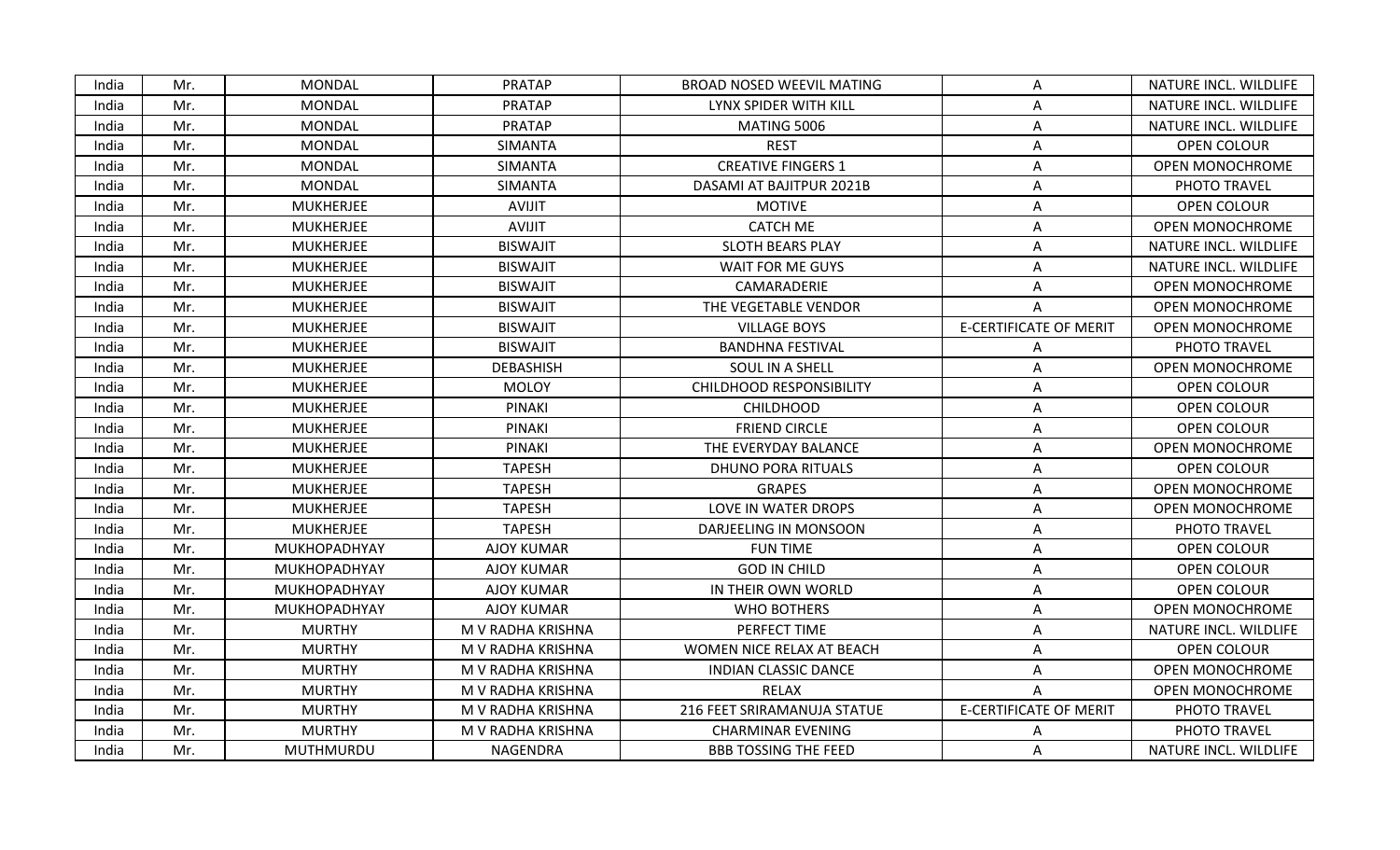| India | Mr. | <b>MONDAL</b>    | <b>PRATAP</b>     | BROAD NOSED WEEVIL MATING       | A                             | NATURE INCL. WILDLIFE  |
|-------|-----|------------------|-------------------|---------------------------------|-------------------------------|------------------------|
| India | Mr. | <b>MONDAL</b>    | <b>PRATAP</b>     | LYNX SPIDER WITH KILL           | Α                             | NATURE INCL. WILDLIFE  |
| India | Mr. | <b>MONDAL</b>    | <b>PRATAP</b>     | <b>MATING 5006</b>              | Α                             | NATURE INCL. WILDLIFE  |
| India | Mr. | MONDAL           | SIMANTA           | <b>REST</b>                     | A                             | <b>OPEN COLOUR</b>     |
| India | Mr. | <b>MONDAL</b>    | SIMANTA           | <b>CREATIVE FINGERS 1</b>       | Α                             | <b>OPEN MONOCHROME</b> |
| India | Mr. | <b>MONDAL</b>    | <b>SIMANTA</b>    | DASAMI AT BAJITPUR 2021B        | A                             | PHOTO TRAVEL           |
| India | Mr. | <b>MUKHERJEE</b> | AVIJIT            | <b>MOTIVE</b>                   | Α                             | <b>OPEN COLOUR</b>     |
| India | Mr. | <b>MUKHERJEE</b> | <b>AVIJIT</b>     | <b>CATCH ME</b>                 | Α                             | <b>OPEN MONOCHROME</b> |
| India | Mr. | <b>MUKHERJEE</b> | <b>BISWAJIT</b>   | <b>SLOTH BEARS PLAY</b>         | A                             | NATURE INCL. WILDLIFE  |
| India | Mr. | <b>MUKHERJEE</b> | <b>BISWAJIT</b>   | WAIT FOR ME GUYS                | Α                             | NATURE INCL. WILDLIFE  |
| India | Mr. | <b>MUKHERJEE</b> | <b>BISWAJIT</b>   | CAMARADERIE                     | A                             | <b>OPEN MONOCHROME</b> |
| India | Mr. | <b>MUKHERJEE</b> | <b>BISWAJIT</b>   | THE VEGETABLE VENDOR            | A                             | <b>OPEN MONOCHROME</b> |
| India | Mr. | <b>MUKHERJEE</b> | <b>BISWAJIT</b>   | <b>VILLAGE BOYS</b>             | <b>E-CERTIFICATE OF MERIT</b> | OPEN MONOCHROME        |
| India | Mr. | <b>MUKHERJEE</b> | <b>BISWAJIT</b>   | <b>BANDHNA FESTIVAL</b>         | Α                             | PHOTO TRAVEL           |
| India | Mr. | <b>MUKHERJEE</b> | <b>DEBASHISH</b>  | SOUL IN A SHELL                 | Α                             | <b>OPEN MONOCHROME</b> |
| India | Mr. | <b>MUKHERJEE</b> | <b>MOLOY</b>      | <b>CHILDHOOD RESPONSIBILITY</b> | A                             | OPEN COLOUR            |
| India | Mr. | <b>MUKHERJEE</b> | PINAKI            | <b>CHILDHOOD</b>                | Α                             | OPEN COLOUR            |
| India | Mr. | <b>MUKHERJEE</b> | <b>PINAKI</b>     | <b>FRIEND CIRCLE</b>            | Α                             | <b>OPEN COLOUR</b>     |
| India | Mr. | <b>MUKHERJEE</b> | PINAKI            | THE EVERYDAY BALANCE            | A                             | <b>OPEN MONOCHROME</b> |
| India | Mr. | <b>MUKHERJEE</b> | <b>TAPESH</b>     | <b>DHUNO PORA RITUALS</b>       | Α                             | OPEN COLOUR            |
| India | Mr. | <b>MUKHERJEE</b> | <b>TAPESH</b>     | <b>GRAPES</b>                   | Α                             | <b>OPEN MONOCHROME</b> |
| India | Mr. | <b>MUKHERJEE</b> | <b>TAPESH</b>     | LOVE IN WATER DROPS             | Α                             | <b>OPEN MONOCHROME</b> |
| India | Mr. | <b>MUKHERJEE</b> | <b>TAPESH</b>     | DARJEELING IN MONSOON           | Α                             | PHOTO TRAVEL           |
| India | Mr. | MUKHOPADHYAY     | <b>AJOY KUMAR</b> | <b>FUN TIME</b>                 | Α                             | OPEN COLOUR            |
| India | Mr. | MUKHOPADHYAY     | <b>AJOY KUMAR</b> | <b>GOD IN CHILD</b>             | A                             | <b>OPEN COLOUR</b>     |
| India | Mr. | MUKHOPADHYAY     | <b>AJOY KUMAR</b> | IN THEIR OWN WORLD              | Α                             | OPEN COLOUR            |
| India | Mr. | MUKHOPADHYAY     | <b>AJOY KUMAR</b> | <b>WHO BOTHERS</b>              | A                             | <b>OPEN MONOCHROME</b> |
| India | Mr. | <b>MURTHY</b>    | M V RADHA KRISHNA | PERFECT TIME                    | Α                             | NATURE INCL. WILDLIFE  |
| India | Mr. | <b>MURTHY</b>    | M V RADHA KRISHNA | WOMEN NICE RELAX AT BEACH       | A                             | OPEN COLOUR            |
| India | Mr. | <b>MURTHY</b>    | M V RADHA KRISHNA | <b>INDIAN CLASSIC DANCE</b>     | Α                             | <b>OPEN MONOCHROME</b> |
| India | Mr. | <b>MURTHY</b>    | M V RADHA KRISHNA | RELAX                           | A                             | OPEN MONOCHROME        |
| India | Mr. | <b>MURTHY</b>    | M V RADHA KRISHNA | 216 FEET SRIRAMANUJA STATUE     | <b>E-CERTIFICATE OF MERIT</b> | PHOTO TRAVEL           |
| India | Mr. | <b>MURTHY</b>    | M V RADHA KRISHNA | <b>CHARMINAR EVENING</b>        |                               | PHOTO TRAVEL           |
| India | Mr. | <b>MUTHMURDU</b> | NAGENDRA          | <b>BBB TOSSING THE FEED</b>     | A                             | NATURE INCL. WILDLIFE  |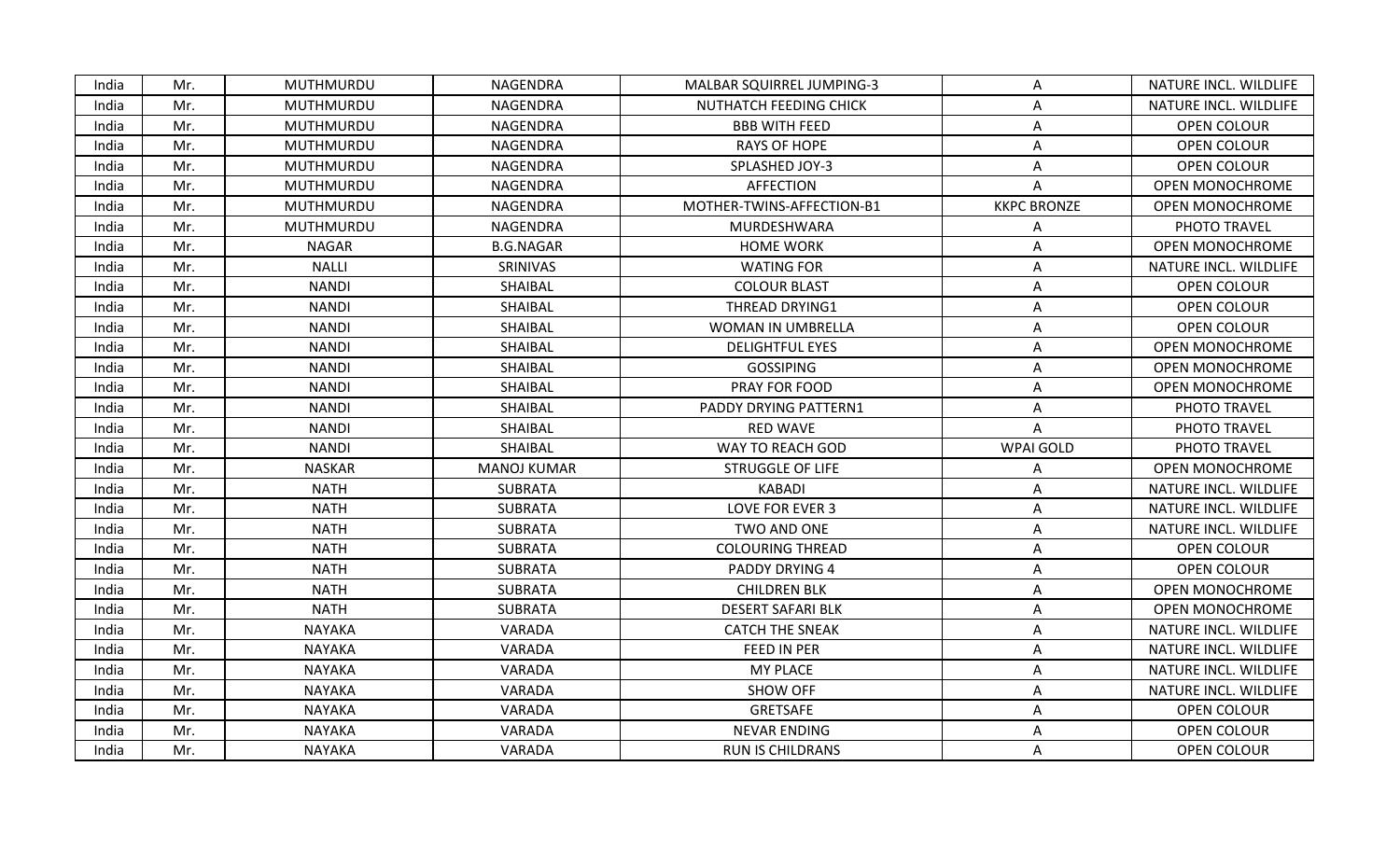| India | Mr. | MUTHMURDU     | NAGENDRA           | MALBAR SQUIRREL JUMPING-3 | A                  | NATURE INCL. WILDLIFE  |
|-------|-----|---------------|--------------------|---------------------------|--------------------|------------------------|
| India | Mr. | MUTHMURDU     | NAGENDRA           | NUTHATCH FEEDING CHICK    | Α                  | NATURE INCL. WILDLIFE  |
| India | Mr. | MUTHMURDU     | NAGENDRA           | <b>BBB WITH FEED</b>      | Α                  | OPEN COLOUR            |
| India | Mr. | MUTHMURDU     | NAGENDRA           | <b>RAYS OF HOPE</b>       | Α                  | <b>OPEN COLOUR</b>     |
| India | Mr. | MUTHMURDU     | NAGENDRA           | SPLASHED JOY-3            | A                  | OPEN COLOUR            |
| India | Mr. | MUTHMURDU     | NAGENDRA           | <b>AFFECTION</b>          | Α                  | <b>OPEN MONOCHROME</b> |
| India | Mr. | MUTHMURDU     | NAGENDRA           | MOTHER-TWINS-AFFECTION-B1 | <b>KKPC BRONZE</b> | OPEN MONOCHROME        |
| India | Mr. | MUTHMURDU     | NAGENDRA           | MURDESHWARA               | Α                  | PHOTO TRAVEL           |
| India | Mr. | <b>NAGAR</b>  | <b>B.G.NAGAR</b>   | <b>HOME WORK</b>          | Α                  | <b>OPEN MONOCHROME</b> |
| India | Mr. | <b>NALLI</b>  | SRINIVAS           | <b>WATING FOR</b>         | A                  | NATURE INCL. WILDLIFE  |
| India | Mr. | NANDI         | SHAIBAL            | <b>COLOUR BLAST</b>       | A                  | OPEN COLOUR            |
| India | Mr. | <b>NANDI</b>  | SHAIBAL            | THREAD DRYING1            | A                  | OPEN COLOUR            |
| India | Mr. | <b>NANDI</b>  | SHAIBAL            | WOMAN IN UMBRELLA         | Α                  | OPEN COLOUR            |
| India | Mr. | <b>NANDI</b>  | SHAIBAL            | <b>DELIGHTFUL EYES</b>    | Α                  | <b>OPEN MONOCHROME</b> |
| India | Mr. | <b>NANDI</b>  | SHAIBAL            | <b>GOSSIPING</b>          | Α                  | <b>OPEN MONOCHROME</b> |
| India | Mr. | <b>NANDI</b>  | SHAIBAL            | PRAY FOR FOOD             | Α                  | <b>OPEN MONOCHROME</b> |
| India | Mr. | <b>NANDI</b>  | SHAIBAL            | PADDY DRYING PATTERN1     | Α                  | PHOTO TRAVEL           |
| India | Mr. | <b>NANDI</b>  | SHAIBAL            | <b>RED WAVE</b>           | A                  | PHOTO TRAVEL           |
| India | Mr. | <b>NANDI</b>  | SHAIBAL            | WAY TO REACH GOD          | <b>WPAI GOLD</b>   | PHOTO TRAVEL           |
| India | Mr. | <b>NASKAR</b> | <b>MANOJ KUMAR</b> | <b>STRUGGLE OF LIFE</b>   | А                  | <b>OPEN MONOCHROME</b> |
| India | Mr. | <b>NATH</b>   | <b>SUBRATA</b>     | KABADI                    | A                  | NATURE INCL. WILDLIFE  |
| India | Mr. | <b>NATH</b>   | <b>SUBRATA</b>     | LOVE FOR EVER 3           | A                  | NATURE INCL. WILDLIFE  |
| India | Mr. | <b>NATH</b>   | <b>SUBRATA</b>     | TWO AND ONE               | Α                  | NATURE INCL. WILDLIFE  |
| India | Mr. | <b>NATH</b>   | <b>SUBRATA</b>     | <b>COLOURING THREAD</b>   | A                  | OPEN COLOUR            |
| India | Mr. | <b>NATH</b>   | <b>SUBRATA</b>     | <b>PADDY DRYING 4</b>     | A                  | OPEN COLOUR            |
| India | Mr. | <b>NATH</b>   | <b>SUBRATA</b>     | <b>CHILDREN BLK</b>       | Α                  | <b>OPEN MONOCHROME</b> |
| India | Mr. | <b>NATH</b>   | <b>SUBRATA</b>     | <b>DESERT SAFARI BLK</b>  | Α                  | <b>OPEN MONOCHROME</b> |
| India | Mr. | <b>NAYAKA</b> | VARADA             | <b>CATCH THE SNEAK</b>    | A                  | NATURE INCL. WILDLIFE  |
| India | Mr. | <b>NAYAKA</b> | VARADA             | FEED IN PER               | A                  | NATURE INCL. WILDLIFE  |
| India | Mr. | <b>NAYAKA</b> | VARADA             | <b>MY PLACE</b>           | Α                  | NATURE INCL. WILDLIFE  |
| India | Mr. | <b>NAYAKA</b> | VARADA             | <b>SHOW OFF</b>           | A                  | NATURE INCL. WILDLIFE  |
| India | Mr. | <b>NAYAKA</b> | VARADA             | GRETSAFE                  | Α                  | OPEN COLOUR            |
| India | Mr. | <b>NAYAKA</b> | VARADA             | <b>NEVAR ENDING</b>       | Α                  | OPEN COLOUR            |
| India | Mr. | <b>NAYAKA</b> | VARADA             | <b>RUN IS CHILDRANS</b>   | A                  | OPEN COLOUR            |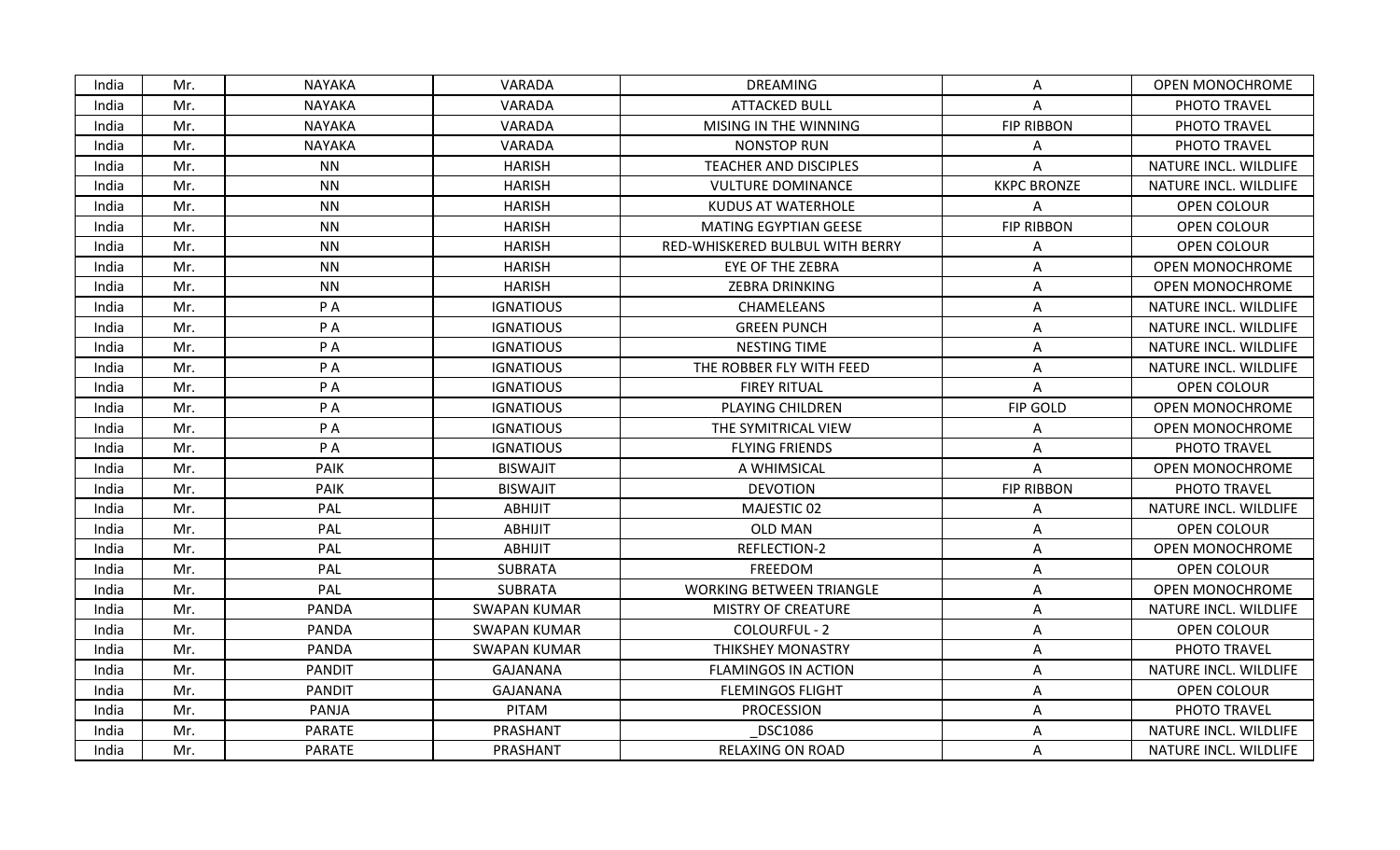| India | Mr. | <b>NAYAKA</b> | VARADA              | <b>DREAMING</b>                 | A                  | <b>OPEN MONOCHROME</b> |
|-------|-----|---------------|---------------------|---------------------------------|--------------------|------------------------|
| India | Mr. | <b>NAYAKA</b> | VARADA              | <b>ATTACKED BULL</b>            | Α                  | PHOTO TRAVEL           |
| India | Mr. | <b>NAYAKA</b> | VARADA              | MISING IN THE WINNING           | <b>FIP RIBBON</b>  | PHOTO TRAVEL           |
| India | Mr. | <b>NAYAKA</b> | VARADA              | <b>NONSTOP RUN</b>              | A                  | PHOTO TRAVEL           |
| India | Mr. | <b>NN</b>     | <b>HARISH</b>       | <b>TEACHER AND DISCIPLES</b>    | A                  | NATURE INCL. WILDLIFE  |
| India | Mr. | <b>NN</b>     | <b>HARISH</b>       | <b>VULTURE DOMINANCE</b>        | <b>KKPC BRONZE</b> | NATURE INCL. WILDLIFE  |
| India | Mr. | <b>NN</b>     | <b>HARISH</b>       | <b>KUDUS AT WATERHOLE</b>       | Α                  | OPEN COLOUR            |
| India | Mr. | <b>NN</b>     | <b>HARISH</b>       | <b>MATING EGYPTIAN GEESE</b>    | <b>FIP RIBBON</b>  | OPEN COLOUR            |
| India | Mr. | <b>NN</b>     | <b>HARISH</b>       | RED-WHISKERED BULBUL WITH BERRY | A                  | <b>OPEN COLOUR</b>     |
| India | Mr. | <b>NN</b>     | <b>HARISH</b>       | <b>EYE OF THE ZEBRA</b>         | Α                  | OPEN MONOCHROME        |
| India | Mr. | <b>NN</b>     | <b>HARISH</b>       | <b>ZEBRA DRINKING</b>           | A                  | <b>OPEN MONOCHROME</b> |
| India | Mr. | P A           | <b>IGNATIOUS</b>    | CHAMELEANS                      | Α                  | NATURE INCL. WILDLIFE  |
| India | Mr. | P A           | <b>IGNATIOUS</b>    | <b>GREEN PUNCH</b>              | A                  | NATURE INCL. WILDLIFE  |
| India | Mr. | P A           | <b>IGNATIOUS</b>    | NESTING TIME                    | Α                  | NATURE INCL. WILDLIFE  |
| India | Mr. | PA            | <b>IGNATIOUS</b>    | THE ROBBER FLY WITH FEED        | A                  | NATURE INCL. WILDLIFE  |
| India | Mr. | P A           | <b>IGNATIOUS</b>    | <b>FIREY RITUAL</b>             | A                  | OPEN COLOUR            |
| India | Mr. | P A           | <b>IGNATIOUS</b>    | PLAYING CHILDREN                | FIP GOLD           | <b>OPEN MONOCHROME</b> |
| India | Mr. | P A           | <b>IGNATIOUS</b>    | THE SYMITRICAL VIEW             | Α                  | <b>OPEN MONOCHROME</b> |
| India | Mr. | P A           | <b>IGNATIOUS</b>    | <b>FLYING FRIENDS</b>           | A                  | PHOTO TRAVEL           |
| India | Mr. | PAIK          | <b>BISWAJIT</b>     | A WHIMSICAL                     | A                  | <b>OPEN MONOCHROME</b> |
| India | Mr. | PAIK          | <b>BISWAJIT</b>     | <b>DEVOTION</b>                 | <b>FIP RIBBON</b>  | PHOTO TRAVEL           |
| India | Mr. | PAL           | <b>ABHIJIT</b>      | MAJESTIC 02                     | A                  | NATURE INCL. WILDLIFE  |
| India | Mr. | PAL           | <b>ABHIJIT</b>      | <b>OLD MAN</b>                  | Α                  | OPEN COLOUR            |
| India | Mr. | PAL           | <b>ABHIJIT</b>      | REFLECTION-2                    | Α                  | <b>OPEN MONOCHROME</b> |
| India | Mr. | PAL           | <b>SUBRATA</b>      | FREEDOM                         | Α                  | OPEN COLOUR            |
| India | Mr. | PAL           | <b>SUBRATA</b>      | <b>WORKING BETWEEN TRIANGLE</b> | A                  | <b>OPEN MONOCHROME</b> |
| India | Mr. | <b>PANDA</b>  | <b>SWAPAN KUMAR</b> | <b>MISTRY OF CREATURE</b>       | Α                  | NATURE INCL. WILDLIFE  |
| India | Mr. | <b>PANDA</b>  | <b>SWAPAN KUMAR</b> | COLOURFUL - 2                   | A                  | OPEN COLOUR            |
| India | Mr. | PANDA         | <b>SWAPAN KUMAR</b> | THIKSHEY MONASTRY               | Α                  | PHOTO TRAVEL           |
| India | Mr. | <b>PANDIT</b> | <b>GAJANANA</b>     | <b>FLAMINGOS IN ACTION</b>      | Α                  | NATURE INCL. WILDLIFE  |
| India | Mr. | <b>PANDIT</b> | <b>GAJANANA</b>     | <b>FLEMINGOS FLIGHT</b>         | A                  | OPEN COLOUR            |
| India | Mr. | PANJA         | PITAM               | <b>PROCESSION</b>               | A                  | PHOTO TRAVEL           |
| India | Mr. | <b>PARATE</b> | PRASHANT            | <b>DSC1086</b>                  | Α                  | NATURE INCL. WILDLIFE  |
| India | Mr. | <b>PARATE</b> | PRASHANT            | RELAXING ON ROAD                | A                  | NATURE INCL. WILDLIFE  |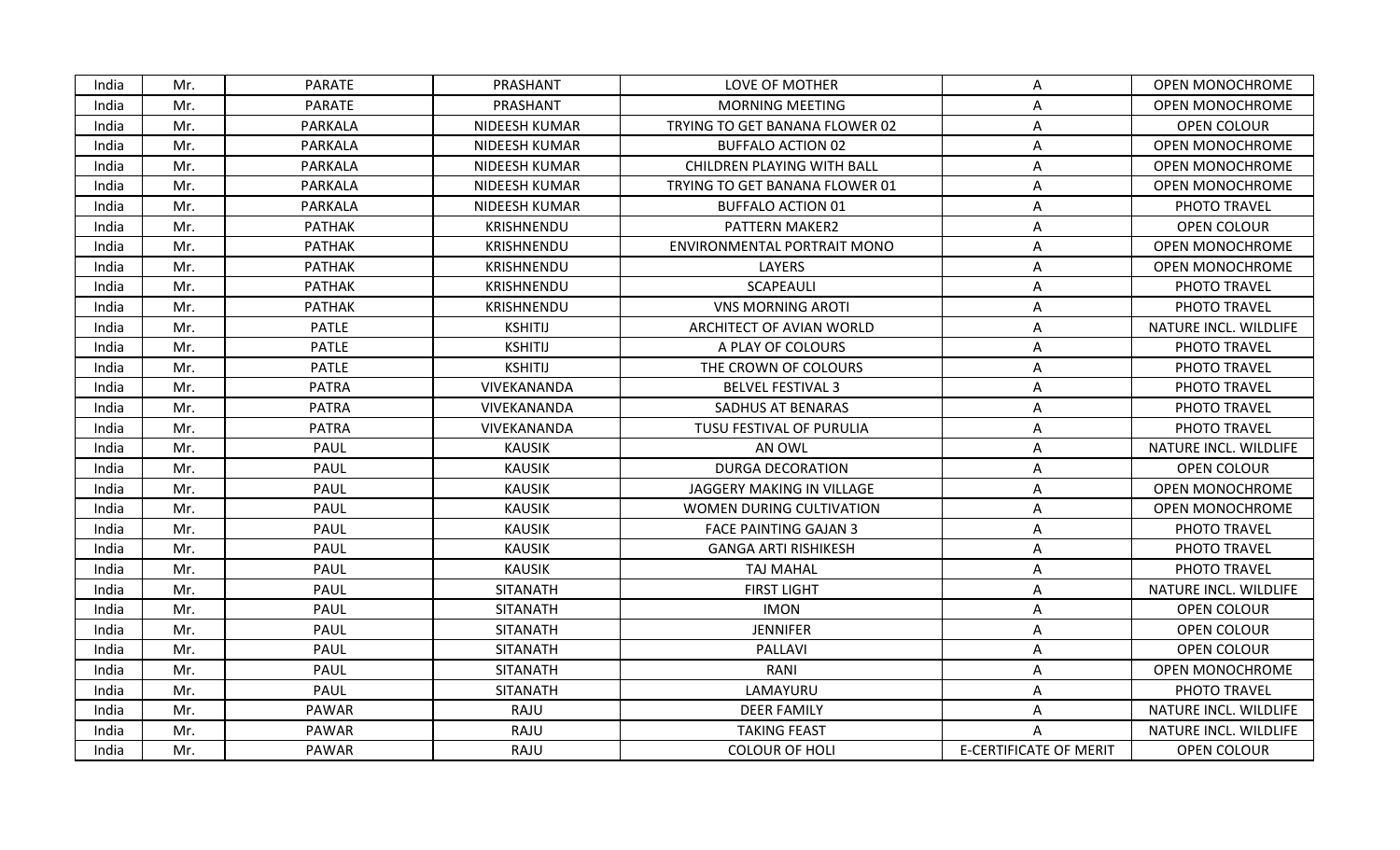| India | Mr. | <b>PARATE</b> | PRASHANT          | LOVE OF MOTHER                 | A                             | <b>OPEN MONOCHROME</b> |
|-------|-----|---------------|-------------------|--------------------------------|-------------------------------|------------------------|
| India | Mr. | <b>PARATE</b> | PRASHANT          | <b>MORNING MEETING</b>         | Α                             | <b>OPEN MONOCHROME</b> |
| India | Mr. | PARKALA       | NIDEESH KUMAR     | TRYING TO GET BANANA FLOWER 02 | Α                             | OPEN COLOUR            |
| India | Mr. | PARKALA       | NIDEESH KUMAR     | <b>BUFFALO ACTION 02</b>       | A                             | <b>OPEN MONOCHROME</b> |
| India | Mr. | PARKALA       | NIDEESH KUMAR     | CHILDREN PLAYING WITH BALL     | Α                             | <b>OPEN MONOCHROME</b> |
| India | Mr. | PARKALA       | NIDEESH KUMAR     | TRYING TO GET BANANA FLOWER 01 | Α                             | <b>OPEN MONOCHROME</b> |
| India | Mr. | PARKALA       | NIDEESH KUMAR     | <b>BUFFALO ACTION 01</b>       | Α                             | PHOTO TRAVEL           |
| India | Mr. | <b>PATHAK</b> | KRISHNENDU        | PATTERN MAKER2                 | Α                             | OPEN COLOUR            |
| India | Mr. | <b>PATHAK</b> | <b>KRISHNENDU</b> | ENVIRONMENTAL PORTRAIT MONO    | A                             | <b>OPEN MONOCHROME</b> |
| India | Mr. | <b>PATHAK</b> | KRISHNENDU        | <b>LAYERS</b>                  | Α                             | <b>OPEN MONOCHROME</b> |
| India | Mr. | <b>PATHAK</b> | KRISHNENDU        | <b>SCAPEAULI</b>               | A                             | PHOTO TRAVEL           |
| India | Mr. | <b>PATHAK</b> | KRISHNENDU        | <b>VNS MORNING AROTI</b>       | A                             | PHOTO TRAVEL           |
| India | Mr. | <b>PATLE</b>  | <b>KSHITIJ</b>    | ARCHITECT OF AVIAN WORLD       | Α                             | NATURE INCL. WILDLIFE  |
| India | Mr. | <b>PATLE</b>  | <b>KSHITIJ</b>    | A PLAY OF COLOURS              | Α                             | PHOTO TRAVEL           |
| India | Mr. | <b>PATLE</b>  | <b>KSHITIJ</b>    | THE CROWN OF COLOURS           | Α                             | PHOTO TRAVEL           |
| India | Mr. | <b>PATRA</b>  | VIVEKANANDA       | <b>BELVEL FESTIVAL 3</b>       | A                             | PHOTO TRAVEL           |
| India | Mr. | <b>PATRA</b>  | VIVEKANANDA       | SADHUS AT BENARAS              | Α                             | PHOTO TRAVEL           |
| India | Mr. | <b>PATRA</b>  | VIVEKANANDA       | TUSU FESTIVAL OF PURULIA       | Α                             | PHOTO TRAVEL           |
| India | Mr. | PAUL          | <b>KAUSIK</b>     | AN OWL                         | A                             | NATURE INCL. WILDLIFE  |
| India | Mr. | <b>PAUL</b>   | <b>KAUSIK</b>     | <b>DURGA DECORATION</b>        | А                             | <b>OPEN COLOUR</b>     |
| India | Mr. | <b>PAUL</b>   | <b>KAUSIK</b>     | JAGGERY MAKING IN VILLAGE      | А                             | OPEN MONOCHROME        |
| India | Mr. | PAUL          | <b>KAUSIK</b>     | WOMEN DURING CULTIVATION       | А                             | <b>OPEN MONOCHROME</b> |
| India | Mr. | PAUL          | <b>KAUSIK</b>     | <b>FACE PAINTING GAJAN 3</b>   | Α                             | PHOTO TRAVEL           |
| India | Mr. | PAUL          | <b>KAUSIK</b>     | <b>GANGA ARTI RISHIKESH</b>    | А                             | PHOTO TRAVEL           |
| India | Mr. | PAUL          | <b>KAUSIK</b>     | <b>TAJ MAHAL</b>               | Α                             | PHOTO TRAVEL           |
| India | Mr. | <b>PAUL</b>   | <b>SITANATH</b>   | <b>FIRST LIGHT</b>             | A                             | NATURE INCL. WILDLIFE  |
| India | Mr. | PAUL          | <b>SITANATH</b>   | <b>IMON</b>                    | A                             | OPEN COLOUR            |
| India | Mr. | PAUL          | <b>SITANATH</b>   | <b>JENNIFER</b>                | Α                             | OPEN COLOUR            |
| India | Mr. | PAUL          | <b>SITANATH</b>   | PALLAVI                        | Α                             | <b>OPEN COLOUR</b>     |
| India | Mr. | PAUL          | <b>SITANATH</b>   | RANI                           | Α                             | <b>OPEN MONOCHROME</b> |
| India | Mr. | PAUL          | <b>SITANATH</b>   | LAMAYURU                       | A                             | PHOTO TRAVEL           |
| India | Mr. | <b>PAWAR</b>  | RAJU              | <b>DEER FAMILY</b>             | А                             | NATURE INCL. WILDLIFE  |
| India | Mr. | PAWAR         | RAJU              | <b>TAKING FEAST</b>            | A                             | NATURE INCL. WILDLIFE  |
| India | Mr. | PAWAR         | RAJU              | <b>COLOUR OF HOLI</b>          | <b>E-CERTIFICATE OF MERIT</b> | OPEN COLOUR            |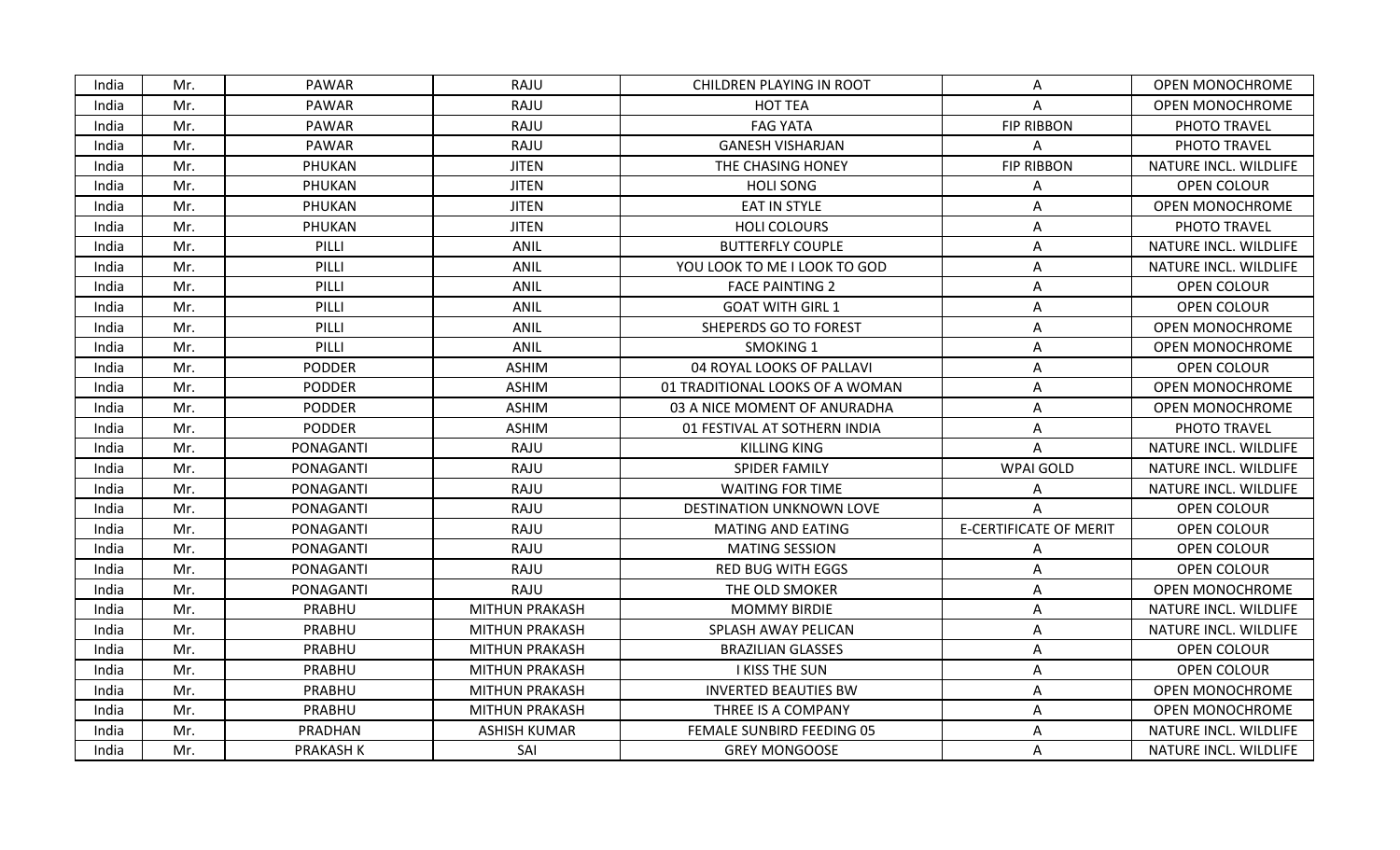| India | Mr. | <b>PAWAR</b>     | RAJU                  | CHILDREN PLAYING IN ROOT        | A                             | <b>OPEN MONOCHROME</b> |
|-------|-----|------------------|-----------------------|---------------------------------|-------------------------------|------------------------|
| India | Mr. | <b>PAWAR</b>     | RAJU                  | <b>HOT TEA</b>                  | A                             | <b>OPEN MONOCHROME</b> |
| India | Mr. | PAWAR            | RAJU                  | <b>FAG YATA</b>                 | <b>FIP RIBBON</b>             | PHOTO TRAVEL           |
| India | Mr. | PAWAR            | RAJU                  | <b>GANESH VISHARJAN</b>         | A                             | PHOTO TRAVEL           |
| India | Mr. | PHUKAN           | <b>JITEN</b>          | THE CHASING HONEY               | <b>FIP RIBBON</b>             | NATURE INCL. WILDLIFE  |
| India | Mr. | PHUKAN           | <b>JITEN</b>          | <b>HOLI SONG</b>                | A                             | OPEN COLOUR            |
| India | Mr. | PHUKAN           | <b>JITEN</b>          | <b>EAT IN STYLE</b>             | Α                             | <b>OPEN MONOCHROME</b> |
| India | Mr. | PHUKAN           | <b>JITEN</b>          | <b>HOLI COLOURS</b>             | Α                             | PHOTO TRAVEL           |
| India | Mr. | PILLI            | ANIL                  | <b>BUTTERFLY COUPLE</b>         | A                             | NATURE INCL. WILDLIFE  |
| India | Mr. | PILLI            | ANIL                  | YOU LOOK TO ME I LOOK TO GOD    | Α                             | NATURE INCL. WILDLIFE  |
| India | Mr. | PILLI            | ANIL                  | <b>FACE PAINTING 2</b>          | A                             | OPEN COLOUR            |
| India | Mr. | PILLI            | ANIL                  | <b>GOAT WITH GIRL 1</b>         | A                             | OPEN COLOUR            |
| India | Mr. | PILLI            | ANIL                  | SHEPERDS GO TO FOREST           | Α                             | <b>OPEN MONOCHROME</b> |
| India | Mr. | PILLI            | <b>ANIL</b>           | <b>SMOKING 1</b>                | Α                             | <b>OPEN MONOCHROME</b> |
| India | Mr. | <b>PODDER</b>    | <b>ASHIM</b>          | 04 ROYAL LOOKS OF PALLAVI       | Α                             | OPEN COLOUR            |
| India | Mr. | <b>PODDER</b>    | <b>ASHIM</b>          | 01 TRADITIONAL LOOKS OF A WOMAN | А                             | OPEN MONOCHROME        |
| India | Mr. | <b>PODDER</b>    | <b>ASHIM</b>          | 03 A NICE MOMENT OF ANURADHA    | A                             | <b>OPEN MONOCHROME</b> |
| India | Mr. | <b>PODDER</b>    | <b>ASHIM</b>          | 01 FESTIVAL AT SOTHERN INDIA    | Α                             | PHOTO TRAVEL           |
| India | Mr. | PONAGANTI        | RAJU                  | <b>KILLING KING</b>             | A                             | NATURE INCL. WILDLIFE  |
| India | Mr. | PONAGANTI        | RAJU                  | SPIDER FAMILY                   | <b>WPAI GOLD</b>              | NATURE INCL. WILDLIFE  |
| India | Mr. | PONAGANTI        | RAJU                  | <b>WAITING FOR TIME</b>         | А                             | NATURE INCL. WILDLIFE  |
| India | Mr. | PONAGANTI        | RAJU                  | DESTINATION UNKNOWN LOVE        | A                             | <b>OPEN COLOUR</b>     |
| India | Mr. | PONAGANTI        | RAJU                  | <b>MATING AND EATING</b>        | <b>E-CERTIFICATE OF MERIT</b> | OPEN COLOUR            |
| India | Mr. | PONAGANTI        | RAJU                  | <b>MATING SESSION</b>           | A                             | <b>OPEN COLOUR</b>     |
| India | Mr. | PONAGANTI        | RAJU                  | <b>RED BUG WITH EGGS</b>        | Α                             | <b>OPEN COLOUR</b>     |
| India | Mr. | <b>PONAGANTI</b> | RAJU                  | THE OLD SMOKER                  | A                             | OPEN MONOCHROME        |
| India | Mr. | PRABHU           | <b>MITHUN PRAKASH</b> | <b>MOMMY BIRDIE</b>             | A                             | NATURE INCL. WILDLIFE  |
| India | Mr. | PRABHU           | <b>MITHUN PRAKASH</b> | SPLASH AWAY PELICAN             | Α                             | NATURE INCL. WILDLIFE  |
| India | Mr. | PRABHU           | <b>MITHUN PRAKASH</b> | <b>BRAZILIAN GLASSES</b>        | A                             | OPEN COLOUR            |
| India | Mr. | PRABHU           | <b>MITHUN PRAKASH</b> | <b>I KISS THE SUN</b>           | Α                             | OPEN COLOUR            |
| India | Mr. | PRABHU           | <b>MITHUN PRAKASH</b> | <b>INVERTED BEAUTIES BW</b>     | Α                             | <b>OPEN MONOCHROME</b> |
| India | Mr. | PRABHU           | <b>MITHUN PRAKASH</b> | THREE IS A COMPANY              | A                             | <b>OPEN MONOCHROME</b> |
| India | Mr. | PRADHAN          | <b>ASHISH KUMAR</b>   | FEMALE SUNBIRD FEEDING 05       | Α                             | NATURE INCL. WILDLIFE  |
| India | Mr. | <b>PRAKASH K</b> | SAI                   | <b>GREY MONGOOSE</b>            | A                             | NATURE INCL. WILDLIFE  |
|       |     |                  |                       |                                 |                               |                        |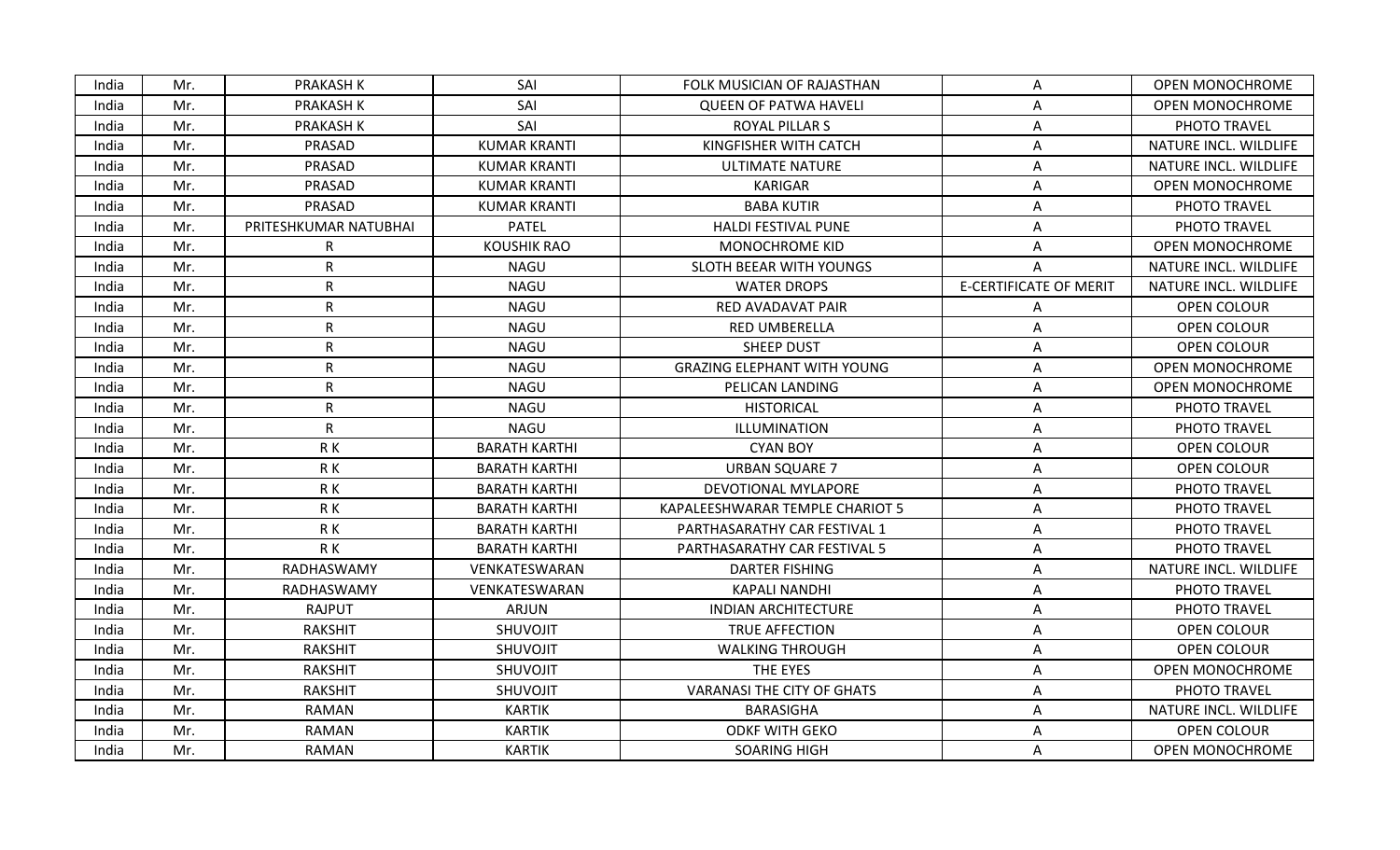| India | Mr. | <b>PRAKASH K</b>      | SAI                  | FOLK MUSICIAN OF RAJASTHAN         | A                             | <b>OPEN MONOCHROME</b> |
|-------|-----|-----------------------|----------------------|------------------------------------|-------------------------------|------------------------|
| India | Mr. | <b>PRAKASH K</b>      | SAI                  | <b>QUEEN OF PATWA HAVELI</b>       | Α                             | <b>OPEN MONOCHROME</b> |
| India | Mr. | <b>PRAKASH K</b>      | SAI                  | <b>ROYAL PILLAR S</b>              | Α                             | PHOTO TRAVEL           |
| India | Mr. | PRASAD                | <b>KUMAR KRANTI</b>  | KINGFISHER WITH CATCH              | A                             | NATURE INCL. WILDLIFE  |
| India | Mr. | PRASAD                | <b>KUMAR KRANTI</b>  | <b>ULTIMATE NATURE</b>             | Α                             | NATURE INCL. WILDLIFE  |
| India | Mr. | PRASAD                | <b>KUMAR KRANTI</b>  | <b>KARIGAR</b>                     | A                             | <b>OPEN MONOCHROME</b> |
| India | Mr. | PRASAD                | <b>KUMAR KRANTI</b>  | <b>BABA KUTIR</b>                  | A                             | PHOTO TRAVEL           |
| India | Mr. | PRITESHKUMAR NATUBHAI | <b>PATEL</b>         | HALDI FESTIVAL PUNE                | Α                             | PHOTO TRAVEL           |
| India | Mr. | $\mathsf{R}$          | <b>KOUSHIK RAO</b>   | <b>MONOCHROME KID</b>              | Α                             | <b>OPEN MONOCHROME</b> |
| India | Mr. | $\mathsf{R}$          | <b>NAGU</b>          | SLOTH BEEAR WITH YOUNGS            | A                             | NATURE INCL. WILDLIFE  |
| India | Mr. | $\mathsf{R}$          | <b>NAGU</b>          | <b>WATER DROPS</b>                 | <b>E-CERTIFICATE OF MERIT</b> | NATURE INCL. WILDLIFE  |
| India | Mr. | $\mathsf{R}$          | <b>NAGU</b>          | RED AVADAVAT PAIR                  | Α                             | OPEN COLOUR            |
| India | Mr. | $\mathsf{R}$          | NAGU                 | RED UMBERELLA                      | Α                             | OPEN COLOUR            |
| India | Mr. | $\mathsf{R}$          | <b>NAGU</b>          | <b>SHEEP DUST</b>                  | Α                             | <b>OPEN COLOUR</b>     |
| India | Mr. | $\mathsf R$           | <b>NAGU</b>          | <b>GRAZING ELEPHANT WITH YOUNG</b> | Α                             | <b>OPEN MONOCHROME</b> |
| India | Mr. | $\mathsf{R}$          | <b>NAGU</b>          | PELICAN LANDING                    | A                             | <b>OPEN MONOCHROME</b> |
| India | Mr. | $\mathsf{R}$          | <b>NAGU</b>          | <b>HISTORICAL</b>                  | Α                             | PHOTO TRAVEL           |
| India | Mr. | $\mathsf{R}$          | <b>NAGU</b>          | ILLUMINATION                       | Α                             | PHOTO TRAVEL           |
| India | Mr. | R K                   | <b>BARATH KARTHI</b> | <b>CYAN BOY</b>                    | A                             | <b>OPEN COLOUR</b>     |
| India | Mr. | RK                    | <b>BARATH KARTHI</b> | <b>URBAN SQUARE 7</b>              | Α                             | OPEN COLOUR            |
| India | Mr. | R K                   | <b>BARATH KARTHI</b> | DEVOTIONAL MYLAPORE                | Α                             | PHOTO TRAVEL           |
| India | Mr. | R K                   | <b>BARATH KARTHI</b> | KAPALEESHWARAR TEMPLE CHARIOT 5    | Α                             | PHOTO TRAVEL           |
| India | Mr. | R K                   | <b>BARATH KARTHI</b> | PARTHASARATHY CAR FESTIVAL 1       | Α                             | PHOTO TRAVEL           |
| India | Mr. | R K                   | <b>BARATH KARTHI</b> | PARTHASARATHY CAR FESTIVAL 5       | Α                             | PHOTO TRAVEL           |
| India | Mr. | RADHASWAMY            | VENKATESWARAN        | DARTER FISHING                     | A                             | NATURE INCL. WILDLIFE  |
| India | Mr. | RADHASWAMY            | VENKATESWARAN        | <b>KAPALI NANDHI</b>               | Α                             | PHOTO TRAVEL           |
| India | Mr. | RAJPUT                | ARJUN                | <b>INDIAN ARCHITECTURE</b>         | A                             | PHOTO TRAVEL           |
| India | Mr. | <b>RAKSHIT</b>        | <b>SHUVOJIT</b>      | TRUE AFFECTION                     | A                             | OPEN COLOUR            |
| India | Mr. | <b>RAKSHIT</b>        | <b>SHUVOJIT</b>      | <b>WALKING THROUGH</b>             | Α                             | OPEN COLOUR            |
| India | Mr. | <b>RAKSHIT</b>        | SHUVOJIT             | THE EYES                           | A                             | <b>OPEN MONOCHROME</b> |
| India | Mr. | <b>RAKSHIT</b>        | SHUVOJIT             | <b>VARANASI THE CITY OF GHATS</b>  | A                             | PHOTO TRAVEL           |
| India | Mr. | <b>RAMAN</b>          | <b>KARTIK</b>        | <b>BARASIGHA</b>                   | A                             | NATURE INCL. WILDLIFE  |
| India | Mr. | RAMAN                 | <b>KARTIK</b>        | <b>ODKF WITH GEKO</b>              | Α                             | OPEN COLOUR            |
| India | Mr. | RAMAN                 | <b>KARTIK</b>        | <b>SOARING HIGH</b>                | A                             | OPEN MONOCHROME        |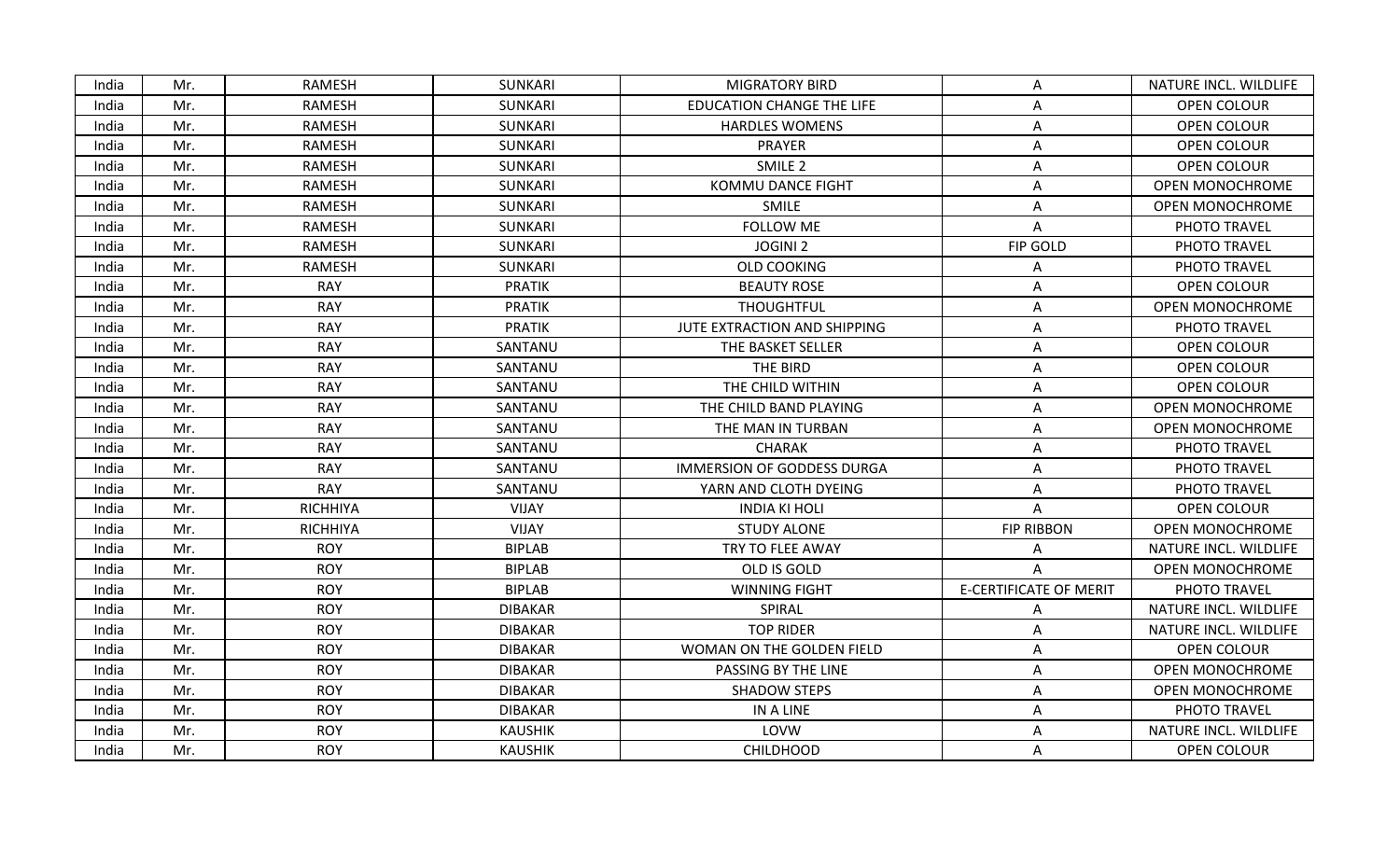| India | Mr. | <b>RAMESH</b>   | <b>SUNKARI</b> | <b>MIGRATORY BIRD</b>             | A                             | NATURE INCL. WILDLIFE  |
|-------|-----|-----------------|----------------|-----------------------------------|-------------------------------|------------------------|
| India | Mr. | RAMESH          | <b>SUNKARI</b> | <b>EDUCATION CHANGE THE LIFE</b>  | A                             | <b>OPEN COLOUR</b>     |
| India | Mr. | RAMESH          | SUNKARI        | <b>HARDLES WOMENS</b>             | Α                             | OPEN COLOUR            |
| India | Mr. | RAMESH          | SUNKARI        | PRAYER                            | Α                             | OPEN COLOUR            |
| India | Mr. | <b>RAMESH</b>   | SUNKARI        | SMILE <sub>2</sub>                | Α                             | OPEN COLOUR            |
| India | Mr. | RAMESH          | <b>SUNKARI</b> | <b>KOMMU DANCE FIGHT</b>          | A                             | OPEN MONOCHROME        |
| India | Mr. | RAMESH          | <b>SUNKARI</b> | <b>SMILE</b>                      | A                             | OPEN MONOCHROME        |
| India | Mr. | RAMESH          | SUNKARI        | <b>FOLLOW ME</b>                  | Α                             | PHOTO TRAVEL           |
| India | Mr. | RAMESH          | SUNKARI        | <b>JOGINI 2</b>                   | FIP GOLD                      | PHOTO TRAVEL           |
| India | Mr. | <b>RAMESH</b>   | <b>SUNKARI</b> | <b>OLD COOKING</b>                | Α                             | PHOTO TRAVEL           |
| India | Mr. | <b>RAY</b>      | <b>PRATIK</b>  | <b>BEAUTY ROSE</b>                | A                             | OPEN COLOUR            |
| India | Mr. | <b>RAY</b>      | <b>PRATIK</b>  | <b>THOUGHTFUL</b>                 | Α                             | <b>OPEN MONOCHROME</b> |
| India | Mr. | <b>RAY</b>      | <b>PRATIK</b>  | JUTE EXTRACTION AND SHIPPING      | Α                             | PHOTO TRAVEL           |
| India | Mr. | <b>RAY</b>      | SANTANU        | THE BASKET SELLER                 | A                             | OPEN COLOUR            |
| India | Mr. | <b>RAY</b>      | SANTANU        | THE BIRD                          | Α                             | OPEN COLOUR            |
| India | Mr. | <b>RAY</b>      | SANTANU        | THE CHILD WITHIN                  | Α                             | OPEN COLOUR            |
| India | Mr. | <b>RAY</b>      | SANTANU        | THE CHILD BAND PLAYING            | Α                             | <b>OPEN MONOCHROME</b> |
| India | Mr. | <b>RAY</b>      | SANTANU        | THE MAN IN TURBAN                 | Α                             | OPEN MONOCHROME        |
| India | Mr. | <b>RAY</b>      | SANTANU        | <b>CHARAK</b>                     | Α                             | PHOTO TRAVEL           |
| India | Mr. | <b>RAY</b>      | SANTANU        | <b>IMMERSION OF GODDESS DURGA</b> | A                             | PHOTO TRAVEL           |
| India | Mr. | <b>RAY</b>      | SANTANU        | YARN AND CLOTH DYEING             | Α                             | PHOTO TRAVEL           |
| India | Mr. | <b>RICHHIYA</b> | VIJAY          | <b>INDIA KI HOLI</b>              | A                             | OPEN COLOUR            |
| India | Mr. | <b>RICHHIYA</b> | <b>VIJAY</b>   | <b>STUDY ALONE</b>                | <b>FIP RIBBON</b>             | <b>OPEN MONOCHROME</b> |
| India | Mr. | <b>ROY</b>      | <b>BIPLAB</b>  | TRY TO FLEE AWAY                  | A                             | NATURE INCL. WILDLIFE  |
| India | Mr. | <b>ROY</b>      | <b>BIPLAB</b>  | OLD IS GOLD                       | A                             | <b>OPEN MONOCHROME</b> |
| India | Mr. | <b>ROY</b>      | <b>BIPLAB</b>  | <b>WINNING FIGHT</b>              | <b>E-CERTIFICATE OF MERIT</b> | PHOTO TRAVEL           |
| India | Mr. | <b>ROY</b>      | <b>DIBAKAR</b> | SPIRAL                            | Α                             | NATURE INCL. WILDLIFE  |
| India | Mr. | <b>ROY</b>      | <b>DIBAKAR</b> | <b>TOP RIDER</b>                  | Α                             | NATURE INCL. WILDLIFE  |
| India | Mr. | <b>ROY</b>      | <b>DIBAKAR</b> | WOMAN ON THE GOLDEN FIELD         | A                             | OPEN COLOUR            |
| India | Mr. | <b>ROY</b>      | <b>DIBAKAR</b> | PASSING BY THE LINE               | A                             | <b>OPEN MONOCHROME</b> |
| India | Mr. | <b>ROY</b>      | <b>DIBAKAR</b> | <b>SHADOW STEPS</b>               | Α                             | OPEN MONOCHROME        |
| India | Mr. | <b>ROY</b>      | <b>DIBAKAR</b> | IN A LINE                         | A                             | PHOTO TRAVEL           |
| India | Mr. | <b>ROY</b>      | <b>KAUSHIK</b> | LOVW                              | Α                             | NATURE INCL. WILDLIFE  |
| India | Mr. | <b>ROY</b>      | <b>KAUSHIK</b> | <b>CHILDHOOD</b>                  | Α                             | OPEN COLOUR            |
|       |     |                 |                |                                   |                               |                        |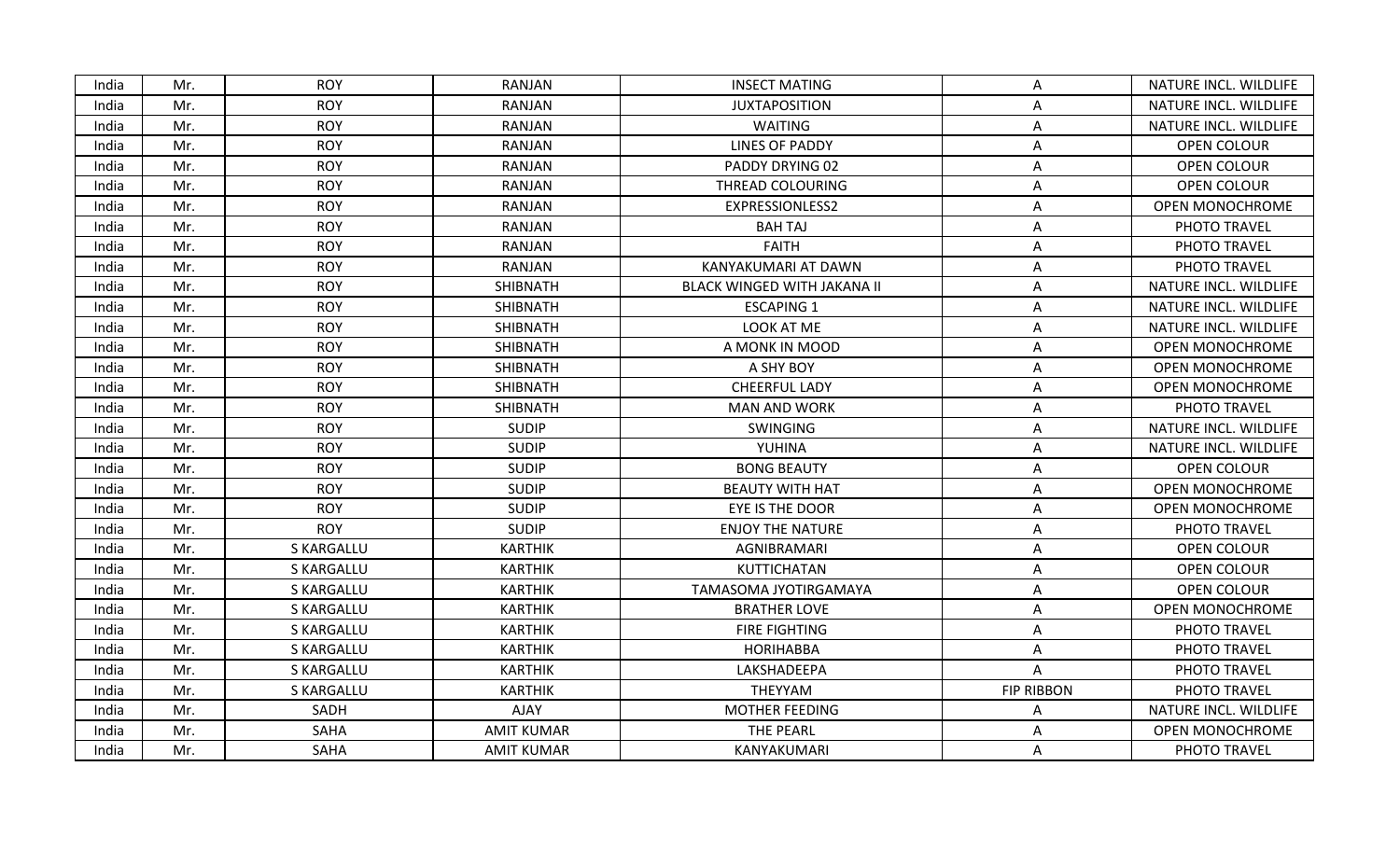| India | Mr. | <b>ROY</b>        | <b>RANJAN</b>     | <b>INSECT MATING</b>               | A                 | NATURE INCL. WILDLIFE  |
|-------|-----|-------------------|-------------------|------------------------------------|-------------------|------------------------|
| India | Mr. | <b>ROY</b>        | RANJAN            | <b>JUXTAPOSITION</b>               | A                 | NATURE INCL. WILDLIFE  |
| India | Mr. | <b>ROY</b>        | RANJAN            | <b>WAITING</b>                     | Α                 | NATURE INCL. WILDLIFE  |
| India | Mr. | <b>ROY</b>        | RANJAN            | <b>LINES OF PADDY</b>              | Α                 | OPEN COLOUR            |
| India | Mr. | <b>ROY</b>        | RANJAN            | PADDY DRYING 02                    | A                 | OPEN COLOUR            |
| India | Mr. | <b>ROY</b>        | RANJAN            | THREAD COLOURING                   | A                 | OPEN COLOUR            |
| India | Mr. | <b>ROY</b>        | RANJAN            | EXPRESSIONLESS2                    | Α                 | <b>OPEN MONOCHROME</b> |
| India | Mr. | <b>ROY</b>        | RANJAN            | <b>BAH TAJ</b>                     | Α                 | PHOTO TRAVEL           |
| India | Mr. | <b>ROY</b>        | RANJAN            | <b>FAITH</b>                       | A                 | PHOTO TRAVEL           |
| India | Mr. | <b>ROY</b>        | RANJAN            | KANYAKUMARI AT DAWN                | A                 | PHOTO TRAVEL           |
| India | Mr. | <b>ROY</b>        | <b>SHIBNATH</b>   | <b>BLACK WINGED WITH JAKANA II</b> | A                 | NATURE INCL. WILDLIFE  |
| India | Mr. | <b>ROY</b>        | SHIBNATH          | <b>ESCAPING 1</b>                  | Α                 | NATURE INCL. WILDLIFE  |
| India | Mr. | <b>ROY</b>        | SHIBNATH          | LOOK AT ME                         | Α                 | NATURE INCL. WILDLIFE  |
| India | Mr. | <b>ROY</b>        | SHIBNATH          | A MONK IN MOOD                     | A                 | <b>OPEN MONOCHROME</b> |
| India | Mr. | <b>ROY</b>        | SHIBNATH          | A SHY BOY                          | A                 | <b>OPEN MONOCHROME</b> |
| India | Mr. | <b>ROY</b>        | SHIBNATH          | <b>CHEERFUL LADY</b>               | Α                 | <b>OPEN MONOCHROME</b> |
| India | Mr. | <b>ROY</b>        | SHIBNATH          | <b>MAN AND WORK</b>                | Α                 | PHOTO TRAVEL           |
| India | Mr. | <b>ROY</b>        | <b>SUDIP</b>      | <b>SWINGING</b>                    | Α                 | NATURE INCL. WILDLIFE  |
| India | Mr. | <b>ROY</b>        | <b>SUDIP</b>      | YUHINA                             | A                 | NATURE INCL. WILDLIFE  |
| India | Mr. | <b>ROY</b>        | <b>SUDIP</b>      | <b>BONG BEAUTY</b>                 | Α                 | OPEN COLOUR            |
| India | Mr. | <b>ROY</b>        | <b>SUDIP</b>      | <b>BEAUTY WITH HAT</b>             | A                 | <b>OPEN MONOCHROME</b> |
| India | Mr. | <b>ROY</b>        | <b>SUDIP</b>      | EYE IS THE DOOR                    | Α                 | <b>OPEN MONOCHROME</b> |
| India | Mr. | <b>ROY</b>        | <b>SUDIP</b>      | <b>ENJOY THE NATURE</b>            | A                 | PHOTO TRAVEL           |
| India | Mr. | S KARGALLU        | <b>KARTHIK</b>    | AGNIBRAMARI                        | A                 | OPEN COLOUR            |
| India | Mr. | S KARGALLU        | <b>KARTHIK</b>    | <b>KUTTICHATAN</b>                 | Α                 | OPEN COLOUR            |
| India | Mr. | <b>S KARGALLU</b> | <b>KARTHIK</b>    | TAMASOMA JYOTIRGAMAYA              | A                 | <b>OPEN COLOUR</b>     |
| India | Mr. | <b>S KARGALLU</b> | <b>KARTHIK</b>    | <b>BRATHER LOVE</b>                | Α                 | <b>OPEN MONOCHROME</b> |
| India | Mr. | S KARGALLU        | <b>KARTHIK</b>    | <b>FIRE FIGHTING</b>               | Α                 | PHOTO TRAVEL           |
| India | Mr. | <b>S KARGALLU</b> | <b>KARTHIK</b>    | <b>HORIHABBA</b>                   | Α                 | PHOTO TRAVEL           |
| India | Mr. | <b>S KARGALLU</b> | <b>KARTHIK</b>    | LAKSHADEEPA                        | A                 | PHOTO TRAVEL           |
| India | Mr. | <b>S KARGALLU</b> | <b>KARTHIK</b>    | THEYYAM                            | <b>FIP RIBBON</b> | PHOTO TRAVEL           |
| India | Mr. | SADH              | AJAY              | <b>MOTHER FEEDING</b>              | Α                 | NATURE INCL. WILDLIFE  |
| India | Mr. | SAHA              | <b>AMIT KUMAR</b> | THE PEARL                          | Α                 | <b>OPEN MONOCHROME</b> |
| India | Mr. | SAHA              | <b>AMIT KUMAR</b> | KANYAKUMARI                        | A                 | PHOTO TRAVEL           |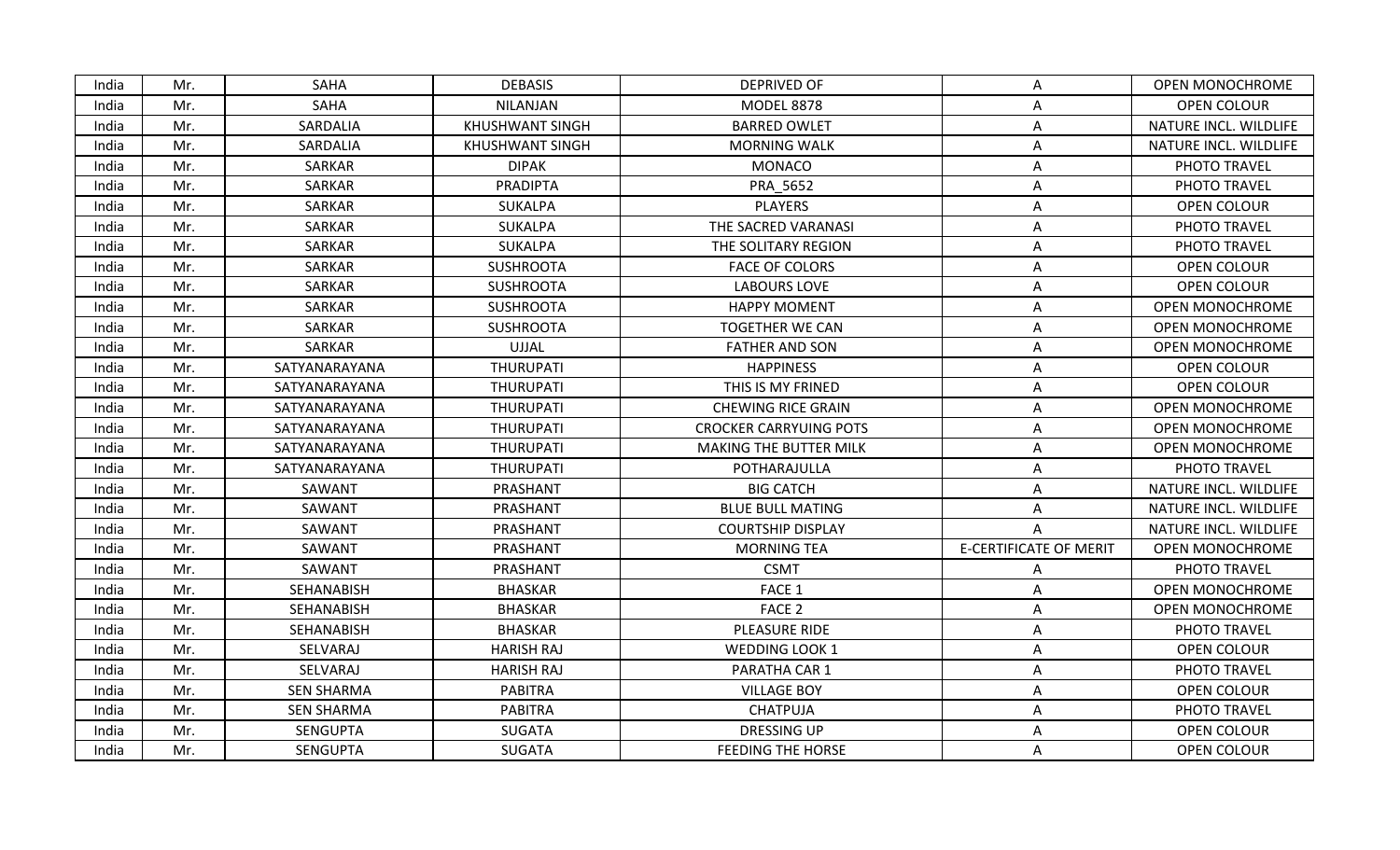| <b>SAHA</b><br><b>DEBASIS</b><br><b>OPEN MONOCHROME</b><br>India<br>Mr.<br>DEPRIVED OF<br>A<br>SAHA<br>India<br><b>NILANJAN</b><br><b>MODEL 8878</b><br><b>OPEN COLOUR</b><br>Mr.<br>Α<br>SARDALIA<br><b>KHUSHWANT SINGH</b><br><b>BARRED OWLET</b><br>NATURE INCL. WILDLIFE<br>India<br>Mr.<br>Α<br>India<br>Mr.<br>SARDALIA<br><b>KHUSHWANT SINGH</b><br><b>MORNING WALK</b><br>NATURE INCL. WILDLIFE<br>Α<br>SARKAR<br><b>DIPAK</b><br><b>MONACO</b><br>PHOTO TRAVEL<br>India<br>Mr.<br>Α<br><b>SARKAR</b><br><b>PRADIPTA</b><br>PRA 5652<br>PHOTO TRAVEL<br>India<br>Mr.<br>А<br>India<br>SARKAR<br><b>SUKALPA</b><br><b>PLAYERS</b><br>OPEN COLOUR<br>Mr.<br>Α<br>India<br>Mr.<br>SARKAR<br><b>SUKALPA</b><br>THE SACRED VARANASI<br>PHOTO TRAVEL<br>Α<br>India<br>Mr.<br>SARKAR<br>SUKALPA<br>THE SOLITARY REGION<br>PHOTO TRAVEL<br>A<br>SARKAR<br><b>SUSHROOTA</b><br>OPEN COLOUR<br>India<br>Mr.<br><b>FACE OF COLORS</b><br>Α<br><b>SARKAR</b><br><b>SUSHROOTA</b><br>OPEN COLOUR<br>India<br>Mr.<br><b>LABOURS LOVE</b><br>Α<br>India<br>SARKAR<br><b>SUSHROOTA</b><br><b>HAPPY MOMENT</b><br><b>OPEN MONOCHROME</b><br>Mr.<br>Α<br><b>SARKAR</b><br><b>SUSHROOTA</b><br><b>TOGETHER WE CAN</b><br><b>OPEN MONOCHROME</b><br>India<br>Mr.<br>А<br><b>SARKAR</b><br><b>UJJAL</b><br><b>FATHER AND SON</b><br><b>OPEN MONOCHROME</b><br>India<br>Mr.<br>Α<br>SATYANARAYANA<br>THURUPATI<br><b>HAPPINESS</b><br>India<br>Mr.<br>OPEN COLOUR<br>А<br>THURUPATI<br>THIS IS MY FRINED<br>OPEN COLOUR<br>India<br>Mr.<br>SATYANARAYANA<br>A<br><b>THURUPATI</b><br><b>OPEN MONOCHROME</b><br>India<br>Mr.<br>SATYANARAYANA<br><b>CHEWING RICE GRAIN</b><br>Α<br>India<br>Mr.<br>THURUPATI<br><b>CROCKER CARRYUING POTS</b><br><b>OPEN MONOCHROME</b><br>SATYANARAYANA<br>Α<br><b>THURUPATI</b><br>India<br>Mr.<br>SATYANARAYANA<br>MAKING THE BUTTER MILK<br>A<br>OPEN MONOCHROME<br><b>THURUPATI</b><br>India<br>Mr.<br>SATYANARAYANA<br>POTHARAJULLA<br>Α<br>PHOTO TRAVEL<br><b>BIG CATCH</b><br>India<br>Mr.<br>SAWANT<br>PRASHANT<br>NATURE INCL. WILDLIFE<br>A<br>SAWANT<br>PRASHANT<br>NATURE INCL. WILDLIFE<br>India<br>Mr.<br><b>BLUE BULL MATING</b><br>Α<br>SAWANT<br>PRASHANT<br>India<br>Mr.<br><b>COURTSHIP DISPLAY</b><br>NATURE INCL. WILDLIFE<br>Α<br><b>E-CERTIFICATE OF MERIT</b><br>SAWANT<br>PRASHANT<br><b>MORNING TEA</b><br>OPEN MONOCHROME<br>India<br>Mr.<br>SAWANT<br>PRASHANT<br><b>CSMT</b><br>India<br>Mr.<br>PHOTO TRAVEL<br>A<br>SEHANABISH<br><b>BHASKAR</b><br>FACE 1<br>OPEN MONOCHROME<br>India<br>Mr.<br>Α<br>FACE <sub>2</sub><br>India<br>SEHANABISH<br><b>BHASKAR</b><br><b>OPEN MONOCHROME</b><br>Mr.<br>A<br>SEHANABISH<br><b>BHASKAR</b><br>PLEASURE RIDE<br>PHOTO TRAVEL<br>India<br>Mr.<br>A<br>SELVARAJ<br><b>HARISH RAJ</b><br>OPEN COLOUR<br>India<br>Mr.<br><b>WEDDING LOOK 1</b><br>A<br>SELVARAJ<br>India<br>Mr.<br><b>HARISH RAJ</b><br>PARATHA CAR 1<br>A<br>PHOTO TRAVEL<br><b>PABITRA</b><br>India<br>Mr.<br><b>SEN SHARMA</b><br><b>VILLAGE BOY</b><br>OPEN COLOUR<br>Α<br>India<br><b>SEN SHARMA</b><br><b>PABITRA</b><br><b>CHATPUJA</b><br>PHOTO TRAVEL<br>Mr.<br>Α<br>India<br>SENGUPTA<br><b>SUGATA</b><br><b>DRESSING UP</b><br>OPEN COLOUR<br>Mr.<br>Α<br><b>OPEN COLOUR</b><br>India<br>Mr.<br><b>SENGUPTA</b><br><b>SUGATA</b><br><b>FEEDING THE HORSE</b><br>A |  |  |  |  |
|-------------------------------------------------------------------------------------------------------------------------------------------------------------------------------------------------------------------------------------------------------------------------------------------------------------------------------------------------------------------------------------------------------------------------------------------------------------------------------------------------------------------------------------------------------------------------------------------------------------------------------------------------------------------------------------------------------------------------------------------------------------------------------------------------------------------------------------------------------------------------------------------------------------------------------------------------------------------------------------------------------------------------------------------------------------------------------------------------------------------------------------------------------------------------------------------------------------------------------------------------------------------------------------------------------------------------------------------------------------------------------------------------------------------------------------------------------------------------------------------------------------------------------------------------------------------------------------------------------------------------------------------------------------------------------------------------------------------------------------------------------------------------------------------------------------------------------------------------------------------------------------------------------------------------------------------------------------------------------------------------------------------------------------------------------------------------------------------------------------------------------------------------------------------------------------------------------------------------------------------------------------------------------------------------------------------------------------------------------------------------------------------------------------------------------------------------------------------------------------------------------------------------------------------------------------------------------------------------------------------------------------------------------------------------------------------------------------------------------------------------------------------------------------------------------------------------------------------------------------------------------------------------------------------------------------------------------------------------------------------------------------------------------------------------------------------------------------------------------------------------------------------------------------------------------------------------------------------------------------------------------------------------------------------------------------------------------------|--|--|--|--|
|                                                                                                                                                                                                                                                                                                                                                                                                                                                                                                                                                                                                                                                                                                                                                                                                                                                                                                                                                                                                                                                                                                                                                                                                                                                                                                                                                                                                                                                                                                                                                                                                                                                                                                                                                                                                                                                                                                                                                                                                                                                                                                                                                                                                                                                                                                                                                                                                                                                                                                                                                                                                                                                                                                                                                                                                                                                                                                                                                                                                                                                                                                                                                                                                                                                                                                                                     |  |  |  |  |
|                                                                                                                                                                                                                                                                                                                                                                                                                                                                                                                                                                                                                                                                                                                                                                                                                                                                                                                                                                                                                                                                                                                                                                                                                                                                                                                                                                                                                                                                                                                                                                                                                                                                                                                                                                                                                                                                                                                                                                                                                                                                                                                                                                                                                                                                                                                                                                                                                                                                                                                                                                                                                                                                                                                                                                                                                                                                                                                                                                                                                                                                                                                                                                                                                                                                                                                                     |  |  |  |  |
|                                                                                                                                                                                                                                                                                                                                                                                                                                                                                                                                                                                                                                                                                                                                                                                                                                                                                                                                                                                                                                                                                                                                                                                                                                                                                                                                                                                                                                                                                                                                                                                                                                                                                                                                                                                                                                                                                                                                                                                                                                                                                                                                                                                                                                                                                                                                                                                                                                                                                                                                                                                                                                                                                                                                                                                                                                                                                                                                                                                                                                                                                                                                                                                                                                                                                                                                     |  |  |  |  |
|                                                                                                                                                                                                                                                                                                                                                                                                                                                                                                                                                                                                                                                                                                                                                                                                                                                                                                                                                                                                                                                                                                                                                                                                                                                                                                                                                                                                                                                                                                                                                                                                                                                                                                                                                                                                                                                                                                                                                                                                                                                                                                                                                                                                                                                                                                                                                                                                                                                                                                                                                                                                                                                                                                                                                                                                                                                                                                                                                                                                                                                                                                                                                                                                                                                                                                                                     |  |  |  |  |
|                                                                                                                                                                                                                                                                                                                                                                                                                                                                                                                                                                                                                                                                                                                                                                                                                                                                                                                                                                                                                                                                                                                                                                                                                                                                                                                                                                                                                                                                                                                                                                                                                                                                                                                                                                                                                                                                                                                                                                                                                                                                                                                                                                                                                                                                                                                                                                                                                                                                                                                                                                                                                                                                                                                                                                                                                                                                                                                                                                                                                                                                                                                                                                                                                                                                                                                                     |  |  |  |  |
|                                                                                                                                                                                                                                                                                                                                                                                                                                                                                                                                                                                                                                                                                                                                                                                                                                                                                                                                                                                                                                                                                                                                                                                                                                                                                                                                                                                                                                                                                                                                                                                                                                                                                                                                                                                                                                                                                                                                                                                                                                                                                                                                                                                                                                                                                                                                                                                                                                                                                                                                                                                                                                                                                                                                                                                                                                                                                                                                                                                                                                                                                                                                                                                                                                                                                                                                     |  |  |  |  |
|                                                                                                                                                                                                                                                                                                                                                                                                                                                                                                                                                                                                                                                                                                                                                                                                                                                                                                                                                                                                                                                                                                                                                                                                                                                                                                                                                                                                                                                                                                                                                                                                                                                                                                                                                                                                                                                                                                                                                                                                                                                                                                                                                                                                                                                                                                                                                                                                                                                                                                                                                                                                                                                                                                                                                                                                                                                                                                                                                                                                                                                                                                                                                                                                                                                                                                                                     |  |  |  |  |
|                                                                                                                                                                                                                                                                                                                                                                                                                                                                                                                                                                                                                                                                                                                                                                                                                                                                                                                                                                                                                                                                                                                                                                                                                                                                                                                                                                                                                                                                                                                                                                                                                                                                                                                                                                                                                                                                                                                                                                                                                                                                                                                                                                                                                                                                                                                                                                                                                                                                                                                                                                                                                                                                                                                                                                                                                                                                                                                                                                                                                                                                                                                                                                                                                                                                                                                                     |  |  |  |  |
|                                                                                                                                                                                                                                                                                                                                                                                                                                                                                                                                                                                                                                                                                                                                                                                                                                                                                                                                                                                                                                                                                                                                                                                                                                                                                                                                                                                                                                                                                                                                                                                                                                                                                                                                                                                                                                                                                                                                                                                                                                                                                                                                                                                                                                                                                                                                                                                                                                                                                                                                                                                                                                                                                                                                                                                                                                                                                                                                                                                                                                                                                                                                                                                                                                                                                                                                     |  |  |  |  |
|                                                                                                                                                                                                                                                                                                                                                                                                                                                                                                                                                                                                                                                                                                                                                                                                                                                                                                                                                                                                                                                                                                                                                                                                                                                                                                                                                                                                                                                                                                                                                                                                                                                                                                                                                                                                                                                                                                                                                                                                                                                                                                                                                                                                                                                                                                                                                                                                                                                                                                                                                                                                                                                                                                                                                                                                                                                                                                                                                                                                                                                                                                                                                                                                                                                                                                                                     |  |  |  |  |
|                                                                                                                                                                                                                                                                                                                                                                                                                                                                                                                                                                                                                                                                                                                                                                                                                                                                                                                                                                                                                                                                                                                                                                                                                                                                                                                                                                                                                                                                                                                                                                                                                                                                                                                                                                                                                                                                                                                                                                                                                                                                                                                                                                                                                                                                                                                                                                                                                                                                                                                                                                                                                                                                                                                                                                                                                                                                                                                                                                                                                                                                                                                                                                                                                                                                                                                                     |  |  |  |  |
|                                                                                                                                                                                                                                                                                                                                                                                                                                                                                                                                                                                                                                                                                                                                                                                                                                                                                                                                                                                                                                                                                                                                                                                                                                                                                                                                                                                                                                                                                                                                                                                                                                                                                                                                                                                                                                                                                                                                                                                                                                                                                                                                                                                                                                                                                                                                                                                                                                                                                                                                                                                                                                                                                                                                                                                                                                                                                                                                                                                                                                                                                                                                                                                                                                                                                                                                     |  |  |  |  |
|                                                                                                                                                                                                                                                                                                                                                                                                                                                                                                                                                                                                                                                                                                                                                                                                                                                                                                                                                                                                                                                                                                                                                                                                                                                                                                                                                                                                                                                                                                                                                                                                                                                                                                                                                                                                                                                                                                                                                                                                                                                                                                                                                                                                                                                                                                                                                                                                                                                                                                                                                                                                                                                                                                                                                                                                                                                                                                                                                                                                                                                                                                                                                                                                                                                                                                                                     |  |  |  |  |
|                                                                                                                                                                                                                                                                                                                                                                                                                                                                                                                                                                                                                                                                                                                                                                                                                                                                                                                                                                                                                                                                                                                                                                                                                                                                                                                                                                                                                                                                                                                                                                                                                                                                                                                                                                                                                                                                                                                                                                                                                                                                                                                                                                                                                                                                                                                                                                                                                                                                                                                                                                                                                                                                                                                                                                                                                                                                                                                                                                                                                                                                                                                                                                                                                                                                                                                                     |  |  |  |  |
|                                                                                                                                                                                                                                                                                                                                                                                                                                                                                                                                                                                                                                                                                                                                                                                                                                                                                                                                                                                                                                                                                                                                                                                                                                                                                                                                                                                                                                                                                                                                                                                                                                                                                                                                                                                                                                                                                                                                                                                                                                                                                                                                                                                                                                                                                                                                                                                                                                                                                                                                                                                                                                                                                                                                                                                                                                                                                                                                                                                                                                                                                                                                                                                                                                                                                                                                     |  |  |  |  |
|                                                                                                                                                                                                                                                                                                                                                                                                                                                                                                                                                                                                                                                                                                                                                                                                                                                                                                                                                                                                                                                                                                                                                                                                                                                                                                                                                                                                                                                                                                                                                                                                                                                                                                                                                                                                                                                                                                                                                                                                                                                                                                                                                                                                                                                                                                                                                                                                                                                                                                                                                                                                                                                                                                                                                                                                                                                                                                                                                                                                                                                                                                                                                                                                                                                                                                                                     |  |  |  |  |
|                                                                                                                                                                                                                                                                                                                                                                                                                                                                                                                                                                                                                                                                                                                                                                                                                                                                                                                                                                                                                                                                                                                                                                                                                                                                                                                                                                                                                                                                                                                                                                                                                                                                                                                                                                                                                                                                                                                                                                                                                                                                                                                                                                                                                                                                                                                                                                                                                                                                                                                                                                                                                                                                                                                                                                                                                                                                                                                                                                                                                                                                                                                                                                                                                                                                                                                                     |  |  |  |  |
|                                                                                                                                                                                                                                                                                                                                                                                                                                                                                                                                                                                                                                                                                                                                                                                                                                                                                                                                                                                                                                                                                                                                                                                                                                                                                                                                                                                                                                                                                                                                                                                                                                                                                                                                                                                                                                                                                                                                                                                                                                                                                                                                                                                                                                                                                                                                                                                                                                                                                                                                                                                                                                                                                                                                                                                                                                                                                                                                                                                                                                                                                                                                                                                                                                                                                                                                     |  |  |  |  |
|                                                                                                                                                                                                                                                                                                                                                                                                                                                                                                                                                                                                                                                                                                                                                                                                                                                                                                                                                                                                                                                                                                                                                                                                                                                                                                                                                                                                                                                                                                                                                                                                                                                                                                                                                                                                                                                                                                                                                                                                                                                                                                                                                                                                                                                                                                                                                                                                                                                                                                                                                                                                                                                                                                                                                                                                                                                                                                                                                                                                                                                                                                                                                                                                                                                                                                                                     |  |  |  |  |
|                                                                                                                                                                                                                                                                                                                                                                                                                                                                                                                                                                                                                                                                                                                                                                                                                                                                                                                                                                                                                                                                                                                                                                                                                                                                                                                                                                                                                                                                                                                                                                                                                                                                                                                                                                                                                                                                                                                                                                                                                                                                                                                                                                                                                                                                                                                                                                                                                                                                                                                                                                                                                                                                                                                                                                                                                                                                                                                                                                                                                                                                                                                                                                                                                                                                                                                                     |  |  |  |  |
|                                                                                                                                                                                                                                                                                                                                                                                                                                                                                                                                                                                                                                                                                                                                                                                                                                                                                                                                                                                                                                                                                                                                                                                                                                                                                                                                                                                                                                                                                                                                                                                                                                                                                                                                                                                                                                                                                                                                                                                                                                                                                                                                                                                                                                                                                                                                                                                                                                                                                                                                                                                                                                                                                                                                                                                                                                                                                                                                                                                                                                                                                                                                                                                                                                                                                                                                     |  |  |  |  |
|                                                                                                                                                                                                                                                                                                                                                                                                                                                                                                                                                                                                                                                                                                                                                                                                                                                                                                                                                                                                                                                                                                                                                                                                                                                                                                                                                                                                                                                                                                                                                                                                                                                                                                                                                                                                                                                                                                                                                                                                                                                                                                                                                                                                                                                                                                                                                                                                                                                                                                                                                                                                                                                                                                                                                                                                                                                                                                                                                                                                                                                                                                                                                                                                                                                                                                                                     |  |  |  |  |
|                                                                                                                                                                                                                                                                                                                                                                                                                                                                                                                                                                                                                                                                                                                                                                                                                                                                                                                                                                                                                                                                                                                                                                                                                                                                                                                                                                                                                                                                                                                                                                                                                                                                                                                                                                                                                                                                                                                                                                                                                                                                                                                                                                                                                                                                                                                                                                                                                                                                                                                                                                                                                                                                                                                                                                                                                                                                                                                                                                                                                                                                                                                                                                                                                                                                                                                                     |  |  |  |  |
|                                                                                                                                                                                                                                                                                                                                                                                                                                                                                                                                                                                                                                                                                                                                                                                                                                                                                                                                                                                                                                                                                                                                                                                                                                                                                                                                                                                                                                                                                                                                                                                                                                                                                                                                                                                                                                                                                                                                                                                                                                                                                                                                                                                                                                                                                                                                                                                                                                                                                                                                                                                                                                                                                                                                                                                                                                                                                                                                                                                                                                                                                                                                                                                                                                                                                                                                     |  |  |  |  |
|                                                                                                                                                                                                                                                                                                                                                                                                                                                                                                                                                                                                                                                                                                                                                                                                                                                                                                                                                                                                                                                                                                                                                                                                                                                                                                                                                                                                                                                                                                                                                                                                                                                                                                                                                                                                                                                                                                                                                                                                                                                                                                                                                                                                                                                                                                                                                                                                                                                                                                                                                                                                                                                                                                                                                                                                                                                                                                                                                                                                                                                                                                                                                                                                                                                                                                                                     |  |  |  |  |
|                                                                                                                                                                                                                                                                                                                                                                                                                                                                                                                                                                                                                                                                                                                                                                                                                                                                                                                                                                                                                                                                                                                                                                                                                                                                                                                                                                                                                                                                                                                                                                                                                                                                                                                                                                                                                                                                                                                                                                                                                                                                                                                                                                                                                                                                                                                                                                                                                                                                                                                                                                                                                                                                                                                                                                                                                                                                                                                                                                                                                                                                                                                                                                                                                                                                                                                                     |  |  |  |  |
|                                                                                                                                                                                                                                                                                                                                                                                                                                                                                                                                                                                                                                                                                                                                                                                                                                                                                                                                                                                                                                                                                                                                                                                                                                                                                                                                                                                                                                                                                                                                                                                                                                                                                                                                                                                                                                                                                                                                                                                                                                                                                                                                                                                                                                                                                                                                                                                                                                                                                                                                                                                                                                                                                                                                                                                                                                                                                                                                                                                                                                                                                                                                                                                                                                                                                                                                     |  |  |  |  |
|                                                                                                                                                                                                                                                                                                                                                                                                                                                                                                                                                                                                                                                                                                                                                                                                                                                                                                                                                                                                                                                                                                                                                                                                                                                                                                                                                                                                                                                                                                                                                                                                                                                                                                                                                                                                                                                                                                                                                                                                                                                                                                                                                                                                                                                                                                                                                                                                                                                                                                                                                                                                                                                                                                                                                                                                                                                                                                                                                                                                                                                                                                                                                                                                                                                                                                                                     |  |  |  |  |
|                                                                                                                                                                                                                                                                                                                                                                                                                                                                                                                                                                                                                                                                                                                                                                                                                                                                                                                                                                                                                                                                                                                                                                                                                                                                                                                                                                                                                                                                                                                                                                                                                                                                                                                                                                                                                                                                                                                                                                                                                                                                                                                                                                                                                                                                                                                                                                                                                                                                                                                                                                                                                                                                                                                                                                                                                                                                                                                                                                                                                                                                                                                                                                                                                                                                                                                                     |  |  |  |  |
|                                                                                                                                                                                                                                                                                                                                                                                                                                                                                                                                                                                                                                                                                                                                                                                                                                                                                                                                                                                                                                                                                                                                                                                                                                                                                                                                                                                                                                                                                                                                                                                                                                                                                                                                                                                                                                                                                                                                                                                                                                                                                                                                                                                                                                                                                                                                                                                                                                                                                                                                                                                                                                                                                                                                                                                                                                                                                                                                                                                                                                                                                                                                                                                                                                                                                                                                     |  |  |  |  |
|                                                                                                                                                                                                                                                                                                                                                                                                                                                                                                                                                                                                                                                                                                                                                                                                                                                                                                                                                                                                                                                                                                                                                                                                                                                                                                                                                                                                                                                                                                                                                                                                                                                                                                                                                                                                                                                                                                                                                                                                                                                                                                                                                                                                                                                                                                                                                                                                                                                                                                                                                                                                                                                                                                                                                                                                                                                                                                                                                                                                                                                                                                                                                                                                                                                                                                                                     |  |  |  |  |
|                                                                                                                                                                                                                                                                                                                                                                                                                                                                                                                                                                                                                                                                                                                                                                                                                                                                                                                                                                                                                                                                                                                                                                                                                                                                                                                                                                                                                                                                                                                                                                                                                                                                                                                                                                                                                                                                                                                                                                                                                                                                                                                                                                                                                                                                                                                                                                                                                                                                                                                                                                                                                                                                                                                                                                                                                                                                                                                                                                                                                                                                                                                                                                                                                                                                                                                                     |  |  |  |  |
|                                                                                                                                                                                                                                                                                                                                                                                                                                                                                                                                                                                                                                                                                                                                                                                                                                                                                                                                                                                                                                                                                                                                                                                                                                                                                                                                                                                                                                                                                                                                                                                                                                                                                                                                                                                                                                                                                                                                                                                                                                                                                                                                                                                                                                                                                                                                                                                                                                                                                                                                                                                                                                                                                                                                                                                                                                                                                                                                                                                                                                                                                                                                                                                                                                                                                                                                     |  |  |  |  |
|                                                                                                                                                                                                                                                                                                                                                                                                                                                                                                                                                                                                                                                                                                                                                                                                                                                                                                                                                                                                                                                                                                                                                                                                                                                                                                                                                                                                                                                                                                                                                                                                                                                                                                                                                                                                                                                                                                                                                                                                                                                                                                                                                                                                                                                                                                                                                                                                                                                                                                                                                                                                                                                                                                                                                                                                                                                                                                                                                                                                                                                                                                                                                                                                                                                                                                                                     |  |  |  |  |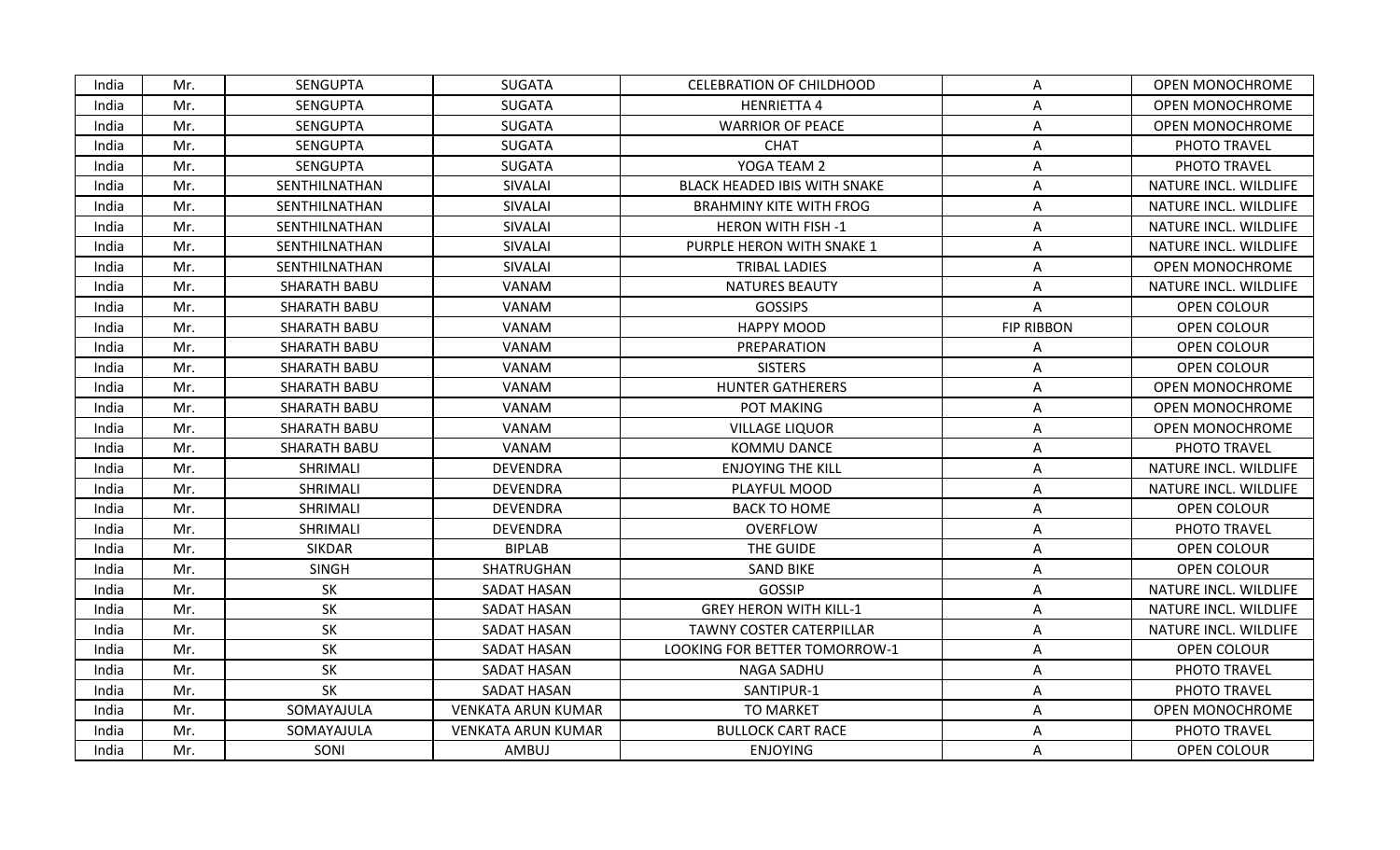| India | Mr. | <b>SENGUPTA</b>     | <b>SUGATA</b>             | <b>CELEBRATION OF CHILDHOOD</b>     | Α                 | <b>OPEN MONOCHROME</b> |
|-------|-----|---------------------|---------------------------|-------------------------------------|-------------------|------------------------|
| India | Mr. | <b>SENGUPTA</b>     | <b>SUGATA</b>             | <b>HENRIETTA 4</b>                  | A                 | <b>OPEN MONOCHROME</b> |
| India | Mr. | <b>SENGUPTA</b>     | <b>SUGATA</b>             | <b>WARRIOR OF PEACE</b>             | Α                 | <b>OPEN MONOCHROME</b> |
| India | Mr. | <b>SENGUPTA</b>     | <b>SUGATA</b>             | <b>CHAT</b>                         | Α                 | PHOTO TRAVEL           |
| India | Mr. | <b>SENGUPTA</b>     | <b>SUGATA</b>             | YOGA TEAM 2                         | Α                 | PHOTO TRAVEL           |
| India | Mr. | SENTHILNATHAN       | SIVALAI                   | <b>BLACK HEADED IBIS WITH SNAKE</b> | A                 | NATURE INCL. WILDLIFE  |
| India | Mr. | SENTHILNATHAN       | SIVALAI                   | <b>BRAHMINY KITE WITH FROG</b>      | A                 | NATURE INCL. WILDLIFE  |
| India | Mr. | SENTHILNATHAN       | SIVALAI                   | <b>HERON WITH FISH -1</b>           | A                 | NATURE INCL. WILDLIFE  |
| India | Mr. | SENTHILNATHAN       | SIVALAI                   | PURPLE HERON WITH SNAKE 1           | A                 | NATURE INCL. WILDLIFE  |
| India | Mr. | SENTHILNATHAN       | SIVALAI                   | <b>TRIBAL LADIES</b>                | A                 | <b>OPEN MONOCHROME</b> |
| India | Mr. | <b>SHARATH BABU</b> | VANAM                     | <b>NATURES BEAUTY</b>               | A                 | NATURE INCL. WILDLIFE  |
| India | Mr. | <b>SHARATH BABU</b> | VANAM                     | <b>GOSSIPS</b>                      | A                 | <b>OPEN COLOUR</b>     |
| India | Mr. | <b>SHARATH BABU</b> | VANAM                     | <b>HAPPY MOOD</b>                   | <b>FIP RIBBON</b> | <b>OPEN COLOUR</b>     |
| India | Mr. | <b>SHARATH BABU</b> | VANAM                     | PREPARATION                         | Α                 | OPEN COLOUR            |
| India | Mr. | <b>SHARATH BABU</b> | VANAM                     | <b>SISTERS</b>                      | Α                 | <b>OPEN COLOUR</b>     |
| India | Mr. | <b>SHARATH BABU</b> | VANAM                     | <b>HUNTER GATHERERS</b>             | Α                 | <b>OPEN MONOCHROME</b> |
| India | Mr. | <b>SHARATH BABU</b> | VANAM                     | POT MAKING                          | Α                 | <b>OPEN MONOCHROME</b> |
| India | Mr. | <b>SHARATH BABU</b> | VANAM                     | <b>VILLAGE LIQUOR</b>               | Α                 | OPEN MONOCHROME        |
| India | Mr. | <b>SHARATH BABU</b> | VANAM                     | KOMMU DANCE                         | Α                 | PHOTO TRAVEL           |
| India | Mr. | SHRIMALI            | <b>DEVENDRA</b>           | <b>ENJOYING THE KILL</b>            | A                 | NATURE INCL. WILDLIFE  |
| India | Mr. | SHRIMALI            | <b>DEVENDRA</b>           | PLAYFUL MOOD                        | Α                 | NATURE INCL. WILDLIFE  |
| India | Mr. | SHRIMALI            | <b>DEVENDRA</b>           | <b>BACK TO HOME</b>                 | Α                 | OPEN COLOUR            |
| India | Mr. | SHRIMALI            | <b>DEVENDRA</b>           | OVERFLOW                            | Α                 | PHOTO TRAVEL           |
| India | Mr. | <b>SIKDAR</b>       | <b>BIPLAB</b>             | THE GUIDE                           | A                 | <b>OPEN COLOUR</b>     |
| India | Mr. | <b>SINGH</b>        | SHATRUGHAN                | <b>SAND BIKE</b>                    | A                 | <b>OPEN COLOUR</b>     |
| India | Mr. | SK                  | SADAT HASAN               | <b>GOSSIP</b>                       | Α                 | NATURE INCL. WILDLIFE  |
| India | Mr. | SK                  | SADAT HASAN               | <b>GREY HERON WITH KILL-1</b>       | Α                 | NATURE INCL. WILDLIFE  |
| India | Mr. | SK                  | SADAT HASAN               | <b>TAWNY COSTER CATERPILLAR</b>     | Α                 | NATURE INCL. WILDLIFE  |
| India | Mr. | SK                  | SADAT HASAN               | LOOKING FOR BETTER TOMORROW-1       | A                 | <b>OPEN COLOUR</b>     |
| India | Mr. | SK                  | SADAT HASAN               | NAGA SADHU                          | A                 | PHOTO TRAVEL           |
| India | Mr. | SK                  | SADAT HASAN               | SANTIPUR-1                          | Α                 | PHOTO TRAVEL           |
| India | Mr. | SOMAYAJULA          | <b>VENKATA ARUN KUMAR</b> | <b>TO MARKET</b>                    | Α                 | <b>OPEN MONOCHROME</b> |
| India | Mr. | SOMAYAJULA          | <b>VENKATA ARUN KUMAR</b> | <b>BULLOCK CART RACE</b>            | Α                 | PHOTO TRAVEL           |
| India | Mr. | SONI                | AMBUJ                     | <b>ENJOYING</b>                     | A                 | <b>OPEN COLOUR</b>     |
|       |     |                     |                           |                                     |                   |                        |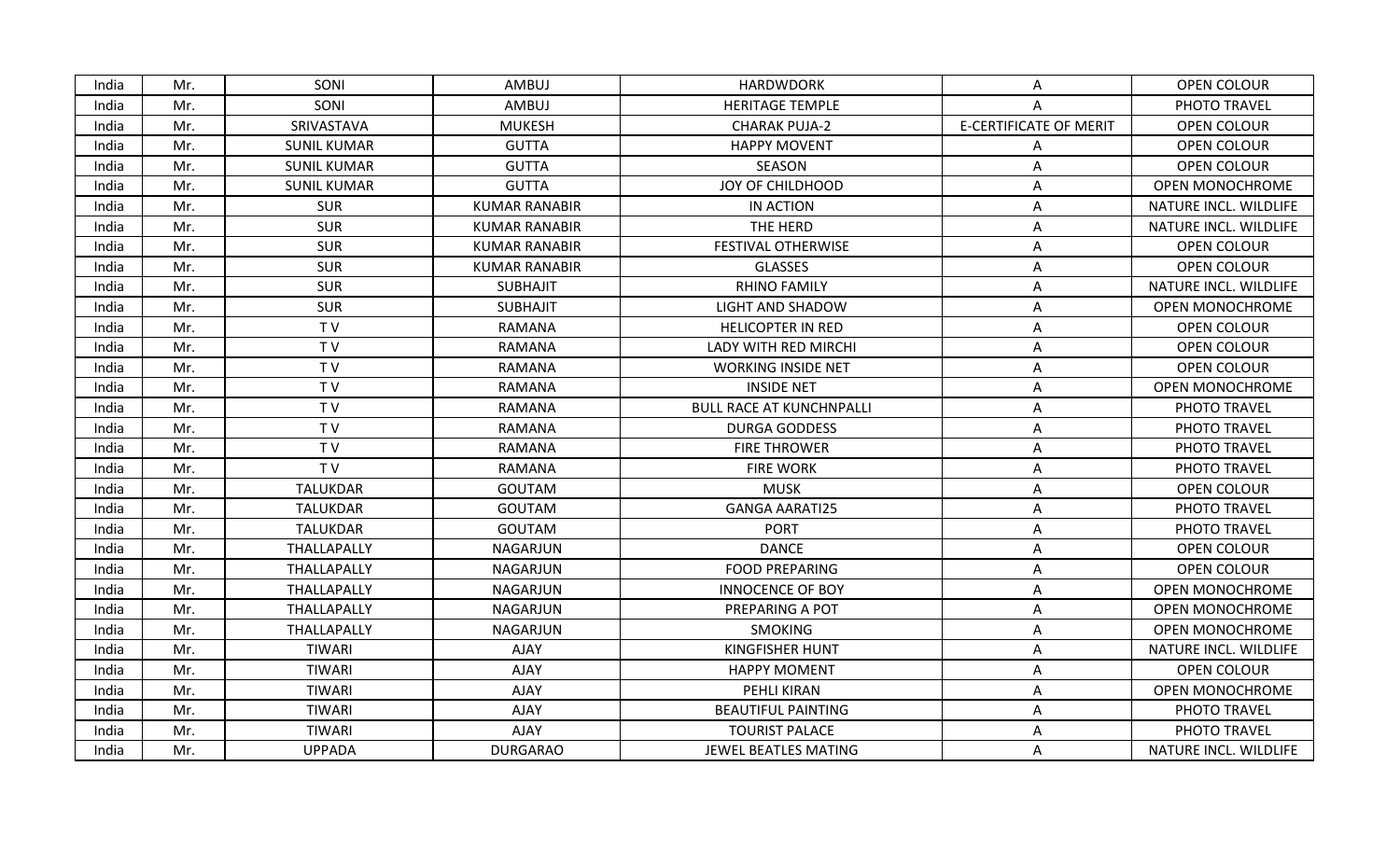| India | Mr. | SONI               | AMBUJ                | <b>HARDWDORK</b>                | A                             | OPEN COLOUR            |
|-------|-----|--------------------|----------------------|---------------------------------|-------------------------------|------------------------|
| India | Mr. | SONI               | AMBUJ                | <b>HERITAGE TEMPLE</b>          | A                             | PHOTO TRAVEL           |
| India | Mr. | SRIVASTAVA         | <b>MUKESH</b>        | <b>CHARAK PUJA-2</b>            | <b>E-CERTIFICATE OF MERIT</b> | OPEN COLOUR            |
| India | Mr. | <b>SUNIL KUMAR</b> | <b>GUTTA</b>         | <b>HAPPY MOVENT</b>             | A                             | OPEN COLOUR            |
| India | Mr. | <b>SUNIL KUMAR</b> | <b>GUTTA</b>         | SEASON                          | Α                             | OPEN COLOUR            |
| India | Mr. | <b>SUNIL KUMAR</b> | <b>GUTTA</b>         | JOY OF CHILDHOOD                | Α                             | <b>OPEN MONOCHROME</b> |
| India | Mr. | <b>SUR</b>         | <b>KUMAR RANABIR</b> | IN ACTION                       | A                             | NATURE INCL. WILDLIFE  |
| India | Mr. | <b>SUR</b>         | <b>KUMAR RANABIR</b> | THE HERD                        | Α                             | NATURE INCL. WILDLIFE  |
| India | Mr. | <b>SUR</b>         | <b>KUMAR RANABIR</b> | FESTIVAL OTHERWISE              | A                             | <b>OPEN COLOUR</b>     |
| India | Mr. | SUR                | <b>KUMAR RANABIR</b> | <b>GLASSES</b>                  | A                             | OPEN COLOUR            |
| India | Mr. | <b>SUR</b>         | <b>SUBHAJIT</b>      | <b>RHINO FAMILY</b>             | A                             | NATURE INCL. WILDLIFE  |
| India | Mr. | <b>SUR</b>         | <b>SUBHAJIT</b>      | <b>LIGHT AND SHADOW</b>         | Α                             | <b>OPEN MONOCHROME</b> |
| India | Mr. | TV                 | <b>RAMANA</b>        | <b>HELICOPTER IN RED</b>        | Α                             | OPEN COLOUR            |
| India | Mr. | TV                 | <b>RAMANA</b>        | <b>LADY WITH RED MIRCHI</b>     | Α                             | OPEN COLOUR            |
| India | Mr. | TV                 | RAMANA               | <b>WORKING INSIDE NET</b>       | Α                             | OPEN COLOUR            |
| India | Mr. | TV                 | RAMANA               | <b>INSIDE NET</b>               | A                             | OPEN MONOCHROME        |
| India | Mr. | TV                 | <b>RAMANA</b>        | <b>BULL RACE AT KUNCHNPALLI</b> | Α                             | PHOTO TRAVEL           |
| India | Mr. | TV                 | <b>RAMANA</b>        | <b>DURGA GODDESS</b>            | A                             | PHOTO TRAVEL           |
| India | Mr. | TV                 | RAMANA               | <b>FIRE THROWER</b>             | A                             | PHOTO TRAVEL           |
| India | Mr. | TV                 | <b>RAMANA</b>        | <b>FIRE WORK</b>                | A                             | PHOTO TRAVEL           |
| India | Mr. | <b>TALUKDAR</b>    | <b>GOUTAM</b>        | <b>MUSK</b>                     | A                             | OPEN COLOUR            |
| India | Mr. | <b>TALUKDAR</b>    | <b>GOUTAM</b>        | <b>GANGA AARATI25</b>           | Α                             | PHOTO TRAVEL           |
| India | Mr. | TALUKDAR           | <b>GOUTAM</b>        | <b>PORT</b>                     | Α                             | PHOTO TRAVEL           |
| India | Mr. | THALLAPALLY        | NAGARJUN             | <b>DANCE</b>                    | Α                             | OPEN COLOUR            |
| India | Mr. | THALLAPALLY        | <b>NAGARJUN</b>      | <b>FOOD PREPARING</b>           | Α                             | OPEN COLOUR            |
| India | Mr. | THALLAPALLY        | NAGARJUN             | <b>INNOCENCE OF BOY</b>         | A                             | <b>OPEN MONOCHROME</b> |
| India | Mr. | THALLAPALLY        | NAGARJUN             | PREPARING A POT                 | Α                             | <b>OPEN MONOCHROME</b> |
| India | Mr. | THALLAPALLY        | NAGARJUN             | <b>SMOKING</b>                  | A                             | <b>OPEN MONOCHROME</b> |
| India | Mr. | TIWARI             | AJAY                 | <b>KINGFISHER HUNT</b>          | A                             | NATURE INCL. WILDLIFE  |
| India | Mr. | <b>TIWARI</b>      | <b>AJAY</b>          | <b>HAPPY MOMENT</b>             | A                             | <b>OPEN COLOUR</b>     |
| India | Mr. | TIWARI             | <b>AJAY</b>          | PEHLI KIRAN                     | A                             | <b>OPEN MONOCHROME</b> |
| India | Mr. | TIWARI             | AJAY                 | <b>BEAUTIFUL PAINTING</b>       | Α                             | PHOTO TRAVEL           |
| India | Mr. | TIWARI             | <b>AJAY</b>          | <b>TOURIST PALACE</b>           | Α                             | PHOTO TRAVEL           |
| India | Mr. | <b>UPPADA</b>      | <b>DURGARAO</b>      | JEWEL BEATLES MATING            | A                             | NATURE INCL. WILDLIFE  |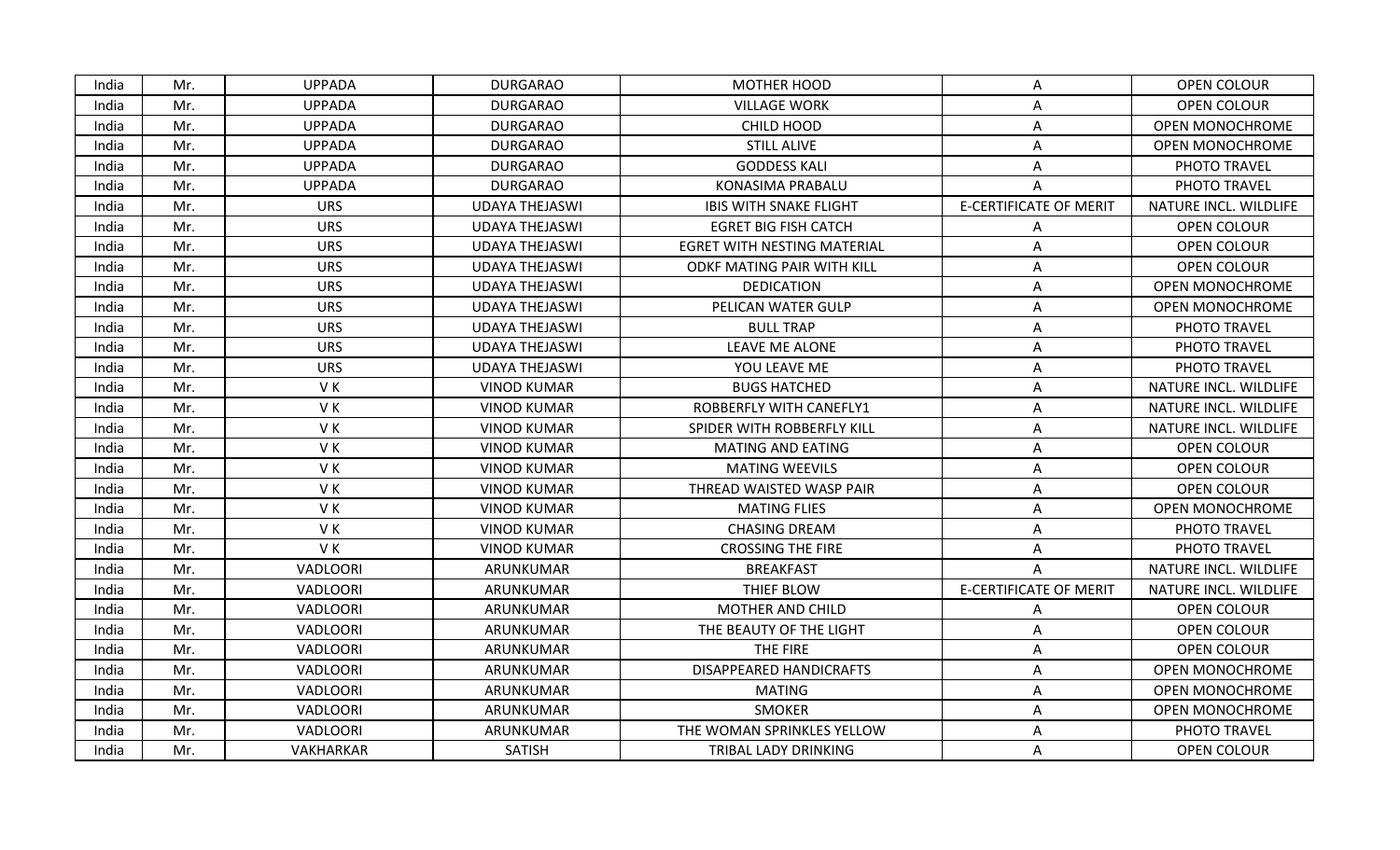| <b>UPPADA</b><br><b>DURGARAO</b><br><b>MOTHER HOOD</b><br>India<br>Mr.<br>A<br><b>UPPADA</b><br><b>DURGARAO</b><br><b>VILLAGE WORK</b><br>India<br>Mr.<br>Α<br><b>UPPADA</b><br><b>DURGARAO</b><br>CHILD HOOD<br>India<br>Mr.<br>Α<br><b>STILL ALIVE</b><br>India<br>Mr.<br><b>UPPADA</b><br><b>DURGARAO</b><br>A<br><b>UPPADA</b><br>India<br>Mr.<br><b>DURGARAO</b><br><b>GODDESS KALI</b><br>Α<br><b>DURGARAO</b><br>India<br><b>UPPADA</b><br>KONASIMA PRABALU<br>Mr.<br>A<br><b>E-CERTIFICATE OF MERIT</b><br>India<br>Mr.<br><b>URS</b><br><b>UDAYA THEJASWI</b><br><b>IBIS WITH SNAKE FLIGHT</b><br><b>URS</b><br>India<br>Mr.<br><b>UDAYA THEJASWI</b><br><b>EGRET BIG FISH CATCH</b><br>Α<br>India<br>Mr.<br><b>URS</b><br><b>EGRET WITH NESTING MATERIAL</b><br>UDAYA THEJASWI<br>Α<br><b>URS</b><br>India<br>Mr.<br><b>UDAYA THEJASWI</b><br>ODKF MATING PAIR WITH KILL<br>Α<br>India<br><b>URS</b><br><b>UDAYA THEJASWI</b><br><b>DEDICATION</b><br>Mr.<br>A<br><b>URS</b><br>PELICAN WATER GULP<br>India<br>Mr.<br><b>UDAYA THEJASWI</b><br>Α<br><b>URS</b><br>Mr.<br><b>UDAYA THEJASWI</b><br><b>BULL TRAP</b><br>India<br>Α<br><b>URS</b><br><b>UDAYA THEJASWI</b><br><b>LEAVE ME ALONE</b><br>India<br>Mr.<br>Α<br><b>URS</b><br>India<br>Mr.<br><b>UDAYA THEJASWI</b><br>YOU LEAVE ME<br>Λ<br>VK<br><b>BUGS HATCHED</b><br>India<br>Mr.<br><b>VINOD KUMAR</b><br>А<br>VK<br><b>VINOD KUMAR</b><br>India<br>Mr.<br>ROBBERFLY WITH CANEFLY1<br>Α<br>VK<br>India<br>Mr.<br><b>VINOD KUMAR</b><br>SPIDER WITH ROBBERFLY KILL<br>Α<br>VK<br>India<br>Mr.<br><b>VINOD KUMAR</b><br><b>MATING AND EATING</b><br>A<br>VK<br>India<br>Mr.<br><b>VINOD KUMAR</b><br><b>MATING WEEVILS</b><br>Α<br>VK<br><b>VINOD KUMAR</b><br>India<br>Mr.<br>THREAD WAISTED WASP PAIR<br>A<br>VK<br><b>VINOD KUMAR</b><br><b>MATING FLIES</b><br>India<br>Mr.<br>Α<br>VK<br>India<br>Mr.<br><b>VINOD KUMAR</b><br><b>CHASING DREAM</b><br>Α<br>VK<br>India<br>Mr.<br><b>VINOD KUMAR</b><br><b>CROSSING THE FIRE</b><br>A<br>ARUNKUMAR<br>India<br>Mr.<br>VADLOORI<br><b>BREAKFAST</b><br>A<br><b>E-CERTIFICATE OF MERIT</b><br><b>VADLOORI</b><br>ARUNKUMAR<br>THIEF BLOW<br>India<br>Mr.<br><b>VADLOORI</b><br>ARUNKUMAR<br>MOTHER AND CHILD<br>India<br>Mr.<br>Α<br>India<br>Mr.<br>VADLOORI<br>ARUNKUMAR<br>THE BEAUTY OF THE LIGHT<br>A<br>India<br>Mr.<br>VADLOORI<br>ARUNKUMAR<br>THE FIRE<br>Α<br><b>VADLOORI</b><br>ARUNKUMAR<br><b>DISAPPEARED HANDICRAFTS</b><br>India<br>Mr.<br>А |                        |
|--------------------------------------------------------------------------------------------------------------------------------------------------------------------------------------------------------------------------------------------------------------------------------------------------------------------------------------------------------------------------------------------------------------------------------------------------------------------------------------------------------------------------------------------------------------------------------------------------------------------------------------------------------------------------------------------------------------------------------------------------------------------------------------------------------------------------------------------------------------------------------------------------------------------------------------------------------------------------------------------------------------------------------------------------------------------------------------------------------------------------------------------------------------------------------------------------------------------------------------------------------------------------------------------------------------------------------------------------------------------------------------------------------------------------------------------------------------------------------------------------------------------------------------------------------------------------------------------------------------------------------------------------------------------------------------------------------------------------------------------------------------------------------------------------------------------------------------------------------------------------------------------------------------------------------------------------------------------------------------------------------------------------------------------------------------------------------------------------------------------------------------------------------------------------------------------------------------------------------------------------------------------------------------------------------------------------------------------------------------------------------------------------------------------------------------------------------------------------------------|------------------------|
|                                                                                                                                                                                                                                                                                                                                                                                                                                                                                                                                                                                                                                                                                                                                                                                                                                                                                                                                                                                                                                                                                                                                                                                                                                                                                                                                                                                                                                                                                                                                                                                                                                                                                                                                                                                                                                                                                                                                                                                                                                                                                                                                                                                                                                                                                                                                                                                                                                                                                      | OPEN COLOUR            |
|                                                                                                                                                                                                                                                                                                                                                                                                                                                                                                                                                                                                                                                                                                                                                                                                                                                                                                                                                                                                                                                                                                                                                                                                                                                                                                                                                                                                                                                                                                                                                                                                                                                                                                                                                                                                                                                                                                                                                                                                                                                                                                                                                                                                                                                                                                                                                                                                                                                                                      | <b>OPEN COLOUR</b>     |
|                                                                                                                                                                                                                                                                                                                                                                                                                                                                                                                                                                                                                                                                                                                                                                                                                                                                                                                                                                                                                                                                                                                                                                                                                                                                                                                                                                                                                                                                                                                                                                                                                                                                                                                                                                                                                                                                                                                                                                                                                                                                                                                                                                                                                                                                                                                                                                                                                                                                                      | <b>OPEN MONOCHROME</b> |
|                                                                                                                                                                                                                                                                                                                                                                                                                                                                                                                                                                                                                                                                                                                                                                                                                                                                                                                                                                                                                                                                                                                                                                                                                                                                                                                                                                                                                                                                                                                                                                                                                                                                                                                                                                                                                                                                                                                                                                                                                                                                                                                                                                                                                                                                                                                                                                                                                                                                                      | <b>OPEN MONOCHROME</b> |
|                                                                                                                                                                                                                                                                                                                                                                                                                                                                                                                                                                                                                                                                                                                                                                                                                                                                                                                                                                                                                                                                                                                                                                                                                                                                                                                                                                                                                                                                                                                                                                                                                                                                                                                                                                                                                                                                                                                                                                                                                                                                                                                                                                                                                                                                                                                                                                                                                                                                                      | PHOTO TRAVEL           |
|                                                                                                                                                                                                                                                                                                                                                                                                                                                                                                                                                                                                                                                                                                                                                                                                                                                                                                                                                                                                                                                                                                                                                                                                                                                                                                                                                                                                                                                                                                                                                                                                                                                                                                                                                                                                                                                                                                                                                                                                                                                                                                                                                                                                                                                                                                                                                                                                                                                                                      | PHOTO TRAVEL           |
|                                                                                                                                                                                                                                                                                                                                                                                                                                                                                                                                                                                                                                                                                                                                                                                                                                                                                                                                                                                                                                                                                                                                                                                                                                                                                                                                                                                                                                                                                                                                                                                                                                                                                                                                                                                                                                                                                                                                                                                                                                                                                                                                                                                                                                                                                                                                                                                                                                                                                      | NATURE INCL. WILDLIFE  |
|                                                                                                                                                                                                                                                                                                                                                                                                                                                                                                                                                                                                                                                                                                                                                                                                                                                                                                                                                                                                                                                                                                                                                                                                                                                                                                                                                                                                                                                                                                                                                                                                                                                                                                                                                                                                                                                                                                                                                                                                                                                                                                                                                                                                                                                                                                                                                                                                                                                                                      | OPEN COLOUR            |
|                                                                                                                                                                                                                                                                                                                                                                                                                                                                                                                                                                                                                                                                                                                                                                                                                                                                                                                                                                                                                                                                                                                                                                                                                                                                                                                                                                                                                                                                                                                                                                                                                                                                                                                                                                                                                                                                                                                                                                                                                                                                                                                                                                                                                                                                                                                                                                                                                                                                                      | <b>OPEN COLOUR</b>     |
|                                                                                                                                                                                                                                                                                                                                                                                                                                                                                                                                                                                                                                                                                                                                                                                                                                                                                                                                                                                                                                                                                                                                                                                                                                                                                                                                                                                                                                                                                                                                                                                                                                                                                                                                                                                                                                                                                                                                                                                                                                                                                                                                                                                                                                                                                                                                                                                                                                                                                      | OPEN COLOUR            |
|                                                                                                                                                                                                                                                                                                                                                                                                                                                                                                                                                                                                                                                                                                                                                                                                                                                                                                                                                                                                                                                                                                                                                                                                                                                                                                                                                                                                                                                                                                                                                                                                                                                                                                                                                                                                                                                                                                                                                                                                                                                                                                                                                                                                                                                                                                                                                                                                                                                                                      | <b>OPEN MONOCHROME</b> |
|                                                                                                                                                                                                                                                                                                                                                                                                                                                                                                                                                                                                                                                                                                                                                                                                                                                                                                                                                                                                                                                                                                                                                                                                                                                                                                                                                                                                                                                                                                                                                                                                                                                                                                                                                                                                                                                                                                                                                                                                                                                                                                                                                                                                                                                                                                                                                                                                                                                                                      | OPEN MONOCHROME        |
|                                                                                                                                                                                                                                                                                                                                                                                                                                                                                                                                                                                                                                                                                                                                                                                                                                                                                                                                                                                                                                                                                                                                                                                                                                                                                                                                                                                                                                                                                                                                                                                                                                                                                                                                                                                                                                                                                                                                                                                                                                                                                                                                                                                                                                                                                                                                                                                                                                                                                      | PHOTO TRAVEL           |
|                                                                                                                                                                                                                                                                                                                                                                                                                                                                                                                                                                                                                                                                                                                                                                                                                                                                                                                                                                                                                                                                                                                                                                                                                                                                                                                                                                                                                                                                                                                                                                                                                                                                                                                                                                                                                                                                                                                                                                                                                                                                                                                                                                                                                                                                                                                                                                                                                                                                                      | PHOTO TRAVEL           |
|                                                                                                                                                                                                                                                                                                                                                                                                                                                                                                                                                                                                                                                                                                                                                                                                                                                                                                                                                                                                                                                                                                                                                                                                                                                                                                                                                                                                                                                                                                                                                                                                                                                                                                                                                                                                                                                                                                                                                                                                                                                                                                                                                                                                                                                                                                                                                                                                                                                                                      | PHOTO TRAVEL           |
|                                                                                                                                                                                                                                                                                                                                                                                                                                                                                                                                                                                                                                                                                                                                                                                                                                                                                                                                                                                                                                                                                                                                                                                                                                                                                                                                                                                                                                                                                                                                                                                                                                                                                                                                                                                                                                                                                                                                                                                                                                                                                                                                                                                                                                                                                                                                                                                                                                                                                      | NATURE INCL. WILDLIFE  |
|                                                                                                                                                                                                                                                                                                                                                                                                                                                                                                                                                                                                                                                                                                                                                                                                                                                                                                                                                                                                                                                                                                                                                                                                                                                                                                                                                                                                                                                                                                                                                                                                                                                                                                                                                                                                                                                                                                                                                                                                                                                                                                                                                                                                                                                                                                                                                                                                                                                                                      | NATURE INCL. WILDLIFE  |
|                                                                                                                                                                                                                                                                                                                                                                                                                                                                                                                                                                                                                                                                                                                                                                                                                                                                                                                                                                                                                                                                                                                                                                                                                                                                                                                                                                                                                                                                                                                                                                                                                                                                                                                                                                                                                                                                                                                                                                                                                                                                                                                                                                                                                                                                                                                                                                                                                                                                                      | NATURE INCL. WILDLIFE  |
|                                                                                                                                                                                                                                                                                                                                                                                                                                                                                                                                                                                                                                                                                                                                                                                                                                                                                                                                                                                                                                                                                                                                                                                                                                                                                                                                                                                                                                                                                                                                                                                                                                                                                                                                                                                                                                                                                                                                                                                                                                                                                                                                                                                                                                                                                                                                                                                                                                                                                      | OPEN COLOUR            |
|                                                                                                                                                                                                                                                                                                                                                                                                                                                                                                                                                                                                                                                                                                                                                                                                                                                                                                                                                                                                                                                                                                                                                                                                                                                                                                                                                                                                                                                                                                                                                                                                                                                                                                                                                                                                                                                                                                                                                                                                                                                                                                                                                                                                                                                                                                                                                                                                                                                                                      | OPEN COLOUR            |
|                                                                                                                                                                                                                                                                                                                                                                                                                                                                                                                                                                                                                                                                                                                                                                                                                                                                                                                                                                                                                                                                                                                                                                                                                                                                                                                                                                                                                                                                                                                                                                                                                                                                                                                                                                                                                                                                                                                                                                                                                                                                                                                                                                                                                                                                                                                                                                                                                                                                                      | OPEN COLOUR            |
|                                                                                                                                                                                                                                                                                                                                                                                                                                                                                                                                                                                                                                                                                                                                                                                                                                                                                                                                                                                                                                                                                                                                                                                                                                                                                                                                                                                                                                                                                                                                                                                                                                                                                                                                                                                                                                                                                                                                                                                                                                                                                                                                                                                                                                                                                                                                                                                                                                                                                      | <b>OPEN MONOCHROME</b> |
|                                                                                                                                                                                                                                                                                                                                                                                                                                                                                                                                                                                                                                                                                                                                                                                                                                                                                                                                                                                                                                                                                                                                                                                                                                                                                                                                                                                                                                                                                                                                                                                                                                                                                                                                                                                                                                                                                                                                                                                                                                                                                                                                                                                                                                                                                                                                                                                                                                                                                      | PHOTO TRAVEL           |
|                                                                                                                                                                                                                                                                                                                                                                                                                                                                                                                                                                                                                                                                                                                                                                                                                                                                                                                                                                                                                                                                                                                                                                                                                                                                                                                                                                                                                                                                                                                                                                                                                                                                                                                                                                                                                                                                                                                                                                                                                                                                                                                                                                                                                                                                                                                                                                                                                                                                                      | PHOTO TRAVEL           |
|                                                                                                                                                                                                                                                                                                                                                                                                                                                                                                                                                                                                                                                                                                                                                                                                                                                                                                                                                                                                                                                                                                                                                                                                                                                                                                                                                                                                                                                                                                                                                                                                                                                                                                                                                                                                                                                                                                                                                                                                                                                                                                                                                                                                                                                                                                                                                                                                                                                                                      | NATURE INCL. WILDLIFE  |
|                                                                                                                                                                                                                                                                                                                                                                                                                                                                                                                                                                                                                                                                                                                                                                                                                                                                                                                                                                                                                                                                                                                                                                                                                                                                                                                                                                                                                                                                                                                                                                                                                                                                                                                                                                                                                                                                                                                                                                                                                                                                                                                                                                                                                                                                                                                                                                                                                                                                                      | NATURE INCL. WILDLIFE  |
|                                                                                                                                                                                                                                                                                                                                                                                                                                                                                                                                                                                                                                                                                                                                                                                                                                                                                                                                                                                                                                                                                                                                                                                                                                                                                                                                                                                                                                                                                                                                                                                                                                                                                                                                                                                                                                                                                                                                                                                                                                                                                                                                                                                                                                                                                                                                                                                                                                                                                      | OPEN COLOUR            |
|                                                                                                                                                                                                                                                                                                                                                                                                                                                                                                                                                                                                                                                                                                                                                                                                                                                                                                                                                                                                                                                                                                                                                                                                                                                                                                                                                                                                                                                                                                                                                                                                                                                                                                                                                                                                                                                                                                                                                                                                                                                                                                                                                                                                                                                                                                                                                                                                                                                                                      | OPEN COLOUR            |
|                                                                                                                                                                                                                                                                                                                                                                                                                                                                                                                                                                                                                                                                                                                                                                                                                                                                                                                                                                                                                                                                                                                                                                                                                                                                                                                                                                                                                                                                                                                                                                                                                                                                                                                                                                                                                                                                                                                                                                                                                                                                                                                                                                                                                                                                                                                                                                                                                                                                                      | <b>OPEN COLOUR</b>     |
|                                                                                                                                                                                                                                                                                                                                                                                                                                                                                                                                                                                                                                                                                                                                                                                                                                                                                                                                                                                                                                                                                                                                                                                                                                                                                                                                                                                                                                                                                                                                                                                                                                                                                                                                                                                                                                                                                                                                                                                                                                                                                                                                                                                                                                                                                                                                                                                                                                                                                      | OPEN MONOCHROME        |
| India<br>VADLOORI<br>ARUNKUMAR<br><b>MATING</b><br>Mr.<br>А                                                                                                                                                                                                                                                                                                                                                                                                                                                                                                                                                                                                                                                                                                                                                                                                                                                                                                                                                                                                                                                                                                                                                                                                                                                                                                                                                                                                                                                                                                                                                                                                                                                                                                                                                                                                                                                                                                                                                                                                                                                                                                                                                                                                                                                                                                                                                                                                                          | OPEN MONOCHROME        |
| VADLOORI<br>ARUNKUMAR<br><b>SMOKER</b><br>India<br>Mr.<br>Α                                                                                                                                                                                                                                                                                                                                                                                                                                                                                                                                                                                                                                                                                                                                                                                                                                                                                                                                                                                                                                                                                                                                                                                                                                                                                                                                                                                                                                                                                                                                                                                                                                                                                                                                                                                                                                                                                                                                                                                                                                                                                                                                                                                                                                                                                                                                                                                                                          | <b>OPEN MONOCHROME</b> |
| VADLOORI<br>ARUNKUMAR<br>THE WOMAN SPRINKLES YELLOW<br>India<br>Mr.<br>Α                                                                                                                                                                                                                                                                                                                                                                                                                                                                                                                                                                                                                                                                                                                                                                                                                                                                                                                                                                                                                                                                                                                                                                                                                                                                                                                                                                                                                                                                                                                                                                                                                                                                                                                                                                                                                                                                                                                                                                                                                                                                                                                                                                                                                                                                                                                                                                                                             | PHOTO TRAVEL           |
| India<br>Mr.<br>VAKHARKAR<br><b>SATISH</b><br>TRIBAL LADY DRINKING<br>A                                                                                                                                                                                                                                                                                                                                                                                                                                                                                                                                                                                                                                                                                                                                                                                                                                                                                                                                                                                                                                                                                                                                                                                                                                                                                                                                                                                                                                                                                                                                                                                                                                                                                                                                                                                                                                                                                                                                                                                                                                                                                                                                                                                                                                                                                                                                                                                                              | OPEN COLOUR            |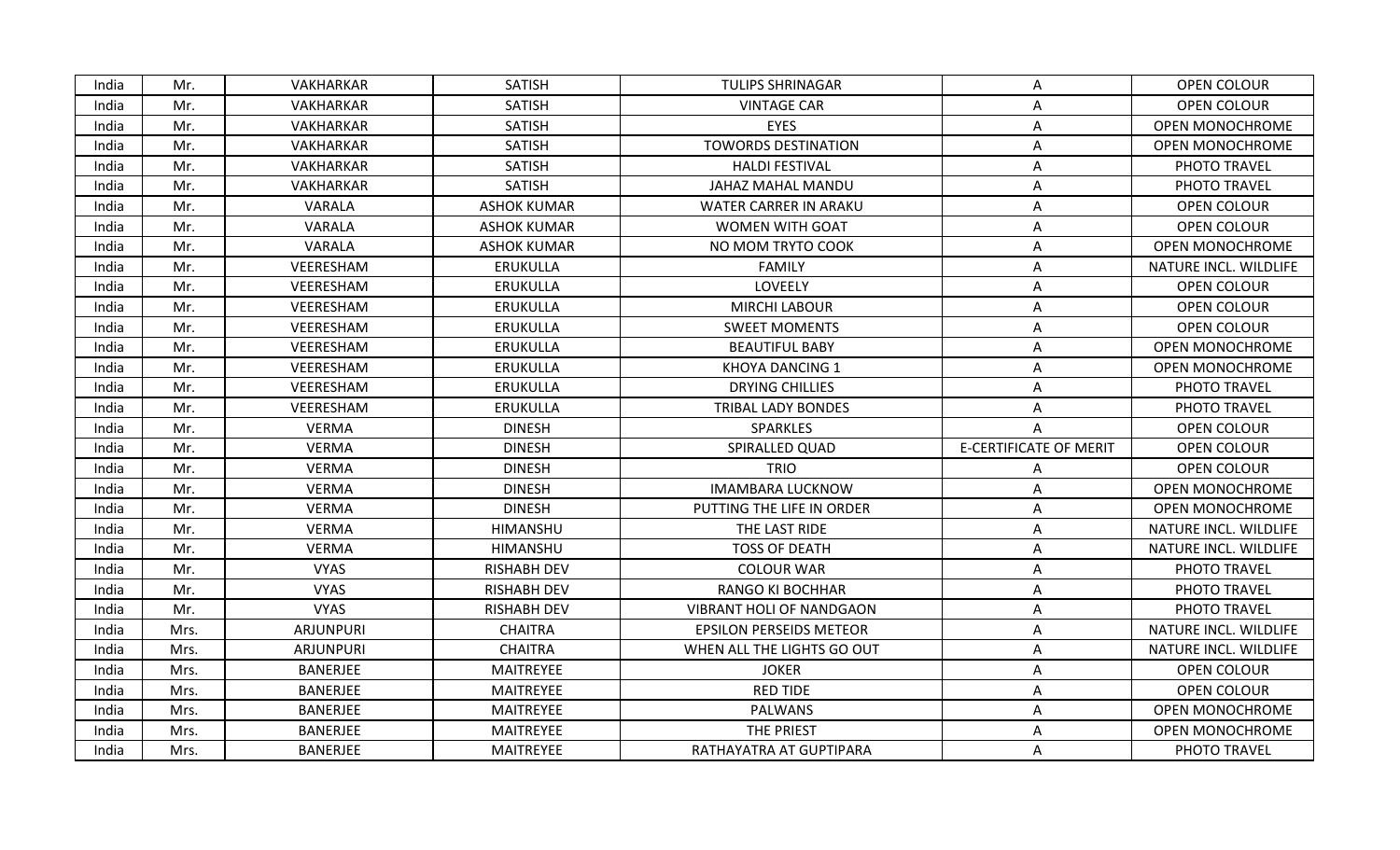| India | Mr.  | VAKHARKAR        | <b>SATISH</b>      | <b>TULIPS SHRINAGAR</b>         | A                             | OPEN COLOUR            |
|-------|------|------------------|--------------------|---------------------------------|-------------------------------|------------------------|
| India | Mr.  | <b>VAKHARKAR</b> | <b>SATISH</b>      | <b>VINTAGE CAR</b>              | Α                             | OPEN COLOUR            |
| India | Mr.  | VAKHARKAR        | <b>SATISH</b>      | <b>EYES</b>                     | Α                             | <b>OPEN MONOCHROME</b> |
| India | Mr.  | <b>VAKHARKAR</b> | <b>SATISH</b>      | <b>TOWORDS DESTINATION</b>      | Α                             | <b>OPEN MONOCHROME</b> |
| India | Mr.  | VAKHARKAR        | <b>SATISH</b>      | <b>HALDI FESTIVAL</b>           | Α                             | PHOTO TRAVEL           |
| India | Mr.  | <b>VAKHARKAR</b> | <b>SATISH</b>      | JAHAZ MAHAL MANDU               | Α                             | PHOTO TRAVEL           |
| India | Mr.  | VARALA           | <b>ASHOK KUMAR</b> | WATER CARRER IN ARAKU           | Α                             | OPEN COLOUR            |
| India | Mr.  | VARALA           | <b>ASHOK KUMAR</b> | <b>WOMEN WITH GOAT</b>          | A                             | OPEN COLOUR            |
| India | Mr.  | VARALA           | <b>ASHOK KUMAR</b> | NO MOM TRYTO COOK               | Α                             | <b>OPEN MONOCHROME</b> |
| India | Mr.  | VEERESHAM        | ERUKULLA           | <b>FAMILY</b>                   | A                             | NATURE INCL. WILDLIFE  |
| India | Mr.  | VEERESHAM        | <b>ERUKULLA</b>    | LOVEELY                         | A                             | OPEN COLOUR            |
| India | Mr.  | VEERESHAM        | ERUKULLA           | <b>MIRCHI LABOUR</b>            | A                             | <b>OPEN COLOUR</b>     |
| India | Mr.  | VEERESHAM        | <b>ERUKULLA</b>    | <b>SWEET MOMENTS</b>            | Α                             | OPEN COLOUR            |
| India | Mr.  | VEERESHAM        | ERUKULLA           | <b>BEAUTIFUL BABY</b>           | Α                             | <b>OPEN MONOCHROME</b> |
| India | Mr.  | VEERESHAM        | <b>ERUKULLA</b>    | <b>KHOYA DANCING 1</b>          | Α                             | <b>OPEN MONOCHROME</b> |
| India | Mr.  | VEERESHAM        | <b>ERUKULLA</b>    | <b>DRYING CHILLIES</b>          | Α                             | PHOTO TRAVEL           |
| India | Mr.  | VEERESHAM        | <b>ERUKULLA</b>    | <b>TRIBAL LADY BONDES</b>       | Α                             | PHOTO TRAVEL           |
| India | Mr.  | <b>VERMA</b>     | <b>DINESH</b>      | SPARKLES                        | A                             | <b>OPEN COLOUR</b>     |
| India | Mr.  | <b>VERMA</b>     | <b>DINESH</b>      | SPIRALLED QUAD                  | <b>E-CERTIFICATE OF MERIT</b> | <b>OPEN COLOUR</b>     |
| India | Mr.  | <b>VERMA</b>     | <b>DINESH</b>      | <b>TRIO</b>                     | А                             | OPEN COLOUR            |
| India | Mr.  | <b>VERMA</b>     | <b>DINESH</b>      | <b>IMAMBARA LUCKNOW</b>         | А                             | OPEN MONOCHROME        |
| India | Mr.  | <b>VERMA</b>     | <b>DINESH</b>      | PUTTING THE LIFE IN ORDER       | Α                             | <b>OPEN MONOCHROME</b> |
| India | Mr.  | <b>VERMA</b>     | HIMANSHU           | THE LAST RIDE                   | Α                             | NATURE INCL. WILDLIFE  |
| India | Mr.  | <b>VERMA</b>     | HIMANSHU           | <b>TOSS OF DEATH</b>            | А                             | NATURE INCL. WILDLIFE  |
| India | Mr.  | <b>VYAS</b>      | <b>RISHABH DEV</b> | <b>COLOUR WAR</b>               | Α                             | PHOTO TRAVEL           |
| India | Mr.  | <b>VYAS</b>      | <b>RISHABH DEV</b> | <b>RANGO KI BOCHHAR</b>         | A                             | PHOTO TRAVEL           |
| India | Mr.  | <b>VYAS</b>      | <b>RISHABH DEV</b> | <b>VIBRANT HOLI OF NANDGAON</b> | A                             | PHOTO TRAVEL           |
| India | Mrs. | ARJUNPURI        | <b>CHAITRA</b>     | <b>EPSILON PERSEIDS METEOR</b>  | Α                             | NATURE INCL. WILDLIFE  |
| India | Mrs. | <b>ARJUNPURI</b> | <b>CHAITRA</b>     | WHEN ALL THE LIGHTS GO OUT      | A                             | NATURE INCL. WILDLIFE  |
| India | Mrs. | <b>BANERJEE</b>  | MAITREYEE          | <b>JOKER</b>                    | Α                             | OPEN COLOUR            |
| India | Mrs. | <b>BANERJEE</b>  | MAITREYEE          | <b>RED TIDE</b>                 | A                             | OPEN COLOUR            |
| India | Mrs. | <b>BANERJEE</b>  | MAITREYEE          | PALWANS                         | Α                             | <b>OPEN MONOCHROME</b> |
| India | Mrs. | <b>BANERJEE</b>  | MAITREYEE          | THE PRIEST                      | Α                             | <b>OPEN MONOCHROME</b> |
| India | Mrs. | <b>BANERJEE</b>  | MAITREYEE          | RATHAYATRA AT GUPTIPARA         | A                             | PHOTO TRAVEL           |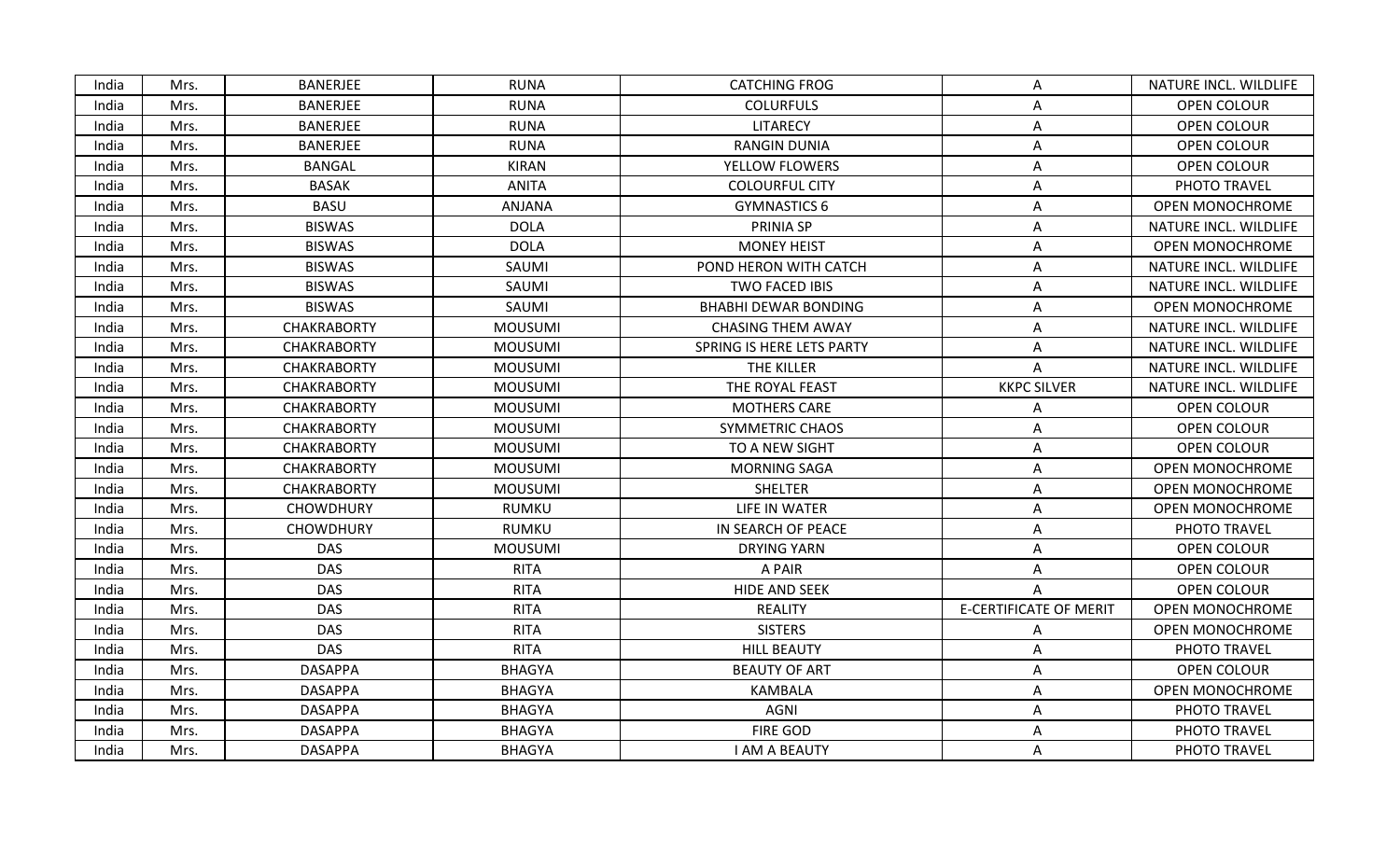| India | Mrs. | <b>BANERJEE</b>    | <b>RUNA</b>    | <b>CATCHING FROG</b>        | A                             | NATURE INCL. WILDLIFE  |
|-------|------|--------------------|----------------|-----------------------------|-------------------------------|------------------------|
| India | Mrs. | <b>BANERJEE</b>    | <b>RUNA</b>    | <b>COLURFULS</b>            | Α                             | OPEN COLOUR            |
| India | Mrs. | <b>BANERJEE</b>    | <b>RUNA</b>    | LITARECY                    | Α                             | OPEN COLOUR            |
| India | Mrs. | <b>BANERJEE</b>    | <b>RUNA</b>    | <b>RANGIN DUNIA</b>         | Α                             | <b>OPEN COLOUR</b>     |
| India | Mrs. | <b>BANGAL</b>      | <b>KIRAN</b>   | YELLOW FLOWERS              | A                             | OPEN COLOUR            |
| India | Mrs. | <b>BASAK</b>       | <b>ANITA</b>   | <b>COLOURFUL CITY</b>       | Α                             | PHOTO TRAVEL           |
| India | Mrs. | <b>BASU</b>        | ANJANA         | <b>GYMNASTICS 6</b>         | Α                             | <b>OPEN MONOCHROME</b> |
| India | Mrs. | <b>BISWAS</b>      | <b>DOLA</b>    | PRINIA SP                   | A                             | NATURE INCL. WILDLIFE  |
| India | Mrs. | <b>BISWAS</b>      | <b>DOLA</b>    | <b>MONEY HEIST</b>          | Α                             | OPEN MONOCHROME        |
| India | Mrs. | <b>BISWAS</b>      | SAUMI          | POND HERON WITH CATCH       | A                             | NATURE INCL. WILDLIFE  |
| India | Mrs. | <b>BISWAS</b>      | SAUMI          | TWO FACED IBIS              | A                             | NATURE INCL. WILDLIFE  |
| India | Mrs. | <b>BISWAS</b>      | SAUMI          | <b>BHABHI DEWAR BONDING</b> | A                             | <b>OPEN MONOCHROME</b> |
| India | Mrs. | <b>CHAKRABORTY</b> | <b>MOUSUMI</b> | <b>CHASING THEM AWAY</b>    | Α                             | NATURE INCL. WILDLIFE  |
| India | Mrs. | <b>CHAKRABORTY</b> | <b>MOUSUMI</b> | SPRING IS HERE LETS PARTY   | Α                             | NATURE INCL. WILDLIFE  |
| India | Mrs. | <b>CHAKRABORTY</b> | <b>MOUSUMI</b> | THE KILLER                  | Α                             | NATURE INCL. WILDLIFE  |
| India | Mrs. | <b>CHAKRABORTY</b> | <b>MOUSUMI</b> | THE ROYAL FEAST             | <b>KKPC SILVER</b>            | NATURE INCL. WILDLIFE  |
| India | Mrs. | <b>CHAKRABORTY</b> | <b>MOUSUMI</b> | <b>MOTHERS CARE</b>         | Α                             | OPEN COLOUR            |
| India | Mrs. | <b>CHAKRABORTY</b> | <b>MOUSUMI</b> | <b>SYMMETRIC CHAOS</b>      | Α                             | OPEN COLOUR            |
| India | Mrs. | <b>CHAKRABORTY</b> | <b>MOUSUMI</b> | TO A NEW SIGHT              | A                             | <b>OPEN COLOUR</b>     |
| India | Mrs. | <b>CHAKRABORTY</b> | <b>MOUSUMI</b> | <b>MORNING SAGA</b>         | A                             | OPEN MONOCHROME        |
| India | Mrs. | <b>CHAKRABORTY</b> | <b>MOUSUMI</b> | SHELTER                     | A                             | <b>OPEN MONOCHROME</b> |
| India | Mrs. | <b>CHOWDHURY</b>   | <b>RUMKU</b>   | LIFE IN WATER               | Α                             | OPEN MONOCHROME        |
| India | Mrs. | <b>CHOWDHURY</b>   | RUMKU          | IN SEARCH OF PEACE          | Α                             | PHOTO TRAVEL           |
| India | Mrs. | <b>DAS</b>         | <b>MOUSUMI</b> | <b>DRYING YARN</b>          | A                             | <b>OPEN COLOUR</b>     |
| India | Mrs. | <b>DAS</b>         | <b>RITA</b>    | A PAIR                      | Α                             | OPEN COLOUR            |
| India | Mrs. | <b>DAS</b>         | <b>RITA</b>    | <b>HIDE AND SEEK</b>        | A                             | <b>OPEN COLOUR</b>     |
| India | Mrs. | <b>DAS</b>         | <b>RITA</b>    | <b>REALITY</b>              | <b>E-CERTIFICATE OF MERIT</b> | OPEN MONOCHROME        |
| India | Mrs. | <b>DAS</b>         | <b>RITA</b>    | <b>SISTERS</b>              | A                             | OPEN MONOCHROME        |
| India | Mrs. | <b>DAS</b>         | <b>RITA</b>    | <b>HILL BEAUTY</b>          | Α                             | PHOTO TRAVEL           |
| India | Mrs. | <b>DASAPPA</b>     | <b>BHAGYA</b>  | <b>BEAUTY OF ART</b>        | Α                             | OPEN COLOUR            |
| India | Mrs. | <b>DASAPPA</b>     | <b>BHAGYA</b>  | <b>KAMBALA</b>              | A                             | OPEN MONOCHROME        |
| India | Mrs. | <b>DASAPPA</b>     | <b>BHAGYA</b>  | AGNI                        | A                             | PHOTO TRAVEL           |
| India | Mrs. | <b>DASAPPA</b>     | <b>BHAGYA</b>  | <b>FIRE GOD</b>             | A                             | PHOTO TRAVEL           |
| India | Mrs. | <b>DASAPPA</b>     | <b>BHAGYA</b>  | I AM A BEAUTY               | A                             | PHOTO TRAVEL           |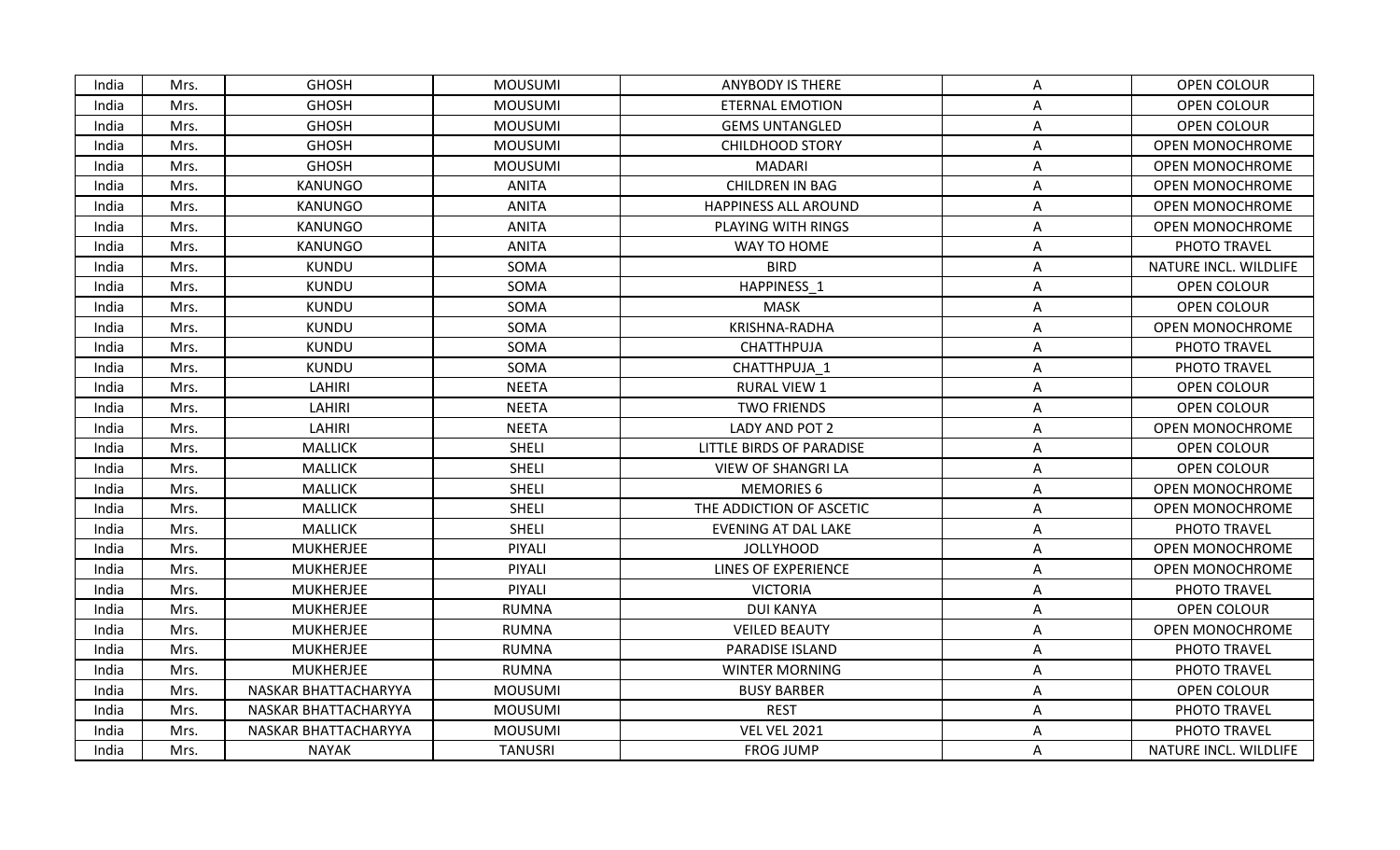| <b>GHOSH</b><br><b>MOUSUMI</b><br><b>ANYBODY IS THERE</b><br>OPEN COLOUR<br>India<br>Mrs.<br>A<br><b>GHOSH</b><br><b>MOUSUMI</b><br>India<br>Mrs.<br><b>ETERNAL EMOTION</b><br>OPEN COLOUR<br>Α<br><b>GHOSH</b><br><b>MOUSUMI</b><br><b>GEMS UNTANGLED</b><br>OPEN COLOUR<br>India<br>Mrs.<br>Α<br>India<br>Mrs.<br><b>GHOSH</b><br><b>MOUSUMI</b><br><b>CHILDHOOD STORY</b><br>A<br><b>GHOSH</b><br>India<br><b>MOUSUMI</b><br><b>MADARI</b><br>Mrs.<br>Α<br>India<br><b>KANUNGO</b><br><b>ANITA</b><br><b>CHILDREN IN BAG</b><br>Mrs.<br>A<br>India<br>Mrs.<br>KANUNGO<br><b>ANITA</b><br><b>HAPPINESS ALL AROUND</b><br>A<br>ANITA<br>India<br>Mrs.<br><b>KANUNGO</b><br>PLAYING WITH RINGS<br>Α<br><b>ANITA</b><br>India<br>Mrs.<br>KANUNGO<br>WAY TO HOME<br>PHOTO TRAVEL<br>A<br><b>KUNDU</b><br>SOMA<br><b>BIRD</b><br>India<br>Mrs.<br>Α<br>India<br><b>KUNDU</b><br>SOMA<br>HAPPINESS 1<br>Mrs.<br>OPEN COLOUR<br>Α<br>India<br>Mrs.<br><b>KUNDU</b><br>SOMA<br><b>MASK</b><br><b>OPEN COLOUR</b><br>Α<br>KRISHNA-RADHA<br>India<br><b>KUNDU</b><br>SOMA<br>Mrs.<br>Α<br><b>KUNDU</b><br>SOMA<br>CHATTHPUJA<br>PHOTO TRAVEL<br>India<br>Mrs.<br>Α<br>SOMA<br><b>KUNDU</b><br>CHATTHPUJA 1<br>PHOTO TRAVEL<br>India<br>Mrs.<br>А<br>LAHIRI<br><b>NEETA</b><br><b>RURAL VIEW 1</b><br>OPEN COLOUR<br>India<br>Mrs.<br>A<br>India<br>Mrs.<br>LAHIRI<br><b>NEETA</b><br><b>TWO FRIENDS</b><br>OPEN COLOUR<br>A<br><b>NEETA</b><br>India<br>Mrs.<br>LAHIRI<br>LADY AND POT 2<br>Α<br>India<br><b>MALLICK</b><br><b>SHELI</b><br>OPEN COLOUR<br>Mrs.<br>LITTLE BIRDS OF PARADISE<br>Α<br>Mrs.<br><b>MALLICK</b><br><b>SHELI</b><br><b>VIEW OF SHANGRI LA</b><br><b>OPEN COLOUR</b><br>India<br>Α<br><b>MALLICK</b><br><b>SHELI</b><br><b>MEMORIES 6</b><br>India<br>Mrs.<br>A<br>India<br>Mrs.<br><b>MALLICK</b><br><b>SHELI</b><br>THE ADDICTION OF ASCETIC<br>A<br>India<br><b>MALLICK</b><br><b>SHELI</b><br>EVENING AT DAL LAKE<br>PHOTO TRAVEL<br>Mrs.<br>Α<br><b>MUKHERJEE</b><br>PIYALI<br><b>JOLLYHOOD</b><br>India<br>Mrs.<br>A<br><b>MUKHERJEE</b><br>PIYALI<br><b>LINES OF EXPERIENCE</b><br>India<br>Mrs.<br>A<br><b>MUKHERJEE</b><br>PIYALI<br><b>VICTORIA</b><br>PHOTO TRAVEL<br>India<br>Mrs.<br>Α<br>India<br>Mrs.<br><b>MUKHERJEE</b><br><b>RUMNA</b><br>DUI KANYA<br><b>OPEN COLOUR</b><br>A<br><b>MUKHERJEE</b><br><b>RUMNA</b><br><b>VEILED BEAUTY</b><br>India<br>Mrs.<br>Α<br><b>MUKHERJEE</b><br><b>RUMNA</b><br>PARADISE ISLAND<br>PHOTO TRAVEL<br>India<br>Mrs.<br>Α<br><b>RUMNA</b><br>India<br>Mrs.<br><b>MUKHERJEE</b><br><b>WINTER MORNING</b><br>A<br>PHOTO TRAVEL<br><b>MOUSUMI</b><br>India<br>NASKAR BHATTACHARYYA<br><b>BUSY BARBER</b><br>OPEN COLOUR<br>Mrs.<br>Α<br><b>REST</b><br>India<br>Mrs.<br>NASKAR BHATTACHARYYA<br><b>MOUSUMI</b><br>PHOTO TRAVEL<br>Α<br><b>VEL VEL 2021</b><br>India<br>Mrs.<br>NASKAR BHATTACHARYYA<br><b>MOUSUMI</b><br>PHOTO TRAVEL<br>Α |       |      |              |                |                  |   |                        |
|----------------------------------------------------------------------------------------------------------------------------------------------------------------------------------------------------------------------------------------------------------------------------------------------------------------------------------------------------------------------------------------------------------------------------------------------------------------------------------------------------------------------------------------------------------------------------------------------------------------------------------------------------------------------------------------------------------------------------------------------------------------------------------------------------------------------------------------------------------------------------------------------------------------------------------------------------------------------------------------------------------------------------------------------------------------------------------------------------------------------------------------------------------------------------------------------------------------------------------------------------------------------------------------------------------------------------------------------------------------------------------------------------------------------------------------------------------------------------------------------------------------------------------------------------------------------------------------------------------------------------------------------------------------------------------------------------------------------------------------------------------------------------------------------------------------------------------------------------------------------------------------------------------------------------------------------------------------------------------------------------------------------------------------------------------------------------------------------------------------------------------------------------------------------------------------------------------------------------------------------------------------------------------------------------------------------------------------------------------------------------------------------------------------------------------------------------------------------------------------------------------------------------------------------------------------------------------------------------------------------------------------------------------------------------------------------------------------------------------------------------------------------------------------------------------------------------------------------------------------------------------------------------------------|-------|------|--------------|----------------|------------------|---|------------------------|
|                                                                                                                                                                                                                                                                                                                                                                                                                                                                                                                                                                                                                                                                                                                                                                                                                                                                                                                                                                                                                                                                                                                                                                                                                                                                                                                                                                                                                                                                                                                                                                                                                                                                                                                                                                                                                                                                                                                                                                                                                                                                                                                                                                                                                                                                                                                                                                                                                                                                                                                                                                                                                                                                                                                                                                                                                                                                                                                |       |      |              |                |                  |   |                        |
|                                                                                                                                                                                                                                                                                                                                                                                                                                                                                                                                                                                                                                                                                                                                                                                                                                                                                                                                                                                                                                                                                                                                                                                                                                                                                                                                                                                                                                                                                                                                                                                                                                                                                                                                                                                                                                                                                                                                                                                                                                                                                                                                                                                                                                                                                                                                                                                                                                                                                                                                                                                                                                                                                                                                                                                                                                                                                                                |       |      |              |                |                  |   |                        |
|                                                                                                                                                                                                                                                                                                                                                                                                                                                                                                                                                                                                                                                                                                                                                                                                                                                                                                                                                                                                                                                                                                                                                                                                                                                                                                                                                                                                                                                                                                                                                                                                                                                                                                                                                                                                                                                                                                                                                                                                                                                                                                                                                                                                                                                                                                                                                                                                                                                                                                                                                                                                                                                                                                                                                                                                                                                                                                                |       |      |              |                |                  |   |                        |
|                                                                                                                                                                                                                                                                                                                                                                                                                                                                                                                                                                                                                                                                                                                                                                                                                                                                                                                                                                                                                                                                                                                                                                                                                                                                                                                                                                                                                                                                                                                                                                                                                                                                                                                                                                                                                                                                                                                                                                                                                                                                                                                                                                                                                                                                                                                                                                                                                                                                                                                                                                                                                                                                                                                                                                                                                                                                                                                |       |      |              |                |                  |   | <b>OPEN MONOCHROME</b> |
|                                                                                                                                                                                                                                                                                                                                                                                                                                                                                                                                                                                                                                                                                                                                                                                                                                                                                                                                                                                                                                                                                                                                                                                                                                                                                                                                                                                                                                                                                                                                                                                                                                                                                                                                                                                                                                                                                                                                                                                                                                                                                                                                                                                                                                                                                                                                                                                                                                                                                                                                                                                                                                                                                                                                                                                                                                                                                                                |       |      |              |                |                  |   | <b>OPEN MONOCHROME</b> |
|                                                                                                                                                                                                                                                                                                                                                                                                                                                                                                                                                                                                                                                                                                                                                                                                                                                                                                                                                                                                                                                                                                                                                                                                                                                                                                                                                                                                                                                                                                                                                                                                                                                                                                                                                                                                                                                                                                                                                                                                                                                                                                                                                                                                                                                                                                                                                                                                                                                                                                                                                                                                                                                                                                                                                                                                                                                                                                                |       |      |              |                |                  |   | <b>OPEN MONOCHROME</b> |
|                                                                                                                                                                                                                                                                                                                                                                                                                                                                                                                                                                                                                                                                                                                                                                                                                                                                                                                                                                                                                                                                                                                                                                                                                                                                                                                                                                                                                                                                                                                                                                                                                                                                                                                                                                                                                                                                                                                                                                                                                                                                                                                                                                                                                                                                                                                                                                                                                                                                                                                                                                                                                                                                                                                                                                                                                                                                                                                |       |      |              |                |                  |   | <b>OPEN MONOCHROME</b> |
|                                                                                                                                                                                                                                                                                                                                                                                                                                                                                                                                                                                                                                                                                                                                                                                                                                                                                                                                                                                                                                                                                                                                                                                                                                                                                                                                                                                                                                                                                                                                                                                                                                                                                                                                                                                                                                                                                                                                                                                                                                                                                                                                                                                                                                                                                                                                                                                                                                                                                                                                                                                                                                                                                                                                                                                                                                                                                                                |       |      |              |                |                  |   | OPEN MONOCHROME        |
|                                                                                                                                                                                                                                                                                                                                                                                                                                                                                                                                                                                                                                                                                                                                                                                                                                                                                                                                                                                                                                                                                                                                                                                                                                                                                                                                                                                                                                                                                                                                                                                                                                                                                                                                                                                                                                                                                                                                                                                                                                                                                                                                                                                                                                                                                                                                                                                                                                                                                                                                                                                                                                                                                                                                                                                                                                                                                                                |       |      |              |                |                  |   |                        |
|                                                                                                                                                                                                                                                                                                                                                                                                                                                                                                                                                                                                                                                                                                                                                                                                                                                                                                                                                                                                                                                                                                                                                                                                                                                                                                                                                                                                                                                                                                                                                                                                                                                                                                                                                                                                                                                                                                                                                                                                                                                                                                                                                                                                                                                                                                                                                                                                                                                                                                                                                                                                                                                                                                                                                                                                                                                                                                                |       |      |              |                |                  |   | NATURE INCL. WILDLIFE  |
|                                                                                                                                                                                                                                                                                                                                                                                                                                                                                                                                                                                                                                                                                                                                                                                                                                                                                                                                                                                                                                                                                                                                                                                                                                                                                                                                                                                                                                                                                                                                                                                                                                                                                                                                                                                                                                                                                                                                                                                                                                                                                                                                                                                                                                                                                                                                                                                                                                                                                                                                                                                                                                                                                                                                                                                                                                                                                                                |       |      |              |                |                  |   |                        |
|                                                                                                                                                                                                                                                                                                                                                                                                                                                                                                                                                                                                                                                                                                                                                                                                                                                                                                                                                                                                                                                                                                                                                                                                                                                                                                                                                                                                                                                                                                                                                                                                                                                                                                                                                                                                                                                                                                                                                                                                                                                                                                                                                                                                                                                                                                                                                                                                                                                                                                                                                                                                                                                                                                                                                                                                                                                                                                                |       |      |              |                |                  |   |                        |
|                                                                                                                                                                                                                                                                                                                                                                                                                                                                                                                                                                                                                                                                                                                                                                                                                                                                                                                                                                                                                                                                                                                                                                                                                                                                                                                                                                                                                                                                                                                                                                                                                                                                                                                                                                                                                                                                                                                                                                                                                                                                                                                                                                                                                                                                                                                                                                                                                                                                                                                                                                                                                                                                                                                                                                                                                                                                                                                |       |      |              |                |                  |   | <b>OPEN MONOCHROME</b> |
|                                                                                                                                                                                                                                                                                                                                                                                                                                                                                                                                                                                                                                                                                                                                                                                                                                                                                                                                                                                                                                                                                                                                                                                                                                                                                                                                                                                                                                                                                                                                                                                                                                                                                                                                                                                                                                                                                                                                                                                                                                                                                                                                                                                                                                                                                                                                                                                                                                                                                                                                                                                                                                                                                                                                                                                                                                                                                                                |       |      |              |                |                  |   |                        |
|                                                                                                                                                                                                                                                                                                                                                                                                                                                                                                                                                                                                                                                                                                                                                                                                                                                                                                                                                                                                                                                                                                                                                                                                                                                                                                                                                                                                                                                                                                                                                                                                                                                                                                                                                                                                                                                                                                                                                                                                                                                                                                                                                                                                                                                                                                                                                                                                                                                                                                                                                                                                                                                                                                                                                                                                                                                                                                                |       |      |              |                |                  |   |                        |
|                                                                                                                                                                                                                                                                                                                                                                                                                                                                                                                                                                                                                                                                                                                                                                                                                                                                                                                                                                                                                                                                                                                                                                                                                                                                                                                                                                                                                                                                                                                                                                                                                                                                                                                                                                                                                                                                                                                                                                                                                                                                                                                                                                                                                                                                                                                                                                                                                                                                                                                                                                                                                                                                                                                                                                                                                                                                                                                |       |      |              |                |                  |   |                        |
|                                                                                                                                                                                                                                                                                                                                                                                                                                                                                                                                                                                                                                                                                                                                                                                                                                                                                                                                                                                                                                                                                                                                                                                                                                                                                                                                                                                                                                                                                                                                                                                                                                                                                                                                                                                                                                                                                                                                                                                                                                                                                                                                                                                                                                                                                                                                                                                                                                                                                                                                                                                                                                                                                                                                                                                                                                                                                                                |       |      |              |                |                  |   |                        |
|                                                                                                                                                                                                                                                                                                                                                                                                                                                                                                                                                                                                                                                                                                                                                                                                                                                                                                                                                                                                                                                                                                                                                                                                                                                                                                                                                                                                                                                                                                                                                                                                                                                                                                                                                                                                                                                                                                                                                                                                                                                                                                                                                                                                                                                                                                                                                                                                                                                                                                                                                                                                                                                                                                                                                                                                                                                                                                                |       |      |              |                |                  |   | <b>OPEN MONOCHROME</b> |
|                                                                                                                                                                                                                                                                                                                                                                                                                                                                                                                                                                                                                                                                                                                                                                                                                                                                                                                                                                                                                                                                                                                                                                                                                                                                                                                                                                                                                                                                                                                                                                                                                                                                                                                                                                                                                                                                                                                                                                                                                                                                                                                                                                                                                                                                                                                                                                                                                                                                                                                                                                                                                                                                                                                                                                                                                                                                                                                |       |      |              |                |                  |   |                        |
|                                                                                                                                                                                                                                                                                                                                                                                                                                                                                                                                                                                                                                                                                                                                                                                                                                                                                                                                                                                                                                                                                                                                                                                                                                                                                                                                                                                                                                                                                                                                                                                                                                                                                                                                                                                                                                                                                                                                                                                                                                                                                                                                                                                                                                                                                                                                                                                                                                                                                                                                                                                                                                                                                                                                                                                                                                                                                                                |       |      |              |                |                  |   |                        |
|                                                                                                                                                                                                                                                                                                                                                                                                                                                                                                                                                                                                                                                                                                                                                                                                                                                                                                                                                                                                                                                                                                                                                                                                                                                                                                                                                                                                                                                                                                                                                                                                                                                                                                                                                                                                                                                                                                                                                                                                                                                                                                                                                                                                                                                                                                                                                                                                                                                                                                                                                                                                                                                                                                                                                                                                                                                                                                                |       |      |              |                |                  |   | OPEN MONOCHROME        |
|                                                                                                                                                                                                                                                                                                                                                                                                                                                                                                                                                                                                                                                                                                                                                                                                                                                                                                                                                                                                                                                                                                                                                                                                                                                                                                                                                                                                                                                                                                                                                                                                                                                                                                                                                                                                                                                                                                                                                                                                                                                                                                                                                                                                                                                                                                                                                                                                                                                                                                                                                                                                                                                                                                                                                                                                                                                                                                                |       |      |              |                |                  |   | <b>OPEN MONOCHROME</b> |
|                                                                                                                                                                                                                                                                                                                                                                                                                                                                                                                                                                                                                                                                                                                                                                                                                                                                                                                                                                                                                                                                                                                                                                                                                                                                                                                                                                                                                                                                                                                                                                                                                                                                                                                                                                                                                                                                                                                                                                                                                                                                                                                                                                                                                                                                                                                                                                                                                                                                                                                                                                                                                                                                                                                                                                                                                                                                                                                |       |      |              |                |                  |   |                        |
|                                                                                                                                                                                                                                                                                                                                                                                                                                                                                                                                                                                                                                                                                                                                                                                                                                                                                                                                                                                                                                                                                                                                                                                                                                                                                                                                                                                                                                                                                                                                                                                                                                                                                                                                                                                                                                                                                                                                                                                                                                                                                                                                                                                                                                                                                                                                                                                                                                                                                                                                                                                                                                                                                                                                                                                                                                                                                                                |       |      |              |                |                  |   | <b>OPEN MONOCHROME</b> |
|                                                                                                                                                                                                                                                                                                                                                                                                                                                                                                                                                                                                                                                                                                                                                                                                                                                                                                                                                                                                                                                                                                                                                                                                                                                                                                                                                                                                                                                                                                                                                                                                                                                                                                                                                                                                                                                                                                                                                                                                                                                                                                                                                                                                                                                                                                                                                                                                                                                                                                                                                                                                                                                                                                                                                                                                                                                                                                                |       |      |              |                |                  |   | <b>OPEN MONOCHROME</b> |
|                                                                                                                                                                                                                                                                                                                                                                                                                                                                                                                                                                                                                                                                                                                                                                                                                                                                                                                                                                                                                                                                                                                                                                                                                                                                                                                                                                                                                                                                                                                                                                                                                                                                                                                                                                                                                                                                                                                                                                                                                                                                                                                                                                                                                                                                                                                                                                                                                                                                                                                                                                                                                                                                                                                                                                                                                                                                                                                |       |      |              |                |                  |   |                        |
|                                                                                                                                                                                                                                                                                                                                                                                                                                                                                                                                                                                                                                                                                                                                                                                                                                                                                                                                                                                                                                                                                                                                                                                                                                                                                                                                                                                                                                                                                                                                                                                                                                                                                                                                                                                                                                                                                                                                                                                                                                                                                                                                                                                                                                                                                                                                                                                                                                                                                                                                                                                                                                                                                                                                                                                                                                                                                                                |       |      |              |                |                  |   |                        |
|                                                                                                                                                                                                                                                                                                                                                                                                                                                                                                                                                                                                                                                                                                                                                                                                                                                                                                                                                                                                                                                                                                                                                                                                                                                                                                                                                                                                                                                                                                                                                                                                                                                                                                                                                                                                                                                                                                                                                                                                                                                                                                                                                                                                                                                                                                                                                                                                                                                                                                                                                                                                                                                                                                                                                                                                                                                                                                                |       |      |              |                |                  |   | <b>OPEN MONOCHROME</b> |
|                                                                                                                                                                                                                                                                                                                                                                                                                                                                                                                                                                                                                                                                                                                                                                                                                                                                                                                                                                                                                                                                                                                                                                                                                                                                                                                                                                                                                                                                                                                                                                                                                                                                                                                                                                                                                                                                                                                                                                                                                                                                                                                                                                                                                                                                                                                                                                                                                                                                                                                                                                                                                                                                                                                                                                                                                                                                                                                |       |      |              |                |                  |   |                        |
|                                                                                                                                                                                                                                                                                                                                                                                                                                                                                                                                                                                                                                                                                                                                                                                                                                                                                                                                                                                                                                                                                                                                                                                                                                                                                                                                                                                                                                                                                                                                                                                                                                                                                                                                                                                                                                                                                                                                                                                                                                                                                                                                                                                                                                                                                                                                                                                                                                                                                                                                                                                                                                                                                                                                                                                                                                                                                                                |       |      |              |                |                  |   |                        |
|                                                                                                                                                                                                                                                                                                                                                                                                                                                                                                                                                                                                                                                                                                                                                                                                                                                                                                                                                                                                                                                                                                                                                                                                                                                                                                                                                                                                                                                                                                                                                                                                                                                                                                                                                                                                                                                                                                                                                                                                                                                                                                                                                                                                                                                                                                                                                                                                                                                                                                                                                                                                                                                                                                                                                                                                                                                                                                                |       |      |              |                |                  |   |                        |
|                                                                                                                                                                                                                                                                                                                                                                                                                                                                                                                                                                                                                                                                                                                                                                                                                                                                                                                                                                                                                                                                                                                                                                                                                                                                                                                                                                                                                                                                                                                                                                                                                                                                                                                                                                                                                                                                                                                                                                                                                                                                                                                                                                                                                                                                                                                                                                                                                                                                                                                                                                                                                                                                                                                                                                                                                                                                                                                |       |      |              |                |                  |   |                        |
|                                                                                                                                                                                                                                                                                                                                                                                                                                                                                                                                                                                                                                                                                                                                                                                                                                                                                                                                                                                                                                                                                                                                                                                                                                                                                                                                                                                                                                                                                                                                                                                                                                                                                                                                                                                                                                                                                                                                                                                                                                                                                                                                                                                                                                                                                                                                                                                                                                                                                                                                                                                                                                                                                                                                                                                                                                                                                                                |       |      |              |                |                  |   |                        |
|                                                                                                                                                                                                                                                                                                                                                                                                                                                                                                                                                                                                                                                                                                                                                                                                                                                                                                                                                                                                                                                                                                                                                                                                                                                                                                                                                                                                                                                                                                                                                                                                                                                                                                                                                                                                                                                                                                                                                                                                                                                                                                                                                                                                                                                                                                                                                                                                                                                                                                                                                                                                                                                                                                                                                                                                                                                                                                                | India | Mrs. | <b>NAYAK</b> | <b>TANUSRI</b> | <b>FROG JUMP</b> | Α | NATURE INCL. WILDLIFE  |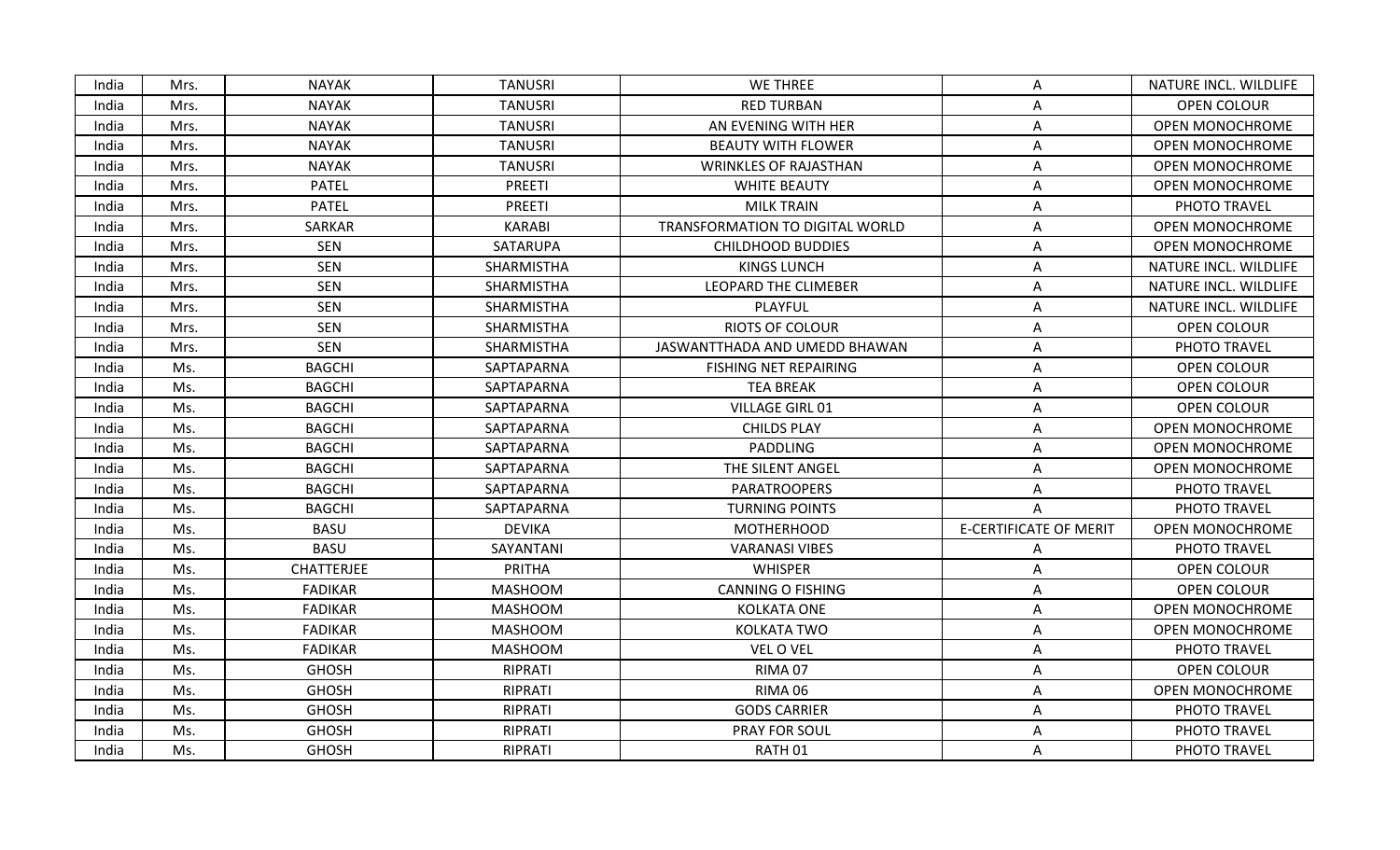| India | Mrs. | <b>NAYAK</b>   | <b>TANUSRI</b> | <b>WE THREE</b>                        | A                             | NATURE INCL. WILDLIFE  |
|-------|------|----------------|----------------|----------------------------------------|-------------------------------|------------------------|
| India | Mrs. | <b>NAYAK</b>   | <b>TANUSRI</b> | <b>RED TURBAN</b>                      | Α                             | <b>OPEN COLOUR</b>     |
| India | Mrs. | <b>NAYAK</b>   | <b>TANUSRI</b> | AN EVENING WITH HER                    | Α                             | <b>OPEN MONOCHROME</b> |
| India | Mrs. | <b>NAYAK</b>   | <b>TANUSRI</b> | <b>BEAUTY WITH FLOWER</b>              | A                             | <b>OPEN MONOCHROME</b> |
| India | Mrs. | <b>NAYAK</b>   | <b>TANUSRI</b> | <b>WRINKLES OF RAJASTHAN</b>           | A                             | <b>OPEN MONOCHROME</b> |
| India | Mrs. | <b>PATEL</b>   | <b>PREETI</b>  | <b>WHITE BEAUTY</b>                    | A                             | <b>OPEN MONOCHROME</b> |
| India | Mrs. | <b>PATEL</b>   | <b>PREETI</b>  | <b>MILK TRAIN</b>                      | A                             | PHOTO TRAVEL           |
| India | Mrs. | SARKAR         | <b>KARABI</b>  | <b>TRANSFORMATION TO DIGITAL WORLD</b> | Α                             | OPEN MONOCHROME        |
| India | Mrs. | SEN            | SATARUPA       | <b>CHILDHOOD BUDDIES</b>               | A                             | <b>OPEN MONOCHROME</b> |
| India | Mrs. | <b>SEN</b>     | SHARMISTHA     | <b>KINGS LUNCH</b>                     | A                             | NATURE INCL. WILDLIFE  |
| India | Mrs. | <b>SEN</b>     | SHARMISTHA     | LEOPARD THE CLIMEBER                   | A                             | NATURE INCL. WILDLIFE  |
| India | Mrs. | <b>SEN</b>     | SHARMISTHA     | PLAYFUL                                | Α                             | NATURE INCL. WILDLIFE  |
| India | Mrs. | <b>SEN</b>     | SHARMISTHA     | <b>RIOTS OF COLOUR</b>                 | Α                             | OPEN COLOUR            |
| India | Mrs. | <b>SEN</b>     | SHARMISTHA     | JASWANTTHADA AND UMEDD BHAWAN          | Α                             | PHOTO TRAVEL           |
| India | Ms.  | <b>BAGCHI</b>  | SAPTAPARNA     | FISHING NET REPAIRING                  | A                             | OPEN COLOUR            |
| India | Ms.  | <b>BAGCHI</b>  | SAPTAPARNA     | <b>TEA BREAK</b>                       | Α                             | OPEN COLOUR            |
| India | Ms.  | <b>BAGCHI</b>  | SAPTAPARNA     | VILLAGE GIRL 01                        | Α                             | OPEN COLOUR            |
| India | Ms.  | <b>BAGCHI</b>  | SAPTAPARNA     | <b>CHILDS PLAY</b>                     | Α                             | <b>OPEN MONOCHROME</b> |
| India | Ms.  | <b>BAGCHI</b>  | SAPTAPARNA     | <b>PADDLING</b>                        | Α                             | <b>OPEN MONOCHROME</b> |
| India | Ms.  | <b>BAGCHI</b>  | SAPTAPARNA     | THE SILENT ANGEL                       | А                             | <b>OPEN MONOCHROME</b> |
| India | Ms.  | <b>BAGCHI</b>  | SAPTAPARNA     | <b>PARATROOPERS</b>                    | A                             | PHOTO TRAVEL           |
| India | Ms.  | <b>BAGCHI</b>  | SAPTAPARNA     | <b>TURNING POINTS</b>                  | A                             | PHOTO TRAVEL           |
| India | Ms.  | <b>BASU</b>    | <b>DEVIKA</b>  | <b>MOTHERHOOD</b>                      | <b>E-CERTIFICATE OF MERIT</b> | OPEN MONOCHROME        |
| India | Ms.  | <b>BASU</b>    | SAYANTANI      | <b>VARANASI VIBES</b>                  | A                             | PHOTO TRAVEL           |
| India | Ms.  | CHATTERJEE     | PRITHA         | <b>WHISPER</b>                         | Α                             | OPEN COLOUR            |
| India | Ms.  | <b>FADIKAR</b> | <b>MASHOOM</b> | <b>CANNING O FISHING</b>               | A                             | OPEN COLOUR            |
| India | Ms.  | <b>FADIKAR</b> | <b>MASHOOM</b> | <b>KOLKATA ONE</b>                     | Α                             | <b>OPEN MONOCHROME</b> |
| India | Ms.  | <b>FADIKAR</b> | <b>MASHOOM</b> | KOLKATA TWO                            | Α                             | <b>OPEN MONOCHROME</b> |
| India | Ms.  | <b>FADIKAR</b> | <b>MASHOOM</b> | VEL O VEL                              | A                             | PHOTO TRAVEL           |
| India | Ms.  | <b>GHOSH</b>   | RIPRATI        | RIMA 07                                | A                             | OPEN COLOUR            |
| India | Ms.  | <b>GHOSH</b>   | RIPRATI        | RIMA 06                                | Α                             | <b>OPEN MONOCHROME</b> |
| India | Ms.  | <b>GHOSH</b>   | RIPRATI        | <b>GODS CARRIER</b>                    | A                             | PHOTO TRAVEL           |
| India | Ms.  | <b>GHOSH</b>   | RIPRATI        | <b>PRAY FOR SOUL</b>                   | Α                             | PHOTO TRAVEL           |
| India | Ms.  | <b>GHOSH</b>   | RIPRATI        | RATH 01                                | A                             | PHOTO TRAVEL           |
|       |      |                |                |                                        |                               |                        |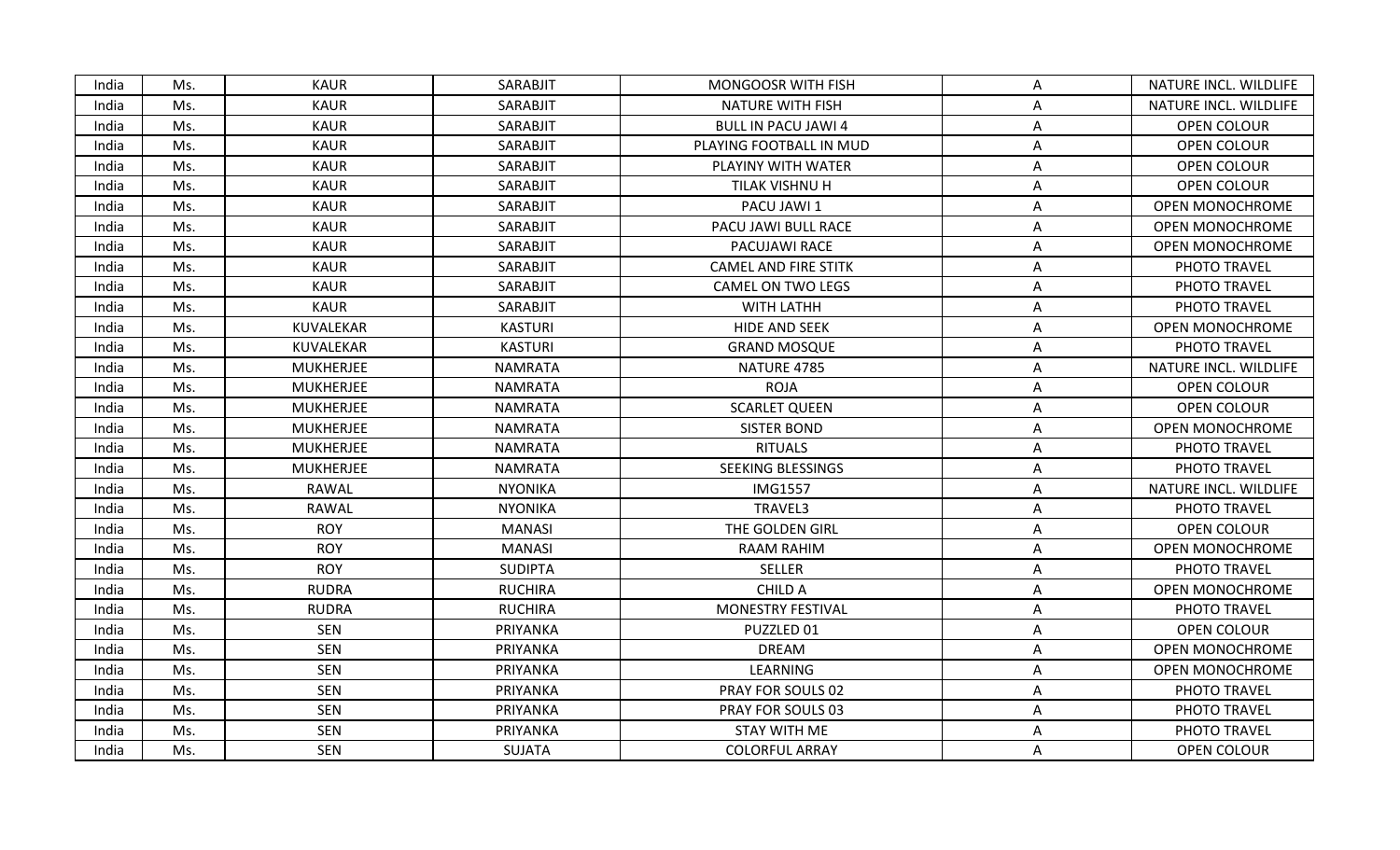| India | Ms. | <b>KAUR</b>      | SARABJIT       | <b>MONGOOSR WITH FISH</b>   | A | NATURE INCL. WILDLIFE  |
|-------|-----|------------------|----------------|-----------------------------|---|------------------------|
| India | Ms. | <b>KAUR</b>      | SARABJIT       | <b>NATURE WITH FISH</b>     | А | NATURE INCL. WILDLIFE  |
| India | Ms. | <b>KAUR</b>      | SARABJIT       | <b>BULL IN PACU JAWI 4</b>  | Α | OPEN COLOUR            |
| India | Ms. | <b>KAUR</b>      | SARABJIT       | PLAYING FOOTBALL IN MUD     | A | OPEN COLOUR            |
| India | Ms. | <b>KAUR</b>      | SARABJIT       | PLAYINY WITH WATER          | Α | OPEN COLOUR            |
| India | Ms. | <b>KAUR</b>      | SARABJIT       | TILAK VISHNU H              | A | <b>OPEN COLOUR</b>     |
| India | Ms. | <b>KAUR</b>      | SARABJIT       | PACU JAWI 1                 | A | <b>OPEN MONOCHROME</b> |
| India | Ms. | <b>KAUR</b>      | SARABJIT       | PACU JAWI BULL RACE         | Α | <b>OPEN MONOCHROME</b> |
| India | Ms. | <b>KAUR</b>      | SARABJIT       | PACUJAWI RACE               | A | <b>OPEN MONOCHROME</b> |
| India | Ms. | <b>KAUR</b>      | SARABJIT       | <b>CAMEL AND FIRE STITK</b> | Α | PHOTO TRAVEL           |
| India | Ms. | <b>KAUR</b>      | SARABJIT       | <b>CAMEL ON TWO LEGS</b>    | A | PHOTO TRAVEL           |
| India | Ms. | <b>KAUR</b>      | SARABJIT       | WITH LATHH                  | Α | PHOTO TRAVEL           |
| India | Ms. | KUVALEKAR        | <b>KASTURI</b> | HIDE AND SEEK               | Α | <b>OPEN MONOCHROME</b> |
| India | Ms. | KUVALEKAR        | <b>KASTURI</b> | <b>GRAND MOSQUE</b>         | Α | PHOTO TRAVEL           |
| India | Ms. | <b>MUKHERJEE</b> | <b>NAMRATA</b> | NATURE 4785                 | Α | NATURE INCL. WILDLIFE  |
| India | Ms. | <b>MUKHERJEE</b> | <b>NAMRATA</b> | <b>ROJA</b>                 | A | OPEN COLOUR            |
| India | Ms. | <b>MUKHERJEE</b> | <b>NAMRATA</b> | <b>SCARLET QUEEN</b>        | Α | <b>OPEN COLOUR</b>     |
| India | Ms. | <b>MUKHERJEE</b> | <b>NAMRATA</b> | <b>SISTER BOND</b>          | A | <b>OPEN MONOCHROME</b> |
| India | Ms. | <b>MUKHERJEE</b> | <b>NAMRATA</b> | <b>RITUALS</b>              | A | PHOTO TRAVEL           |
| India | Ms. | <b>MUKHERJEE</b> | <b>NAMRATA</b> | SEEKING BLESSINGS           | A | PHOTO TRAVEL           |
| India | Ms. | RAWAL            | <b>NYONIKA</b> | <b>IMG1557</b>              | A | NATURE INCL. WILDLIFE  |
| India | Ms. | RAWAL            | <b>NYONIKA</b> | TRAVEL3                     | Α | PHOTO TRAVEL           |
| India | Ms. | <b>ROY</b>       | <b>MANASI</b>  | THE GOLDEN GIRL             | Α | OPEN COLOUR            |
| India | Ms. | <b>ROY</b>       | <b>MANASI</b>  | RAAM RAHIM                  | Α | <b>OPEN MONOCHROME</b> |
| India | Ms. | <b>ROY</b>       | <b>SUDIPTA</b> | <b>SELLER</b>               | Α | PHOTO TRAVEL           |
| India | Ms. | <b>RUDRA</b>     | <b>RUCHIRA</b> | CHILD A                     | A | <b>OPEN MONOCHROME</b> |
| India | Ms. | <b>RUDRA</b>     | <b>RUCHIRA</b> | MONESTRY FESTIVAL           | Α | PHOTO TRAVEL           |
| India | Ms. | <b>SEN</b>       | PRIYANKA       | PUZZLED 01                  | Α | OPEN COLOUR            |
| India | Ms. | <b>SEN</b>       | PRIYANKA       | <b>DREAM</b>                | A | <b>OPEN MONOCHROME</b> |
| India | Ms. | <b>SEN</b>       | PRIYANKA       | LEARNING                    | Α | <b>OPEN MONOCHROME</b> |
| India | Ms. | <b>SEN</b>       | PRIYANKA       | PRAY FOR SOULS 02           | A | PHOTO TRAVEL           |
| India | Ms. | <b>SEN</b>       | PRIYANKA       | PRAY FOR SOULS 03           | Α | PHOTO TRAVEL           |
| India | Ms. | SEN              | PRIYANKA       | <b>STAY WITH ME</b>         | A | PHOTO TRAVEL           |
| India | Ms. | <b>SEN</b>       | SUJATA         | <b>COLORFUL ARRAY</b>       | A | OPEN COLOUR            |